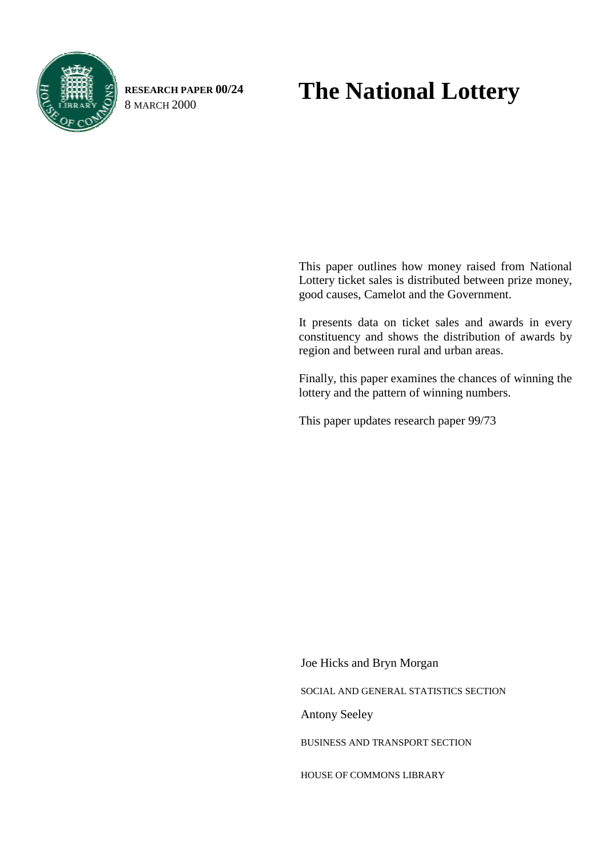

**RESEARCH PAPER 00/24**

# RESEARCH PAPER 00/24 **The National Lottery**

This paper outlines how money raised from National Lottery ticket sales is distributed between prize money, good causes, Camelot and the Government.

It presents data on ticket sales and awards in every constituency and shows the distribution of awards by region and between rural and urban areas.

Finally, this paper examines the chances of winning the lottery and the pattern of winning numbers.

This paper updates research paper 99/73

Joe Hicks and Bryn Morgan

SOCIAL AND GENERAL STATISTICS SECTION

Antony Seeley

BUSINESS AND TRANSPORT SECTION

HOUSE OF COMMONS LIBRARY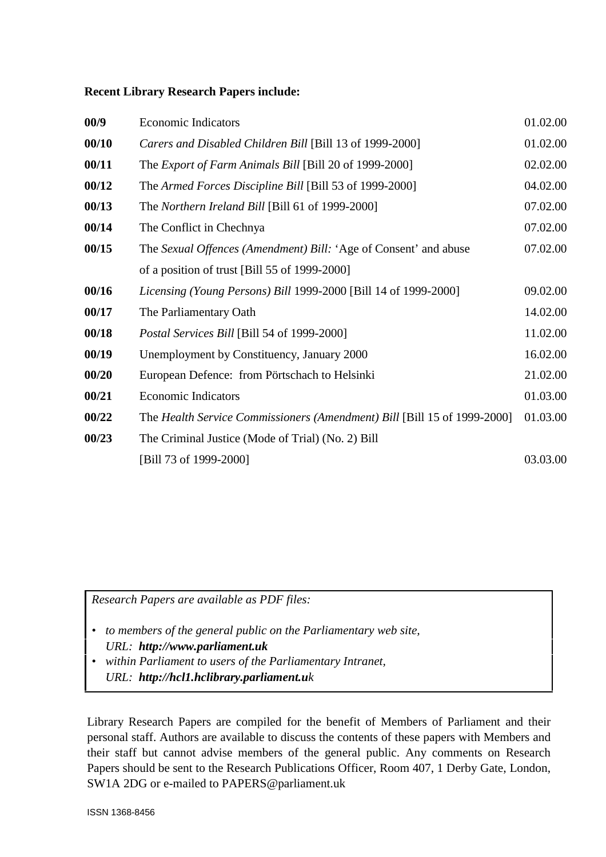### **Recent Library Research Papers include:**

| 00/9  | <b>Economic Indicators</b>                                               | 01.02.00 |
|-------|--------------------------------------------------------------------------|----------|
| 00/10 | Carers and Disabled Children Bill [Bill 13 of 1999-2000]                 | 01.02.00 |
| 00/11 | The <i>Export of Farm Animals Bill</i> [Bill 20 of 1999-2000]            | 02.02.00 |
| 00/12 | The Armed Forces Discipline Bill [Bill 53 of 1999-2000]                  | 04.02.00 |
| 00/13 | The Northern Ireland Bill [Bill 61 of 1999-2000]                         | 07.02.00 |
| 00/14 | The Conflict in Chechnya                                                 | 07.02.00 |
| 00/15 | The Sexual Offences (Amendment) Bill: 'Age of Consent' and abuse         | 07.02.00 |
|       | of a position of trust [Bill 55 of 1999-2000]                            |          |
| 00/16 | Licensing (Young Persons) Bill 1999-2000 [Bill 14 of 1999-2000]          | 09.02.00 |
| 00/17 | The Parliamentary Oath                                                   | 14.02.00 |
| 00/18 | <i>Postal Services Bill</i> [Bill 54 of 1999-2000]                       | 11.02.00 |
| 00/19 | Unemployment by Constituency, January 2000                               | 16.02.00 |
| 00/20 | European Defence: from Pörtschach to Helsinki                            | 21.02.00 |
| 00/21 | <b>Economic Indicators</b>                                               | 01.03.00 |
| 00/22 | The Health Service Commissioners (Amendment) Bill [Bill 15 of 1999-2000] | 01.03.00 |
| 00/23 | The Criminal Justice (Mode of Trial) (No. 2) Bill                        |          |
|       | [Bill 73 of 1999-2000]                                                   | 03.03.00 |

*Research Papers are available as PDF files:*

- *to members of the general public on the Parliamentary web site, URL: http://www.parliament.uk*
- *within Parliament to users of the Parliamentary Intranet, URL: http://hcl1.hclibrary.parliament.uk*

Library Research Papers are compiled for the benefit of Members of Parliament and their personal staff. Authors are available to discuss the contents of these papers with Members and their staff but cannot advise members of the general public. Any comments on Research Papers should be sent to the Research Publications Officer, Room 407, 1 Derby Gate, London, SW1A 2DG or e-mailed to PAPERS@parliament.uk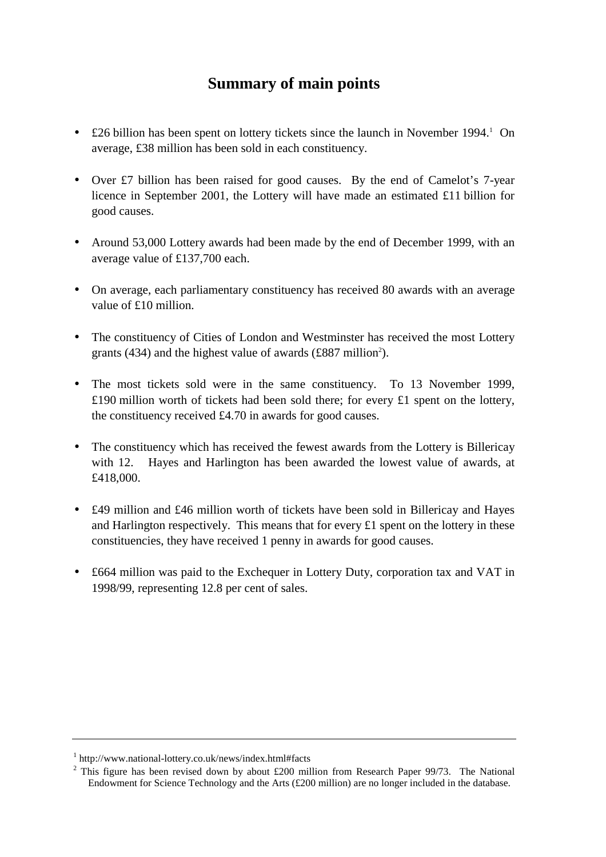# **Summary of main points**

- £26 billion has been spent on lottery tickets since the launch in November 1994.<sup>1</sup> On average, £38 million has been sold in each constituency.
- Over £7 billion has been raised for good causes. By the end of Camelot's 7-year licence in September 2001, the Lottery will have made an estimated £11 billion for good causes.
- Around 53,000 Lottery awards had been made by the end of December 1999, with an average value of £137,700 each.
- On average, each parliamentary constituency has received 80 awards with an average value of £10 million.
- The constituency of Cities of London and Westminster has received the most Lottery grants (434) and the highest value of awards (£887 million<sup>2</sup>).
- The most tickets sold were in the same constituency. To 13 November 1999, £190 million worth of tickets had been sold there; for every £1 spent on the lottery, the constituency received £4.70 in awards for good causes.
- The constituency which has received the fewest awards from the Lottery is Billericay with 12. Hayes and Harlington has been awarded the lowest value of awards, at £418,000.
- £49 million and £46 million worth of tickets have been sold in Billericay and Hayes and Harlington respectively. This means that for every  $£1$  spent on the lottery in these constituencies, they have received 1 penny in awards for good causes.
- £664 million was paid to the Exchequer in Lottery Duty, corporation tax and VAT in 1998/99, representing 12.8 per cent of sales.

<sup>1</sup> http://www.national-lottery.co.uk/news/index.html#facts

<sup>&</sup>lt;sup>2</sup> This figure has been revised down by about £200 million from Research Paper 99/73. The National Endowment for Science Technology and the Arts (£200 million) are no longer included in the database.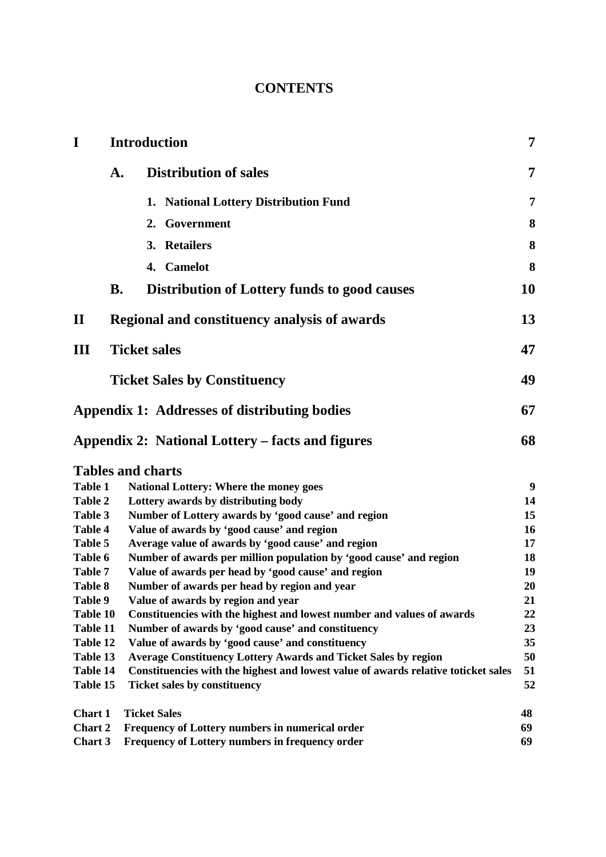# **CONTENTS**

| $\mathbf I$    | <b>Introduction</b>                                                                | 7  |
|----------------|------------------------------------------------------------------------------------|----|
|                | <b>Distribution of sales</b><br>A.                                                 | 7  |
|                | 1. National Lottery Distribution Fund                                              | 7  |
|                | 2. Government                                                                      | 8  |
|                | 3. Retailers                                                                       | 8  |
|                | 4. Camelot                                                                         | 8  |
|                | <b>B.</b><br><b>Distribution of Lottery funds to good causes</b>                   | 10 |
| $\mathbf{I}$   | Regional and constituency analysis of awards                                       | 13 |
| III            | <b>Ticket sales</b>                                                                | 47 |
|                | <b>Ticket Sales by Constituency</b>                                                | 49 |
|                | Appendix 1: Addresses of distributing bodies                                       | 67 |
|                | Appendix 2: National Lottery – facts and figures                                   | 68 |
|                | <b>Tables and charts</b>                                                           |    |
| <b>Table 1</b> | <b>National Lottery: Where the money goes</b>                                      | 9  |
| <b>Table 2</b> | Lottery awards by distributing body                                                | 14 |
| Table 3        | Number of Lottery awards by 'good cause' and region                                | 15 |
| <b>Table 4</b> | Value of awards by 'good cause' and region                                         | 16 |
| Table 5        | Average value of awards by 'good cause' and region                                 | 17 |
| Table 6        | Number of awards per million population by 'good cause' and region                 | 18 |
| Table 7        | Value of awards per head by 'good cause' and region                                | 19 |
| <b>Table 8</b> | Number of awards per head by region and year                                       | 20 |
| Table 9        | Value of awards by region and year                                                 | 21 |
| Table 10       | Constituencies with the highest and lowest number and values of awards             | 22 |
| Table 11       | Number of awards by 'good cause' and constituency                                  | 23 |
| Table 12       | Value of awards by 'good cause' and constituency                                   | 35 |
| Table 13       | <b>Average Constituency Lottery Awards and Ticket Sales by region</b>              | 50 |
| Table 14       | Constituencies with the highest and lowest value of awards relative toticket sales | 51 |
| Table 15       | <b>Ticket sales by constituency</b>                                                | 52 |
| <b>Chart 1</b> | <b>Ticket Sales</b>                                                                | 48 |
| Chart 2        | Frequency of Lottery numbers in numerical order                                    | 69 |
| Chart 3        | Frequency of Lottery numbers in frequency order                                    | 69 |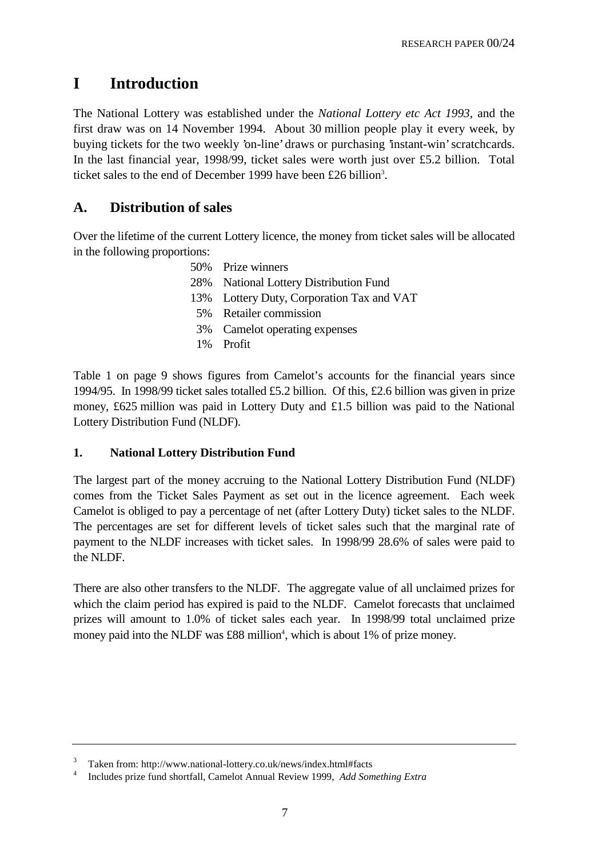# **I Introduction**

The National Lottery was established under the *National Lottery etc Act 1993*, and the first draw was on 14 November 1994. About 30 million people play it every week, by buying tickets for the two weekly 'on-line' draws or purchasing 'instant-win' scratchcards. In the last financial year, 1998/99, ticket sales were worth just over £5.2 billion. Total ticket sales to the end of December 1999 have been £26 billion<sup>3</sup>.

# **A. Distribution of sales**

Over the lifetime of the current Lottery licence, the money from ticket sales will be allocated in the following proportions:

| 50% Prize winners                         |
|-------------------------------------------|
| 28% National Lottery Distribution Fund    |
| 13% Lottery Duty, Corporation Tax and VAT |
| 5% Retailer commission                    |
| 3% Camelot operating expenses             |
| 1% Profit                                 |
|                                           |

Table 1 on page 9 shows figures from Camelot's accounts for the financial years since 1994/95. In 1998/99 ticket sales totalled £5.2 billion. Of this, £2.6 billion was given in prize money, £625 million was paid in Lottery Duty and £1.5 billion was paid to the National Lottery Distribution Fund (NLDF).

# **1. National Lottery Distribution Fund**

The largest part of the money accruing to the National Lottery Distribution Fund (NLDF) comes from the Ticket Sales Payment as set out in the licence agreement. Each week Camelot is obliged to pay a percentage of net (after Lottery Duty) ticket sales to the NLDF. The percentages are set for different levels of ticket sales such that the marginal rate of payment to the NLDF increases with ticket sales. In 1998/99 28.6% of sales were paid to the NLDF.

There are also other transfers to the NLDF. The aggregate value of all unclaimed prizes for which the claim period has expired is paid to the NLDF. Camelot forecasts that unclaimed prizes will amount to 1.0% of ticket sales each year. In 1998/99 total unclaimed prize money paid into the NLDF was  $£88$  million<sup>4</sup>, which is about 1% of prize money.

<sup>3</sup> Taken from: http://www.national-lottery.co.uk/news/index.html#facts

<sup>4</sup> Includes prize fund shortfall, Camelot Annual Review 1999, *Add Something Extra*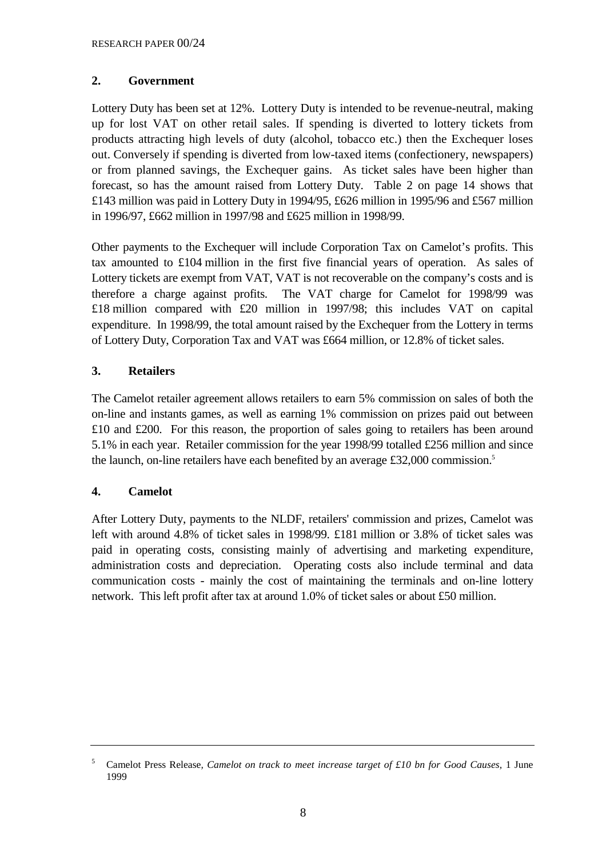# **2. Government**

Lottery Duty has been set at 12%. Lottery Duty is intended to be revenue-neutral, making up for lost VAT on other retail sales. If spending is diverted to lottery tickets from products attracting high levels of duty (alcohol, tobacco etc.) then the Exchequer loses out. Conversely if spending is diverted from low-taxed items (confectionery, newspapers) or from planned savings, the Exchequer gains. As ticket sales have been higher than forecast, so has the amount raised from Lottery Duty. Table 2 on page 14 shows that £143 million was paid in Lottery Duty in 1994/95, £626 million in 1995/96 and £567 million in 1996/97, £662 million in 1997/98 and £625 million in 1998/99.

Other payments to the Exchequer will include Corporation Tax on Camelot's profits. This tax amounted to £104 million in the first five financial years of operation. As sales of Lottery tickets are exempt from VAT, VAT is not recoverable on the company's costs and is therefore a charge against profits. The VAT charge for Camelot for 1998/99 was £18 million compared with £20 million in 1997/98; this includes VAT on capital expenditure. In 1998/99, the total amount raised by the Exchequer from the Lottery in terms of Lottery Duty, Corporation Tax and VAT was £664 million, or 12.8% of ticket sales.

# **3. Retailers**

The Camelot retailer agreement allows retailers to earn 5% commission on sales of both the on-line and instants games, as well as earning 1% commission on prizes paid out between £10 and £200. For this reason, the proportion of sales going to retailers has been around 5.1% in each year. Retailer commission for the year 1998/99 totalled £256 million and since the launch, on-line retailers have each benefited by an average £32,000 commission.5

# **4. Camelot**

After Lottery Duty, payments to the NLDF, retailers' commission and prizes, Camelot was left with around 4.8% of ticket sales in 1998/99. £181 million or 3.8% of ticket sales was paid in operating costs, consisting mainly of advertising and marketing expenditure, administration costs and depreciation. Operating costs also include terminal and data communication costs - mainly the cost of maintaining the terminals and on-line lottery network. This left profit after tax at around 1.0% of ticket sales or about £50 million.

<sup>5</sup> Camelot Press Release*, Camelot on track to meet increase target of £10 bn for Good Causes,* 1 June 1999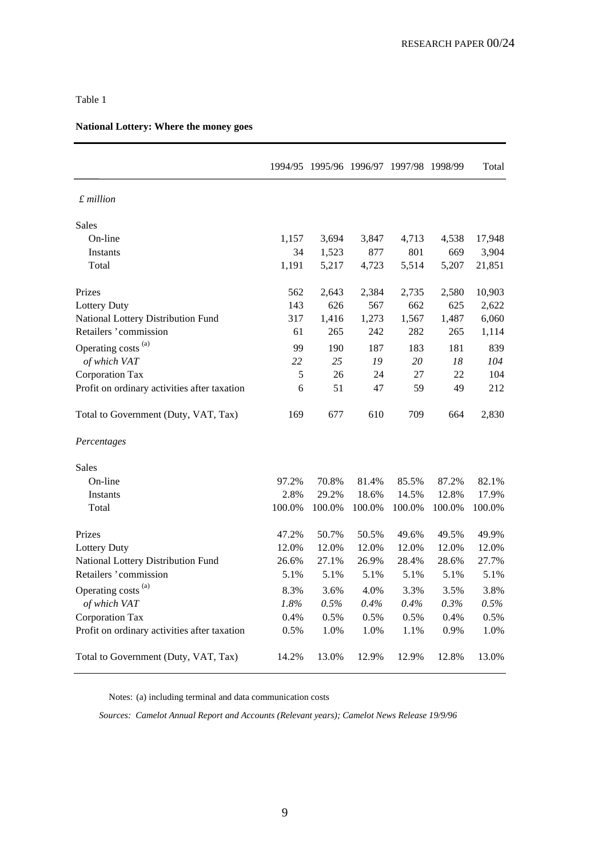|                                              |        | 1994/95 1995/96 1996/97 1997/98 1998/99 |            |        |        | Total  |
|----------------------------------------------|--------|-----------------------------------------|------------|--------|--------|--------|
| $£$ million                                  |        |                                         |            |        |        |        |
| <b>Sales</b>                                 |        |                                         |            |        |        |        |
| On-line                                      | 1,157  | 3,694                                   | 3,847      | 4,713  | 4,538  | 17,948 |
| Instants                                     | 34     | 1,523                                   | 877        | 801    | 669    | 3,904  |
| Total                                        | 1,191  | 5,217                                   | 4,723      | 5,514  | 5,207  | 21,851 |
| Prizes                                       | 562    | 2,643                                   | 2,384      | 2,735  | 2,580  | 10,903 |
| <b>Lottery Duty</b>                          | 143    | 626                                     | 567        | 662    | 625    | 2,622  |
| National Lottery Distribution Fund           | 317    | 1,416                                   | 1,273      | 1,567  | 1,487  | 6,060  |
| Retailers 'commission                        | 61     | 265                                     | 242        | 282    | 265    | 1,114  |
| Operating costs <sup>(a)</sup>               | 99     | 190                                     | 187        | 183    | 181    | 839    |
| of which VAT                                 | 22     | 25                                      | ${\it 19}$ | 20     | 18     | 104    |
| Corporation Tax                              | 5      | 26                                      | 24         | 27     | 22     | 104    |
| Profit on ordinary activities after taxation | 6      | 51                                      | 47         | 59     | 49     | 212    |
| Total to Government (Duty, VAT, Tax)         | 169    | 677                                     | 610        | 709    | 664    | 2,830  |
| Percentages                                  |        |                                         |            |        |        |        |
| Sales                                        |        |                                         |            |        |        |        |
| On-line                                      | 97.2%  | 70.8%                                   | 81.4%      | 85.5%  | 87.2%  | 82.1%  |
| Instants                                     | 2.8%   | 29.2%                                   | 18.6%      | 14.5%  | 12.8%  | 17.9%  |
| Total                                        | 100.0% | 100.0%                                  | 100.0%     | 100.0% | 100.0% | 100.0% |
| Prizes                                       | 47.2%  | 50.7%                                   | 50.5%      | 49.6%  | 49.5%  | 49.9%  |
| Lottery Duty                                 | 12.0%  | 12.0%                                   | 12.0%      | 12.0%  | 12.0%  | 12.0%  |
| National Lottery Distribution Fund           | 26.6%  | 27.1%                                   | 26.9%      | 28.4%  | 28.6%  | 27.7%  |
| Retailers 'commission                        | 5.1%   | 5.1%                                    | 5.1%       | 5.1%   | 5.1%   | 5.1%   |
| Operating costs <sup>(a)</sup>               | 8.3%   | 3.6%                                    | 4.0%       | 3.3%   | 3.5%   | 3.8%   |
| of which VAT                                 | 1.8%   | 0.5%                                    | 0.4%       | 0.4%   | 0.3%   | 0.5%   |
| Corporation Tax                              | 0.4%   | 0.5%                                    | 0.5%       | 0.5%   | 0.4%   | 0.5%   |
| Profit on ordinary activities after taxation | 0.5%   | 1.0%                                    | 1.0%       | 1.1%   | 0.9%   | 1.0%   |
| Total to Government (Duty, VAT, Tax)         | 14.2%  | 13.0%                                   | 12.9%      | 12.9%  | 12.8%  | 13.0%  |

### **National Lottery: Where the money goes**

Notes: (a) including terminal and data communication costs

*Sources: Camelot Annual Report and Accounts (Relevant years); Camelot News Release 19/9/96*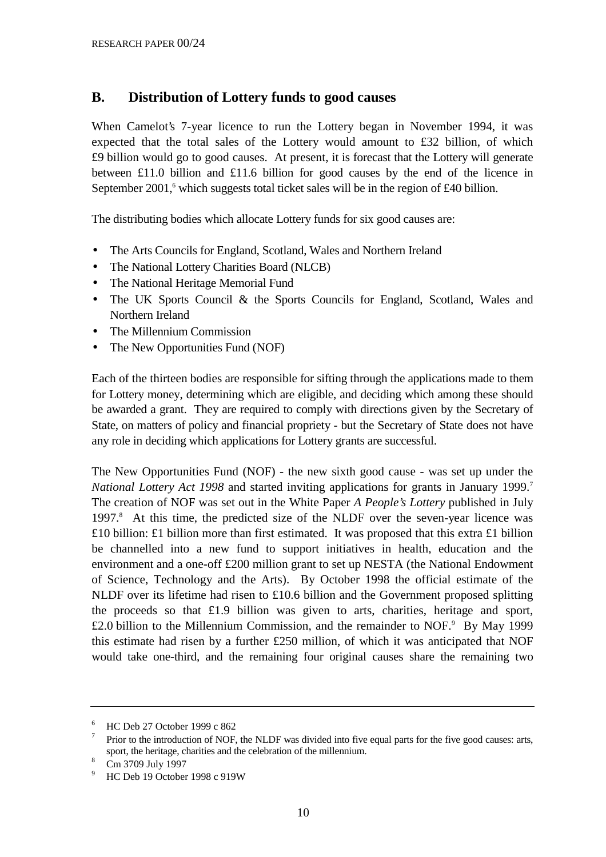# **B. Distribution of Lottery funds to good causes**

When Camelot's 7-year licence to run the Lottery began in November 1994, it was expected that the total sales of the Lottery would amount to £32 billion, of which £9 billion would go to good causes. At present, it is forecast that the Lottery will generate between £11.0 billion and £11.6 billion for good causes by the end of the licence in September  $2001$ , which suggests total ticket sales will be in the region of £40 billion.

The distributing bodies which allocate Lottery funds for six good causes are:

- The Arts Councils for England, Scotland, Wales and Northern Ireland
- The National Lottery Charities Board (NLCB)
- The National Heritage Memorial Fund
- The UK Sports Council & the Sports Councils for England, Scotland, Wales and Northern Ireland
- The Millennium Commission
- The New Opportunities Fund (NOF)

Each of the thirteen bodies are responsible for sifting through the applications made to them for Lottery money, determining which are eligible, and deciding which among these should be awarded a grant. They are required to comply with directions given by the Secretary of State, on matters of policy and financial propriety - but the Secretary of State does not have any role in deciding which applications for Lottery grants are successful.

The New Opportunities Fund (NOF) - the new sixth good cause - was set up under the *National Lottery Act 1998* and started inviting applications for grants in January 1999.<sup>7</sup> The creation of NOF was set out in the White Paper *A People's Lottery* published in July 1997.<sup>8</sup> At this time, the predicted size of the NLDF over the seven-year licence was £10 billion: £1 billion more than first estimated. It was proposed that this extra £1 billion be channelled into a new fund to support initiatives in health, education and the environment and a one-off £200 million grant to set up NESTA (the National Endowment of Science, Technology and the Arts). By October 1998 the official estimate of the NLDF over its lifetime had risen to £10.6 billion and the Government proposed splitting the proceeds so that £1.9 billion was given to arts, charities, heritage and sport,  $£2.0$  billion to the Millennium Commission, and the remainder to NOF. $^9$  By May 1999 this estimate had risen by a further £250 million, of which it was anticipated that NOF would take one-third, and the remaining four original causes share the remaining two

<sup>6</sup> HC Deb 27 October 1999 c 862

 $7$  Prior to the introduction of NOF, the NLDF was divided into five equal parts for the five good causes: arts, sport, the heritage, charities and the celebration of the millennium.<br><sup>8</sup> Cm 3709 July 1997

<sup>&</sup>lt;sup>9</sup> HC Deb 19 October 1998 c 919W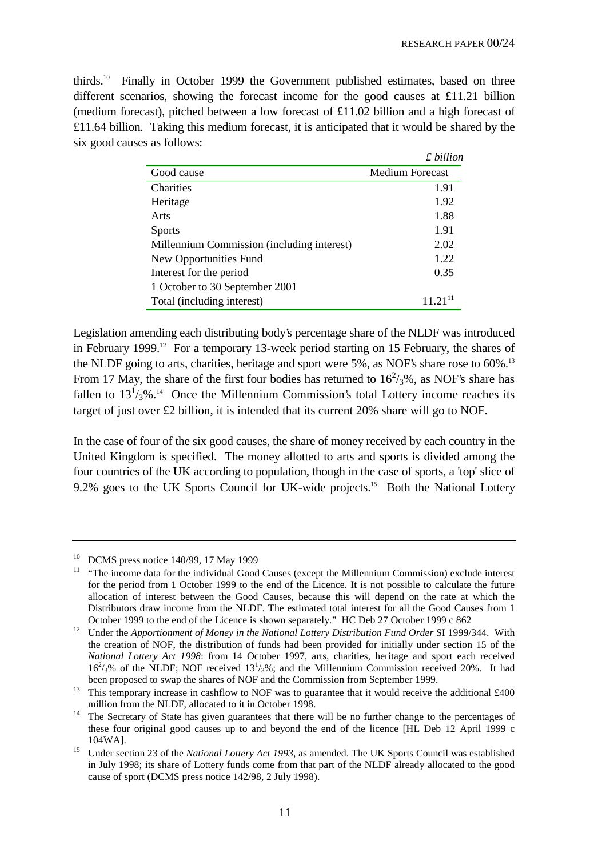*£ billion*

thirds.10 Finally in October 1999 the Government published estimates, based on three different scenarios, showing the forecast income for the good causes at £11.21 billion (medium forecast), pitched between a low forecast of £11.02 billion and a high forecast of £11.64 billion. Taking this medium forecast, it is anticipated that it would be shared by the six good causes as follows:

|                                            | х ошиоп                |
|--------------------------------------------|------------------------|
| Good cause                                 | <b>Medium Forecast</b> |
| <b>Charities</b>                           | 1.91                   |
| Heritage                                   | 1.92                   |
| Arts                                       | 1.88                   |
| <b>Sports</b>                              | 1.91                   |
| Millennium Commission (including interest) | 2.02                   |
| New Opportunities Fund                     | 1.22                   |
| Interest for the period                    | 0.35                   |
| 1 October to 30 September 2001             |                        |
| Total (including interest)                 | $11.21$ <sup>11</sup>  |

Legislation amending each distributing body's percentage share of the NLDF was introduced in February 1999.<sup>12</sup> For a temporary 13-week period starting on 15 February, the shares of the NLDF going to arts, charities, heritage and sport were  $5\%$ , as NOF's share rose to  $60\%$ <sup>13</sup> From 17 May, the share of the first four bodies has returned to  $16^2/3$ %, as NOF's share has fallen to  $13^{1/3}$ %.<sup>14</sup> Once the Millennium Commission's total Lottery income reaches its target of just over £2 billion, it is intended that its current 20% share will go to NOF.

In the case of four of the six good causes, the share of money received by each country in the United Kingdom is specified. The money allotted to arts and sports is divided among the four countries of the UK according to population, though in the case of sports, a 'top' slice of 9.2% goes to the UK Sports Council for UK-wide projects.<sup>15</sup> Both the National Lottery

<sup>10</sup> DCMS press notice 140/99, 17 May 1999

<sup>&</sup>lt;sup>11</sup> "The income data for the individual Good Causes (except the Millennium Commission) exclude interest for the period from 1 October 1999 to the end of the Licence. It is not possible to calculate the future allocation of interest between the Good Causes, because this will depend on the rate at which the Distributors draw income from the NLDF. The estimated total interest for all the Good Causes from 1 October 1999 to the end of the Licence is shown separately." HC Deb 27 October 1999 c 862

<sup>&</sup>lt;sup>12</sup> Under the *Apportionment of Money in the National Lottery Distribution Fund Order* SI 1999/344. With the creation of NOF, the distribution of funds had been provided for initially under section 15 of the *National Lottery Act 1998*: from 14 October 1997, arts, charities, heritage and sport each received  $16^{2}/_{3}$ % of the NLDF; NOF received  $13^{1}/_{3}$ %; and the Millennium Commission received 20%. It had been proposed to swap the shares of NOF and the Commission from September 1999.

<sup>&</sup>lt;sup>13</sup> This temporary increase in cashflow to NOF was to guarantee that it would receive the additional £400 million from the NLDF, allocated to it in October 1998.

<sup>&</sup>lt;sup>14</sup> The Secretary of State has given guarantees that there will be no further change to the percentages of these four original good causes up to and beyond the end of the licence [HL Deb 12 April 1999 c 104WA].

<sup>&</sup>lt;sup>15</sup> Under section 23 of the *National Lottery Act 1993*, as amended. The UK Sports Council was established in July 1998; its share of Lottery funds come from that part of the NLDF already allocated to the good cause of sport (DCMS press notice 142/98, 2 July 1998).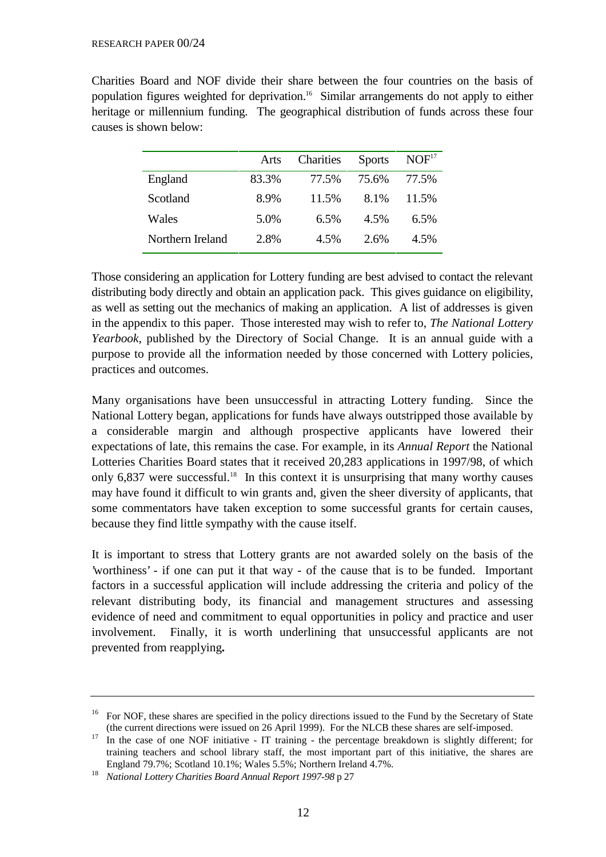Charities Board and NOF divide their share between the four countries on the basis of population figures weighted for deprivation.16 Similar arrangements do not apply to either heritage or millennium funding. The geographical distribution of funds across these four causes is shown below:

|                  | Arts  | Charities | <b>Sports</b> | NOF <sup>17</sup> |
|------------------|-------|-----------|---------------|-------------------|
| England          | 83.3% | 77.5%     | 75.6%         | 77.5%             |
| Scotland         | 8.9%  | 11.5%     | 8.1%          | 11.5%             |
| Wales            | 5.0%  | 6.5%      | 4.5%          | 6.5%              |
| Northern Ireland | 2.8%  | 4.5%      | $2.6\%$       | 4.5%              |

Those considering an application for Lottery funding are best advised to contact the relevant distributing body directly and obtain an application pack. This gives guidance on eligibility, as well as setting out the mechanics of making an application. A list of addresses is given in the appendix to this paper. Those interested may wish to refer to, *The National Lottery Yearbook*, published by the Directory of Social Change. It is an annual guide with a purpose to provide all the information needed by those concerned with Lottery policies, practices and outcomes.

Many organisations have been unsuccessful in attracting Lottery funding. Since the National Lottery began, applications for funds have always outstripped those available by a considerable margin and although prospective applicants have lowered their expectations of late, this remains the case. For example, in its *Annual Report* the National Lotteries Charities Board states that it received 20,283 applications in 1997/98, of which only  $6,837$  were successful.<sup>18</sup> In this context it is unsurprising that many worthy causes may have found it difficult to win grants and, given the sheer diversity of applicants, that some commentators have taken exception to some successful grants for certain causes, because they find little sympathy with the cause itself.

It is important to stress that Lottery grants are not awarded solely on the basis of the 'worthiness' - if one can put it that way - of the cause that is to be funded. Important factors in a successful application will include addressing the criteria and policy of the relevant distributing body, its financial and management structures and assessing evidence of need and commitment to equal opportunities in policy and practice and user involvement. Finally, it is worth underlining that unsuccessful applicants are not prevented from reapplying**.**

<sup>&</sup>lt;sup>16</sup> For NOF, these shares are specified in the policy directions issued to the Fund by the Secretary of State (the current directions were issued on 26 April 1999). For the NLCB these shares are self-imposed.

<sup>&</sup>lt;sup>17</sup> In the case of one NOF initiative - IT training - the percentage breakdown is slightly different; for training teachers and school library staff, the most important part of this initiative, the shares are England 79.7%; Scotland 10.1%; Wales 5.5%; Northern Ireland 4.7%.

<sup>18</sup> *National Lottery Charities Board Annual Report 1997-98* p 27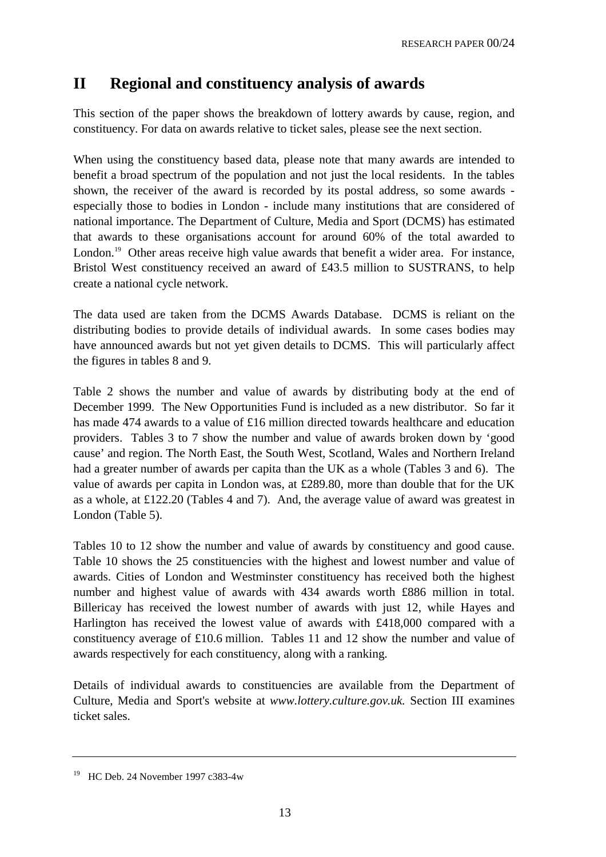# **II Regional and constituency analysis of awards**

This section of the paper shows the breakdown of lottery awards by cause, region, and constituency. For data on awards relative to ticket sales, please see the next section.

When using the constituency based data, please note that many awards are intended to benefit a broad spectrum of the population and not just the local residents. In the tables shown, the receiver of the award is recorded by its postal address, so some awards especially those to bodies in London - include many institutions that are considered of national importance. The Department of Culture, Media and Sport (DCMS) has estimated that awards to these organisations account for around 60% of the total awarded to London.<sup>19</sup> Other areas receive high value awards that benefit a wider area. For instance, Bristol West constituency received an award of £43.5 million to SUSTRANS, to help create a national cycle network.

The data used are taken from the DCMS Awards Database. DCMS is reliant on the distributing bodies to provide details of individual awards. In some cases bodies may have announced awards but not yet given details to DCMS. This will particularly affect the figures in tables 8 and 9.

Table 2 shows the number and value of awards by distributing body at the end of December 1999. The New Opportunities Fund is included as a new distributor. So far it has made 474 awards to a value of £16 million directed towards healthcare and education providers. Tables 3 to 7 show the number and value of awards broken down by 'good cause' and region. The North East, the South West, Scotland, Wales and Northern Ireland had a greater number of awards per capita than the UK as a whole (Tables 3 and 6). The value of awards per capita in London was, at £289.80, more than double that for the UK as a whole, at £122.20 (Tables 4 and 7). And, the average value of award was greatest in London (Table 5).

Tables 10 to 12 show the number and value of awards by constituency and good cause. Table 10 shows the 25 constituencies with the highest and lowest number and value of awards. Cities of London and Westminster constituency has received both the highest number and highest value of awards with 434 awards worth £886 million in total. Billericay has received the lowest number of awards with just 12, while Hayes and Harlington has received the lowest value of awards with £418,000 compared with a constituency average of £10.6 million. Tables 11 and 12 show the number and value of awards respectively for each constituency, along with a ranking.

Details of individual awards to constituencies are available from the Department of Culture, Media and Sport's website at *www.lottery.culture.gov.uk.* Section III examines ticket sales.

<sup>&</sup>lt;sup>19</sup> HC Deb. 24 November 1997 c383-4w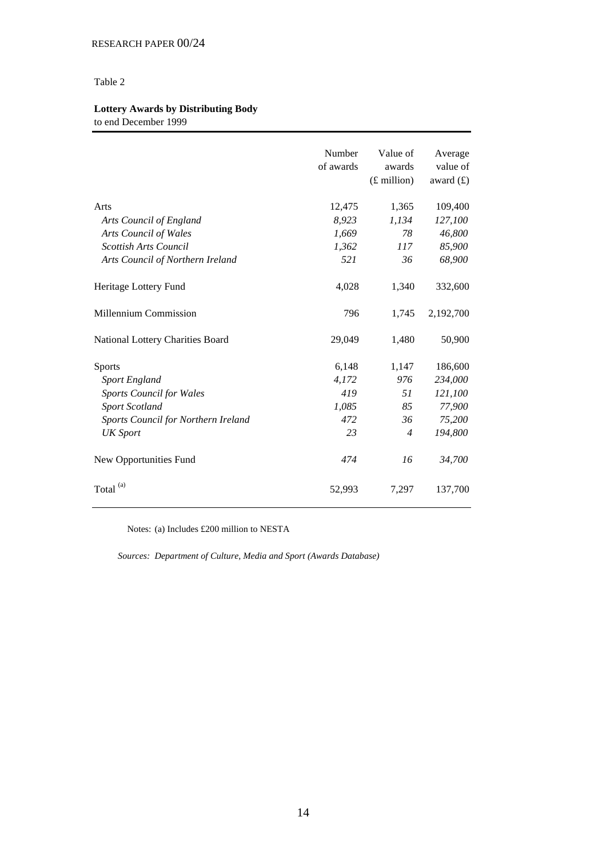# **Lottery Awards by Distributing Body**

to end December 1999

|                                     | Number<br>of awards | Value of<br>awards<br>$(E$ million) | Average<br>value of<br>award $(f)$ |
|-------------------------------------|---------------------|-------------------------------------|------------------------------------|
| Arts                                | 12,475              | 1,365                               | 109,400                            |
| Arts Council of England             | 8,923               | 1,134                               | 127,100                            |
| <b>Arts Council of Wales</b>        | 1,669               | 78                                  | 46,800                             |
| <b>Scottish Arts Council</b>        | 1,362               | 117                                 | 85,900                             |
| Arts Council of Northern Ireland    | 521                 | 36                                  | 68,900                             |
| Heritage Lottery Fund               | 4,028               | 1,340                               | 332,600                            |
| Millennium Commission               | 796                 | 1,745                               | 2,192,700                          |
| National Lottery Charities Board    | 29,049              | 1,480                               | 50,900                             |
| <b>Sports</b>                       | 6,148               | 1,147                               | 186,600                            |
| Sport England                       | 4,172               | 976                                 | 234,000                            |
| <b>Sports Council for Wales</b>     | 419                 | 51                                  | 121,100                            |
| <b>Sport Scotland</b>               | 1,085               | 85                                  | 77,900                             |
| Sports Council for Northern Ireland | 472                 | 36                                  | 75,200                             |
| <b>UK</b> Sport                     | 23                  | $\overline{4}$                      | 194,800                            |
| New Opportunities Fund              | 474                 | 16                                  | 34,700                             |
| (a)<br>Total                        | 52,993              | 7,297                               | 137,700                            |

Notes: (a) Includes £200 million to NESTA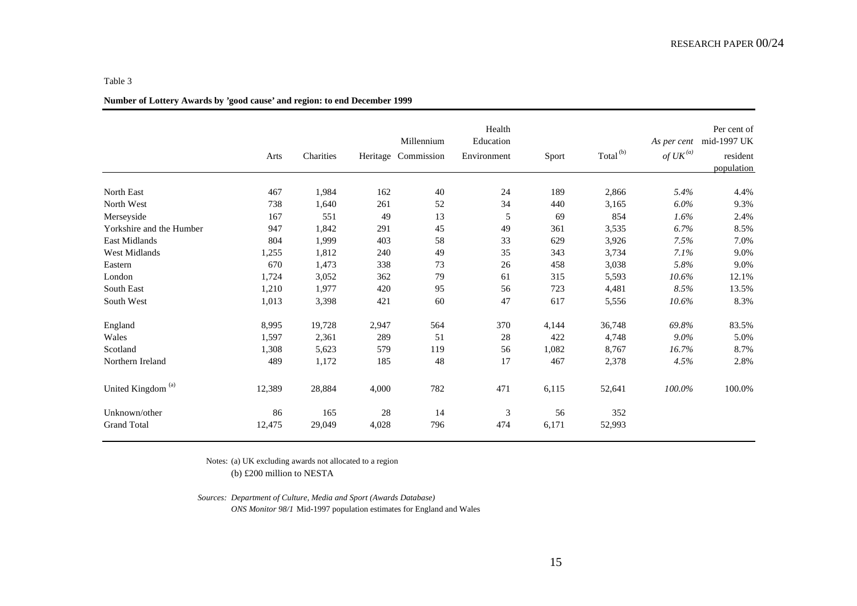|                               | Arts   | Charities |        | Millennium<br>Heritage Commission | Health<br>Education<br>Environment | Sport | Total <sup>(b)</sup> | As per cent<br>of $UK^{(a)}$ | Per cent of<br>mid-1997 UK<br>resident<br>population |
|-------------------------------|--------|-----------|--------|-----------------------------------|------------------------------------|-------|----------------------|------------------------------|------------------------------------------------------|
| North East                    | 467    | 1,984     | 162    | 40                                | 24                                 | 189   | 2,866                | 5.4%                         | 4.4%                                                 |
| North West                    | 738    | 1,640     | 261    | 52                                | 34                                 | 440   | 3,165                | $6.0\%$                      | 9.3%                                                 |
| Merseyside                    | 167    | 551       | 49     | 13                                | 5                                  | 69    | 854                  | 1.6%                         | 2.4%                                                 |
| Yorkshire and the Humber      | 947    | 1,842     | 291    | 45                                | 49                                 | 361   | 3,535                | 6.7%                         | 8.5%                                                 |
| <b>East Midlands</b>          | 804    | 1,999     | 403    | 58                                | 33                                 | 629   | 3,926                | 7.5%                         | 7.0%                                                 |
| <b>West Midlands</b>          | 1,255  | 1,812     | 240    | 49                                | 35                                 | 343   | 3,734                | 7.1%                         | 9.0%                                                 |
| Eastern                       | 670    | 1,473     | 338    | 73                                | 26                                 | 458   | 3,038                | 5.8%                         | 9.0%                                                 |
| London                        | 1,724  | 3,052     | 362    | 79                                | 61                                 | 315   | 5,593                | 10.6%                        | 12.1%                                                |
| South East                    | 1,210  | 1,977     | 420    | 95                                | 56                                 | 723   | 4,481                | 8.5%                         | 13.5%                                                |
| South West                    | 1,013  | 3,398     | 421    | 60                                | 47                                 | 617   | 5,556                | 10.6%                        | 8.3%                                                 |
| England                       | 8,995  | 19,728    | 2,947  | 564                               | 370                                | 4,144 | 36,748               | 69.8%                        | 83.5%                                                |
| Wales                         | 1,597  | 2,361     | 289    | 51                                | 28                                 | 422   | 4,748                | $9.0\%$                      | 5.0%                                                 |
| Scotland                      | 1,308  | 5,623     | 579    | 119                               | 56                                 | 1,082 | 8,767                | 16.7%                        | 8.7%                                                 |
| Northern Ireland              | 489    | 1,172     | 185    | 48                                | 17                                 | 467   | 2,378                | 4.5%                         | 2.8%                                                 |
| United Kingdom <sup>(a)</sup> | 12,389 | 28,884    | 4,000  | 782                               | 471                                | 6,115 | 52,641               | 100.0%                       | 100.0%                                               |
| Unknown/other                 | 86     | 165       | $28\,$ | 14                                | $\mathfrak{Z}$                     | 56    | 352                  |                              |                                                      |
| <b>Grand Total</b>            | 12,475 | 29,049    | 4,028  | 796                               | 474                                | 6,171 | 52,993               |                              |                                                      |

# **Number of Lottery Awards by 'good cause' and region: to end December 1999**

Notes: (a) UK excluding awards not allocated to a region (b) £200 million to NESTA

*Sources: Department of Culture, Media and Sport (Awards Database) ONS Monitor 98/1* Mid-1997 population estimates for England and Wales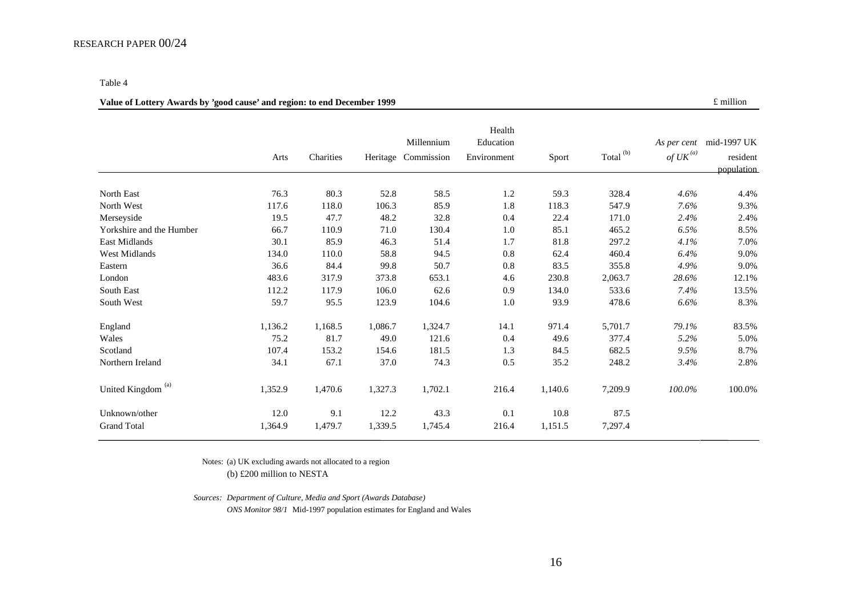#### RESEARCH PAPER 00/24

#### Table 4

#### **Value of Lottery Awards by 'good cause' and region: to end December 1999 Exercise 2.1 Section 2.1 Section** 2.1 of million

|                          | Arts    | Charities | Heritage | Millennium<br>Commission | Health<br>Education<br>Environment | Sport   | Total <sup>(b)</sup> | As per cent<br>of $UK^{(a)}$ | mid-1997 UK<br>resident<br>population |
|--------------------------|---------|-----------|----------|--------------------------|------------------------------------|---------|----------------------|------------------------------|---------------------------------------|
|                          |         |           |          |                          |                                    |         |                      |                              |                                       |
| North East<br>North West | 76.3    | 80.3      | 52.8     | 58.5                     | 1.2                                | 59.3    | 328.4                | 4.6%                         | 4.4%                                  |
|                          | 117.6   | 118.0     | 106.3    | 85.9                     | 1.8                                | 118.3   | 547.9                | 7.6%                         | 9.3%                                  |
| Merseyside               | 19.5    | 47.7      | 48.2     | 32.8                     | 0.4                                | 22.4    | 171.0                | 2.4%                         | 2.4%                                  |
| Yorkshire and the Humber | 66.7    | 110.9     | 71.0     | 130.4                    | 1.0                                | 85.1    | 465.2                | 6.5%                         | $8.5\%$                               |
| East Midlands            | 30.1    | 85.9      | 46.3     | 51.4                     | 1.7                                | 81.8    | 297.2                | 4.1%                         | 7.0%                                  |
| West Midlands            | 134.0   | 110.0     | 58.8     | 94.5                     | 0.8                                | 62.4    | 460.4                | 6.4%                         | 9.0%                                  |
| Eastern                  | 36.6    | 84.4      | 99.8     | 50.7                     | 0.8                                | 83.5    | 355.8                | 4.9%                         | 9.0%                                  |
| London                   | 483.6   | 317.9     | 373.8    | 653.1                    | 4.6                                | 230.8   | 2,063.7              | 28.6%                        | 12.1%                                 |
| South East               | 112.2   | 117.9     | 106.0    | 62.6                     | 0.9                                | 134.0   | 533.6                | 7.4%                         | 13.5%                                 |
| South West               | 59.7    | 95.5      | 123.9    | 104.6                    | 1.0                                | 93.9    | 478.6                | 6.6%                         | 8.3%                                  |
| England                  | 1,136.2 | 1,168.5   | 1,086.7  | 1,324.7                  | 14.1                               | 971.4   | 5,701.7              | 79.1%                        | 83.5%                                 |
| Wales                    | 75.2    | 81.7      | 49.0     | 121.6                    | 0.4                                | 49.6    | 377.4                | 5.2%                         | 5.0%                                  |
| Scotland                 | 107.4   | 153.2     | 154.6    | 181.5                    | 1.3                                | 84.5    | 682.5                | 9.5%                         | 8.7%                                  |
| Northern Ireland         | 34.1    | 67.1      | 37.0     | 74.3                     | 0.5                                | 35.2    | 248.2                | 3.4%                         | 2.8%                                  |
| (a)<br>United Kingdom    | 1,352.9 | 1,470.6   | 1,327.3  | 1,702.1                  | 216.4                              | 1,140.6 | 7,209.9              | 100.0%                       | 100.0%                                |
| Unknown/other            | 12.0    | 9.1       | 12.2     | 43.3                     | 0.1                                | 10.8    | 87.5                 |                              |                                       |
| <b>Grand Total</b>       | 1,364.9 | 1,479.7   | 1,339.5  | 1,745.4                  | 216.4                              | 1,151.5 | 7,297.4              |                              |                                       |

Notes: (a) UK excluding awards not allocated to a region (b) £200 million to NESTA

*Sources: Department of Culture, Media and Sport (Awards Database)*

*ONS Monitor 98/1* Mid-1997 population estimates for England and Wales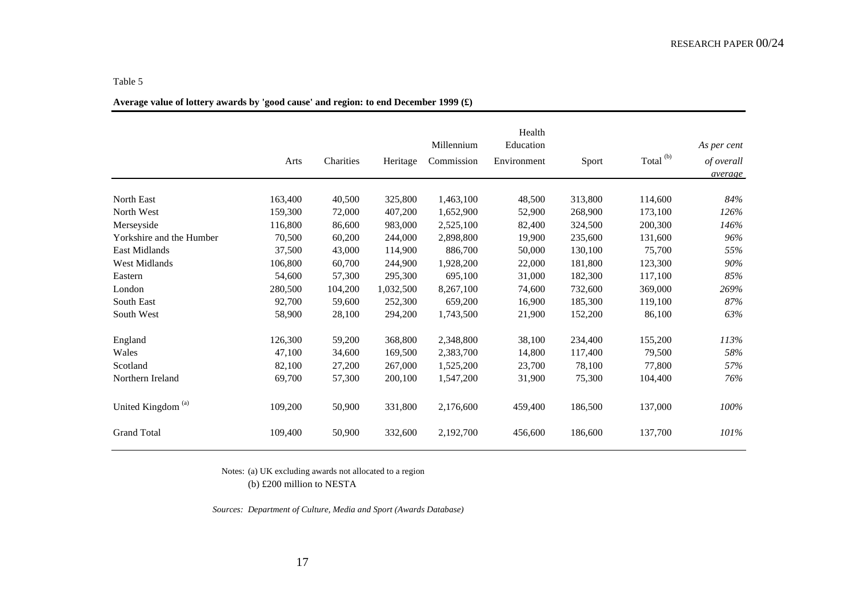|                               |         |           |           | Millennium | Health<br>Education |         | Total <sup>(b)</sup> | As per cent           |
|-------------------------------|---------|-----------|-----------|------------|---------------------|---------|----------------------|-----------------------|
|                               | Arts    | Charities | Heritage  | Commission | Environment         | Sport   |                      | of overall<br>average |
|                               |         |           |           |            |                     |         |                      |                       |
| North East                    | 163,400 | 40,500    | 325,800   | 1,463,100  | 48,500              | 313,800 | 114,600              | 84%                   |
| North West                    | 159,300 | 72,000    | 407,200   | 1,652,900  | 52,900              | 268,900 | 173,100              | 126%                  |
| Merseyside                    | 116,800 | 86,600    | 983,000   | 2,525,100  | 82,400              | 324,500 | 200,300              | 146%                  |
| Yorkshire and the Humber      | 70,500  | 60,200    | 244,000   | 2,898,800  | 19,900              | 235,600 | 131,600              | 96%                   |
| East Midlands                 | 37,500  | 43,000    | 114,900   | 886,700    | 50,000              | 130,100 | 75,700               | 55%                   |
| West Midlands                 | 106,800 | 60,700    | 244,900   | 1,928,200  | 22,000              | 181,800 | 123,300              | 90%                   |
| Eastern                       | 54,600  | 57,300    | 295,300   | 695,100    | 31,000              | 182,300 | 117,100              | 85%                   |
| London                        | 280,500 | 104,200   | 1,032,500 | 8,267,100  | 74,600              | 732,600 | 369,000              | 269%                  |
| <b>South East</b>             | 92,700  | 59,600    | 252,300   | 659,200    | 16,900              | 185,300 | 119,100              | 87%                   |
| South West                    | 58,900  | 28,100    | 294,200   | 1,743,500  | 21,900              | 152,200 | 86,100               | 63%                   |
| England                       | 126,300 | 59,200    | 368,800   | 2,348,800  | 38,100              | 234,400 | 155,200              | 113%                  |
| Wales                         | 47,100  | 34,600    | 169,500   | 2,383,700  | 14,800              | 117,400 | 79,500               | 58%                   |
| Scotland                      | 82,100  | 27,200    | 267,000   | 1,525,200  | 23,700              | 78,100  | 77,800               | 57%                   |
| Northern Ireland              | 69,700  | 57,300    | 200,100   | 1,547,200  | 31,900              | 75,300  | 104,400              | 76%                   |
| United Kingdom <sup>(a)</sup> | 109,200 | 50,900    | 331,800   | 2,176,600  | 459,400             | 186,500 | 137,000              | 100%                  |
| <b>Grand Total</b>            | 109,400 | 50,900    | 332,600   | 2,192,700  | 456,600             | 186,600 | 137,700              | 101%                  |

# **Average value of lottery awards by 'good cause' and region: to end December 1999 (£)**

Notes: (a) UK excluding awards not allocated to a region (b) £200 million to NESTA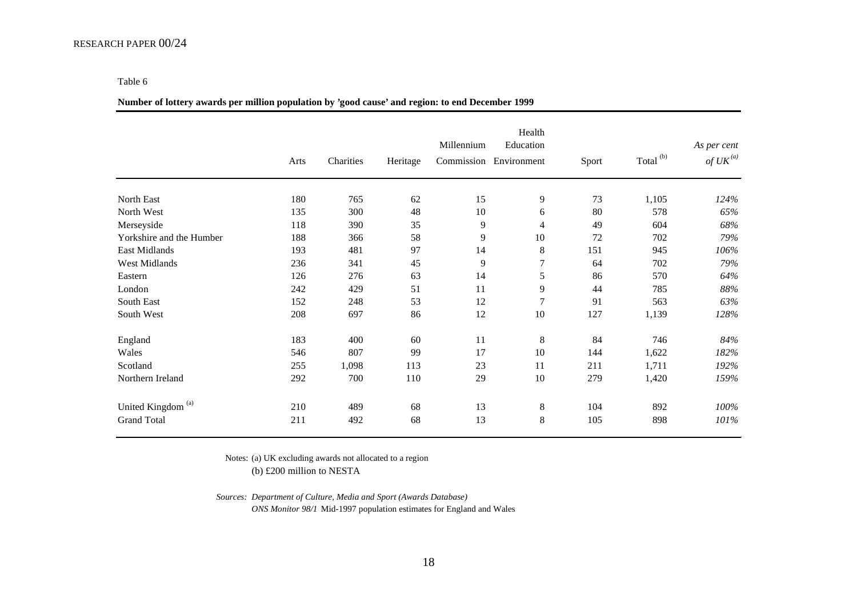#### **Number of lottery awards per million population by 'good cause' and region: to end December 1999**

|                               | Arts | Charities | Heritage | Millennium | Health<br>Education<br>Commission Environment | Sport | Total <sup>(b)</sup> | As per cent<br>of $\mathit{UK}^{(a)}$ |
|-------------------------------|------|-----------|----------|------------|-----------------------------------------------|-------|----------------------|---------------------------------------|
| North East                    | 180  | 765       | 62       | 15         | 9                                             | 73    | 1,105                | 124%                                  |
| North West                    | 135  | 300       | 48       | 10         | 6                                             | 80    | 578                  | 65%                                   |
| Merseyside                    | 118  | 390       | 35       | 9          | 4                                             | 49    | 604                  | 68%                                   |
| Yorkshire and the Humber      | 188  | 366       | 58       | 9          | 10                                            | 72    | 702                  | 79%                                   |
| East Midlands                 | 193  | 481       | 97       | 14         | 8                                             | 151   | 945                  | 106%                                  |
| West Midlands                 | 236  | 341       | 45       | 9          | 7                                             | 64    | 702                  | 79%                                   |
| Eastern                       | 126  | 276       | 63       | 14         | 5                                             | 86    | 570                  | 64%                                   |
| London                        | 242  | 429       | 51       | 11         | 9                                             | 44    | 785                  | 88%                                   |
| South East                    | 152  | 248       | 53       | 12         | $\overline{7}$                                | 91    | 563                  | 63%                                   |
| South West                    | 208  | 697       | 86       | 12         | 10                                            | 127   | 1,139                | 128%                                  |
| England                       | 183  | 400       | 60       | 11         | 8                                             | 84    | 746                  | 84%                                   |
| Wales                         | 546  | 807       | 99       | 17         | 10                                            | 144   | 1,622                | 182%                                  |
| Scotland                      | 255  | 1,098     | 113      | 23         | 11                                            | 211   | 1,711                | 192%                                  |
| Northern Ireland              | 292  | 700       | 110      | 29         | 10                                            | 279   | 1,420                | 159%                                  |
| United Kingdom <sup>(a)</sup> | 210  | 489       | 68       | 13         | 8                                             | 104   | 892                  | 100%                                  |
| <b>Grand Total</b>            | 211  | 492       | 68       | 13         | 8                                             | 105   | 898                  | 101%                                  |

Notes: (a) UK excluding awards not allocated to a region

(b) £200 million to NESTA

*Sources: Department of Culture, Media and Sport (Awards Database) ONS Monitor 98/1* Mid-1997 population estimates for England and Wales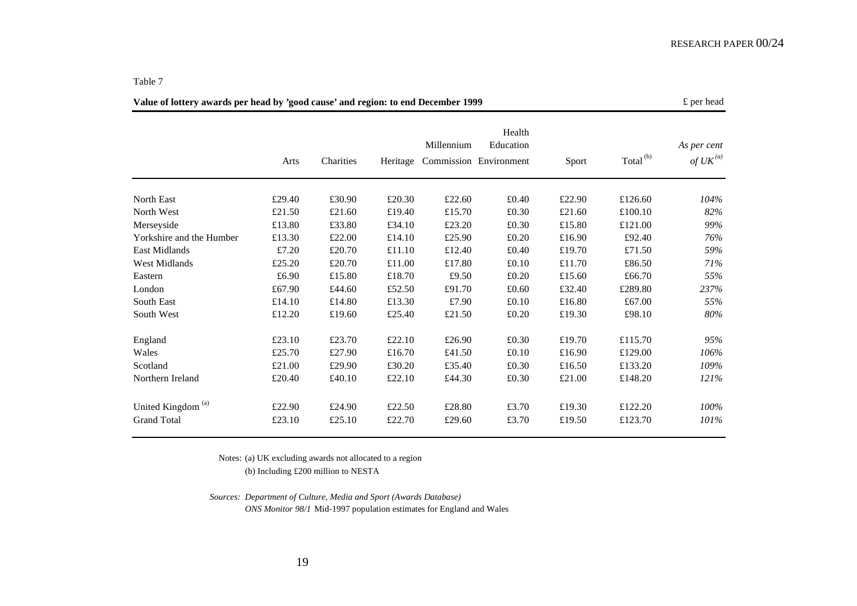| Value of lottery awards per head by 'good cause' and region: to end December 1999 |        |           |          |            |                                               |        |                      |                                       |  |  |
|-----------------------------------------------------------------------------------|--------|-----------|----------|------------|-----------------------------------------------|--------|----------------------|---------------------------------------|--|--|
|                                                                                   | Arts   | Charities | Heritage | Millennium | Health<br>Education<br>Commission Environment | Sport  | Total <sup>(b)</sup> | As per cent<br>of $\mathit{UK}^{(a)}$ |  |  |
| <b>North East</b>                                                                 | £29.40 | £30.90    | £20.30   | £22.60     | £0.40                                         | £22.90 | £126.60              | 104%                                  |  |  |
| North West                                                                        | £21.50 | £21.60    | £19.40   | £15.70     | £0.30                                         | £21.60 | £100.10              | 82%                                   |  |  |
| Merseyside                                                                        | £13.80 | £33.80    | £34.10   | £23.20     | £0.30                                         | £15.80 | £121.00              | 99%                                   |  |  |
| Yorkshire and the Humber                                                          | £13.30 | £22.00    | £14.10   | £25.90     | £0.20                                         | £16.90 | £92.40               | 76%                                   |  |  |
| <b>East Midlands</b>                                                              | £7.20  | £20.70    | £11.10   | £12.40     | £0.40                                         | £19.70 | £71.50               | 59%                                   |  |  |
| <b>West Midlands</b>                                                              | £25.20 | £20.70    | £11.00   | £17.80     | £0.10                                         | £11.70 | £86.50               | 71%                                   |  |  |
| Eastern                                                                           | £6.90  | £15.80    | £18.70   | £9.50      | $\pounds0.20$                                 | £15.60 | £66.70               | 55%                                   |  |  |
| London                                                                            | £67.90 | £44.60    | £52.50   | £91.70     | £0.60                                         | £32.40 | £289.80              | 237%                                  |  |  |
| South East                                                                        | £14.10 | £14.80    | £13.30   | £7.90      | £0.10                                         | £16.80 | £67.00               | 55%                                   |  |  |
| South West                                                                        | £12.20 | £19.60    | £25.40   | £21.50     | £0.20                                         | £19.30 | £98.10               | 80%                                   |  |  |
| England                                                                           | £23.10 | £23.70    | £22.10   | £26.90     | £0.30                                         | £19.70 | £115.70              | 95%                                   |  |  |
| Wales                                                                             | £25.70 | £27.90    | £16.70   | £41.50     | £0.10                                         | £16.90 | £129.00              | 106%                                  |  |  |
| Scotland                                                                          | £21.00 | £29.90    | £30.20   | £35.40     | £0.30                                         | £16.50 | £133.20              | 109%                                  |  |  |
| Northern Ireland                                                                  | £20.40 | £40.10    | £22.10   | £44.30     | £0.30                                         | £21.00 | £148.20              | 121%                                  |  |  |
| United Kingdom <sup>(a)</sup>                                                     | £22.90 | £24.90    | £22.50   | £28.80     | £3.70                                         | £19.30 | £122.20              | 100%                                  |  |  |
| <b>Grand Total</b>                                                                | £23.10 | £25.10    | £22.70   | £29.60     | £3.70                                         | £19.50 | £123.70              | 101%                                  |  |  |

Notes: (a) UK excluding awards not allocated to a region

(b) Including £200 million to NESTA

*Sources: Department of Culture, Media and Sport (Awards Database) ONS Monitor 98/1* Mid-1997 population estimates for England and Wales

#### Table 7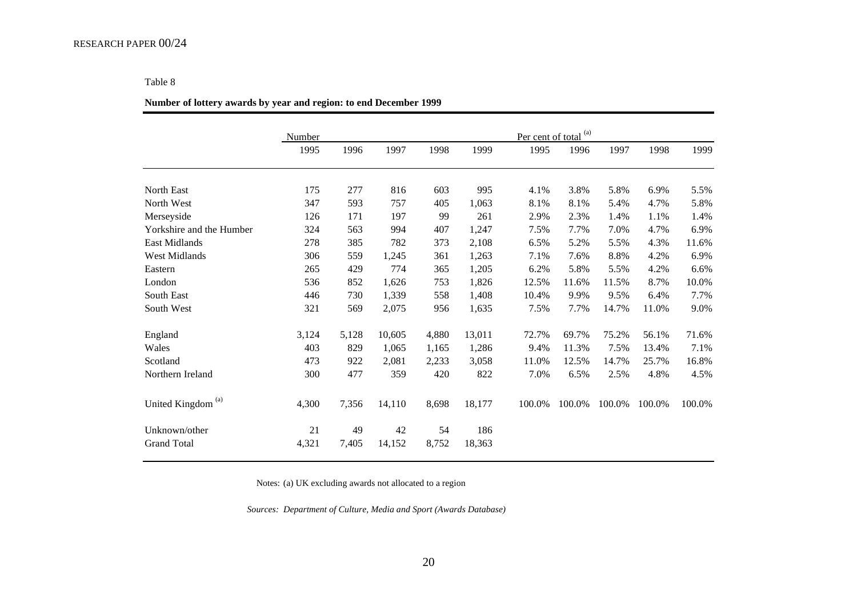#### **Number of lottery awards by year and region: to end December 1999**

|                          | Number |       |        |       |        |        | Per cent of total $^{(a)}$ |        |        |        |
|--------------------------|--------|-------|--------|-------|--------|--------|----------------------------|--------|--------|--------|
|                          | 1995   | 1996  | 1997   | 1998  | 1999   | 1995   | 1996                       | 1997   | 1998   | 1999   |
| North East               | 175    | 277   | 816    | 603   | 995    | 4.1%   | 3.8%                       | 5.8%   | 6.9%   | 5.5%   |
| North West               | 347    | 593   | 757    | 405   | 1,063  | 8.1%   | 8.1%                       | 5.4%   | 4.7%   | 5.8%   |
| Merseyside               | 126    | 171   | 197    | 99    | 261    | 2.9%   | 2.3%                       | 1.4%   | 1.1%   | 1.4%   |
| Yorkshire and the Humber | 324    | 563   | 994    | 407   | 1,247  | 7.5%   | 7.7%                       | 7.0%   | 4.7%   | 6.9%   |
| <b>East Midlands</b>     | 278    | 385   | 782    | 373   | 2,108  | 6.5%   | 5.2%                       | 5.5%   | 4.3%   | 11.6%  |
| <b>West Midlands</b>     | 306    | 559   | 1,245  | 361   | 1,263  | 7.1%   | 7.6%                       | 8.8%   | 4.2%   | 6.9%   |
| Eastern                  | 265    | 429   | 774    | 365   | 1,205  | 6.2%   | 5.8%                       | 5.5%   | 4.2%   | 6.6%   |
| London                   | 536    | 852   | 1,626  | 753   | 1,826  | 12.5%  | 11.6%                      | 11.5%  | 8.7%   | 10.0%  |
| South East               | 446    | 730   | 1,339  | 558   | 1,408  | 10.4%  | 9.9%                       | 9.5%   | 6.4%   | 7.7%   |
| South West               | 321    | 569   | 2,075  | 956   | 1,635  | 7.5%   | 7.7%                       | 14.7%  | 11.0%  | 9.0%   |
| England                  | 3,124  | 5,128 | 10,605 | 4,880 | 13,011 | 72.7%  | 69.7%                      | 75.2%  | 56.1%  | 71.6%  |
| Wales                    | 403    | 829   | 1,065  | 1,165 | 1,286  | 9.4%   | 11.3%                      | 7.5%   | 13.4%  | 7.1%   |
| Scotland                 | 473    | 922   | 2,081  | 2,233 | 3,058  | 11.0%  | 12.5%                      | 14.7%  | 25.7%  | 16.8%  |
| Northern Ireland         | 300    | 477   | 359    | 420   | 822    | 7.0%   | 6.5%                       | 2.5%   | 4.8%   | 4.5%   |
| (a)<br>United Kingdom    | 4,300  | 7,356 | 14,110 | 8,698 | 18,177 | 100.0% | 100.0%                     | 100.0% | 100.0% | 100.0% |
| Unknown/other            | 21     | 49    | 42     | 54    | 186    |        |                            |        |        |        |
| <b>Grand Total</b>       | 4,321  | 7,405 | 14,152 | 8,752 | 18,363 |        |                            |        |        |        |

Notes: (a) UK excluding awards not allocated to a region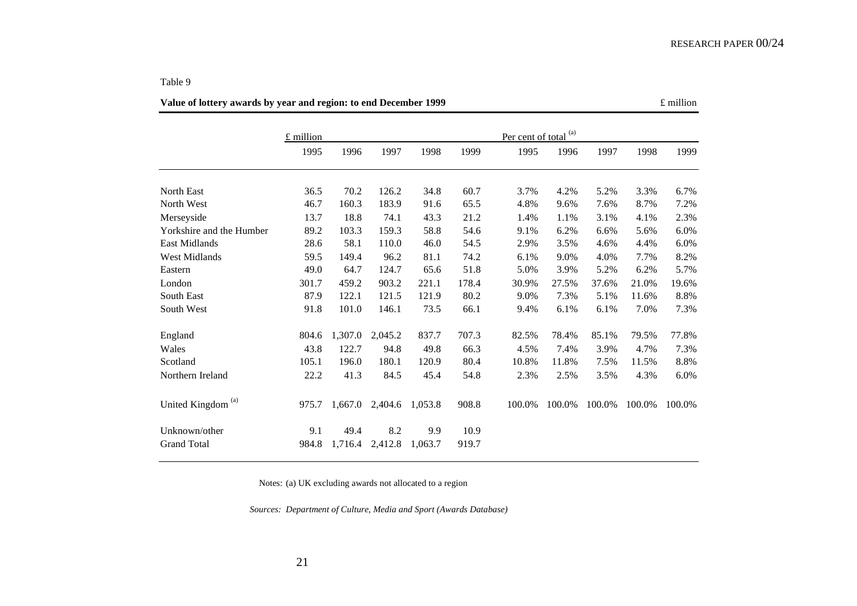21

£ millionPer cent of total<sup>(a)</sup> 1995 1996 1997 1998 1999 1995 1996 1997 1998 19991999 North East 36.5 70.2 126.2 34.8 60.7 3.7% 4.2% 5.2% 3.3% 6.7%6.7% North West 46.7 160.3 183.9 91.6 65.5 4.8% 9.6% 7.6% 8.7% 7.2%Merseyside 13.7 18.8 74.1 43.3 21.2 1.4% 1.1% 3.1% 4.1% 2.3% Yorkshire and the Humber 89.2 103.3 159.3 58.8 54.6 9.1% 6.2% 6.6% 5.6% 6.0% East Midlands 28.6 58.1 110.0 46.0 54.5 2.9% 3.5% 4.6% 4.4% 6.0% West Midlands 59.5 149.4 96.2 81.1 74.2 6.1% 9.0% 4.0% 7.7% 8.2%Eastern 49.0 64.7 124.7 65.6 51.8 5.0% 3.9% 5.2% 6.2% 5.7%London 301.7 459.2 903.2 221.1 178.4 30.9% 27.5% 37.6% 21.0% 19.6%South East 87.9 122.1 121.5 121.9 80.2 9.0% 7.3% 5.1% 11.6% 8.8%South West 91.8 101.0 146.1 73.5 66.1 9.4% 6.1% 6.1% 7.0% 7.3%7.3% England 804.6 1,307.0 2,045.2 837.7 707.3 82.5% 78.4% 85.1% 79.5% 77.8% Wales 43.8 122.7 94.8 49.8 66.3 4.5% 7.4% 3.9% 4.7% 7.3%Scotland 105.1 196.0 180.1 120.9 80.4 10.8% 11.8% 7.5% 11.5% 8.8%8.8% Northern Ireland 22.2 41.3 84.5 45.4 54.8 2.3% 2.5% 3.5% 4.3% 6.0%United Kingdom<sup>(a)</sup> 975.7 1,667.0 2,404.6 1,053.8 908.8 100.0% 100.0% 100.0% 100.0% 100.0% Unknown/other 9.1 49.4 8.2 9.9 10.9 Grand Total 984.8 1,716.4 2,412.8 1,063.7 919.7

Table 9

**Value of lottery awards by year and region: to end December 1999**  $\epsilon$  million

Notes: (a) UK excluding awards not allocated to a region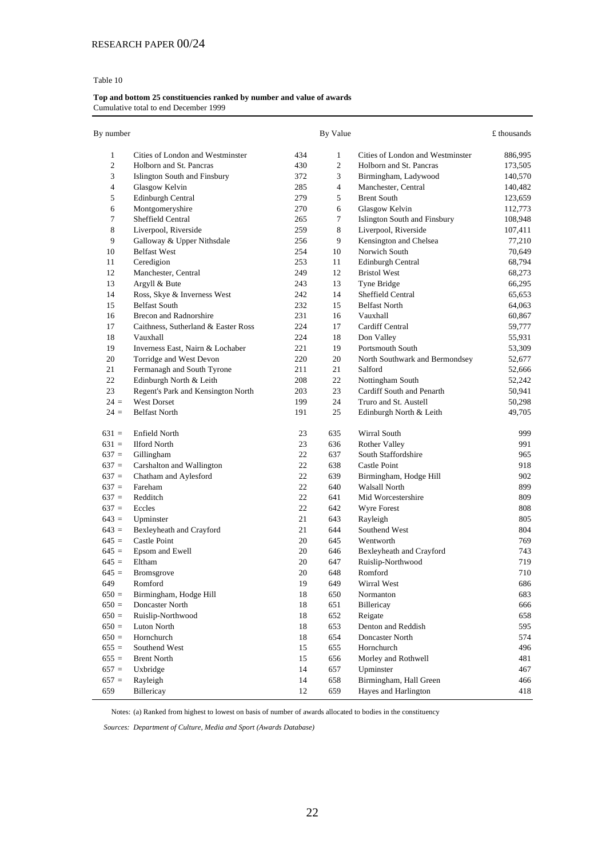#### **Top and bottom 25 constituencies ranked by number and value of awards** Cumulative total to end December 1999

| By number      |                                     |     | By Value       |                                  | £ thousands |
|----------------|-------------------------------------|-----|----------------|----------------------------------|-------------|
| 1              | Cities of London and Westminster    | 434 | $\mathbf{1}$   | Cities of London and Westminster | 886,995     |
| $\overline{c}$ | Holborn and St. Pancras             | 430 | $\overline{2}$ | Holborn and St. Pancras          | 173,505     |
| 3              | Islington South and Finsbury        | 372 | 3              | Birmingham, Ladywood             | 140,570     |
| $\overline{4}$ | Glasgow Kelvin                      | 285 | $\overline{4}$ | Manchester, Central              | 140,482     |
| 5              | Edinburgh Central                   | 279 | 5              | <b>Brent South</b>               | 123,659     |
| 6              | Montgomeryshire                     | 270 | 6              | Glasgow Kelvin                   | 112,773     |
| 7              | Sheffield Central                   | 265 | 7              | Islington South and Finsbury     | 108,948     |
| 8              | Liverpool, Riverside                | 259 | 8              | Liverpool, Riverside             | 107,411     |
| 9              | Galloway & Upper Nithsdale          | 256 | 9              | Kensington and Chelsea           | 77,210      |
| 10             | <b>Belfast West</b>                 | 254 | 10             | Norwich South                    | 70,649      |
| 11             | Ceredigion                          | 253 | 11             | <b>Edinburgh Central</b>         | 68,794      |
| 12             | Manchester, Central                 | 249 | 12             | <b>Bristol West</b>              | 68,273      |
| 13             | Argyll & Bute                       | 243 | 13             | Tyne Bridge                      | 66,295      |
| 14             | Ross, Skye & Inverness West         | 242 | 14             | Sheffield Central                | 65,653      |
| 15             | <b>Belfast South</b>                | 232 | 15             | <b>Belfast North</b>             | 64,063      |
| 16             | <b>Brecon and Radnorshire</b>       | 231 | 16             | Vauxhall                         | 60,867      |
| 17             | Caithness, Sutherland & Easter Ross | 224 | 17             | Cardiff Central                  | 59,777      |
| 18             | Vauxhall                            | 224 | 18             | Don Valley                       | 55,931      |
| 19             | Inverness East, Nairn & Lochaber    | 221 | 19             | Portsmouth South                 | 53,309      |
| 20             | Torridge and West Devon             | 220 | 20             | North Southwark and Bermondsey   | 52,677      |
| 21             | Fermanagh and South Tyrone          | 211 | 21             | Salford                          | 52,666      |
| 22             | Edinburgh North & Leith             | 208 | 22             | Nottingham South                 | 52,242      |
| 23             | Regent's Park and Kensington North  | 203 | 23             | Cardiff South and Penarth        | 50,941      |
| $24 =$         | <b>West Dorset</b>                  | 199 | 24             | Truro and St. Austell            | 50,298      |
| $24 =$         | <b>Belfast North</b>                | 191 | 25             | Edinburgh North & Leith          | 49,705      |
| $631 =$        | Enfield North                       | 23  | 635            | Wirral South                     | 999         |
| $631 =$        | <b>Ilford North</b>                 | 23  | 636            | Rother Valley                    | 991         |
| $637 =$        | Gillingham                          | 22  | 637            | South Staffordshire              | 965         |
| $637 =$        | Carshalton and Wallington           | 22  | 638            | Castle Point                     | 918         |
| $637 =$        | Chatham and Aylesford               | 22  | 639            | Birmingham, Hodge Hill           | 902         |
| $637 =$        | Fareham                             | 22  | 640            | <b>Walsall North</b>             | 899         |
| $637 =$        | Redditch                            | 22  | 641            | Mid Worcestershire               | 809         |
| $637 =$        | Eccles                              | 22  | 642            | Wyre Forest                      | 808         |
| $643 =$        | Upminster                           | 21  | 643            | Rayleigh                         | 805         |
| $643 =$        | Bexleyheath and Crayford            | 21  | 644            | Southend West                    | 804         |
| $645 =$        | Castle Point                        | 20  | 645            | Wentworth                        | 769         |
| $645 =$        | Epsom and Ewell                     | 20  | 646            | Bexleyheath and Crayford         | 743         |
| $645 =$        | Eltham                              | 20  | 647            | Ruislip-Northwood                | 719         |
| $645 =$        | <b>Bromsgrove</b>                   | 20  | 648            | Romford                          | 710         |
| 649            | Romford                             | 19  | 649            | Wirral West                      | 686         |
| $650 =$        | Birmingham, Hodge Hill              | 18  | 650            | Normanton                        | 683         |
| $650 =$        | Doncaster North                     | 18  | 651            | Billericay                       | 666         |
| $650 =$        | Ruislip-Northwood                   | 18  | 652            | Reigate                          | 658         |
| $650 =$        | Luton North                         | 18  | 653            | Denton and Reddish               | 595         |
| $650 =$        | Hornchurch                          | 18  | 654            | Doncaster North                  | 574         |
| $655 =$        | Southend West                       | 15  | 655            | Hornchurch                       | 496         |
| $655 =$        | <b>Brent North</b>                  | 15  | 656            | Morley and Rothwell              | 481         |
| $657 =$        | Uxbridge                            | 14  | 657            | Upminster                        | 467         |
| $657 =$        | Rayleigh                            | 14  | 658            | Birmingham, Hall Green           | 466         |
| 659            | Billericay                          | 12  | 659            | Hayes and Harlington             | 418         |

Notes: (a) Ranked from highest to lowest on basis of number of awards allocated to bodies in the constituency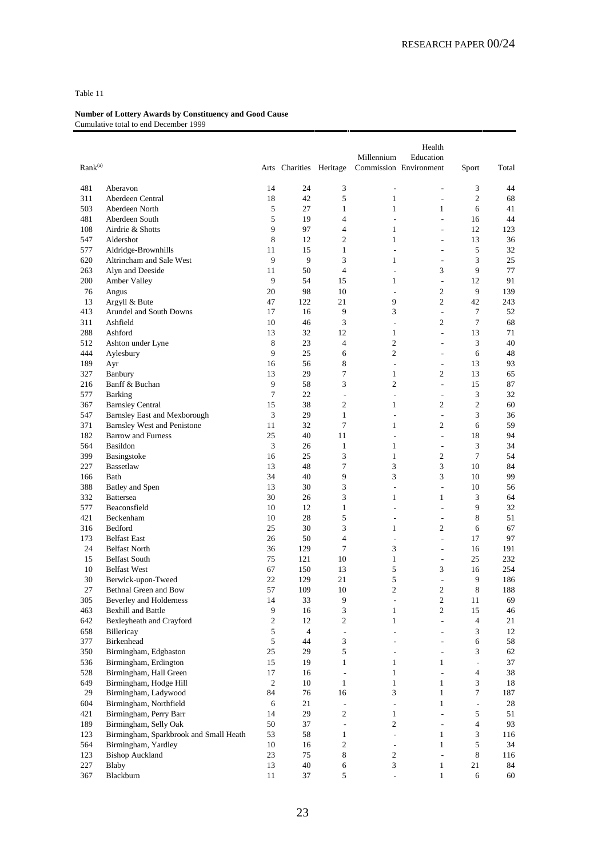| Rank <sup>(a)</sup> |                                        |                | Arts Charities Heritage |                                  | Millennium                    | Health<br>Education<br>Commission Environment | Sport          | Total     |
|---------------------|----------------------------------------|----------------|-------------------------|----------------------------------|-------------------------------|-----------------------------------------------|----------------|-----------|
|                     |                                        |                |                         |                                  |                               |                                               |                |           |
| 481                 | Aberavon                               | 14             | 24                      | 3                                | $\overline{\phantom{a}}$      | $\overline{a}$                                | 3              | 44        |
| 311                 | Aberdeen Central                       | 18             | 42                      | 5                                | $\mathbf{1}$                  | $\overline{\phantom{a}}$                      | $\mathfrak{2}$ | 68        |
| 503                 | Aberdeen North                         | 5              | 27                      | $\mathbf{1}$                     | $\mathbf{1}$                  | 1                                             | 6              | 41        |
| 481<br>108          | Aberdeen South<br>Airdrie & Shotts     | 5<br>9         | 19<br>97                | $\overline{4}$<br>$\overline{4}$ | $\overline{\phantom{a}}$<br>1 | ÷,<br>$\overline{\phantom{a}}$                | 16<br>12       | 44<br>123 |
| 547                 | Aldershot                              | 8              | 12                      | $\overline{c}$                   | $\mathbf{1}$                  | $\overline{a}$                                | 13             | 36        |
| 577                 | Aldridge-Brownhills                    | 11             | 15                      | $\mathbf{1}$                     | ÷,                            | L,                                            | 5              | 32        |
| 620                 | Altrincham and Sale West               | 9              | 9                       | 3                                | 1                             | ÷,                                            | 3              | 25        |
| 263                 | Alyn and Deeside                       | 11             | 50                      | $\overline{4}$                   | ÷,                            | 3                                             | 9              | 77        |
| 200                 | Amber Valley                           | 9              | 54                      | 15                               | 1                             | $\overline{\phantom{a}}$                      | 12             | 91        |
| 76                  | Angus                                  | 20             | 98                      | 10                               | ÷,                            | $\mathfrak{2}$                                | 9              | 139       |
| 13                  | Argyll & Bute                          | 47             | 122                     | 21                               | 9                             | $\overline{c}$                                | 42             | 243       |
| 413                 | <b>Arundel and South Downs</b>         | 17             | 16                      | 9                                | 3                             | $\overline{\phantom{a}}$                      | 7              | 52        |
| 311                 | Ashfield                               | 10             | 46                      | 3                                | $\overline{a}$                | $\mathfrak{2}$                                | $\tau$         | 68        |
| 288                 | Ashford                                | 13             | 32                      | 12                               | $\mathbf{1}$                  | L.                                            | 13             | 71        |
| 512                 | Ashton under Lyne                      | 8              | 23                      | $\overline{4}$                   | $\overline{c}$                | ÷,                                            | 3              | 40        |
| 444                 | Aylesbury                              | 9              | 25                      | 6                                | $\overline{2}$                | ÷                                             | 6              | 48        |
| 189                 | Ayr                                    | 16             | 56                      | 8                                | $\overline{\phantom{a}}$      | $\sim$                                        | 13             | 93        |
| 327                 | Banbury                                | 13             | 29                      | $\tau$                           | $\mathbf{1}$                  | $\mathfrak{2}$                                | 13             | 65        |
| 216                 | Banff & Buchan                         | 9              | 58                      | 3                                | $\overline{2}$                | $\overline{\phantom{a}}$                      | 15             | 87        |
| 577                 | <b>Barking</b>                         | $\overline{7}$ | 22                      | $\overline{a}$                   | ÷,                            | $\overline{\phantom{a}}$                      | 3              | 32        |
| 367                 | <b>Barnsley Central</b>                | 15             | 38                      | $\overline{c}$                   | 1                             | $\mathfrak{2}$                                | $\overline{c}$ | 60        |
| 547                 | <b>Barnsley East and Mexborough</b>    | 3              | 29                      | $\mathbf{1}$                     | ÷,                            | ÷,                                            | 3              | 36        |
| 371                 | <b>Barnsley West and Penistone</b>     | 11             | 32                      | $\overline{7}$                   | 1                             | 2                                             | 6              | 59        |
| 182                 | <b>Barrow and Furness</b>              | 25             | 40                      | 11                               | ÷,                            | $\overline{\phantom{a}}$                      | 18             | 94        |
| 564                 | Basildon                               | 3              | 26                      | $\mathbf{1}$                     | $\mathbf{1}$                  | $\sim$                                        | 3              | 34        |
| 399                 | Basingstoke                            | 16             | 25                      | 3                                | $\mathbf{1}$                  | $\mathfrak{2}$                                | $\tau$         | 54        |
| 227                 | <b>Bassetlaw</b>                       | 13             | 48                      | $\overline{7}$                   | 3                             | 3                                             | 10             | 84        |
| 166                 | Bath                                   | 34             | 40                      | 9                                | 3                             | 3                                             | 10             | 99        |
| 388                 | Batley and Spen                        | 13             | 30                      | 3                                | $\overline{\phantom{a}}$      | $\overline{\phantom{a}}$                      | 10             | 56        |
| 332                 | <b>Battersea</b>                       | 30             | 26                      | 3                                | $\mathbf{1}$                  | $\mathbf{1}$                                  | 3              | 64        |
| 577                 | Beaconsfield                           | 10             | 12                      | $\mathbf{1}$                     | ÷,                            | ÷,                                            | 9              | 32        |
| 421                 | Beckenham                              | 10             | 28                      | 5                                | ÷                             | ÷                                             | 8              | 51        |
| 316                 | Bedford                                | 25             | 30                      | 3                                | $\mathbf{1}$                  | $\mathfrak{2}$                                | 6              | 67        |
| 173                 | <b>Belfast East</b>                    | 26             | 50                      | $\overline{4}$                   | L,                            | L.                                            | 17             | 97        |
| 24                  | <b>Belfast North</b>                   | 36             | 129                     | 7                                | 3                             | ÷,                                            | 16             | 191       |
| 15                  | <b>Belfast South</b>                   | 75             | 121                     | 10                               | $\mathbf{1}$                  | $\overline{\phantom{a}}$                      | 25             | 232       |
| 10                  | <b>Belfast West</b>                    | 67             | 150                     | 13                               | 5                             | 3                                             | 16             | 254       |
| 30                  | Berwick-upon-Tweed                     | 22             | 129                     | 21                               | 5                             | ÷,                                            | 9              | 186       |
| 27                  | Bethnal Green and Bow                  | 57             | 109                     | 10                               | $\overline{2}$                | $\overline{c}$                                | 8              | 188       |
| 305                 | Beverley and Holderness                | 14             | 33                      | 9                                | $\qquad \qquad \blacksquare$  | $\sqrt{2}$                                    | 11             | 69        |
| 463                 | <b>Bexhill and Battle</b>              | 9              | 16                      | $\ensuremath{\mathfrak{Z}}$      | $\mathbf{1}$                  | $\mathbf{2}$                                  | 15             | 46        |
| 642                 | Bexleyheath and Crayford               | $\sqrt{2}$     | 12                      | $\sqrt{2}$                       | $\mathbf{1}$                  | $\overline{a}$                                | $\overline{4}$ | 21        |
| 658                 | Billericay                             | 5              | $\overline{4}$          | $\frac{1}{2}$                    | ÷,                            | $\overline{\phantom{a}}$                      | 3              | $12\,$    |
| 377                 | <b>Birkenhead</b>                      | 5              | 44                      | 3                                | ÷                             | $\overline{a}$                                | 6              | 58        |
| 350                 | Birmingham, Edgbaston                  | 25             | 29                      | $\sqrt{5}$                       | ٠                             | $\overline{\phantom{a}}$                      | 3              | 62        |
| 536                 | Birmingham, Erdington                  | 15             | 19                      | $\mathbf{1}$                     | $\mathbf{1}$                  | $\mathbf{1}$                                  | $\frac{1}{2}$  | $37\,$    |
| 528                 | Birmingham, Hall Green                 | 17             | 16                      | $\blacksquare$                   | $\mathbf{1}$                  | ÷,                                            | 4              | 38        |
| 649                 | Birmingham, Hodge Hill                 | $\mathbf{2}$   | 10                      | $\mathbf{1}$                     | $\mathbf{1}$                  | $\mathbf{1}$                                  | 3              | 18        |
| 29                  | Birmingham, Ladywood                   | 84             | 76                      | 16                               | 3                             | $\mathbf{1}$                                  | 7              | 187       |
| 604                 | Birmingham, Northfield                 | 6              | 21                      | $\overline{\phantom{a}}$         | $\overline{\phantom{a}}$      | $\mathbf{1}$                                  | $\frac{1}{2}$  | 28        |
| 421                 | Birmingham, Perry Barr                 | 14             | 29                      | $\sqrt{2}$                       | $\mathbf{1}$                  | $\overline{\phantom{a}}$                      | 5              | 51        |
| 189                 | Birmingham, Selly Oak                  | 50             | 37                      | $\frac{1}{2}$                    | $\overline{c}$                | $\blacksquare$                                | $\overline{4}$ | 93        |
| 123                 | Birmingham, Sparkbrook and Small Heath | 53             | 58                      | $\mathbf{1}$                     | $\overline{\phantom{a}}$      | $\mathbf{1}$                                  | 3              | 116       |
| 564                 | Birmingham, Yardley                    | 10             | 16                      | $\sqrt{2}$                       | $\overline{\phantom{a}}$      | $\mathbf{1}$                                  | 5              | 34        |
| 123<br>227          | <b>Bishop Auckland</b>                 | 23<br>13       | 75<br>$40\,$            | $\,$ 8 $\,$<br>6                 | $\sqrt{2}$<br>3               | $\overline{\phantom{a}}$                      | 8<br>21        | 116<br>84 |
| 367                 | Blaby<br>Blackburn                     |                | 37                      | 5                                | L.                            | 1                                             |                |           |
|                     |                                        | 11             |                         |                                  |                               | $\mathbf{1}$                                  | 6              | 60        |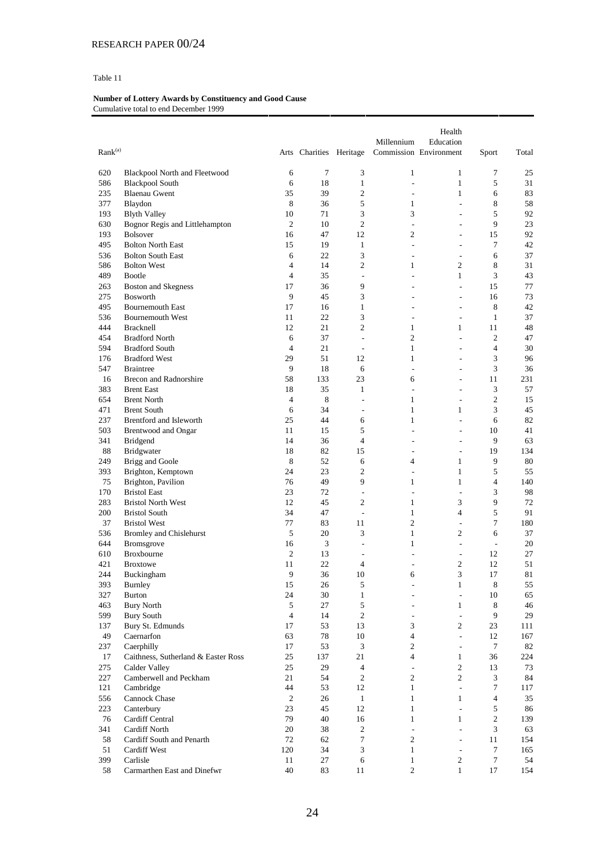| $\text{Rank}^{(\text{a})}$ |                                               |                     | Arts Charities Heritage |                               | Millennium                       | Health<br>Education<br>Commission Environment | Sport           | Total    |
|----------------------------|-----------------------------------------------|---------------------|-------------------------|-------------------------------|----------------------------------|-----------------------------------------------|-----------------|----------|
|                            |                                               |                     |                         |                               |                                  |                                               |                 |          |
| 620                        | Blackpool North and Fleetwood                 | 6                   | 7                       | 3                             | $\mathbf{1}$                     | $\mathbf{1}$                                  | 7               | 25       |
| 586                        | <b>Blackpool South</b>                        | 6                   | 18                      | $\mathbf{1}$                  | ÷,                               | $\mathbf{1}$                                  | 5               | 31       |
| 235                        | <b>Blaenau Gwent</b>                          | 35                  | 39                      | $\overline{c}$                | ÷                                | $\mathbf{1}$                                  | 6               | 83       |
| 377                        | Blaydon                                       | 8                   | 36                      | 5                             | 1                                | $\overline{\phantom{a}}$                      | 8               | 58       |
| 193                        | <b>Blyth Valley</b>                           | 10                  | 71                      | 3                             | 3                                | $\sim$                                        | 5               | 92       |
| 630                        | Bognor Regis and Littlehampton                | $\overline{2}$      | 10                      | $\overline{c}$                | $\overline{a}$                   | $\overline{a}$                                | 9               | 23       |
| 193                        | <b>Bolsover</b>                               | 16                  | 47                      | 12                            | $\overline{c}$                   | $\overline{\phantom{a}}$                      | 15              | 92       |
| 495                        | <b>Bolton North East</b>                      | 15                  | 19                      | 1                             | $\sim$                           | ÷.                                            | $\tau$          | 42       |
| 536                        | <b>Bolton South East</b>                      | 6                   | 22                      | 3                             | $\overline{a}$                   | $\overline{\phantom{a}}$                      | 6               | 37       |
| 586                        | <b>Bolton West</b>                            | 4<br>$\overline{4}$ | 14<br>35                | $\overline{c}$                | $\mathbf{1}$                     | $\overline{c}$<br>$\mathbf{1}$                | 8<br>3          | 31       |
| 489<br>263                 | <b>Bootle</b>                                 | 17                  | 36                      | $\overline{\phantom{a}}$<br>9 | ÷,<br>÷                          | $\overline{\phantom{a}}$                      | 15              | 43<br>77 |
| 275                        | <b>Boston and Skegness</b><br><b>Bosworth</b> | 9                   | 45                      | 3                             | ÷,                               | $\overline{\phantom{a}}$                      | 16              | 73       |
| 495                        | <b>Bournemouth East</b>                       | 17                  | 16                      | $\mathbf{1}$                  | ÷,                               | $\overline{a}$                                | 8               | 42       |
| 536                        | <b>Bournemouth West</b>                       | 11                  | 22                      | 3                             | ÷                                | $\overline{\phantom{a}}$                      | 1               | 37       |
| 444                        | <b>Bracknell</b>                              | 12                  | 21                      | $\overline{c}$                | 1                                | 1                                             | 11              | 48       |
| 454                        | <b>Bradford North</b>                         | 6                   | 37                      | $\overline{\phantom{a}}$      | $\overline{c}$                   | $\overline{\phantom{a}}$                      | $\overline{c}$  | 47       |
| 594                        | <b>Bradford South</b>                         | $\overline{4}$      | 21                      | $\overline{\phantom{a}}$      | $\mathbf{1}$                     | $\overline{a}$                                | $\overline{4}$  | 30       |
| 176                        | <b>Bradford West</b>                          | 29                  | 51                      | 12                            | $\mathbf{1}$                     | $\qquad \qquad \blacksquare$                  | 3               | 96       |
| 547                        | <b>Braintree</b>                              | 9                   | 18                      | 6                             | ÷,                               | ÷.                                            | 3               | 36       |
| 16                         | Brecon and Radnorshire                        | 58                  | 133                     | 23                            | 6                                | $\overline{\phantom{a}}$                      | 11              | 231      |
| 383                        | <b>Brent East</b>                             | 18                  | 35                      | $\mathbf{1}$                  | ÷,                               | $\overline{a}$                                | 3               | 57       |
| 654                        | <b>Brent North</b>                            | $\overline{4}$      | 8                       | $\overline{\phantom{a}}$      | 1                                | $\overline{\phantom{a}}$                      | $\overline{2}$  | 15       |
| 471                        | <b>Brent South</b>                            | 6                   | 34                      | $\overline{\phantom{a}}$      | $\mathbf{1}$                     | 1                                             | 3               | 45       |
| 237                        | Brentford and Isleworth                       | 25                  | 44                      | 6                             | $\mathbf{1}$                     | $\overline{\phantom{a}}$                      | 6               | 82       |
| 503                        | Brentwood and Ongar                           | 11                  | 15                      | 5                             | ÷,                               | $\overline{\phantom{a}}$                      | 10              | 41       |
| 341                        | <b>Bridgend</b>                               | 14                  | 36                      | $\overline{4}$                | ÷                                | ÷                                             | 9               | 63       |
| 88                         | Bridgwater                                    | 18                  | 82                      | 15                            | $\overline{a}$                   | $\sim$                                        | 19              | 134      |
| 249                        | Brigg and Goole                               | 8                   | 52                      | 6                             | 4                                | $\mathbf{1}$                                  | 9               | 80       |
| 393                        | Brighton, Kemptown                            | 24                  | 23                      | 2                             | $\overline{a}$                   | $\mathbf{1}$                                  | 5               | 55       |
| 75                         | Brighton, Pavilion                            | 76                  | 49                      | 9                             | 1                                | $\mathbf{1}$                                  | $\overline{4}$  | 140      |
| 170                        | <b>Bristol East</b>                           | 23                  | 72                      | $\overline{a}$                | ÷,                               | $\overline{a}$                                | 3               | 98       |
| 283                        | <b>Bristol North West</b>                     | 12                  | 45                      | $\overline{c}$                | $\mathbf{1}$                     | 3                                             | 9               | 72       |
| 200                        | <b>Bristol South</b>                          | 34                  | 47                      | $\overline{\phantom{a}}$      | $\mathbf{1}$                     | $\overline{4}$                                | 5               | 91       |
| 37                         | <b>Bristol West</b>                           | 77                  | 83                      | 11                            | $\overline{c}$                   | $\overline{a}$                                | $\overline{7}$  | 180      |
| 536                        | Bromley and Chislehurst                       | 5                   | 20                      | 3                             | $\mathbf{1}$                     | $\overline{c}$                                | 6               | 37       |
| 644                        | Bromsgrove<br><b>Broxbourne</b>               | 16<br>2             | 3<br>13                 | $\overline{\phantom{a}}$      | 1                                | $\sim$                                        | $\sim$<br>12    | 20<br>27 |
| 610<br>421                 | <b>Broxtowe</b>                               | 11                  | 22                      | $\overline{\phantom{a}}$<br>4 | $\overline{a}$<br>$\overline{a}$ | $\overline{\phantom{a}}$<br>$\overline{c}$    | 12              | 51       |
| 244                        | Buckingham                                    | 9                   | 36                      | 10                            | 6                                | 3                                             | 17              | 81       |
| 393                        | <b>Burnley</b>                                | 15                  | $26\,$                  | 5                             | $\overline{a}$                   | $\mathbf{1}$                                  | 8               | 55       |
| 327                        | <b>Burton</b>                                 | 24                  | $30\,$                  | $\mathbf{1}$                  | ÷                                | $\Box$                                        | 10              | 65       |
| 463                        | <b>Bury North</b>                             | 5                   | 27                      | 5                             |                                  | $\mathbf{1}$                                  | 8               | 46       |
| 599                        | <b>Bury South</b>                             | $\overline{4}$      | 14                      | $\sqrt{2}$                    | $\sim$                           | $\overline{\phantom{a}}$                      | 9               | 29       |
| 137                        | Bury St. Edmunds                              | 17                  | 53                      | 13                            | 3                                | $\overline{c}$                                | 23              | 111      |
| 49                         | Caernarfon                                    | 63                  | 78                      | 10                            | $\overline{4}$                   | $\mathcal{L}$                                 | 12              | 167      |
| 237                        | Caerphilly                                    | 17                  | 53                      | $\ensuremath{\mathfrak{Z}}$   | $\overline{c}$                   | $\overline{\phantom{a}}$                      | $7\phantom{.0}$ | 82       |
| 17                         | Caithness, Sutherland & Easter Ross           | 25                  | 137                     | $21\,$                        | 4                                | $\mathbf{1}$                                  | 36              | 224      |
| 275                        | Calder Valley                                 | 25                  | 29                      | 4                             | $\overline{\phantom{a}}$         | 2                                             | 13              | 73       |
| 227                        | Camberwell and Peckham                        | 21                  | 54                      | $\overline{c}$                | $\overline{c}$                   | $\overline{2}$                                | 3               | 84       |
| 121                        | Cambridge                                     | 44                  | 53                      | 12                            | $\mathbf{1}$                     | $\Box$                                        | $\tau$          | 117      |
| 556                        | Cannock Chase                                 | $\boldsymbol{2}$    | 26                      | $\mathbf{1}$                  | $\mathbf{1}$                     | $\mathbf{1}$                                  | $\overline{4}$  | 35       |
| 223                        | Canterbury                                    | 23                  | 45                      | 12                            | $\mathbf{1}$                     | $\blacksquare$                                | 5               | 86       |
| 76                         | Cardiff Central                               | 79                  | 40                      | 16                            | $\mathbf{1}$                     | $\mathbf{1}$                                  | $\sqrt{2}$      | 139      |
| 341                        | <b>Cardiff North</b>                          | 20                  | 38                      | $\mathbf{2}$                  | $\overline{\phantom{a}}$         | $\overline{\phantom{a}}$                      | $\mathfrak{Z}$  | 63       |
| 58                         | Cardiff South and Penarth                     | 72                  | 62                      | 7                             | $\mathfrak{2}$                   | $\mathcal{L}$                                 | 11              | 154      |
| 51                         | Cardiff West                                  | 120                 | 34                      | $\ensuremath{\mathfrak{Z}}$   | $\mathbf{1}$                     | $\overline{\phantom{a}}$                      | $\tau$          | 165      |
| 399                        | Carlisle                                      | 11                  | 27                      | $\sqrt{6}$                    | $\mathbf{1}$                     | $\overline{c}$                                | $\overline{7}$  | 54       |
| 58                         | Carmarthen East and Dinefwr                   | $40\,$              | 83                      | 11                            | $\overline{c}$                   | $\mathbf{1}$                                  | 17              | 154      |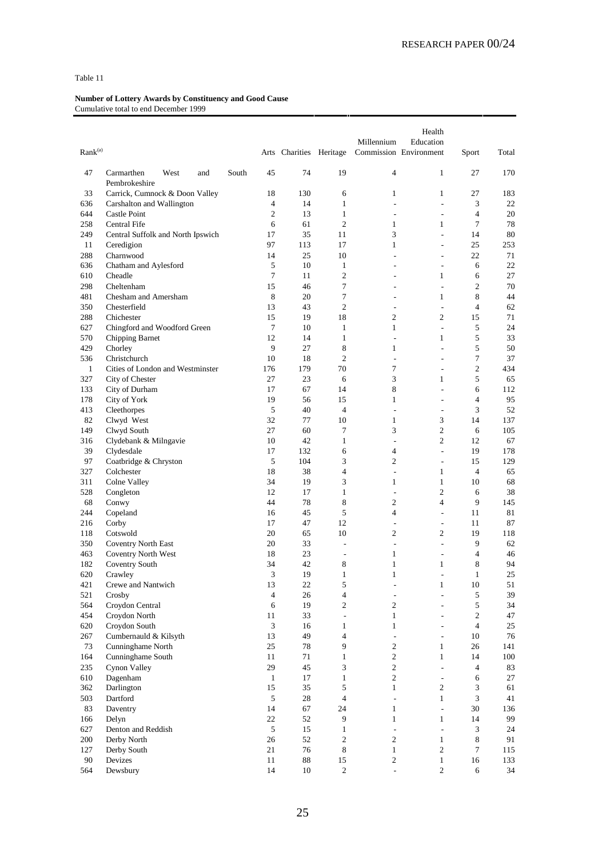| Rank <sup>(a)</sup> |                                            |       |                |                         |                              | Millennium                     | Health<br>Education            |                      |           |
|---------------------|--------------------------------------------|-------|----------------|-------------------------|------------------------------|--------------------------------|--------------------------------|----------------------|-----------|
|                     |                                            |       |                | Arts Charities Heritage |                              |                                | Commission Environment         | Sport                | Total     |
| 47                  | Carmarthen<br>West<br>and<br>Pembrokeshire | South | 45             | 74                      | 19                           | $\overline{4}$                 | $\mathbf{1}$                   | 27                   | 170       |
| 33                  | Carrick, Cumnock & Doon Valley             |       | 18             | 130                     | 6                            | $\mathbf{1}$                   | 1                              | 27                   | 183       |
| 636                 | Carshalton and Wallington                  |       | $\overline{4}$ | 14                      | 1                            | ÷                              | $\overline{\phantom{a}}$       | 3                    | 22        |
| 644                 | Castle Point                               |       | $\mathfrak{2}$ | 13                      | $\mathbf{1}$                 | ÷                              | $\overline{a}$                 | $\overline{4}$       | 20        |
| 258                 | Central Fife                               |       | 6              | 61                      | $\overline{2}$               | 1                              | $\mathbf{1}$                   | 7                    | 78        |
| 249                 | Central Suffolk and North Ipswich          |       | 17             | 35                      | 11                           | 3                              | $\overline{a}$                 | 14                   | 80        |
| 11<br>288           | Ceredigion<br>Charnwood                    |       | 97<br>14       | 113<br>25               | 17<br>10                     | $\mathbf{1}$<br>÷,             | ÷<br>$\overline{a}$            | 25<br>22             | 253<br>71 |
| 636                 | Chatham and Aylesford                      |       | 5              | 10                      | $\mathbf{1}$                 | ÷,                             | $\overline{a}$                 | 6                    | 22        |
| 610                 | Cheadle                                    |       | 7              | 11                      | $\mathfrak{2}$               | ÷,                             | 1                              | 6                    | 27        |
| 298                 | Cheltenham                                 |       | 15             | 46                      | 7                            | ÷                              | $\overline{\phantom{a}}$       | $\overline{c}$       | 70        |
| 481                 | Chesham and Amersham                       |       | 8              | 20                      | 7                            | $\overline{a}$                 | $\mathbf{1}$                   | 8                    | 44        |
| 350                 | Chesterfield                               |       | 13             | 43                      | $\overline{2}$               | $\overline{\phantom{a}}$       | ÷,                             | $\overline{4}$       | 62        |
| 288                 | Chichester                                 |       | 15             | 19                      | 18                           | $\mathfrak{2}$                 | 2                              | 15                   | 71        |
| 627                 | Chingford and Woodford Green               |       | $\overline{7}$ | 10                      | $\mathbf{1}$                 | 1                              | $\frac{1}{2}$                  | 5                    | 24        |
| 570                 | Chipping Barnet                            |       | 12             | 14                      | $\mathbf{1}$                 | ÷,                             | 1                              | 5                    | 33        |
| 429                 | Chorley                                    |       | 9              | 27                      | 8                            | $\mathbf{1}$                   | L.                             | 5                    | 50        |
| 536                 | Christchurch                               |       | 10             | 18                      | $\overline{2}$               | $\overline{\phantom{a}}$       | $\overline{\phantom{0}}$       | 7                    | 37        |
| $\mathbf{1}$        | Cities of London and Westminster           |       | 176            | 179                     | 70                           | 7                              | $\overline{a}$                 | $\mathfrak{2}$       | 434       |
| 327                 | City of Chester                            |       | 27             | 23                      | 6                            | 3                              | $\mathbf{1}$                   | 5                    | 65        |
| 133                 | City of Durham                             |       | 17             | 67                      | 14                           | 8                              | $\overline{a}$                 | 6                    | 112       |
| 178                 | City of York                               |       | 19             | 56                      | 15                           | 1                              | $\overline{\phantom{0}}$       | $\overline{4}$       | 95        |
| 413                 | Cleethorpes                                |       | 5              | 40                      | $\overline{4}$               | $\sim$                         | ÷                              | 3                    | 52        |
| 82                  | Clwyd West                                 |       | 32             | 77                      | 10                           | $\mathbf{1}$                   | 3                              | 14                   | 137       |
| 149                 | Clwyd South                                |       | 27             | 60                      | 7                            | 3                              | $\mathfrak{2}$                 | 6                    | 105       |
| 316                 | Clydebank & Milngavie                      |       | 10             | 42                      | $\mathbf{1}$                 | $\sim$                         | $\overline{c}$                 | 12                   | 67        |
| 39                  | Clydesdale                                 |       | 17             | 132                     | 6                            | 4                              | ÷,                             | 19                   | 178       |
| 97<br>327           | Coatbridge & Chryston                      |       | 5<br>18        | 104<br>38               | 3<br>$\overline{4}$          | $\overline{2}$                 | ÷,<br>1                        | 15<br>$\overline{4}$ | 129       |
| 311                 | Colchester<br>Colne Valley                 |       | 34             | 19                      | 3                            | $\overline{\phantom{a}}$<br>1  | $\mathbf{1}$                   | 10                   | 65<br>68  |
| 528                 | Congleton                                  |       | 12             | 17                      | $\mathbf{1}$                 | $\overline{a}$                 | $\overline{c}$                 | 6                    | 38        |
| 68                  | Conwy                                      |       | 44             | 78                      | 8                            | $\overline{2}$                 | $\overline{4}$                 | 9                    | 145       |
| 244                 | Copeland                                   |       | 16             | 45                      | 5                            | $\overline{4}$                 | ÷,                             | 11                   | 81        |
| 216                 | Corby                                      |       | 17             | 47                      | 12                           | $\overline{a}$                 | $\overline{\phantom{a}}$       | 11                   | 87        |
| 118                 | Cotswold                                   |       | 20             | 65                      | 10                           | $\mathfrak{2}$                 | $\overline{c}$                 | 19                   | 118       |
| 350                 | <b>Coventry North East</b>                 |       | 20             | 33                      | ÷,                           | $\overline{\phantom{a}}$       | $\overline{\phantom{a}}$       | 9                    | 62        |
| 463                 | <b>Coventry North West</b>                 |       | 18             | 23                      | $\qquad \qquad \blacksquare$ | 1                              | $\overline{\phantom{a}}$       | 4                    | 46        |
| 182                 | <b>Coventry South</b>                      |       | 34             | 42                      | 8                            | $\mathbf{1}$                   | 1                              | 8                    | 94        |
| 620                 | Crawley                                    |       | 3              | 19                      | $\mathbf{1}$                 | 1                              | ÷                              | $\mathbf{1}$         | 25        |
| 421                 | Crewe and Nantwich                         |       | 13             | 22                      | 5                            | ÷,                             | $\mathbf{1}$                   | $10\,$               | 51        |
| 521                 | Crosby                                     |       | $\overline{4}$ | 26                      | 4                            | $\overline{\phantom{0}}$       |                                | 5                    | 39        |
| 564                 | Croydon Central                            |       | $\sqrt{6}$     | 19                      | 2                            | $\overline{c}$                 | $\overline{\phantom{0}}$       | 5                    | 34        |
| 454                 | Croydon North                              |       | 11             | 33                      | $\overline{a}$               | $\mathbf{1}$                   | L,                             | $\sqrt{2}$           | 47        |
| 620                 | Croydon South                              |       | $\mathfrak{Z}$ | 16                      | $\mathbf{1}$                 | $\mathbf{1}$                   | ÷.                             | $\overline{4}$       | $25\,$    |
| 267                 | Cumbernauld & Kilsyth                      |       | 13             | 49                      | $\overline{\mathbf{4}}$      | $\overline{\phantom{a}}$       | ÷.                             | 10                   | 76        |
| 73                  | Cunninghame North                          |       | 25             | 78                      | 9                            | $\overline{c}$                 | 1                              | 26                   | 141       |
| 164<br>235          | Cunninghame South                          |       | 11<br>29       | 71<br>45                | $\mathbf{1}$                 | $\mathbf{2}$<br>$\overline{c}$ | $\mathbf{1}$<br>$\overline{a}$ | 14<br>$\overline{4}$ | 100<br>83 |
| 610                 | Cynon Valley<br>Dagenham                   |       | $\mathbf{1}$   | 17                      | 3<br>$\mathbf{1}$            | $\mathbf{2}$                   | $\blacksquare$                 | 6                    | 27        |
| 362                 | Darlington                                 |       | 15             | 35                      | 5                            | $\mathbf{1}$                   | $\overline{2}$                 | 3                    | 61        |
| 503                 | Dartford                                   |       | $\sqrt{5}$     | 28                      | $\overline{\mathbf{4}}$      | $\overline{a}$                 | 1                              | 3                    | 41        |
| 83                  | Daventry                                   |       | 14             | 67                      | 24                           | $\mathbf{1}$                   | ÷,                             | 30                   | 136       |
| 166                 | Delyn                                      |       | $22\,$         | 52                      | 9                            | $\mathbf{1}$                   | $\mathbf{1}$                   | 14                   | 99        |
| 627                 | Denton and Reddish                         |       | $\sqrt{5}$     | 15                      | $\mathbf{1}$                 | $\sim$                         | $\sim$                         | 3                    | 24        |
| 200                 | Derby North                                |       | 26             | 52                      | $\mathbf{2}$                 | $\mathbf{2}$                   | $\mathbf{1}$                   | 8                    | 91        |
| 127                 | Derby South                                |       | $21\,$         | 76                      | $\,8\,$                      | $\mathbf{1}$                   | $\sqrt{2}$                     | $\tau$               | 115       |
| $90\,$              | Devizes                                    |       | 11             | 88                      | 15                           | 2                              | 1                              | 16                   | 133       |
| 564                 | Dewsbury                                   |       | 14             | 10                      | $\overline{c}$               | L.                             | $\overline{2}$                 | 6                    | 34        |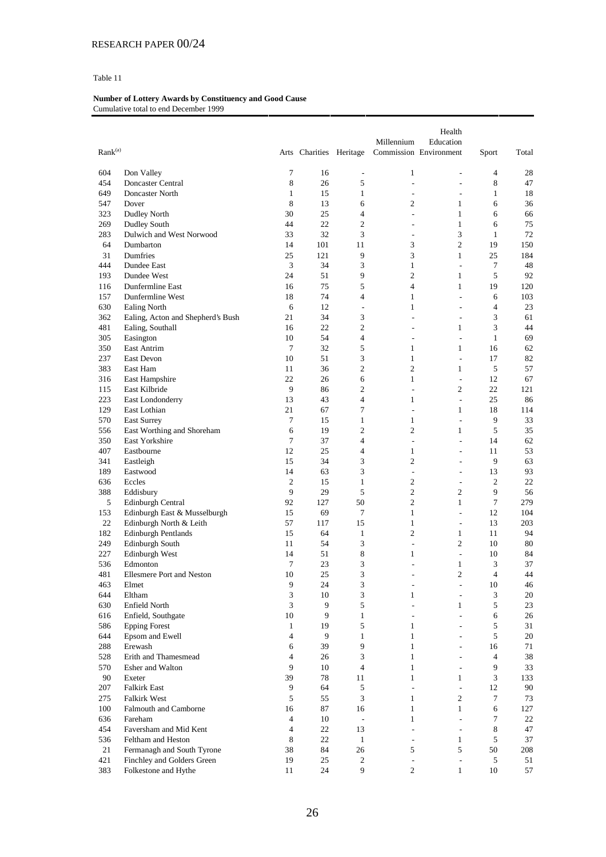| $\text{Rank}^{(\text{a})}$ |                                   |                | Arts Charities Heritage |                          | Millennium               | Health<br>Education<br>Commission Environment | Sport          | Total    |
|----------------------------|-----------------------------------|----------------|-------------------------|--------------------------|--------------------------|-----------------------------------------------|----------------|----------|
|                            |                                   |                |                         |                          |                          |                                               |                |          |
| 604                        | Don Valley                        | 7              | 16                      | $\overline{\phantom{a}}$ | 1                        | $\overline{\phantom{a}}$                      | $\overline{4}$ | 28       |
| 454                        | Doncaster Central                 | 8              | 26                      | 5                        | ÷,                       | $\overline{a}$                                | 8              | 47       |
| 649                        | Doncaster North                   | $\mathbf{1}$   | 15                      | $\mathbf{1}$             | ÷                        | $\overline{\phantom{a}}$                      | $\mathbf{1}$   | 18       |
| 547                        | Dover                             | 8              | 13                      | 6                        | $\overline{c}$           | 1                                             | 6              | 36       |
| 323                        | Dudley North                      | 30             | 25                      | 4                        | ÷,                       | 1                                             | 6              | 66       |
| 269                        | <b>Dudley South</b>               | 44             | 22                      | $\overline{c}$           | ÷,                       | $\mathbf{1}$                                  | 6              | 75       |
| 283                        | Dulwich and West Norwood          | 33             | 32                      | 3                        | $\overline{\phantom{a}}$ | 3                                             | $\mathbf{1}$   | 72       |
| 64                         | Dumbarton                         | 14             | 101                     | 11                       | 3                        | $\overline{c}$                                | 19             | 150      |
| 31                         | Dumfries                          | 25             | 121                     | 9                        | 3                        | $\mathbf{1}$                                  | 25             | 184      |
| 444                        | Dundee East                       | 3              | 34                      | 3                        | $\mathbf{1}$             | $\overline{\phantom{a}}$                      | $\tau$         | 48       |
| 193                        | Dundee West                       | 24             | 51                      | 9                        | $\overline{c}$           | 1                                             | 5              | 92       |
| 116                        | Dunfermline East                  | 16             | 75                      | 5                        | $\overline{4}$           | $\mathbf{1}$                                  | 19             | 120      |
| 157                        | Dunfermline West                  | 18             | 74                      | 4                        | $\mathbf{1}$             | $\overline{\phantom{a}}$                      | 6              | 103      |
| 630                        | <b>Ealing North</b>               | 6              | 12                      | $\overline{\phantom{a}}$ | 1                        | $\overline{a}$                                | $\overline{4}$ | 23       |
| 362                        | Ealing, Acton and Shepherd's Bush | 21             | 34                      | 3                        | ÷                        | $\overline{\phantom{a}}$                      | 3              | 61       |
| 481                        | Ealing, Southall                  | 16             | 22                      | $\overline{c}$           | ÷.                       | 1                                             | 3              | 44       |
| 305                        | Easington                         | 10             | 54                      | 4                        | $\overline{a}$           | $\overline{a}$                                | $\mathbf{1}$   | 69       |
| 350                        | East Antrim                       | 7              | 32                      | 5                        | $\mathbf{1}$             | 1                                             | 16             | 62       |
| 237                        | <b>East Devon</b>                 | 10             | 51                      | 3                        | $\mathbf{1}$             | $\overline{\phantom{a}}$                      | 17             | 82       |
| 383                        | East Ham                          | 11             | 36                      | $\overline{c}$           | $\overline{c}$           | 1                                             | 5              | 57       |
| 316                        | East Hampshire                    | 22             | 26                      | 6                        | $\mathbf{1}$             | $\overline{\phantom{a}}$                      | 12             | 67       |
| 115                        | East Kilbride                     | 9              | 86                      | $\overline{c}$           | ÷,                       | $\overline{c}$                                | 22             | 121      |
| 223                        | East Londonderry                  | 13             | 43                      | $\overline{4}$           | 1                        | $\overline{\phantom{a}}$                      | 25             | 86       |
| 129                        | East Lothian                      | 21             | 67                      | 7                        | ÷,                       | 1                                             | 18             | 114      |
| 570                        | <b>East Surrey</b>                | $\tau$         | 15                      | $\mathbf{1}$             | $\mathbf{1}$             | $\overline{\phantom{a}}$                      | 9              | 33       |
| 556                        | East Worthing and Shoreham        | 6<br>7         | 19                      | $\overline{c}$<br>4      | $\overline{c}$<br>÷,     | $\mathbf{1}$<br>$\overline{a}$                | 5              | 35       |
| 350                        | East Yorkshire                    |                | 37                      |                          |                          |                                               | 14             | 62       |
| 407<br>341                 | Eastbourne                        | 12<br>15       | 25<br>34                | 4<br>3                   | 1<br>$\overline{c}$      | ÷.<br>$\overline{\phantom{a}}$                | 11<br>9        | 53<br>63 |
| 189                        | Eastleigh<br>Eastwood             | 14             | 63                      | 3                        | $\overline{\phantom{a}}$ | $\qquad \qquad \blacksquare$                  | 13             | 93       |
| 636                        | Eccles                            | $\mathfrak{2}$ | 15                      | $\mathbf{1}$             | 2                        |                                               | $\overline{c}$ | 22       |
| 388                        | Eddisbury                         | 9              | 29                      | 5                        | $\overline{c}$           | $\overline{\phantom{a}}$<br>$\overline{c}$    | 9              | 56       |
| 5                          | Edinburgh Central                 | 92             | 127                     | 50                       | $\overline{c}$           | $\mathbf{1}$                                  | $\tau$         | 279      |
| 153                        | Edinburgh East & Musselburgh      | 15             | 69                      | 7                        | $\mathbf{1}$             | $\overline{\phantom{a}}$                      | 12             | 104      |
| 22                         | Edinburgh North & Leith           | 57             | 117                     | 15                       | $\mathbf{1}$             | $\sim$                                        | 13             | 203      |
| 182                        | <b>Edinburgh Pentlands</b>        | 15             | 64                      | $\mathbf{1}$             | $\overline{c}$           | 1                                             | 11             | 94       |
| 249                        | Edinburgh South                   | 11             | 54                      | 3                        | ÷,                       | 2                                             | 10             | 80       |
| 227                        | Edinburgh West                    | 14             | 51                      | 8                        | 1                        | $\overline{\phantom{a}}$                      | 10             | 84       |
| 536                        | Edmonton                          | 7              | 23                      | 3                        | $\overline{a}$           | 1                                             | 3              | 37       |
| 481                        | <b>Ellesmere Port and Neston</b>  | 10             | 25                      | 3                        | ÷                        | $\overline{2}$                                | $\overline{4}$ | 44       |
| 463                        | Elmet                             | 9              | 24                      | 3                        | $\overline{\phantom{a}}$ | $\overline{\phantom{a}}$                      | 10             | 46       |
| 644                        | Eltham                            | 3              | 10                      | 3                        | $\mathbf{1}$             | $\overline{\phantom{a}}$                      | $\mathfrak{Z}$ | 20       |
| 630                        | Enfield North                     | 3              | 9                       | 5                        | ÷,                       | 1                                             | 5              | 23       |
| 616                        | Enfield, Southgate                | 10             | 9                       | $\mathbf{1}$             | $\sim$                   | $\mathcal{L}$                                 | 6              | 26       |
| 586                        | <b>Epping Forest</b>              | $\mathbf{1}$   | 19                      | 5                        | $\mathbf{1}$             | $\overline{\phantom{a}}$                      | 5              | 31       |
| 644                        | Epsom and Ewell                   | 4              | 9                       | $\mathbf{1}$             | $\mathbf{1}$             |                                               | 5              | 20       |
| 288                        | Erewash                           | 6              | 39                      | 9                        | $\mathbf{1}$             | ÷                                             | 16             | 71       |
| 528                        | Erith and Thamesmead              | $\overline{4}$ | 26                      | 3                        | $\mathbf{1}$             | $\overline{\phantom{a}}$                      | $\overline{4}$ | 38       |
| 570                        | Esher and Walton                  | 9              | 10                      | $\overline{\mathcal{L}}$ | $\mathbf{1}$             |                                               | 9              | 33       |
| 90                         | Exeter                            | 39             | 78                      | 11                       | $\mathbf{1}$             | 1                                             | 3              | 133      |
| 207                        | <b>Falkirk East</b>               | 9              | 64                      | 5                        | L.                       | $\overline{\phantom{a}}$                      | 12             | 90       |
| 275                        | <b>Falkirk West</b>               | 5              | 55                      | 3                        | $\mathbf{1}$             | $\overline{c}$                                | $\tau$         | 73       |
| 100                        | Falmouth and Camborne             | 16             | 87                      | 16                       | $\mathbf{1}$             | $\mathbf{1}$                                  | 6              | 127      |
| 636                        | Fareham                           | 4              | 10                      | $\overline{\phantom{a}}$ | $\mathbf{1}$             | $\overline{\phantom{a}}$                      | $\tau$         | 22       |
| 454                        | Faversham and Mid Kent            | 4              | 22                      | 13                       | $\overline{\phantom{a}}$ | $\mathbf{r}$                                  | 8              | 47       |
| 536                        | Feltham and Heston                | 8              | 22                      | $\mathbf{1}$             | $\overline{\phantom{a}}$ | 1                                             | 5              | 37       |
| 21                         | Fermanagh and South Tyrone        | 38             | 84                      | 26                       | 5                        | 5                                             | 50             | 208      |
| 421                        | Finchley and Golders Green        | 19             | 25                      | $\overline{c}$           | $\overline{\phantom{a}}$ | $\overline{\phantom{a}}$                      | 5              | 51       |
| 383                        | Folkestone and Hythe              | 11             | 24                      | 9                        | $\overline{c}$           | $\mathbf{1}$                                  | 10             | 57       |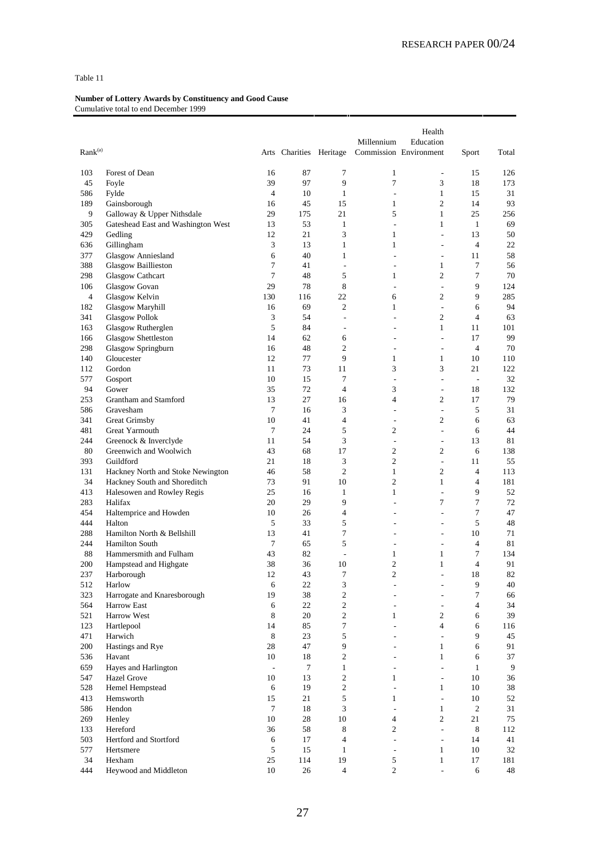| Rank <sup>(a)</sup> |                                               |                          | Arts Charities Heritage |                          | Millennium               | Health<br>Education<br>Commission Environment | Sport                    | Total    |
|---------------------|-----------------------------------------------|--------------------------|-------------------------|--------------------------|--------------------------|-----------------------------------------------|--------------------------|----------|
|                     |                                               |                          |                         |                          |                          |                                               |                          |          |
| 103                 | Forest of Dean                                | 16                       | 87                      | 7                        | $\mathbf{1}$             | $\overline{\phantom{a}}$                      | 15                       | 126      |
| 45                  | Foyle                                         | 39                       | 97                      | 9                        | $\tau$                   | 3                                             | 18                       | 173      |
| 586                 | Fylde                                         | 4                        | 10                      | $\mathbf{1}$             | ÷,                       | $\mathbf{1}$                                  | 15                       | 31       |
| 189                 | Gainsborough                                  | 16                       | 45                      | 15                       | $\mathbf{1}$             | $\mathfrak{2}$                                | 14                       | 93       |
| 9                   | Galloway & Upper Nithsdale                    | 29                       | 175                     | 21                       | 5                        | $\mathbf{1}$                                  | 25                       | 256      |
| 305<br>429          | Gateshead East and Washington West<br>Gedling | 13<br>12                 | 53<br>21                | $\mathbf{1}$<br>3        | $\overline{a}$<br>1      | $\mathbf{1}$<br>÷,                            | $\mathbf{1}$<br>13       | 69<br>50 |
| 636                 | Gillingham                                    | 3                        | 13                      | $\mathbf{1}$             | $\mathbf{1}$             | ÷,                                            | 4                        | 22       |
| 377                 | <b>Glasgow Anniesland</b>                     | 6                        | 40                      | 1                        | ÷,                       | ÷,                                            | 11                       | 58       |
| 388                 | <b>Glasgow Baillieston</b>                    | 7                        | 41                      | $\overline{\phantom{a}}$ | $\overline{\phantom{a}}$ | 1                                             | 7                        | 56       |
| 298                 | <b>Glasgow Cathcart</b>                       | 7                        | 48                      | 5                        | $\mathbf{1}$             | $\overline{2}$                                | 7                        | 70       |
| 106                 | Glasgow Govan                                 | 29                       | 78                      | 8                        | $\overline{\phantom{a}}$ | ÷                                             | 9                        | 124      |
| 4                   | Glasgow Kelvin                                | 130                      | 116                     | 22                       | 6                        | 2                                             | 9                        | 285      |
| 182                 | <b>Glasgow Maryhill</b>                       | 16                       | 69                      | $\overline{c}$           | $\mathbf{1}$             | ÷,                                            | 6                        | 94       |
| 341                 | <b>Glasgow Pollok</b>                         | 3                        | 54                      | $\overline{a}$           |                          | $\overline{c}$                                | $\overline{4}$           | 63       |
| 163                 | Glasgow Rutherglen                            | 5                        | 84                      | $\overline{\phantom{m}}$ |                          | 1                                             | 11                       | 101      |
| 166                 | <b>Glasgow Shettleston</b>                    | 14                       | 62                      | 6                        | ٠                        | ÷.                                            | 17                       | 99       |
| 298                 | Glasgow Springburn                            | 16                       | 48                      | $\overline{c}$           | $\overline{a}$           | ÷,                                            | $\overline{4}$           | 70       |
| 140                 | Gloucester                                    | 12                       | 77                      | 9                        | 1                        | $\mathbf{1}$                                  | 10                       | 110      |
| 112                 | Gordon                                        | 11                       | 73                      | 11                       | 3                        | 3                                             | 21                       | 122      |
| 577                 | Gosport                                       | 10                       | 15                      | 7                        | ÷,                       | ÷,                                            | $\overline{\phantom{a}}$ | 32       |
| 94                  | Gower                                         | 35                       | 72                      | 4                        | 3                        | ÷,                                            | 18                       | 132      |
| 253                 | Grantham and Stamford                         | 13                       | 27                      | 16                       | $\overline{4}$           | $\mathfrak{2}$                                | 17                       | 79       |
| 586                 | Gravesham                                     | 7                        | 16                      | 3                        |                          | ÷,                                            | 5                        | 31       |
| 341                 | Great Grimsby                                 | 10                       | 41                      | 4                        | $\overline{\phantom{a}}$ | $\mathfrak{2}$                                | 6                        | 63       |
| 481                 | Great Yarmouth                                | $\tau$                   | 24                      | 5                        | $\mathfrak{2}$           | ÷,                                            | 6                        | 44       |
| 244                 | Greenock & Inverclyde                         | 11                       | 54                      | 3                        | $\overline{\phantom{a}}$ | $\overline{\phantom{a}}$                      | 13                       | 81       |
| 80                  | Greenwich and Woolwich                        | 43                       | 68                      | 17                       | 2                        | $\mathfrak{2}$                                | 6                        | 138      |
| 393                 | Guildford                                     | 21                       | 18                      | 3                        | $\mathfrak{2}$           | $\overline{\phantom{a}}$                      | 11                       | 55       |
| 131                 | Hackney North and Stoke Newington             | 46                       | 58                      | $\overline{2}$           | $\mathbf{1}$             | $\mathfrak{2}$                                | $\overline{4}$           | 113      |
| 34                  | Hackney South and Shoreditch                  | 73                       | 91                      | 10                       | $\overline{2}$           | $\mathbf{1}$                                  | $\overline{4}$           | 181      |
| 413                 | Halesowen and Rowley Regis                    | 25                       | 16                      | $\mathbf{1}$             | 1                        | J.                                            | 9                        | 52       |
| 283                 | Halifax                                       | 20                       | 29                      | 9                        | L,                       | $\tau$                                        | $\tau$                   | 72       |
| 454<br>444          | Haltemprice and Howden                        | 10                       | 26<br>33                | 4                        | ٠                        | ÷,                                            | $\tau$<br>5              | 47       |
| 288                 | Halton<br>Hamilton North & Bellshill          | 5<br>13                  | 41                      | 5<br>$\tau$              | ٠                        | ÷,<br>÷                                       | 10                       | 48<br>71 |
| 244                 | <b>Hamilton South</b>                         | 7                        | 65                      | 5                        | ÷,                       | ÷,                                            | $\overline{4}$           | 81       |
| 88                  | Hammersmith and Fulham                        | 43                       | 82                      | $\overline{\phantom{a}}$ | $\mathbf{1}$             | $\mathbf{1}$                                  | 7                        | 134      |
| 200                 | Hampstead and Highgate                        | 38                       | 36                      | 10                       | $\overline{c}$           | 1                                             | $\overline{4}$           | 91       |
| 237                 | Harborough                                    | 12                       | 43                      | 7                        | $\overline{c}$           | L,                                            | 18                       | 82       |
| 512                 | Harlow                                        | 6                        | 22                      | 3                        |                          |                                               | $\mathbf{9}$             | $40\,$   |
| 323                 | Harrogate and Knaresborough                   | 19                       | 38                      | $\mathbf{2}$             |                          |                                               | 7                        | 66       |
| 564                 | Harrow East                                   | 6                        | 22                      | $\overline{c}$           | ÷,                       |                                               | $\overline{4}$           | 34       |
| 521                 | Harrow West                                   | 8                        | 20                      | $\overline{c}$           | 1                        | $\overline{c}$                                | 6                        | 39       |
| 123                 | Hartlepool                                    | 14                       | 85                      | 7                        | $\overline{a}$           | $\overline{4}$                                | 6                        | 116      |
| 471                 | Harwich                                       | $\,$ 8 $\,$              | 23                      | 5                        | ٠                        | $\overline{\phantom{a}}$                      | 9                        | 45       |
| 200                 | Hastings and Rye                              | 28                       | 47                      | 9                        |                          | $\mathbf{1}$                                  | 6                        | 91       |
| 536                 | Havant                                        | 10                       | 18                      | 2                        | ٠                        | $\mathbf{1}$                                  | 6                        | 37       |
| 659                 | Hayes and Harlington                          | $\overline{\phantom{a}}$ | 7                       | $\mathbf{1}$             | ٠                        | $\overline{a}$                                | $\mathbf{1}$             | 9        |
| 547                 | Hazel Grove                                   | 10                       | 13                      | $\overline{c}$           | $\mathbf{1}$             | $\frac{1}{2}$                                 | 10                       | 36       |
| 528                 | Hemel Hempstead                               | 6                        | 19                      | 2                        | ÷,                       | $\mathbf{1}$                                  | 10                       | 38       |
| 413                 | Hemsworth                                     | 15                       | 21                      | 5                        | 1                        | $\overline{a}$                                | 10                       | 52       |
| 586                 | Hendon                                        | $\tau$                   | 18                      | 3                        | $\overline{\phantom{a}}$ | $\mathbf{1}$                                  | $\overline{c}$           | 31       |
| 269                 | Henley                                        | 10                       | 28                      | 10                       | $\overline{4}$           | $\overline{c}$                                | 21                       | 75       |
| 133                 | Hereford                                      | 36                       | 58                      | 8                        | 2                        | $\overline{\phantom{a}}$                      | $8\,$                    | 112      |
| 503                 | Hertford and Stortford                        | 6                        | 17                      | $\overline{\mathbf{4}}$  | L.                       | $\frac{1}{2}$                                 | 14                       | 41       |
| 577                 | Hertsmere                                     | 5                        | 15                      | $\mathbf{1}$             | $\sim$                   | $\mathbf{1}$                                  | 10                       | 32       |
| 34<br>444           | Hexham                                        | 25                       | 114                     | 19<br>$\overline{4}$     | 5                        | $\mathbf{1}$                                  | 17                       | 181      |
|                     | Heywood and Middleton                         | $10\,$                   | 26                      |                          | $\overline{c}$           | $\overline{\phantom{a}}$                      | 6                        | 48       |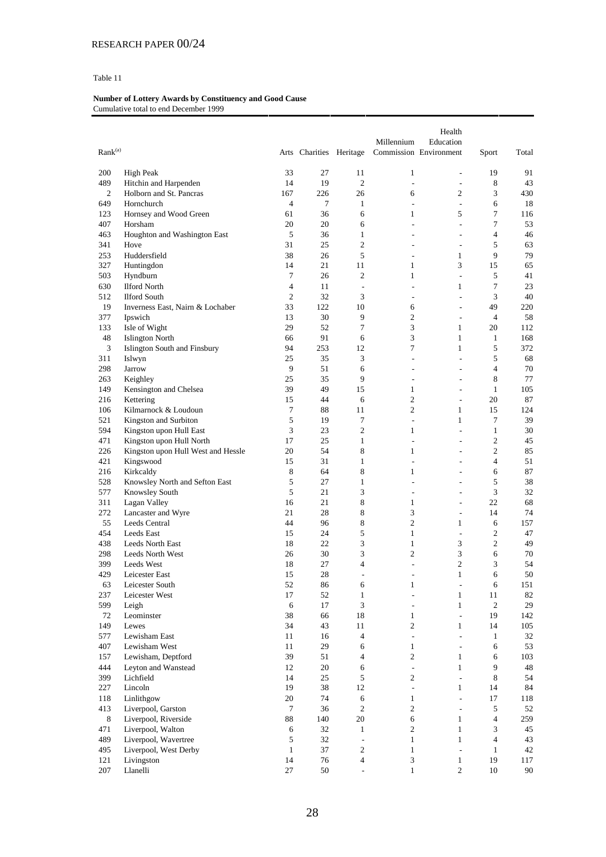| $\text{Rank}^{(\text{a})}$<br>Arts Charities Heritage<br>Commission Environment<br>200<br><b>High Peak</b><br>33<br>27<br>11<br>$\mathbf{1}$<br>19<br>91<br>$\overline{\phantom{a}}$<br>14<br>19<br>$\overline{c}$<br>8<br>489<br>Hitchin and Harpenden<br>$\overline{a}$<br>43<br>$\sim$<br>$\overline{c}$<br>3<br>$\overline{c}$<br>Holborn and St. Pancras<br>167<br>226<br>26<br>6<br>430<br>649<br>$\overline{4}$<br>$\tau$<br>6<br>18<br>Hornchurch<br>$\mathbf{1}$<br>÷,<br>$\overline{\phantom{a}}$<br>36<br>7<br>123<br>Hornsey and Wood Green<br>61<br>6<br>1<br>5<br>116<br>7<br>407<br>Horsham<br>20<br>6<br>20<br>53<br>÷<br>$\overline{\phantom{a}}$<br>$\overline{4}$<br>463<br>5<br>$\mathbf{1}$<br>Houghton and Washington East<br>36<br>46<br>÷<br>$\sim$<br>$\overline{c}$<br>341<br>31<br>25<br>5<br>63<br>Hove<br>L,<br>$\overline{a}$<br>Huddersfield<br>38<br>26<br>5<br>9<br>79<br>253<br>1<br>$\overline{\phantom{a}}$<br>3<br>327<br>14<br>Huntingdon<br>21<br>11<br>1<br>15<br>65<br>503<br>7<br>2<br>5<br>Hyndburn<br>26<br>1<br>41<br>$\sim$<br>$\overline{4}$<br>7<br>23<br>630<br><b>Ilford North</b><br>11<br>1<br>$\overline{\phantom{a}}$<br>L,<br>$\mathfrak{2}$<br>32<br>3<br>3<br>40<br>512<br><b>Ilford South</b><br>$\overline{\phantom{a}}$<br>÷<br>19<br>33<br>10<br>49<br>Inverness East, Nairn & Lochaber<br>122<br>6<br>220<br>$\sim$<br>$\mathfrak{2}$<br>30<br>9<br>$\overline{4}$<br>58<br>377<br>Ipswich<br>13<br>$\overline{\phantom{a}}$<br>$\tau$<br>3<br>Isle of Wight<br>29<br>52<br>$\mathbf{1}$<br>20<br>112<br>133<br>48<br>91<br>3<br>168<br><b>Islington North</b><br>66<br>6<br>1<br>$\mathbf{1}$<br>3<br>7<br>5<br>Islington South and Finsbury<br>94<br>253<br>12<br>1<br>372<br>5<br>311<br>25<br>35<br>3<br>68<br>Islwyn<br>$\overline{\phantom{a}}$<br>$\overline{\phantom{a}}$<br>298<br>9<br>51<br>6<br>4<br>70<br>Jarrow<br>÷,<br>L,<br>25<br>35<br>9<br>8<br>77<br>263<br>Keighley<br>÷<br>$\overline{a}$<br>149<br>Kensington and Chelsea<br>39<br>49<br>15<br>1<br>$\mathbf{1}$<br>105<br>÷.<br>$\overline{c}$<br>15<br>44<br>20<br>87<br>216<br>Kettering<br>6<br>$\sim$<br>Kilmarnock & Loudoun<br>7<br>88<br>$\overline{c}$<br>$\mathbf{1}$<br>15<br>124<br>106<br>11<br>5<br>19<br>7<br>7<br>521<br>Kingston and Surbiton<br>1<br>39<br>$\overline{\phantom{a}}$<br>3<br>23<br>$\overline{c}$<br>$\mathbf{1}$<br>30<br>594<br>Kingston upon Hull East<br>1<br>$\overline{\phantom{a}}$<br>471<br>17<br>25<br>$\mathbf{1}$<br>$\overline{c}$<br>Kingston upon Hull North<br>45<br>÷,<br>$\overline{\phantom{a}}$<br>8<br>$\overline{c}$<br>226<br>20<br>54<br>$\mathbf{1}$<br>Kingston upon Hull West and Hessle<br>85<br>$\overline{a}$<br>31<br>$\mathbf{1}$<br>$\overline{4}$<br>421<br>Kingswood<br>15<br>51<br>÷<br>÷.<br>8<br>8<br>87<br>216<br>Kirkcaldy<br>64<br>1<br>6<br>$\sim$<br>5<br>5<br>Knowsley North and Sefton East<br>27<br>528<br>$\mathbf{1}$<br>38<br>÷<br>÷<br>3<br>5<br>21<br>3<br>32<br>577<br>Knowsley South<br>÷<br>$\qquad \qquad \blacksquare$<br>8<br>68<br>311<br>Lagan Valley<br>16<br>21<br>1<br>22<br>$\sim$<br>8<br>272<br>28<br>3<br>Lancaster and Wyre<br>21<br>14<br>74<br>$\overline{\phantom{a}}$<br>8<br>$\overline{c}$<br>55<br>44<br>$\mathbf{1}$<br>Leeds Central<br>96<br>6<br>157<br>$\overline{c}$<br>24<br>5<br>47<br>454<br>Leeds East<br>15<br>$\mathbf{1}$<br>$\overline{\phantom{a}}$<br>3<br>22<br>$\mathbf{1}$<br>3<br>$\overline{c}$<br>49<br>438<br>Leeds North East<br>18<br>3<br>$\overline{c}$<br>3<br>30<br>6<br>298<br>Leeds North West<br>26<br>70<br>$\mathfrak{2}$<br>3<br>399<br>18<br>27<br>4<br>54<br>Leeds West<br>L,<br>28<br>6<br>50<br>429<br>15<br>1<br>Leicester East<br>Leicester South<br>63<br>52<br>86<br>6<br>151<br>6<br>$\mathbf{1}$<br>$\overline{\phantom{a}}$<br>237<br>52<br>Leicester West<br>17<br>$\mathbf{1}$<br>$\mathbf{1}$<br>11<br>82<br>$\overline{\phantom{a}}$<br>599<br>3<br>$\mathbf{1}$<br>2<br>29<br>Leigh<br>6<br>17<br>$\sim$<br>Leominster<br>38<br>$18\,$<br>72<br>66<br>19<br>142<br>$\mathbf{1}$<br>$\overline{\phantom{a}}$<br>$\overline{c}$<br>149<br>Lewes<br>34<br>43<br>11<br>14<br>105<br>$\mathbf{1}$<br>$\overline{4}$<br>577<br>Lewisham East<br>16<br>32<br>11<br>$\overline{\phantom{a}}$<br>$\overline{\phantom{a}}$<br>$\mathbf{1}$<br>407<br>Lewisham West<br>11<br>29<br>6<br>$\mathbf{1}$<br>53<br>6<br>$\mathbf{r}$<br>39<br>51<br>$\overline{4}$<br>$\overline{c}$<br>157<br>Lewisham, Deptford<br>$\mathbf{1}$<br>6<br>103<br>444<br>9<br>48<br>Leyton and Wanstead<br>12<br>20<br>6<br>$\frac{1}{2}$<br>$\mathbf{1}$<br>$\mathfrak s$<br>$\overline{c}$<br>399<br>Lichfield<br>14<br>25<br>8<br>54<br>$\overline{a}$<br>19<br>38<br>12<br>84<br>227<br>Lincoln<br>$\frac{1}{2}$<br>$\mathbf{1}$<br>14<br>118<br>Linlithgow<br>20<br>74<br>$\sqrt{6}$<br>$\mathbf{1}$<br>17<br>118<br>$\bar{\phantom{a}}$<br>Liverpool, Garston<br>$\overline{c}$<br>$\overline{c}$<br>$\tau$<br>36<br>5<br>52<br>413<br>$\overline{\phantom{a}}$<br>$\,8\,$<br>$88\,$<br>$\sqrt{6}$<br>$\overline{4}$<br>Liverpool, Riverside<br>140<br>20<br>$\mathbf{1}$<br>259<br>471<br>$\overline{2}$<br>Liverpool, Walton<br>$\sqrt{6}$<br>32<br>$\mathbf{1}$<br>3<br>45<br>$\mathbf{1}$<br>Liverpool, Wavertree<br>489<br>5<br>32<br>$\mathbf{1}$<br>$\mathbf{1}$<br>$\overline{4}$<br>43<br>$\overline{\phantom{a}}$<br>Liverpool, West Derby<br>37<br>$\overline{2}$<br>495<br>$\mathbf{1}$<br>$\mathbf{1}$<br>42<br>$\mathbf{1}$<br>$\overline{\phantom{a}}$<br>76<br>$\mathfrak{Z}$<br>121<br>Livingston<br>14<br>$\overline{4}$<br>$\mathbf{1}$<br>19<br>117<br>27<br>50<br>$\mathbf{1}$<br>$\overline{c}$<br>90<br>207<br>Llanelli<br>10<br>$\overline{a}$ |  |  | Millennium | Health<br>Education |       |       |
|------------------------------------------------------------------------------------------------------------------------------------------------------------------------------------------------------------------------------------------------------------------------------------------------------------------------------------------------------------------------------------------------------------------------------------------------------------------------------------------------------------------------------------------------------------------------------------------------------------------------------------------------------------------------------------------------------------------------------------------------------------------------------------------------------------------------------------------------------------------------------------------------------------------------------------------------------------------------------------------------------------------------------------------------------------------------------------------------------------------------------------------------------------------------------------------------------------------------------------------------------------------------------------------------------------------------------------------------------------------------------------------------------------------------------------------------------------------------------------------------------------------------------------------------------------------------------------------------------------------------------------------------------------------------------------------------------------------------------------------------------------------------------------------------------------------------------------------------------------------------------------------------------------------------------------------------------------------------------------------------------------------------------------------------------------------------------------------------------------------------------------------------------------------------------------------------------------------------------------------------------------------------------------------------------------------------------------------------------------------------------------------------------------------------------------------------------------------------------------------------------------------------------------------------------------------------------------------------------------------------------------------------------------------------------------------------------------------------------------------------------------------------------------------------------------------------------------------------------------------------------------------------------------------------------------------------------------------------------------------------------------------------------------------------------------------------------------------------------------------------------------------------------------------------------------------------------------------------------------------------------------------------------------------------------------------------------------------------------------------------------------------------------------------------------------------------------------------------------------------------------------------------------------------------------------------------------------------------------------------------------------------------------------------------------------------------------------------------------------------------------------------------------------------------------------------------------------------------------------------------------------------------------------------------------------------------------------------------------------------------------------------------------------------------------------------------------------------------------------------------------------------------------------------------------------------------------------------------------------------------------------------------------------------------------------------------------------------------------------------------------------------------------------------------------------------------------------------------------------------------------------------------------------------------------------------------------------------------------------------------------------------------------------------------------------------------------------------------------------------------------------------------------------------------------------------------------------------------------------------------------------------------------------------------------------------------------------------------------------------------------------------------------------------------------------------------------------------------------------------------------------------------------------------------------------------------------------------------------------------------------------------------------------------------------------------------------------------------------------------------------------------------------------------------------------------------------------------------------------------------------------------------------------------------------------------------------------------------------------------------------------------------------------------------------------------------------------------------------------------------|--|--|------------|---------------------|-------|-------|
|                                                                                                                                                                                                                                                                                                                                                                                                                                                                                                                                                                                                                                                                                                                                                                                                                                                                                                                                                                                                                                                                                                                                                                                                                                                                                                                                                                                                                                                                                                                                                                                                                                                                                                                                                                                                                                                                                                                                                                                                                                                                                                                                                                                                                                                                                                                                                                                                                                                                                                                                                                                                                                                                                                                                                                                                                                                                                                                                                                                                                                                                                                                                                                                                                                                                                                                                                                                                                                                                                                                                                                                                                                                                                                                                                                                                                                                                                                                                                                                                                                                                                                                                                                                                                                                                                                                                                                                                                                                                                                                                                                                                                                                                                                                                                                                                                                                                                                                                                                                                                                                                                                                                                                                                                                                                                                                                                                                                                                                                                                                                                                                                                                                                                                                                                |  |  |            |                     | Sport | Total |
|                                                                                                                                                                                                                                                                                                                                                                                                                                                                                                                                                                                                                                                                                                                                                                                                                                                                                                                                                                                                                                                                                                                                                                                                                                                                                                                                                                                                                                                                                                                                                                                                                                                                                                                                                                                                                                                                                                                                                                                                                                                                                                                                                                                                                                                                                                                                                                                                                                                                                                                                                                                                                                                                                                                                                                                                                                                                                                                                                                                                                                                                                                                                                                                                                                                                                                                                                                                                                                                                                                                                                                                                                                                                                                                                                                                                                                                                                                                                                                                                                                                                                                                                                                                                                                                                                                                                                                                                                                                                                                                                                                                                                                                                                                                                                                                                                                                                                                                                                                                                                                                                                                                                                                                                                                                                                                                                                                                                                                                                                                                                                                                                                                                                                                                                                |  |  |            |                     |       |       |
|                                                                                                                                                                                                                                                                                                                                                                                                                                                                                                                                                                                                                                                                                                                                                                                                                                                                                                                                                                                                                                                                                                                                                                                                                                                                                                                                                                                                                                                                                                                                                                                                                                                                                                                                                                                                                                                                                                                                                                                                                                                                                                                                                                                                                                                                                                                                                                                                                                                                                                                                                                                                                                                                                                                                                                                                                                                                                                                                                                                                                                                                                                                                                                                                                                                                                                                                                                                                                                                                                                                                                                                                                                                                                                                                                                                                                                                                                                                                                                                                                                                                                                                                                                                                                                                                                                                                                                                                                                                                                                                                                                                                                                                                                                                                                                                                                                                                                                                                                                                                                                                                                                                                                                                                                                                                                                                                                                                                                                                                                                                                                                                                                                                                                                                                                |  |  |            |                     |       |       |
|                                                                                                                                                                                                                                                                                                                                                                                                                                                                                                                                                                                                                                                                                                                                                                                                                                                                                                                                                                                                                                                                                                                                                                                                                                                                                                                                                                                                                                                                                                                                                                                                                                                                                                                                                                                                                                                                                                                                                                                                                                                                                                                                                                                                                                                                                                                                                                                                                                                                                                                                                                                                                                                                                                                                                                                                                                                                                                                                                                                                                                                                                                                                                                                                                                                                                                                                                                                                                                                                                                                                                                                                                                                                                                                                                                                                                                                                                                                                                                                                                                                                                                                                                                                                                                                                                                                                                                                                                                                                                                                                                                                                                                                                                                                                                                                                                                                                                                                                                                                                                                                                                                                                                                                                                                                                                                                                                                                                                                                                                                                                                                                                                                                                                                                                                |  |  |            |                     |       |       |
|                                                                                                                                                                                                                                                                                                                                                                                                                                                                                                                                                                                                                                                                                                                                                                                                                                                                                                                                                                                                                                                                                                                                                                                                                                                                                                                                                                                                                                                                                                                                                                                                                                                                                                                                                                                                                                                                                                                                                                                                                                                                                                                                                                                                                                                                                                                                                                                                                                                                                                                                                                                                                                                                                                                                                                                                                                                                                                                                                                                                                                                                                                                                                                                                                                                                                                                                                                                                                                                                                                                                                                                                                                                                                                                                                                                                                                                                                                                                                                                                                                                                                                                                                                                                                                                                                                                                                                                                                                                                                                                                                                                                                                                                                                                                                                                                                                                                                                                                                                                                                                                                                                                                                                                                                                                                                                                                                                                                                                                                                                                                                                                                                                                                                                                                                |  |  |            |                     |       |       |
|                                                                                                                                                                                                                                                                                                                                                                                                                                                                                                                                                                                                                                                                                                                                                                                                                                                                                                                                                                                                                                                                                                                                                                                                                                                                                                                                                                                                                                                                                                                                                                                                                                                                                                                                                                                                                                                                                                                                                                                                                                                                                                                                                                                                                                                                                                                                                                                                                                                                                                                                                                                                                                                                                                                                                                                                                                                                                                                                                                                                                                                                                                                                                                                                                                                                                                                                                                                                                                                                                                                                                                                                                                                                                                                                                                                                                                                                                                                                                                                                                                                                                                                                                                                                                                                                                                                                                                                                                                                                                                                                                                                                                                                                                                                                                                                                                                                                                                                                                                                                                                                                                                                                                                                                                                                                                                                                                                                                                                                                                                                                                                                                                                                                                                                                                |  |  |            |                     |       |       |
|                                                                                                                                                                                                                                                                                                                                                                                                                                                                                                                                                                                                                                                                                                                                                                                                                                                                                                                                                                                                                                                                                                                                                                                                                                                                                                                                                                                                                                                                                                                                                                                                                                                                                                                                                                                                                                                                                                                                                                                                                                                                                                                                                                                                                                                                                                                                                                                                                                                                                                                                                                                                                                                                                                                                                                                                                                                                                                                                                                                                                                                                                                                                                                                                                                                                                                                                                                                                                                                                                                                                                                                                                                                                                                                                                                                                                                                                                                                                                                                                                                                                                                                                                                                                                                                                                                                                                                                                                                                                                                                                                                                                                                                                                                                                                                                                                                                                                                                                                                                                                                                                                                                                                                                                                                                                                                                                                                                                                                                                                                                                                                                                                                                                                                                                                |  |  |            |                     |       |       |
|                                                                                                                                                                                                                                                                                                                                                                                                                                                                                                                                                                                                                                                                                                                                                                                                                                                                                                                                                                                                                                                                                                                                                                                                                                                                                                                                                                                                                                                                                                                                                                                                                                                                                                                                                                                                                                                                                                                                                                                                                                                                                                                                                                                                                                                                                                                                                                                                                                                                                                                                                                                                                                                                                                                                                                                                                                                                                                                                                                                                                                                                                                                                                                                                                                                                                                                                                                                                                                                                                                                                                                                                                                                                                                                                                                                                                                                                                                                                                                                                                                                                                                                                                                                                                                                                                                                                                                                                                                                                                                                                                                                                                                                                                                                                                                                                                                                                                                                                                                                                                                                                                                                                                                                                                                                                                                                                                                                                                                                                                                                                                                                                                                                                                                                                                |  |  |            |                     |       |       |
|                                                                                                                                                                                                                                                                                                                                                                                                                                                                                                                                                                                                                                                                                                                                                                                                                                                                                                                                                                                                                                                                                                                                                                                                                                                                                                                                                                                                                                                                                                                                                                                                                                                                                                                                                                                                                                                                                                                                                                                                                                                                                                                                                                                                                                                                                                                                                                                                                                                                                                                                                                                                                                                                                                                                                                                                                                                                                                                                                                                                                                                                                                                                                                                                                                                                                                                                                                                                                                                                                                                                                                                                                                                                                                                                                                                                                                                                                                                                                                                                                                                                                                                                                                                                                                                                                                                                                                                                                                                                                                                                                                                                                                                                                                                                                                                                                                                                                                                                                                                                                                                                                                                                                                                                                                                                                                                                                                                                                                                                                                                                                                                                                                                                                                                                                |  |  |            |                     |       |       |
|                                                                                                                                                                                                                                                                                                                                                                                                                                                                                                                                                                                                                                                                                                                                                                                                                                                                                                                                                                                                                                                                                                                                                                                                                                                                                                                                                                                                                                                                                                                                                                                                                                                                                                                                                                                                                                                                                                                                                                                                                                                                                                                                                                                                                                                                                                                                                                                                                                                                                                                                                                                                                                                                                                                                                                                                                                                                                                                                                                                                                                                                                                                                                                                                                                                                                                                                                                                                                                                                                                                                                                                                                                                                                                                                                                                                                                                                                                                                                                                                                                                                                                                                                                                                                                                                                                                                                                                                                                                                                                                                                                                                                                                                                                                                                                                                                                                                                                                                                                                                                                                                                                                                                                                                                                                                                                                                                                                                                                                                                                                                                                                                                                                                                                                                                |  |  |            |                     |       |       |
|                                                                                                                                                                                                                                                                                                                                                                                                                                                                                                                                                                                                                                                                                                                                                                                                                                                                                                                                                                                                                                                                                                                                                                                                                                                                                                                                                                                                                                                                                                                                                                                                                                                                                                                                                                                                                                                                                                                                                                                                                                                                                                                                                                                                                                                                                                                                                                                                                                                                                                                                                                                                                                                                                                                                                                                                                                                                                                                                                                                                                                                                                                                                                                                                                                                                                                                                                                                                                                                                                                                                                                                                                                                                                                                                                                                                                                                                                                                                                                                                                                                                                                                                                                                                                                                                                                                                                                                                                                                                                                                                                                                                                                                                                                                                                                                                                                                                                                                                                                                                                                                                                                                                                                                                                                                                                                                                                                                                                                                                                                                                                                                                                                                                                                                                                |  |  |            |                     |       |       |
|                                                                                                                                                                                                                                                                                                                                                                                                                                                                                                                                                                                                                                                                                                                                                                                                                                                                                                                                                                                                                                                                                                                                                                                                                                                                                                                                                                                                                                                                                                                                                                                                                                                                                                                                                                                                                                                                                                                                                                                                                                                                                                                                                                                                                                                                                                                                                                                                                                                                                                                                                                                                                                                                                                                                                                                                                                                                                                                                                                                                                                                                                                                                                                                                                                                                                                                                                                                                                                                                                                                                                                                                                                                                                                                                                                                                                                                                                                                                                                                                                                                                                                                                                                                                                                                                                                                                                                                                                                                                                                                                                                                                                                                                                                                                                                                                                                                                                                                                                                                                                                                                                                                                                                                                                                                                                                                                                                                                                                                                                                                                                                                                                                                                                                                                                |  |  |            |                     |       |       |
|                                                                                                                                                                                                                                                                                                                                                                                                                                                                                                                                                                                                                                                                                                                                                                                                                                                                                                                                                                                                                                                                                                                                                                                                                                                                                                                                                                                                                                                                                                                                                                                                                                                                                                                                                                                                                                                                                                                                                                                                                                                                                                                                                                                                                                                                                                                                                                                                                                                                                                                                                                                                                                                                                                                                                                                                                                                                                                                                                                                                                                                                                                                                                                                                                                                                                                                                                                                                                                                                                                                                                                                                                                                                                                                                                                                                                                                                                                                                                                                                                                                                                                                                                                                                                                                                                                                                                                                                                                                                                                                                                                                                                                                                                                                                                                                                                                                                                                                                                                                                                                                                                                                                                                                                                                                                                                                                                                                                                                                                                                                                                                                                                                                                                                                                                |  |  |            |                     |       |       |
|                                                                                                                                                                                                                                                                                                                                                                                                                                                                                                                                                                                                                                                                                                                                                                                                                                                                                                                                                                                                                                                                                                                                                                                                                                                                                                                                                                                                                                                                                                                                                                                                                                                                                                                                                                                                                                                                                                                                                                                                                                                                                                                                                                                                                                                                                                                                                                                                                                                                                                                                                                                                                                                                                                                                                                                                                                                                                                                                                                                                                                                                                                                                                                                                                                                                                                                                                                                                                                                                                                                                                                                                                                                                                                                                                                                                                                                                                                                                                                                                                                                                                                                                                                                                                                                                                                                                                                                                                                                                                                                                                                                                                                                                                                                                                                                                                                                                                                                                                                                                                                                                                                                                                                                                                                                                                                                                                                                                                                                                                                                                                                                                                                                                                                                                                |  |  |            |                     |       |       |
|                                                                                                                                                                                                                                                                                                                                                                                                                                                                                                                                                                                                                                                                                                                                                                                                                                                                                                                                                                                                                                                                                                                                                                                                                                                                                                                                                                                                                                                                                                                                                                                                                                                                                                                                                                                                                                                                                                                                                                                                                                                                                                                                                                                                                                                                                                                                                                                                                                                                                                                                                                                                                                                                                                                                                                                                                                                                                                                                                                                                                                                                                                                                                                                                                                                                                                                                                                                                                                                                                                                                                                                                                                                                                                                                                                                                                                                                                                                                                                                                                                                                                                                                                                                                                                                                                                                                                                                                                                                                                                                                                                                                                                                                                                                                                                                                                                                                                                                                                                                                                                                                                                                                                                                                                                                                                                                                                                                                                                                                                                                                                                                                                                                                                                                                                |  |  |            |                     |       |       |
|                                                                                                                                                                                                                                                                                                                                                                                                                                                                                                                                                                                                                                                                                                                                                                                                                                                                                                                                                                                                                                                                                                                                                                                                                                                                                                                                                                                                                                                                                                                                                                                                                                                                                                                                                                                                                                                                                                                                                                                                                                                                                                                                                                                                                                                                                                                                                                                                                                                                                                                                                                                                                                                                                                                                                                                                                                                                                                                                                                                                                                                                                                                                                                                                                                                                                                                                                                                                                                                                                                                                                                                                                                                                                                                                                                                                                                                                                                                                                                                                                                                                                                                                                                                                                                                                                                                                                                                                                                                                                                                                                                                                                                                                                                                                                                                                                                                                                                                                                                                                                                                                                                                                                                                                                                                                                                                                                                                                                                                                                                                                                                                                                                                                                                                                                |  |  |            |                     |       |       |
|                                                                                                                                                                                                                                                                                                                                                                                                                                                                                                                                                                                                                                                                                                                                                                                                                                                                                                                                                                                                                                                                                                                                                                                                                                                                                                                                                                                                                                                                                                                                                                                                                                                                                                                                                                                                                                                                                                                                                                                                                                                                                                                                                                                                                                                                                                                                                                                                                                                                                                                                                                                                                                                                                                                                                                                                                                                                                                                                                                                                                                                                                                                                                                                                                                                                                                                                                                                                                                                                                                                                                                                                                                                                                                                                                                                                                                                                                                                                                                                                                                                                                                                                                                                                                                                                                                                                                                                                                                                                                                                                                                                                                                                                                                                                                                                                                                                                                                                                                                                                                                                                                                                                                                                                                                                                                                                                                                                                                                                                                                                                                                                                                                                                                                                                                |  |  |            |                     |       |       |
|                                                                                                                                                                                                                                                                                                                                                                                                                                                                                                                                                                                                                                                                                                                                                                                                                                                                                                                                                                                                                                                                                                                                                                                                                                                                                                                                                                                                                                                                                                                                                                                                                                                                                                                                                                                                                                                                                                                                                                                                                                                                                                                                                                                                                                                                                                                                                                                                                                                                                                                                                                                                                                                                                                                                                                                                                                                                                                                                                                                                                                                                                                                                                                                                                                                                                                                                                                                                                                                                                                                                                                                                                                                                                                                                                                                                                                                                                                                                                                                                                                                                                                                                                                                                                                                                                                                                                                                                                                                                                                                                                                                                                                                                                                                                                                                                                                                                                                                                                                                                                                                                                                                                                                                                                                                                                                                                                                                                                                                                                                                                                                                                                                                                                                                                                |  |  |            |                     |       |       |
|                                                                                                                                                                                                                                                                                                                                                                                                                                                                                                                                                                                                                                                                                                                                                                                                                                                                                                                                                                                                                                                                                                                                                                                                                                                                                                                                                                                                                                                                                                                                                                                                                                                                                                                                                                                                                                                                                                                                                                                                                                                                                                                                                                                                                                                                                                                                                                                                                                                                                                                                                                                                                                                                                                                                                                                                                                                                                                                                                                                                                                                                                                                                                                                                                                                                                                                                                                                                                                                                                                                                                                                                                                                                                                                                                                                                                                                                                                                                                                                                                                                                                                                                                                                                                                                                                                                                                                                                                                                                                                                                                                                                                                                                                                                                                                                                                                                                                                                                                                                                                                                                                                                                                                                                                                                                                                                                                                                                                                                                                                                                                                                                                                                                                                                                                |  |  |            |                     |       |       |
|                                                                                                                                                                                                                                                                                                                                                                                                                                                                                                                                                                                                                                                                                                                                                                                                                                                                                                                                                                                                                                                                                                                                                                                                                                                                                                                                                                                                                                                                                                                                                                                                                                                                                                                                                                                                                                                                                                                                                                                                                                                                                                                                                                                                                                                                                                                                                                                                                                                                                                                                                                                                                                                                                                                                                                                                                                                                                                                                                                                                                                                                                                                                                                                                                                                                                                                                                                                                                                                                                                                                                                                                                                                                                                                                                                                                                                                                                                                                                                                                                                                                                                                                                                                                                                                                                                                                                                                                                                                                                                                                                                                                                                                                                                                                                                                                                                                                                                                                                                                                                                                                                                                                                                                                                                                                                                                                                                                                                                                                                                                                                                                                                                                                                                                                                |  |  |            |                     |       |       |
|                                                                                                                                                                                                                                                                                                                                                                                                                                                                                                                                                                                                                                                                                                                                                                                                                                                                                                                                                                                                                                                                                                                                                                                                                                                                                                                                                                                                                                                                                                                                                                                                                                                                                                                                                                                                                                                                                                                                                                                                                                                                                                                                                                                                                                                                                                                                                                                                                                                                                                                                                                                                                                                                                                                                                                                                                                                                                                                                                                                                                                                                                                                                                                                                                                                                                                                                                                                                                                                                                                                                                                                                                                                                                                                                                                                                                                                                                                                                                                                                                                                                                                                                                                                                                                                                                                                                                                                                                                                                                                                                                                                                                                                                                                                                                                                                                                                                                                                                                                                                                                                                                                                                                                                                                                                                                                                                                                                                                                                                                                                                                                                                                                                                                                                                                |  |  |            |                     |       |       |
|                                                                                                                                                                                                                                                                                                                                                                                                                                                                                                                                                                                                                                                                                                                                                                                                                                                                                                                                                                                                                                                                                                                                                                                                                                                                                                                                                                                                                                                                                                                                                                                                                                                                                                                                                                                                                                                                                                                                                                                                                                                                                                                                                                                                                                                                                                                                                                                                                                                                                                                                                                                                                                                                                                                                                                                                                                                                                                                                                                                                                                                                                                                                                                                                                                                                                                                                                                                                                                                                                                                                                                                                                                                                                                                                                                                                                                                                                                                                                                                                                                                                                                                                                                                                                                                                                                                                                                                                                                                                                                                                                                                                                                                                                                                                                                                                                                                                                                                                                                                                                                                                                                                                                                                                                                                                                                                                                                                                                                                                                                                                                                                                                                                                                                                                                |  |  |            |                     |       |       |
|                                                                                                                                                                                                                                                                                                                                                                                                                                                                                                                                                                                                                                                                                                                                                                                                                                                                                                                                                                                                                                                                                                                                                                                                                                                                                                                                                                                                                                                                                                                                                                                                                                                                                                                                                                                                                                                                                                                                                                                                                                                                                                                                                                                                                                                                                                                                                                                                                                                                                                                                                                                                                                                                                                                                                                                                                                                                                                                                                                                                                                                                                                                                                                                                                                                                                                                                                                                                                                                                                                                                                                                                                                                                                                                                                                                                                                                                                                                                                                                                                                                                                                                                                                                                                                                                                                                                                                                                                                                                                                                                                                                                                                                                                                                                                                                                                                                                                                                                                                                                                                                                                                                                                                                                                                                                                                                                                                                                                                                                                                                                                                                                                                                                                                                                                |  |  |            |                     |       |       |
|                                                                                                                                                                                                                                                                                                                                                                                                                                                                                                                                                                                                                                                                                                                                                                                                                                                                                                                                                                                                                                                                                                                                                                                                                                                                                                                                                                                                                                                                                                                                                                                                                                                                                                                                                                                                                                                                                                                                                                                                                                                                                                                                                                                                                                                                                                                                                                                                                                                                                                                                                                                                                                                                                                                                                                                                                                                                                                                                                                                                                                                                                                                                                                                                                                                                                                                                                                                                                                                                                                                                                                                                                                                                                                                                                                                                                                                                                                                                                                                                                                                                                                                                                                                                                                                                                                                                                                                                                                                                                                                                                                                                                                                                                                                                                                                                                                                                                                                                                                                                                                                                                                                                                                                                                                                                                                                                                                                                                                                                                                                                                                                                                                                                                                                                                |  |  |            |                     |       |       |
|                                                                                                                                                                                                                                                                                                                                                                                                                                                                                                                                                                                                                                                                                                                                                                                                                                                                                                                                                                                                                                                                                                                                                                                                                                                                                                                                                                                                                                                                                                                                                                                                                                                                                                                                                                                                                                                                                                                                                                                                                                                                                                                                                                                                                                                                                                                                                                                                                                                                                                                                                                                                                                                                                                                                                                                                                                                                                                                                                                                                                                                                                                                                                                                                                                                                                                                                                                                                                                                                                                                                                                                                                                                                                                                                                                                                                                                                                                                                                                                                                                                                                                                                                                                                                                                                                                                                                                                                                                                                                                                                                                                                                                                                                                                                                                                                                                                                                                                                                                                                                                                                                                                                                                                                                                                                                                                                                                                                                                                                                                                                                                                                                                                                                                                                                |  |  |            |                     |       |       |
|                                                                                                                                                                                                                                                                                                                                                                                                                                                                                                                                                                                                                                                                                                                                                                                                                                                                                                                                                                                                                                                                                                                                                                                                                                                                                                                                                                                                                                                                                                                                                                                                                                                                                                                                                                                                                                                                                                                                                                                                                                                                                                                                                                                                                                                                                                                                                                                                                                                                                                                                                                                                                                                                                                                                                                                                                                                                                                                                                                                                                                                                                                                                                                                                                                                                                                                                                                                                                                                                                                                                                                                                                                                                                                                                                                                                                                                                                                                                                                                                                                                                                                                                                                                                                                                                                                                                                                                                                                                                                                                                                                                                                                                                                                                                                                                                                                                                                                                                                                                                                                                                                                                                                                                                                                                                                                                                                                                                                                                                                                                                                                                                                                                                                                                                                |  |  |            |                     |       |       |
|                                                                                                                                                                                                                                                                                                                                                                                                                                                                                                                                                                                                                                                                                                                                                                                                                                                                                                                                                                                                                                                                                                                                                                                                                                                                                                                                                                                                                                                                                                                                                                                                                                                                                                                                                                                                                                                                                                                                                                                                                                                                                                                                                                                                                                                                                                                                                                                                                                                                                                                                                                                                                                                                                                                                                                                                                                                                                                                                                                                                                                                                                                                                                                                                                                                                                                                                                                                                                                                                                                                                                                                                                                                                                                                                                                                                                                                                                                                                                                                                                                                                                                                                                                                                                                                                                                                                                                                                                                                                                                                                                                                                                                                                                                                                                                                                                                                                                                                                                                                                                                                                                                                                                                                                                                                                                                                                                                                                                                                                                                                                                                                                                                                                                                                                                |  |  |            |                     |       |       |
|                                                                                                                                                                                                                                                                                                                                                                                                                                                                                                                                                                                                                                                                                                                                                                                                                                                                                                                                                                                                                                                                                                                                                                                                                                                                                                                                                                                                                                                                                                                                                                                                                                                                                                                                                                                                                                                                                                                                                                                                                                                                                                                                                                                                                                                                                                                                                                                                                                                                                                                                                                                                                                                                                                                                                                                                                                                                                                                                                                                                                                                                                                                                                                                                                                                                                                                                                                                                                                                                                                                                                                                                                                                                                                                                                                                                                                                                                                                                                                                                                                                                                                                                                                                                                                                                                                                                                                                                                                                                                                                                                                                                                                                                                                                                                                                                                                                                                                                                                                                                                                                                                                                                                                                                                                                                                                                                                                                                                                                                                                                                                                                                                                                                                                                                                |  |  |            |                     |       |       |
|                                                                                                                                                                                                                                                                                                                                                                                                                                                                                                                                                                                                                                                                                                                                                                                                                                                                                                                                                                                                                                                                                                                                                                                                                                                                                                                                                                                                                                                                                                                                                                                                                                                                                                                                                                                                                                                                                                                                                                                                                                                                                                                                                                                                                                                                                                                                                                                                                                                                                                                                                                                                                                                                                                                                                                                                                                                                                                                                                                                                                                                                                                                                                                                                                                                                                                                                                                                                                                                                                                                                                                                                                                                                                                                                                                                                                                                                                                                                                                                                                                                                                                                                                                                                                                                                                                                                                                                                                                                                                                                                                                                                                                                                                                                                                                                                                                                                                                                                                                                                                                                                                                                                                                                                                                                                                                                                                                                                                                                                                                                                                                                                                                                                                                                                                |  |  |            |                     |       |       |
|                                                                                                                                                                                                                                                                                                                                                                                                                                                                                                                                                                                                                                                                                                                                                                                                                                                                                                                                                                                                                                                                                                                                                                                                                                                                                                                                                                                                                                                                                                                                                                                                                                                                                                                                                                                                                                                                                                                                                                                                                                                                                                                                                                                                                                                                                                                                                                                                                                                                                                                                                                                                                                                                                                                                                                                                                                                                                                                                                                                                                                                                                                                                                                                                                                                                                                                                                                                                                                                                                                                                                                                                                                                                                                                                                                                                                                                                                                                                                                                                                                                                                                                                                                                                                                                                                                                                                                                                                                                                                                                                                                                                                                                                                                                                                                                                                                                                                                                                                                                                                                                                                                                                                                                                                                                                                                                                                                                                                                                                                                                                                                                                                                                                                                                                                |  |  |            |                     |       |       |
|                                                                                                                                                                                                                                                                                                                                                                                                                                                                                                                                                                                                                                                                                                                                                                                                                                                                                                                                                                                                                                                                                                                                                                                                                                                                                                                                                                                                                                                                                                                                                                                                                                                                                                                                                                                                                                                                                                                                                                                                                                                                                                                                                                                                                                                                                                                                                                                                                                                                                                                                                                                                                                                                                                                                                                                                                                                                                                                                                                                                                                                                                                                                                                                                                                                                                                                                                                                                                                                                                                                                                                                                                                                                                                                                                                                                                                                                                                                                                                                                                                                                                                                                                                                                                                                                                                                                                                                                                                                                                                                                                                                                                                                                                                                                                                                                                                                                                                                                                                                                                                                                                                                                                                                                                                                                                                                                                                                                                                                                                                                                                                                                                                                                                                                                                |  |  |            |                     |       |       |
|                                                                                                                                                                                                                                                                                                                                                                                                                                                                                                                                                                                                                                                                                                                                                                                                                                                                                                                                                                                                                                                                                                                                                                                                                                                                                                                                                                                                                                                                                                                                                                                                                                                                                                                                                                                                                                                                                                                                                                                                                                                                                                                                                                                                                                                                                                                                                                                                                                                                                                                                                                                                                                                                                                                                                                                                                                                                                                                                                                                                                                                                                                                                                                                                                                                                                                                                                                                                                                                                                                                                                                                                                                                                                                                                                                                                                                                                                                                                                                                                                                                                                                                                                                                                                                                                                                                                                                                                                                                                                                                                                                                                                                                                                                                                                                                                                                                                                                                                                                                                                                                                                                                                                                                                                                                                                                                                                                                                                                                                                                                                                                                                                                                                                                                                                |  |  |            |                     |       |       |
|                                                                                                                                                                                                                                                                                                                                                                                                                                                                                                                                                                                                                                                                                                                                                                                                                                                                                                                                                                                                                                                                                                                                                                                                                                                                                                                                                                                                                                                                                                                                                                                                                                                                                                                                                                                                                                                                                                                                                                                                                                                                                                                                                                                                                                                                                                                                                                                                                                                                                                                                                                                                                                                                                                                                                                                                                                                                                                                                                                                                                                                                                                                                                                                                                                                                                                                                                                                                                                                                                                                                                                                                                                                                                                                                                                                                                                                                                                                                                                                                                                                                                                                                                                                                                                                                                                                                                                                                                                                                                                                                                                                                                                                                                                                                                                                                                                                                                                                                                                                                                                                                                                                                                                                                                                                                                                                                                                                                                                                                                                                                                                                                                                                                                                                                                |  |  |            |                     |       |       |
|                                                                                                                                                                                                                                                                                                                                                                                                                                                                                                                                                                                                                                                                                                                                                                                                                                                                                                                                                                                                                                                                                                                                                                                                                                                                                                                                                                                                                                                                                                                                                                                                                                                                                                                                                                                                                                                                                                                                                                                                                                                                                                                                                                                                                                                                                                                                                                                                                                                                                                                                                                                                                                                                                                                                                                                                                                                                                                                                                                                                                                                                                                                                                                                                                                                                                                                                                                                                                                                                                                                                                                                                                                                                                                                                                                                                                                                                                                                                                                                                                                                                                                                                                                                                                                                                                                                                                                                                                                                                                                                                                                                                                                                                                                                                                                                                                                                                                                                                                                                                                                                                                                                                                                                                                                                                                                                                                                                                                                                                                                                                                                                                                                                                                                                                                |  |  |            |                     |       |       |
|                                                                                                                                                                                                                                                                                                                                                                                                                                                                                                                                                                                                                                                                                                                                                                                                                                                                                                                                                                                                                                                                                                                                                                                                                                                                                                                                                                                                                                                                                                                                                                                                                                                                                                                                                                                                                                                                                                                                                                                                                                                                                                                                                                                                                                                                                                                                                                                                                                                                                                                                                                                                                                                                                                                                                                                                                                                                                                                                                                                                                                                                                                                                                                                                                                                                                                                                                                                                                                                                                                                                                                                                                                                                                                                                                                                                                                                                                                                                                                                                                                                                                                                                                                                                                                                                                                                                                                                                                                                                                                                                                                                                                                                                                                                                                                                                                                                                                                                                                                                                                                                                                                                                                                                                                                                                                                                                                                                                                                                                                                                                                                                                                                                                                                                                                |  |  |            |                     |       |       |
|                                                                                                                                                                                                                                                                                                                                                                                                                                                                                                                                                                                                                                                                                                                                                                                                                                                                                                                                                                                                                                                                                                                                                                                                                                                                                                                                                                                                                                                                                                                                                                                                                                                                                                                                                                                                                                                                                                                                                                                                                                                                                                                                                                                                                                                                                                                                                                                                                                                                                                                                                                                                                                                                                                                                                                                                                                                                                                                                                                                                                                                                                                                                                                                                                                                                                                                                                                                                                                                                                                                                                                                                                                                                                                                                                                                                                                                                                                                                                                                                                                                                                                                                                                                                                                                                                                                                                                                                                                                                                                                                                                                                                                                                                                                                                                                                                                                                                                                                                                                                                                                                                                                                                                                                                                                                                                                                                                                                                                                                                                                                                                                                                                                                                                                                                |  |  |            |                     |       |       |
|                                                                                                                                                                                                                                                                                                                                                                                                                                                                                                                                                                                                                                                                                                                                                                                                                                                                                                                                                                                                                                                                                                                                                                                                                                                                                                                                                                                                                                                                                                                                                                                                                                                                                                                                                                                                                                                                                                                                                                                                                                                                                                                                                                                                                                                                                                                                                                                                                                                                                                                                                                                                                                                                                                                                                                                                                                                                                                                                                                                                                                                                                                                                                                                                                                                                                                                                                                                                                                                                                                                                                                                                                                                                                                                                                                                                                                                                                                                                                                                                                                                                                                                                                                                                                                                                                                                                                                                                                                                                                                                                                                                                                                                                                                                                                                                                                                                                                                                                                                                                                                                                                                                                                                                                                                                                                                                                                                                                                                                                                                                                                                                                                                                                                                                                                |  |  |            |                     |       |       |
|                                                                                                                                                                                                                                                                                                                                                                                                                                                                                                                                                                                                                                                                                                                                                                                                                                                                                                                                                                                                                                                                                                                                                                                                                                                                                                                                                                                                                                                                                                                                                                                                                                                                                                                                                                                                                                                                                                                                                                                                                                                                                                                                                                                                                                                                                                                                                                                                                                                                                                                                                                                                                                                                                                                                                                                                                                                                                                                                                                                                                                                                                                                                                                                                                                                                                                                                                                                                                                                                                                                                                                                                                                                                                                                                                                                                                                                                                                                                                                                                                                                                                                                                                                                                                                                                                                                                                                                                                                                                                                                                                                                                                                                                                                                                                                                                                                                                                                                                                                                                                                                                                                                                                                                                                                                                                                                                                                                                                                                                                                                                                                                                                                                                                                                                                |  |  |            |                     |       |       |
|                                                                                                                                                                                                                                                                                                                                                                                                                                                                                                                                                                                                                                                                                                                                                                                                                                                                                                                                                                                                                                                                                                                                                                                                                                                                                                                                                                                                                                                                                                                                                                                                                                                                                                                                                                                                                                                                                                                                                                                                                                                                                                                                                                                                                                                                                                                                                                                                                                                                                                                                                                                                                                                                                                                                                                                                                                                                                                                                                                                                                                                                                                                                                                                                                                                                                                                                                                                                                                                                                                                                                                                                                                                                                                                                                                                                                                                                                                                                                                                                                                                                                                                                                                                                                                                                                                                                                                                                                                                                                                                                                                                                                                                                                                                                                                                                                                                                                                                                                                                                                                                                                                                                                                                                                                                                                                                                                                                                                                                                                                                                                                                                                                                                                                                                                |  |  |            |                     |       |       |
|                                                                                                                                                                                                                                                                                                                                                                                                                                                                                                                                                                                                                                                                                                                                                                                                                                                                                                                                                                                                                                                                                                                                                                                                                                                                                                                                                                                                                                                                                                                                                                                                                                                                                                                                                                                                                                                                                                                                                                                                                                                                                                                                                                                                                                                                                                                                                                                                                                                                                                                                                                                                                                                                                                                                                                                                                                                                                                                                                                                                                                                                                                                                                                                                                                                                                                                                                                                                                                                                                                                                                                                                                                                                                                                                                                                                                                                                                                                                                                                                                                                                                                                                                                                                                                                                                                                                                                                                                                                                                                                                                                                                                                                                                                                                                                                                                                                                                                                                                                                                                                                                                                                                                                                                                                                                                                                                                                                                                                                                                                                                                                                                                                                                                                                                                |  |  |            |                     |       |       |
|                                                                                                                                                                                                                                                                                                                                                                                                                                                                                                                                                                                                                                                                                                                                                                                                                                                                                                                                                                                                                                                                                                                                                                                                                                                                                                                                                                                                                                                                                                                                                                                                                                                                                                                                                                                                                                                                                                                                                                                                                                                                                                                                                                                                                                                                                                                                                                                                                                                                                                                                                                                                                                                                                                                                                                                                                                                                                                                                                                                                                                                                                                                                                                                                                                                                                                                                                                                                                                                                                                                                                                                                                                                                                                                                                                                                                                                                                                                                                                                                                                                                                                                                                                                                                                                                                                                                                                                                                                                                                                                                                                                                                                                                                                                                                                                                                                                                                                                                                                                                                                                                                                                                                                                                                                                                                                                                                                                                                                                                                                                                                                                                                                                                                                                                                |  |  |            |                     |       |       |
|                                                                                                                                                                                                                                                                                                                                                                                                                                                                                                                                                                                                                                                                                                                                                                                                                                                                                                                                                                                                                                                                                                                                                                                                                                                                                                                                                                                                                                                                                                                                                                                                                                                                                                                                                                                                                                                                                                                                                                                                                                                                                                                                                                                                                                                                                                                                                                                                                                                                                                                                                                                                                                                                                                                                                                                                                                                                                                                                                                                                                                                                                                                                                                                                                                                                                                                                                                                                                                                                                                                                                                                                                                                                                                                                                                                                                                                                                                                                                                                                                                                                                                                                                                                                                                                                                                                                                                                                                                                                                                                                                                                                                                                                                                                                                                                                                                                                                                                                                                                                                                                                                                                                                                                                                                                                                                                                                                                                                                                                                                                                                                                                                                                                                                                                                |  |  |            |                     |       |       |
|                                                                                                                                                                                                                                                                                                                                                                                                                                                                                                                                                                                                                                                                                                                                                                                                                                                                                                                                                                                                                                                                                                                                                                                                                                                                                                                                                                                                                                                                                                                                                                                                                                                                                                                                                                                                                                                                                                                                                                                                                                                                                                                                                                                                                                                                                                                                                                                                                                                                                                                                                                                                                                                                                                                                                                                                                                                                                                                                                                                                                                                                                                                                                                                                                                                                                                                                                                                                                                                                                                                                                                                                                                                                                                                                                                                                                                                                                                                                                                                                                                                                                                                                                                                                                                                                                                                                                                                                                                                                                                                                                                                                                                                                                                                                                                                                                                                                                                                                                                                                                                                                                                                                                                                                                                                                                                                                                                                                                                                                                                                                                                                                                                                                                                                                                |  |  |            |                     |       |       |
|                                                                                                                                                                                                                                                                                                                                                                                                                                                                                                                                                                                                                                                                                                                                                                                                                                                                                                                                                                                                                                                                                                                                                                                                                                                                                                                                                                                                                                                                                                                                                                                                                                                                                                                                                                                                                                                                                                                                                                                                                                                                                                                                                                                                                                                                                                                                                                                                                                                                                                                                                                                                                                                                                                                                                                                                                                                                                                                                                                                                                                                                                                                                                                                                                                                                                                                                                                                                                                                                                                                                                                                                                                                                                                                                                                                                                                                                                                                                                                                                                                                                                                                                                                                                                                                                                                                                                                                                                                                                                                                                                                                                                                                                                                                                                                                                                                                                                                                                                                                                                                                                                                                                                                                                                                                                                                                                                                                                                                                                                                                                                                                                                                                                                                                                                |  |  |            |                     |       |       |
|                                                                                                                                                                                                                                                                                                                                                                                                                                                                                                                                                                                                                                                                                                                                                                                                                                                                                                                                                                                                                                                                                                                                                                                                                                                                                                                                                                                                                                                                                                                                                                                                                                                                                                                                                                                                                                                                                                                                                                                                                                                                                                                                                                                                                                                                                                                                                                                                                                                                                                                                                                                                                                                                                                                                                                                                                                                                                                                                                                                                                                                                                                                                                                                                                                                                                                                                                                                                                                                                                                                                                                                                                                                                                                                                                                                                                                                                                                                                                                                                                                                                                                                                                                                                                                                                                                                                                                                                                                                                                                                                                                                                                                                                                                                                                                                                                                                                                                                                                                                                                                                                                                                                                                                                                                                                                                                                                                                                                                                                                                                                                                                                                                                                                                                                                |  |  |            |                     |       |       |
|                                                                                                                                                                                                                                                                                                                                                                                                                                                                                                                                                                                                                                                                                                                                                                                                                                                                                                                                                                                                                                                                                                                                                                                                                                                                                                                                                                                                                                                                                                                                                                                                                                                                                                                                                                                                                                                                                                                                                                                                                                                                                                                                                                                                                                                                                                                                                                                                                                                                                                                                                                                                                                                                                                                                                                                                                                                                                                                                                                                                                                                                                                                                                                                                                                                                                                                                                                                                                                                                                                                                                                                                                                                                                                                                                                                                                                                                                                                                                                                                                                                                                                                                                                                                                                                                                                                                                                                                                                                                                                                                                                                                                                                                                                                                                                                                                                                                                                                                                                                                                                                                                                                                                                                                                                                                                                                                                                                                                                                                                                                                                                                                                                                                                                                                                |  |  |            |                     |       |       |
|                                                                                                                                                                                                                                                                                                                                                                                                                                                                                                                                                                                                                                                                                                                                                                                                                                                                                                                                                                                                                                                                                                                                                                                                                                                                                                                                                                                                                                                                                                                                                                                                                                                                                                                                                                                                                                                                                                                                                                                                                                                                                                                                                                                                                                                                                                                                                                                                                                                                                                                                                                                                                                                                                                                                                                                                                                                                                                                                                                                                                                                                                                                                                                                                                                                                                                                                                                                                                                                                                                                                                                                                                                                                                                                                                                                                                                                                                                                                                                                                                                                                                                                                                                                                                                                                                                                                                                                                                                                                                                                                                                                                                                                                                                                                                                                                                                                                                                                                                                                                                                                                                                                                                                                                                                                                                                                                                                                                                                                                                                                                                                                                                                                                                                                                                |  |  |            |                     |       |       |
|                                                                                                                                                                                                                                                                                                                                                                                                                                                                                                                                                                                                                                                                                                                                                                                                                                                                                                                                                                                                                                                                                                                                                                                                                                                                                                                                                                                                                                                                                                                                                                                                                                                                                                                                                                                                                                                                                                                                                                                                                                                                                                                                                                                                                                                                                                                                                                                                                                                                                                                                                                                                                                                                                                                                                                                                                                                                                                                                                                                                                                                                                                                                                                                                                                                                                                                                                                                                                                                                                                                                                                                                                                                                                                                                                                                                                                                                                                                                                                                                                                                                                                                                                                                                                                                                                                                                                                                                                                                                                                                                                                                                                                                                                                                                                                                                                                                                                                                                                                                                                                                                                                                                                                                                                                                                                                                                                                                                                                                                                                                                                                                                                                                                                                                                                |  |  |            |                     |       |       |
|                                                                                                                                                                                                                                                                                                                                                                                                                                                                                                                                                                                                                                                                                                                                                                                                                                                                                                                                                                                                                                                                                                                                                                                                                                                                                                                                                                                                                                                                                                                                                                                                                                                                                                                                                                                                                                                                                                                                                                                                                                                                                                                                                                                                                                                                                                                                                                                                                                                                                                                                                                                                                                                                                                                                                                                                                                                                                                                                                                                                                                                                                                                                                                                                                                                                                                                                                                                                                                                                                                                                                                                                                                                                                                                                                                                                                                                                                                                                                                                                                                                                                                                                                                                                                                                                                                                                                                                                                                                                                                                                                                                                                                                                                                                                                                                                                                                                                                                                                                                                                                                                                                                                                                                                                                                                                                                                                                                                                                                                                                                                                                                                                                                                                                                                                |  |  |            |                     |       |       |
|                                                                                                                                                                                                                                                                                                                                                                                                                                                                                                                                                                                                                                                                                                                                                                                                                                                                                                                                                                                                                                                                                                                                                                                                                                                                                                                                                                                                                                                                                                                                                                                                                                                                                                                                                                                                                                                                                                                                                                                                                                                                                                                                                                                                                                                                                                                                                                                                                                                                                                                                                                                                                                                                                                                                                                                                                                                                                                                                                                                                                                                                                                                                                                                                                                                                                                                                                                                                                                                                                                                                                                                                                                                                                                                                                                                                                                                                                                                                                                                                                                                                                                                                                                                                                                                                                                                                                                                                                                                                                                                                                                                                                                                                                                                                                                                                                                                                                                                                                                                                                                                                                                                                                                                                                                                                                                                                                                                                                                                                                                                                                                                                                                                                                                                                                |  |  |            |                     |       |       |
|                                                                                                                                                                                                                                                                                                                                                                                                                                                                                                                                                                                                                                                                                                                                                                                                                                                                                                                                                                                                                                                                                                                                                                                                                                                                                                                                                                                                                                                                                                                                                                                                                                                                                                                                                                                                                                                                                                                                                                                                                                                                                                                                                                                                                                                                                                                                                                                                                                                                                                                                                                                                                                                                                                                                                                                                                                                                                                                                                                                                                                                                                                                                                                                                                                                                                                                                                                                                                                                                                                                                                                                                                                                                                                                                                                                                                                                                                                                                                                                                                                                                                                                                                                                                                                                                                                                                                                                                                                                                                                                                                                                                                                                                                                                                                                                                                                                                                                                                                                                                                                                                                                                                                                                                                                                                                                                                                                                                                                                                                                                                                                                                                                                                                                                                                |  |  |            |                     |       |       |
|                                                                                                                                                                                                                                                                                                                                                                                                                                                                                                                                                                                                                                                                                                                                                                                                                                                                                                                                                                                                                                                                                                                                                                                                                                                                                                                                                                                                                                                                                                                                                                                                                                                                                                                                                                                                                                                                                                                                                                                                                                                                                                                                                                                                                                                                                                                                                                                                                                                                                                                                                                                                                                                                                                                                                                                                                                                                                                                                                                                                                                                                                                                                                                                                                                                                                                                                                                                                                                                                                                                                                                                                                                                                                                                                                                                                                                                                                                                                                                                                                                                                                                                                                                                                                                                                                                                                                                                                                                                                                                                                                                                                                                                                                                                                                                                                                                                                                                                                                                                                                                                                                                                                                                                                                                                                                                                                                                                                                                                                                                                                                                                                                                                                                                                                                |  |  |            |                     |       |       |
|                                                                                                                                                                                                                                                                                                                                                                                                                                                                                                                                                                                                                                                                                                                                                                                                                                                                                                                                                                                                                                                                                                                                                                                                                                                                                                                                                                                                                                                                                                                                                                                                                                                                                                                                                                                                                                                                                                                                                                                                                                                                                                                                                                                                                                                                                                                                                                                                                                                                                                                                                                                                                                                                                                                                                                                                                                                                                                                                                                                                                                                                                                                                                                                                                                                                                                                                                                                                                                                                                                                                                                                                                                                                                                                                                                                                                                                                                                                                                                                                                                                                                                                                                                                                                                                                                                                                                                                                                                                                                                                                                                                                                                                                                                                                                                                                                                                                                                                                                                                                                                                                                                                                                                                                                                                                                                                                                                                                                                                                                                                                                                                                                                                                                                                                                |  |  |            |                     |       |       |
|                                                                                                                                                                                                                                                                                                                                                                                                                                                                                                                                                                                                                                                                                                                                                                                                                                                                                                                                                                                                                                                                                                                                                                                                                                                                                                                                                                                                                                                                                                                                                                                                                                                                                                                                                                                                                                                                                                                                                                                                                                                                                                                                                                                                                                                                                                                                                                                                                                                                                                                                                                                                                                                                                                                                                                                                                                                                                                                                                                                                                                                                                                                                                                                                                                                                                                                                                                                                                                                                                                                                                                                                                                                                                                                                                                                                                                                                                                                                                                                                                                                                                                                                                                                                                                                                                                                                                                                                                                                                                                                                                                                                                                                                                                                                                                                                                                                                                                                                                                                                                                                                                                                                                                                                                                                                                                                                                                                                                                                                                                                                                                                                                                                                                                                                                |  |  |            |                     |       |       |
|                                                                                                                                                                                                                                                                                                                                                                                                                                                                                                                                                                                                                                                                                                                                                                                                                                                                                                                                                                                                                                                                                                                                                                                                                                                                                                                                                                                                                                                                                                                                                                                                                                                                                                                                                                                                                                                                                                                                                                                                                                                                                                                                                                                                                                                                                                                                                                                                                                                                                                                                                                                                                                                                                                                                                                                                                                                                                                                                                                                                                                                                                                                                                                                                                                                                                                                                                                                                                                                                                                                                                                                                                                                                                                                                                                                                                                                                                                                                                                                                                                                                                                                                                                                                                                                                                                                                                                                                                                                                                                                                                                                                                                                                                                                                                                                                                                                                                                                                                                                                                                                                                                                                                                                                                                                                                                                                                                                                                                                                                                                                                                                                                                                                                                                                                |  |  |            |                     |       |       |
|                                                                                                                                                                                                                                                                                                                                                                                                                                                                                                                                                                                                                                                                                                                                                                                                                                                                                                                                                                                                                                                                                                                                                                                                                                                                                                                                                                                                                                                                                                                                                                                                                                                                                                                                                                                                                                                                                                                                                                                                                                                                                                                                                                                                                                                                                                                                                                                                                                                                                                                                                                                                                                                                                                                                                                                                                                                                                                                                                                                                                                                                                                                                                                                                                                                                                                                                                                                                                                                                                                                                                                                                                                                                                                                                                                                                                                                                                                                                                                                                                                                                                                                                                                                                                                                                                                                                                                                                                                                                                                                                                                                                                                                                                                                                                                                                                                                                                                                                                                                                                                                                                                                                                                                                                                                                                                                                                                                                                                                                                                                                                                                                                                                                                                                                                |  |  |            |                     |       |       |
|                                                                                                                                                                                                                                                                                                                                                                                                                                                                                                                                                                                                                                                                                                                                                                                                                                                                                                                                                                                                                                                                                                                                                                                                                                                                                                                                                                                                                                                                                                                                                                                                                                                                                                                                                                                                                                                                                                                                                                                                                                                                                                                                                                                                                                                                                                                                                                                                                                                                                                                                                                                                                                                                                                                                                                                                                                                                                                                                                                                                                                                                                                                                                                                                                                                                                                                                                                                                                                                                                                                                                                                                                                                                                                                                                                                                                                                                                                                                                                                                                                                                                                                                                                                                                                                                                                                                                                                                                                                                                                                                                                                                                                                                                                                                                                                                                                                                                                                                                                                                                                                                                                                                                                                                                                                                                                                                                                                                                                                                                                                                                                                                                                                                                                                                                |  |  |            |                     |       |       |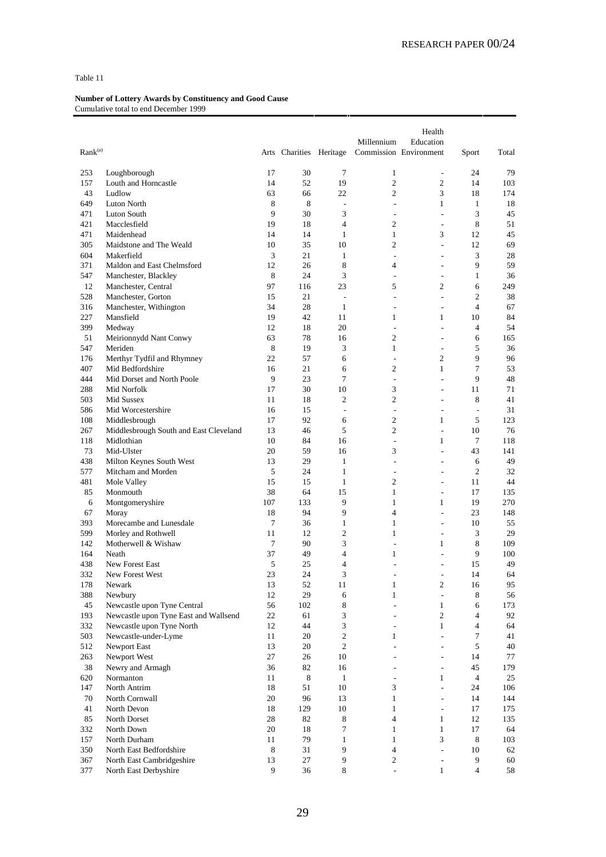| Rank <sup>(a)</sup><br>Arts Charities Heritage<br>Commission Environment<br>Sport                                                       |                                |
|-----------------------------------------------------------------------------------------------------------------------------------------|--------------------------------|
|                                                                                                                                         |                                |
| 30<br>7<br>253<br>Loughborough<br>17<br>$\mathbf{1}$<br>$\overline{\phantom{a}}$                                                        | 24<br>79                       |
| $\overline{c}$<br>$\mathfrak{2}$<br>157<br>Louth and Horncastle<br>14<br>52<br>19<br>$\overline{c}$                                     | 14<br>103                      |
| 43<br>Ludlow<br>63<br>22<br>3<br>66                                                                                                     | 18<br>174                      |
| 649<br>8<br>8<br>$\mathbf{1}$<br>Luton North<br>$\overline{\phantom{a}}$<br>$\overline{\phantom{a}}$<br>9<br>471<br>30<br>3<br>÷,<br>÷. | 1<br>18<br>3<br>45             |
| Luton South<br>$\overline{4}$<br>$\overline{c}$<br>421<br>19<br>Macclesfield<br>18<br>÷,                                                | 8<br>51                        |
| 3<br>471<br>14<br>14<br>$\mathbf{1}$<br>$\mathbf{1}$<br>Maidenhead                                                                      | 12<br>45                       |
| 305<br>Maidstone and The Weald<br>35<br>$\overline{c}$<br>10<br>10<br>$\overline{a}$                                                    | 12<br>69                       |
| 3<br>604<br>Makerfield<br>21<br>1<br>$\overline{\phantom{a}}$<br>÷,                                                                     | 3<br>28                        |
| 371<br>12<br>26<br>8<br>Maldon and East Chelmsford<br>4<br>÷.                                                                           | 9<br>59                        |
| 3<br>547<br>8<br>24<br>Manchester, Blackley<br>$\overline{\phantom{a}}$<br>$\overline{a}$                                               | $\mathbf{1}$<br>36             |
| 97<br>12<br>Manchester, Central<br>23<br>5<br>$\overline{c}$<br>116                                                                     | 6<br>249                       |
| 528<br>Manchester, Gorton<br>21<br>15<br>÷,<br>L.<br>÷                                                                                  | 2<br>38                        |
| 28<br>34<br>$\mathbf{1}$<br>316<br>Manchester, Withington<br>÷,<br>$\overline{a}$                                                       | $\overline{4}$<br>67           |
| 227<br>19<br>42<br>11<br>$\mathbf{1}$<br>$\mathbf{1}$<br>Mansfield                                                                      | 10<br>84                       |
| 399<br>12<br>20<br>Medway<br>18<br>÷,<br>$\overline{a}$                                                                                 | $\overline{4}$<br>54           |
| 51<br>Meirionnydd Nant Conwy<br>63<br>78<br>$\overline{c}$<br>16<br>L.                                                                  | 165<br>6                       |
| 8<br>3<br>547<br>Meriden<br>19<br>$\mathbf{1}$<br>÷,                                                                                    | 5<br>36                        |
| Merthyr Tydfil and Rhymney<br>22<br>176<br>57<br>6<br>$\overline{c}$<br>÷,                                                              | 9<br>96                        |
| Mid Bedfordshire<br>407<br>16<br>21<br>$\overline{c}$<br>$\mathbf{1}$<br>6                                                              | 7<br>53                        |
| 9<br>$\overline{7}$<br>444<br>Mid Dorset and North Poole<br>23<br>L.<br>$\overline{a}$                                                  | 9<br>48                        |
| 3<br>288<br>30<br>10<br>Mid Norfolk<br>17<br>$\overline{a}$                                                                             | 71<br>11                       |
| 503<br>11<br>18<br>$\overline{2}$<br>$\overline{c}$<br>Mid Sussex<br>L,                                                                 | 8<br>41                        |
| Mid Worcestershire<br>15<br>586<br>16<br>$\overline{\phantom{a}}$<br>÷,<br>$\overline{a}$                                               | 31<br>$\overline{\phantom{a}}$ |
| 108<br>Middlesbrough<br>92<br>$\overline{c}$<br>$\mathbf{1}$<br>17<br>6                                                                 | 5<br>123                       |
| 5<br>$\overline{c}$<br>267<br>Middlesbrough South and East Cleveland<br>13<br>46<br>÷,                                                  | 10<br>76                       |
| 10<br>84<br>$\mathbf{1}$<br>118<br>Midlothian<br>16<br>÷,                                                                               | 7<br>118                       |
| 73<br>20<br>59<br>3<br>Mid-Ulster<br>16<br>L,                                                                                           | 43<br>141                      |
| 438<br>Milton Keynes South West<br>13<br>29<br>$\mathbf{1}$<br>÷.<br>L,<br>$\mathbf{1}$<br>24                                           | 49<br>6<br>2<br>32             |
| 577<br>Mitcham and Morden<br>5<br>÷,<br>$\overline{a}$<br>15<br>15<br>$\mathbf{1}$<br>$\overline{c}$                                    | 44<br>11                       |
| 481<br>Mole Valley<br>$\overline{a}$<br>Monmouth<br>38<br>64<br>15<br>$\mathbf{1}$<br>85<br>L,                                          | 17<br>135                      |
| 107<br>9<br>$\mathbf{1}$<br>$\mathbf{1}$<br>6<br>Montgomeryshire<br>133                                                                 | 19<br>270                      |
| 9<br>67<br>18<br>94<br>$\overline{4}$<br>Moray<br>$\overline{a}$                                                                        | 23<br>148                      |
| 393<br>7<br>36<br>$\mathbf{1}$<br>$\mathbf{1}$<br>Morecambe and Lunesdale<br>$\overline{a}$                                             | 10<br>55                       |
| $\overline{c}$<br>599<br>Morley and Rothwell<br>11<br>12<br>$\mathbf{1}$<br>÷,                                                          | 3<br>29                        |
| $\overline{7}$<br>3<br>142<br>Motherwell & Wishaw<br>90<br>1<br>$\overline{a}$                                                          | 8<br>109                       |
| 164<br>Neath<br>37<br>49<br>$\overline{4}$<br>1<br>L,                                                                                   | 9<br>100                       |
| 438<br>5<br>25<br>$\overline{4}$<br>New Forest East<br>L,<br>L,                                                                         | 15<br>49                       |
| 3<br>332<br>23<br>24<br>New Forest West<br>$\overline{a}$                                                                               | 14<br>64                       |
| 178<br>$13\,$<br>$\,2$<br>Newark<br>52<br>11<br>1                                                                                       | 95<br>16                       |
| 29<br>388<br>Newbury<br>12<br>$\mathbf{1}$<br>6<br>÷,                                                                                   | $\,8\,$<br>56                  |
| Newcastle upon Tyne Central<br>56<br>8<br>45<br>102<br>$\mathbf{1}$<br>$\overline{\phantom{a}}$                                         | 6<br>173                       |
| Newcastle upon Tyne East and Wallsend<br>$\overline{2}$<br>193<br>22<br>3<br>61<br>÷                                                    | 92<br>$\overline{4}$           |
| 3<br>332<br>Newcastle upon Tyne North<br>44<br>12<br>$\mathbf{1}$<br>$\overline{\phantom{a}}$                                           | 64<br>4                        |
| $\sqrt{2}$<br>503<br>Newcastle-under-Lyme<br>11<br>20<br>$\mathbf{1}$<br>$\overline{a}$                                                 | 7<br>41                        |
| $\sqrt{2}$<br>512<br>Newport East<br>13<br>20<br>$\overline{\phantom{a}}$<br>$\overline{a}$                                             | 5<br>40                        |
| 27<br>263<br>Newport West<br>26<br>10<br>÷<br>÷                                                                                         | 77<br>14                       |
| 38<br>Newry and Armagh<br>36<br>82<br>16<br>$\overline{\phantom{a}}$<br>÷                                                               | 45<br>179                      |
| 620<br>Normanton<br>11<br>$\,8\,$<br>$\mathbf{1}$<br>$\mathbf{1}$<br>$\overline{\phantom{a}}$                                           | $\overline{4}$<br>25           |
| 147<br>North Antrim<br>18<br>51<br>10<br>3<br>÷.<br>$\mathbf{1}$<br>70<br>North Cornwall<br>20<br>96<br>13<br>÷                         | 106<br>24<br>144<br>14         |
| 41<br>18<br>129<br>10<br>$\mathbf{1}$<br>$\overline{\phantom{a}}$                                                                       | 17<br>175                      |
| North Devon<br>85<br>$\overline{4}$<br>North Dorset<br>28<br>82<br>8<br>$\mathbf{1}$                                                    | 12<br>135                      |
| $20\,$<br>332<br>North Down<br>18<br>7<br>$\mathbf{1}$<br>$\mathbf{1}$                                                                  | 17<br>64                       |
| $\mathbf{1}$<br>3<br>157<br>North Durham<br>11<br>79<br>$\mathbf{1}$                                                                    | 8<br>103                       |
| 9<br>$\overline{4}$<br>350<br>North East Bedfordshire<br>8<br>31<br>$\overline{\phantom{a}}$                                            | 62<br>10                       |
| 27<br>9<br>367<br>North East Cambridgeshire<br>13<br>2<br>$\overline{a}$                                                                | 9<br>60                        |
| 9<br>36<br>8<br>$\mathbf{1}$<br>377<br>North East Derbyshire<br>$\frac{1}{2}$                                                           | $\overline{4}$<br>58           |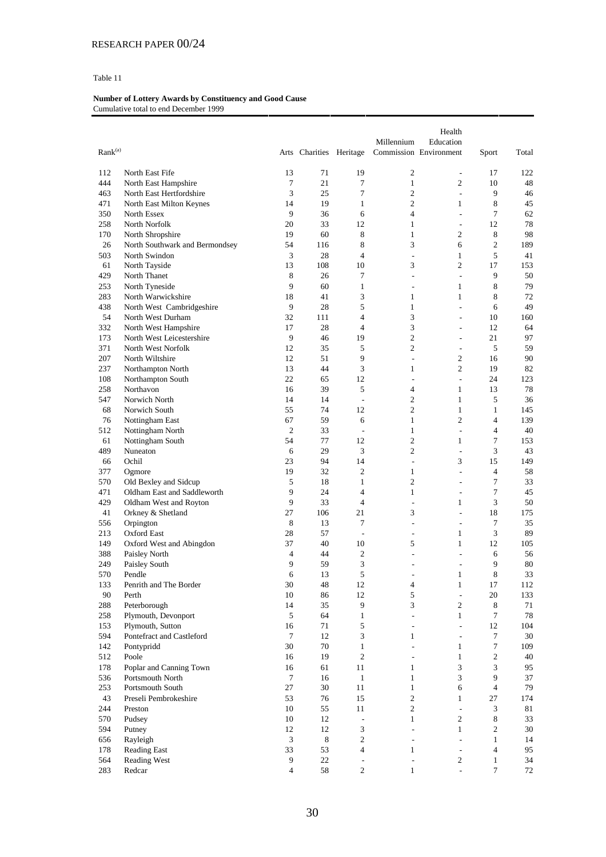| Rank <sup>(a)</sup> |                                |                | Arts Charities Heritage |                               | Millennium                       | Health<br>Education<br>Commission Environment | Sport                            | Total     |
|---------------------|--------------------------------|----------------|-------------------------|-------------------------------|----------------------------------|-----------------------------------------------|----------------------------------|-----------|
|                     |                                |                |                         |                               |                                  |                                               |                                  |           |
| 112                 | North East Fife                | 13             | 71                      | 19                            | $\mathfrak{2}$                   | $\overline{\phantom{a}}$                      | 17                               | 122       |
| 444                 | North East Hampshire           | 7              | 21                      | 7                             | $\mathbf{1}$                     | 2                                             | 10                               | 48        |
| 463                 | North East Hertfordshire       | 3              | 25                      | 7                             | $\overline{c}$                   | $\overline{\phantom{a}}$                      | 9                                | 46        |
| 471                 | North East Milton Keynes       | 14             | 19                      | $\mathbf{1}$                  | $\overline{c}$                   | 1                                             | 8                                | 45        |
| 350                 | North Essex                    | 9              | 36                      | 6                             | 4                                | ÷                                             | 7                                | 62        |
| 258                 | North Norfolk                  | 20             | 33                      | 12                            | $\mathbf{1}$                     | $\overline{\phantom{a}}$                      | 12                               | 78        |
| 170                 | North Shropshire               | 19             | 60                      | 8                             | $\mathbf{1}$                     | $\overline{c}$                                | 8                                | 98        |
| 26                  | North Southwark and Bermondsey | 54             | 116                     | 8<br>$\overline{4}$           | 3                                | 6<br>$\mathbf{1}$                             | $\overline{c}$<br>5              | 189       |
| 503<br>61           | North Swindon<br>North Tayside | 3<br>13        | 28<br>108               | 10                            | $\overline{\phantom{a}}$<br>3    | $\overline{c}$                                | 17                               | 41<br>153 |
| 429                 | North Thanet                   | 8              | 26                      | 7                             | ÷,                               | $\overline{\phantom{a}}$                      | 9                                | 50        |
| 253                 | North Tyneside                 | 9              | 60                      | $\mathbf{1}$                  | ÷                                | 1                                             | 8                                | 79        |
| 283                 | North Warwickshire             | 18             | 41                      | 3                             | 1                                | $\mathbf{1}$                                  | 8                                | 72        |
| 438                 | North West Cambridgeshire      | 9              | 28                      | 5                             | $\mathbf{1}$                     | $\overline{\phantom{a}}$                      | 6                                | 49        |
| 54                  | North West Durham              | 32             | 111                     | 4                             | 3                                | $\overline{a}$                                | 10                               | 160       |
| 332                 | North West Hampshire           | 17             | 28                      | 4                             | 3                                | $\qquad \qquad \blacksquare$                  | 12                               | 64        |
| 173                 | North West Leicestershire      | 9              | 46                      | 19                            | $\overline{c}$                   | $\overline{\phantom{a}}$                      | 21                               | 97        |
| 371                 | North West Norfolk             | 12             | 35                      | 5                             | $\overline{c}$                   | $\sim$                                        | 5                                | 59        |
| 207                 | North Wiltshire                | 12             | 51                      | 9                             | $\overline{a}$                   | $\overline{c}$                                | 16                               | 90        |
| 237                 | Northampton North              | 13             | 44                      | 3                             | 1                                | $\overline{c}$                                | 19                               | 82        |
| 108                 | Northampton South              | 22             | 65                      | 12                            | ÷,                               | $\sim$                                        | 24                               | 123       |
| 258                 | Northavon                      | 16             | 39                      | 5                             | 4                                | $\mathbf{1}$                                  | 13                               | 78        |
| 547                 | Norwich North                  | 14             | 14                      | $\overline{\phantom{a}}$      | $\overline{c}$                   | $\mathbf{1}$                                  | 5                                | 36        |
| 68                  | Norwich South                  | 55             | 74                      | 12                            | $\overline{c}$                   | $\mathbf{1}$                                  | 1                                | 145       |
| 76                  | Nottingham East                | 67             | 59                      | 6                             | $\mathbf{1}$                     | $\overline{c}$                                | $\overline{4}$                   | 139       |
| 512                 | Nottingham North               | $\mathfrak{2}$ | 33                      | ÷,                            | $\mathbf{1}$                     | $\overline{a}$                                | $\overline{4}$                   | 40        |
| 61                  | Nottingham South               | 54             | 77                      | 12                            | $\overline{c}$                   | 1                                             | 7                                | 153       |
| 489<br>66           | Nuneaton<br>Ochil              | 6<br>23        | 29<br>94                | 3<br>14                       | $\overline{c}$<br>$\overline{a}$ | $\overline{\phantom{a}}$<br>3                 | 3<br>15                          | 43<br>149 |
| 377                 | Ogmore                         | 19             | 32                      | $\overline{c}$                | $\mathbf{1}$                     | $\overline{a}$                                | $\overline{4}$                   | 58        |
| 570                 | Old Bexley and Sidcup          | 5              | 18                      | $\mathbf{1}$                  | $\overline{c}$                   | $\overline{a}$                                | $\tau$                           | 33        |
| 471                 | Oldham East and Saddleworth    | 9              | 24                      | $\overline{4}$                | $\mathbf{1}$                     | $\overline{\phantom{a}}$                      | $\overline{7}$                   | 45        |
| 429                 | Oldham West and Royton         | 9              | 33                      | $\overline{4}$                | ÷,                               | $\mathbf{1}$                                  | 3                                | 50        |
| 41                  | Orkney & Shetland              | 27             | 106                     | 21                            | 3                                | $\overline{\phantom{a}}$                      | 18                               | 175       |
| 556                 | Orpington                      | 8              | 13                      | 7                             | $\overline{a}$                   | $\overline{\phantom{a}}$                      | 7                                | 35        |
| 213                 | <b>Oxford East</b>             | 28             | 57                      | $\overline{\phantom{a}}$      | $\overline{a}$                   | 1                                             | 3                                | 89        |
| 149                 | Oxford West and Abingdon       | 37             | 40                      | 10                            | 5                                | 1                                             | 12                               | 105       |
| 388                 | Paisley North                  | 4              | 44                      | 2                             | $\overline{a}$                   | $\overline{a}$                                | 6                                | 56        |
| 249                 | Paisley South                  | 9              | 59                      | 3                             | $\overline{a}$                   | $\overline{\phantom{a}}$                      | 9                                | 80        |
| 570                 | Pendle                         | 6              | 13                      | 5                             |                                  | 1                                             | 8                                | 33        |
| 133                 | Penrith and The Border         | 30             | 48                      | 12                            | $\overline{4}$                   | $\mathbf{1}$                                  | 17                               | 112       |
| $90\,$              | Perth<br>Peterborough          | 10             | 86                      | 12<br>9                       | 5<br>3                           | $\overline{\phantom{a}}$<br>$\mathfrak{2}$    | $20\,$                           | 133       |
| 288<br>258          | Plymouth, Devonport            | 14<br>5        | 35<br>64                | $\mathbf{1}$                  | $\overline{\phantom{a}}$         | $\mathbf{1}$                                  | $\,8\,$<br>$\tau$                | 71<br>78  |
| 153                 | Plymouth, Sutton               | 16             | 71                      | 5                             | $\overline{\phantom{a}}$         | $\bar{\phantom{a}}$                           | 12                               | 104       |
| 594                 | Pontefract and Castleford      | $\overline{7}$ | 12                      | 3                             | 1                                | $\overline{\phantom{a}}$                      | $\tau$                           | 30        |
| 142                 | Pontypridd                     | 30             | 70                      | $\mathbf{1}$                  | $\overline{\phantom{a}}$         | $\mathbf{1}$                                  | $\tau$                           | 109       |
| 512                 | Poole                          | 16             | 19                      | $\mathfrak{2}$                | $\overline{a}$                   | $\mathbf{1}$                                  | $\overline{c}$                   | 40        |
| 178                 | Poplar and Canning Town        | 16             | 61                      | 11                            | $\mathbf{1}$                     | 3                                             | 3                                | 95        |
| 536                 | Portsmouth North               | 7              | 16                      | $\mathbf{1}$                  | $\mathbf{1}$                     | $\mathfrak{Z}$                                | 9                                | 37        |
| 253                 | Portsmouth South               | 27             | 30                      | 11                            | $\mathbf{1}$                     | 6                                             | $\overline{4}$                   | 79        |
| 43                  | Preseli Pembrokeshire          | 53             | 76                      | 15                            | $\mathfrak{2}$                   | $\mathbf{1}$                                  | 27                               | 174       |
| 244                 | Preston                        | 10             | 55                      | 11                            | $\boldsymbol{2}$                 | $\mathcal{L}$                                 | 3                                | 81        |
| 570                 | Pudsey                         | 10             | 12                      | $\overline{\phantom{a}}$      | $\mathbf{1}$                     | $\overline{c}$                                | $\,8\,$                          | 33        |
| 594                 | Putney                         | 12             | 12                      | 3                             | $\overline{\phantom{a}}$         | $\mathbf{1}$                                  | $\sqrt{2}$                       | 30        |
| 656                 | Rayleigh                       | 3              | $\,$ 8 $\,$             | $\overline{c}$                | ÷                                | $\mathcal{L}$                                 | $\mathbf{1}$                     | 14        |
| 178                 | Reading East                   | 33             | 53                      | $\overline{4}$                | $\mathbf{1}$                     | $\overline{\phantom{a}}$                      | $\overline{4}$                   | 95        |
| 564<br>283          | Reading West<br>Redcar         | 9<br>4         | $22\,$<br>$58\,$        | $\overline{\phantom{a}}$<br>2 | ÷,<br>1                          | $\overline{2}$<br>$\blacksquare$              | $\mathbf{1}$<br>$\boldsymbol{7}$ | 34<br>72  |
|                     |                                |                |                         |                               |                                  |                                               |                                  |           |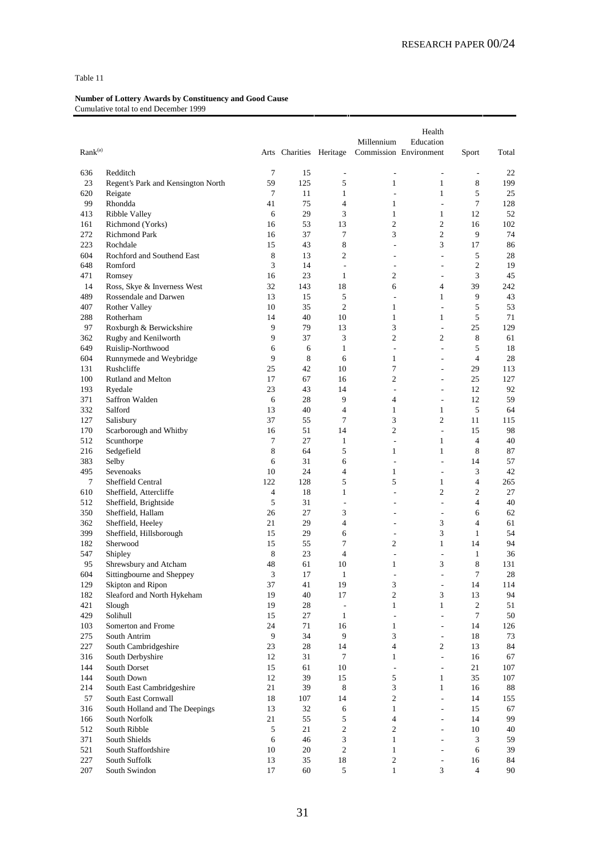| Rank <sup>(a)</sup> |                                             |                |                         |                                          | Millennium                       | Health<br>Education              |                          |           |
|---------------------|---------------------------------------------|----------------|-------------------------|------------------------------------------|----------------------------------|----------------------------------|--------------------------|-----------|
|                     |                                             |                | Arts Charities Heritage |                                          |                                  | Commission Environment           | Sport                    | Total     |
| 636                 | Redditch                                    | 7              | 15                      | $\overline{\phantom{a}}$                 | $\overline{a}$                   | $\overline{\phantom{a}}$         | $\overline{\phantom{a}}$ | 22        |
| 23                  | Regent's Park and Kensington North          | 59             | 125                     | 5                                        | $\mathbf{1}$                     | $\mathbf{1}$                     | 8                        | 199       |
| 620                 | Reigate                                     | 7              | 11                      | $\mathbf{1}$                             | ÷,                               | $\mathbf{1}$                     | 5                        | 25        |
| 99                  | Rhondda                                     | 41             | 75                      | $\overline{4}$                           | 1                                | $\overline{\phantom{a}}$         | 7                        | 128       |
| 413                 | Ribble Valley                               | 6              | 29                      | 3                                        | $\mathbf{1}$                     | $\mathbf{1}$                     | 12                       | 52        |
| 161                 | Richmond (Yorks)                            | 16             | 53                      | 13                                       | $\mathfrak{2}$                   | $\mathbf{2}$                     | 16                       | 102       |
| 272                 | <b>Richmond Park</b>                        | 16             | 37                      | $\tau$                                   | 3                                | $\mathbf{2}$                     | 9                        | 74        |
| 223                 | Rochdale                                    | 15             | 43                      | 8                                        | ÷,                               | 3                                | 17                       | 86        |
| 604                 | Rochford and Southend East                  | 8              | 13                      | $\overline{2}$                           | ÷                                | $\overline{\phantom{a}}$         | 5                        | 28        |
| 648                 | Romford                                     | 3              | 14<br>23                | $\overline{\phantom{a}}$<br>$\mathbf{1}$ | $\overline{a}$<br>$\overline{2}$ | ٠                                | $\mathfrak{2}$           | 19        |
| 471<br>14           | Romsey<br>Ross, Skye & Inverness West       | 16<br>32       | 143                     | 18                                       | 6                                | $\overline{a}$<br>$\overline{4}$ | 3<br>39                  | 45<br>242 |
| 489                 | Rossendale and Darwen                       | 13             | 15                      | 5                                        | ÷,                               | $\mathbf{1}$                     | 9                        | 43        |
| 407                 | Rother Valley                               | 10             | 35                      | $\overline{c}$                           | 1                                | $\overline{\phantom{a}}$         | 5                        | 53        |
| 288                 | Rotherham                                   | 14             | 40                      | 10                                       | $\mathbf{1}$                     | $\mathbf{1}$                     | 5                        | 71        |
| 97                  | Roxburgh & Berwickshire                     | 9              | 79                      | 13                                       | 3                                | $\overline{\phantom{a}}$         | 25                       | 129       |
| 362                 | Rugby and Kenilworth                        | 9              | 37                      | 3                                        | $\overline{c}$                   | $\mathfrak{2}$                   | 8                        | 61        |
| 649                 | Ruislip-Northwood                           | 6              | 6                       | $\mathbf{1}$                             | $\overline{\phantom{a}}$         | $\overline{a}$                   | 5                        | 18        |
| 604                 | Runnymede and Weybridge                     | 9              | 8                       | 6                                        | $\mathbf{1}$                     | ÷,                               | $\overline{4}$           | 28        |
| 131                 | Rushcliffe                                  | 25             | 42                      | 10                                       | 7                                | ÷.                               | 29                       | 113       |
| 100                 | Rutland and Melton                          | 17             | 67                      | 16                                       | $\mathfrak{2}$                   | $\overline{a}$                   | 25                       | 127       |
| 193                 | Ryedale                                     | 23             | 43                      | 14                                       | ÷,                               | ٠                                | 12                       | 92        |
| 371                 | Saffron Walden                              | 6              | 28                      | 9                                        | $\overline{4}$                   | $\overline{a}$                   | 12                       | 59        |
| 332                 | Salford                                     | 13             | 40                      | $\overline{4}$                           | $\mathbf{1}$                     | $\mathbf{1}$                     | 5                        | 64        |
| 127                 | Salisbury                                   | 37             | 55                      | $\tau$                                   | 3                                | $\mathfrak{2}$                   | 11                       | 115       |
| 170                 | Scarborough and Whitby                      | 16             | 51                      | 14                                       | $\mathfrak{2}$                   | $\overline{\phantom{a}}$         | 15                       | 98        |
| 512                 | Scunthorpe                                  | 7              | 27                      | 1                                        | ÷,                               | $\mathbf{1}$                     | $\overline{4}$           | 40        |
| 216                 | Sedgefield                                  | 8              | 64                      | 5                                        | 1                                | 1                                | 8                        | 87        |
| 383                 | Selby                                       | 6              | 31                      | 6                                        | ÷,                               | $\overline{a}$                   | 14                       | 57        |
| 495                 | Sevenoaks                                   | 10             | 24                      | $\overline{4}$                           | $\mathbf{1}$                     | $\overline{a}$                   | 3                        | 42        |
| 7<br>610            | Sheffield Central<br>Sheffield, Attercliffe | 122<br>4       | 128<br>18               | 5<br>1                                   | 5<br>÷.                          | $\mathbf{1}$<br>$\overline{c}$   | 4<br>$\mathfrak{2}$      | 265<br>27 |
| 512                 | Sheffield, Brightside                       | 5              | 31                      | ÷,                                       | ٠                                | $\overline{\phantom{a}}$         | $\overline{4}$           | 40        |
| 350                 | Sheffield, Hallam                           | 26             | 27                      | 3                                        | $\overline{a}$                   | $\overline{\phantom{a}}$         | 6                        | 62        |
| 362                 | Sheffield, Heeley                           | 21             | 29                      | $\overline{4}$                           |                                  | 3                                | $\overline{4}$           | 61        |
| 399                 | Sheffield, Hillsborough                     | 15             | 29                      | 6                                        | ÷                                | 3                                | 1                        | 54        |
| 182                 | Sherwood                                    | 15             | 55                      | $\tau$                                   | 2                                | $\mathbf{1}$                     | 14                       | 94        |
| 547                 | Shipley                                     | 8              | 23                      | $\overline{4}$                           |                                  | ÷,                               | 1                        | 36        |
| 95                  | Shrewsbury and Atcham                       | 48             | 61                      | 10                                       | 1                                | 3                                | 8                        | 131       |
| 604                 | Sittingbourne and Sheppey                   | 3              | 17                      | $\mathbf{1}$                             |                                  | $\overline{\phantom{a}}$         | 7                        | 28        |
| 129                 | Skipton and Ripon                           | 37             | $41\,$                  | 19                                       | 3                                | $\overline{\phantom{a}}$         | $14\,$                   | 114       |
| 182                 | Sleaford and North Hykeham                  | 19             | 40                      | 17                                       | $\mathfrak{2}$                   | 3                                | 13                       | 94        |
| 421                 | Slough                                      | 19             | 28                      | $\overline{\phantom{a}}$                 | $\mathbf{1}$                     | $\mathbf{1}$                     | $\mathfrak{2}$           | 51        |
| 429                 | Solihull                                    | 15             | 27                      | $\mathbf{1}$                             | $\overline{\phantom{a}}$         | ÷,                               | $\tau$                   | $50\,$    |
| 103                 | Somerton and Frome                          | 24             | 71                      | 16                                       | $\mathbf{1}$                     | ٠                                | 14                       | 126       |
| 275                 | South Antrim                                | $\overline{9}$ | 34                      | 9                                        | 3                                | $\overline{\phantom{a}}$         | 18                       | 73        |
| 227                 | South Cambridgeshire                        | 23<br>12       | 28<br>31                | 14<br>$\tau$                             | 4<br>$\mathbf{1}$                | $\sqrt{2}$<br>$\overline{a}$     | 13                       | 84        |
| 316<br>144          | South Derbyshire<br>South Dorset            | 15             | 61                      | 10                                       | $\overline{\phantom{a}}$         | $\overline{\phantom{a}}$         | 16<br>21                 | 67<br>107 |
| 144                 | South Down                                  | 12             | 39                      | 15                                       | 5                                | $\mathbf{1}$                     | 35                       | 107       |
| 214                 | South East Cambridgeshire                   | 21             | 39                      | 8                                        | 3                                | $\mathbf{1}$                     | 16                       | 88        |
| 57                  | South East Cornwall                         | 18             | 107                     | 14                                       | $\overline{c}$                   | $\overline{a}$                   | 14                       | 155       |
| 316                 | South Holland and The Deepings              | 13             | 32                      | $6\,$                                    | $\mathbf{1}$                     | $\overline{\phantom{a}}$         | 15                       | 67        |
| 166                 | South Norfolk                               | 21             | 55                      | 5                                        | $\overline{4}$                   | $\overline{a}$                   | 14                       | 99        |
| 512                 | South Ribble                                | 5              | 21                      | $\mathfrak{2}$                           | 2                                | $\overline{\phantom{a}}$         | 10                       | 40        |
| 371                 | South Shields                               | 6              | 46                      | 3                                        | $\mathbf{1}$                     | $\overline{a}$                   | 3                        | 59        |
| 521                 | South Staffordshire                         | 10             | 20                      | $\sqrt{2}$                               | $\mathbf{1}$                     | ٠                                | 6                        | 39        |
| 227                 | South Suffolk                               | 13             | 35                      | 18                                       | $\mathbf{2}$                     |                                  | 16                       | 84        |
| 207                 | South Swindon                               | 17             | 60                      | 5                                        | $\mathbf{1}$                     | 3                                | $\overline{4}$           | 90        |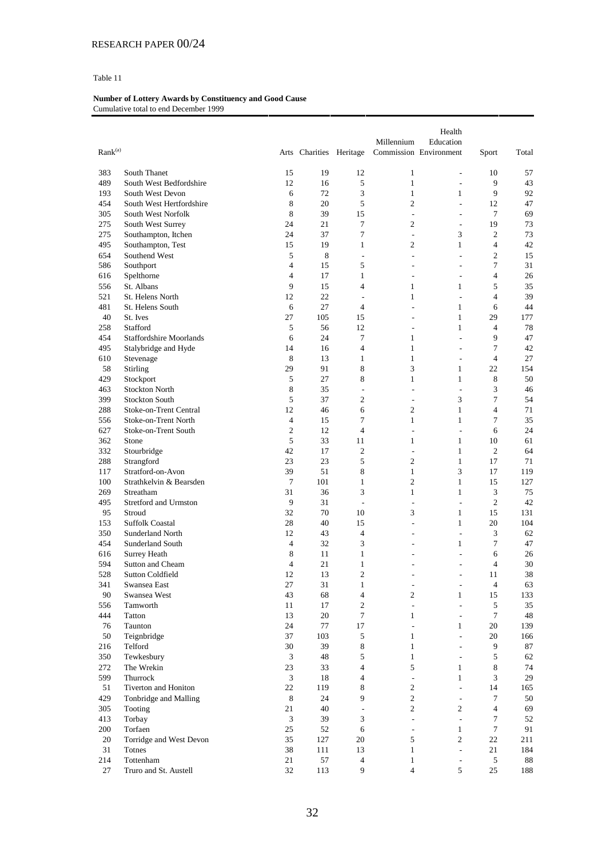|                            |                                    |                      |                         |                          | Millennium                   | Health<br>Education            |                          |          |
|----------------------------|------------------------------------|----------------------|-------------------------|--------------------------|------------------------------|--------------------------------|--------------------------|----------|
| $\text{Rank}^{(\text{a})}$ |                                    |                      | Arts Charities Heritage |                          |                              | Commission Environment         | Sport                    | Total    |
| 383                        | South Thanet                       | 15                   | 19                      | 12                       | $\mathbf{1}$                 | $\overline{\phantom{a}}$       | 10                       | 57       |
| 489                        | South West Bedfordshire            | 12                   | 16                      | 5                        | $\mathbf{1}$                 | $\overline{\phantom{a}}$       | 9                        | 43       |
| 193                        | South West Devon                   | 6                    | 72                      | 3                        | $\mathbf{1}$                 | 1                              | 9                        | 92       |
| 454                        | South West Hertfordshire           | 8                    | 20                      | 5                        | $\overline{c}$               | $\overline{\phantom{a}}$       | 12                       | 47       |
| 305                        | South West Norfolk                 | 8                    | 39                      | 15                       | ÷,                           | $\sim$                         | 7                        | 69       |
| 275                        | South West Surrey                  | 24                   | 21                      | $\overline{7}$           | $\overline{c}$               | $\overline{\phantom{a}}$       | 19                       | 73       |
| 275                        | Southampton, Itchen                | 24                   | 37                      | 7                        | $\overline{\phantom{a}}$     | 3                              | $\overline{c}$           | 73       |
| 495                        | Southampton, Test                  | 15                   | 19                      | $\mathbf{1}$             | 2                            | $\mathbf{1}$                   | $\overline{4}$           | 42       |
| 654                        | Southend West                      | 5                    | 8                       | $\overline{\phantom{a}}$ | ÷,                           | $\overline{\phantom{a}}$       | $\overline{c}$           | 15       |
| 586                        | Southport                          | 4                    | 15                      | 5                        | ÷,                           | $\overline{\phantom{a}}$       | 7                        | 31       |
| 616                        | Spelthorne                         | 4                    | 17                      | $\mathbf{1}$             | $\overline{a}$               | $\overline{\phantom{a}}$       | $\overline{4}$           | 26       |
| 556                        | St. Albans                         | 9                    | 15                      | $\overline{4}$           | 1                            | 1                              | 5                        | 35       |
| 521                        | St. Helens North                   | 12                   | 22                      | $\overline{a}$           | $\mathbf{1}$                 | $\overline{\phantom{a}}$       | $\overline{4}$           | 39       |
| 481                        | St. Helens South                   | 6                    | 27                      | 4                        | ÷,                           | $\mathbf{1}$                   | 6                        | 44       |
| 40                         | St. Ives                           | 27                   | 105                     | 15                       | ÷,                           | $\mathbf{1}$                   | 29                       | 177      |
| 258                        | Stafford                           | 5                    | 56                      | 12                       | ÷                            | $\mathbf{1}$                   | $\overline{4}$<br>9      | 78       |
| 454                        | <b>Staffordshire Moorlands</b>     | 6                    | 24                      | 7                        | 1                            | $\overline{a}$                 |                          | 47       |
| 495                        | Stalybridge and Hyde               | 14<br>8              | 16<br>13                | 4<br>$\mathbf{1}$        | $\mathbf{1}$<br>$\mathbf{1}$ | $\overline{a}$                 | 7<br>$\overline{4}$      | 42<br>27 |
| 610<br>58                  | Stevenage                          | 29                   | 91                      | 8                        | 3                            | $\overline{\phantom{a}}$<br>1  | 22                       | 154      |
| 429                        | Stirling                           | 5                    | 27                      | 8                        | $\mathbf{1}$                 | $\mathbf{1}$                   | 8                        | 50       |
| 463                        | Stockport<br><b>Stockton North</b> | 8                    | 35                      | $\frac{1}{2}$            | ÷,                           | $\overline{\phantom{a}}$       | 3                        | 46       |
| 399                        | <b>Stockton South</b>              | 5                    | 37                      | $\overline{c}$           | $\overline{\phantom{a}}$     | 3                              | $\overline{7}$           | 54       |
| 288                        | Stoke-on-Trent Central             | 12                   | 46                      | 6                        | $\overline{c}$               | $\mathbf{1}$                   | $\overline{4}$           | 71       |
| 556                        | Stoke-on-Trent North               | 4                    | 15                      | 7                        | $\mathbf{1}$                 | $\mathbf{1}$                   | $\overline{7}$           | 35       |
| 627                        | Stoke-on-Trent South               | $\overline{c}$       | 12                      | 4                        | ÷,                           | $\overline{a}$                 | 6                        | 24       |
| 362                        | Stone                              | 5                    | 33                      | 11                       | 1                            | 1                              | 10                       | 61       |
| 332                        | Stourbridge                        | 42                   | 17                      | $\overline{c}$           | $\overline{\phantom{a}}$     | $\mathbf{1}$                   | $\overline{c}$           | 64       |
| 288                        | Strangford                         | 23                   | 23                      | 5                        | $\overline{c}$               | $\mathbf{1}$                   | 17                       | 71       |
| 117                        | Stratford-on-Avon                  | 39                   | 51                      | 8                        | $\mathbf{1}$                 | 3                              | 17                       | 119      |
| 100                        | Strathkelvin & Bearsden            | 7                    | 101                     | $\mathbf{1}$             | $\mathfrak{2}$               | $\mathbf{1}$                   | 15                       | 127      |
| 269                        | Streatham                          | 31                   | 36                      | 3                        | $\mathbf{1}$                 | $\mathbf{1}$                   | 3                        | 75       |
| 495                        | Stretford and Urmston              | 9                    | 31                      | $\overline{\phantom{a}}$ | ÷,                           | $\overline{a}$                 | $\overline{c}$           | 42       |
| 95                         | Stroud                             | 32                   | 70                      | 10                       | 3                            | $\mathbf{1}$                   | 15                       | 131      |
| 153                        | <b>Suffolk Coastal</b>             | 28                   | 40                      | 15                       | L.                           | $\mathbf{1}$                   | 20                       | 104      |
| 350                        | Sunderland North                   | 12                   | 43                      | 4                        | ÷,                           | $\overline{\phantom{a}}$       | 3                        | 62       |
| 454                        | Sunderland South                   | 4                    | 32                      | 3                        | ÷                            | 1                              | $\overline{7}$           | 47       |
| 616                        | Surrey Heath                       | 8                    | 11                      | $\mathbf{1}$             |                              | $\overline{\phantom{a}}$       | 6                        | 26       |
| 594                        | Sutton and Cheam                   | 4                    | 21                      | $\mathbf{1}$             | ٠                            | $\overline{a}$                 | $\overline{4}$           | 30       |
| 528                        | <b>Sutton Coldfield</b>            | 12                   | 13                      | $\overline{c}$           | ÷                            | $\overline{a}$                 | 11                       | 38       |
| 341                        | Swansea East                       | $27\,$               | 31                      | $\mathbf{1}$             | $\overline{\phantom{a}}$     | $\overline{\phantom{a}}$       | $\overline{4}$           | 63       |
| 90                         | Swansea West                       | 43                   | 68                      | 4                        | $\overline{c}$               | $\mathbf{1}$                   | 15                       | 133      |
| 556                        | Tamworth                           | 11                   | 17                      | 2                        | $\overline{\phantom{a}}$     | $\overline{\phantom{a}}$       | 5                        | 35       |
| 444                        | Tatton                             | 13                   | 20                      | $\boldsymbol{7}$         | $\mathbf{1}$                 | $\mathbf{r}$                   | $\tau$                   | 48       |
| 76                         | Taunton                            | 24                   | 77                      | 17                       | $\overline{\phantom{a}}$     | 1                              | 20                       | 139      |
| 50                         | Teignbridge                        | 37                   | 103                     | 5                        | 1                            | $\overline{\phantom{a}}$       | 20                       | 166      |
| 216                        | Telford                            | 30                   | 39                      | 8                        | $\mathbf{1}$                 | $\sim$                         | 9                        | 87       |
| 350                        | Tewkesbury                         | 3                    | 48                      | 5                        | $\mathbf{1}$                 | $\mathbf{r}$                   | $\sqrt{5}$               | 62       |
| 272                        | The Wrekin                         | 23                   | 33                      | $\overline{\mathcal{L}}$ | 5                            | $\mathbf{1}$                   | 8                        | 74       |
| 599                        | Thurrock                           | $\mathfrak{Z}$<br>22 | 18                      | $\overline{4}$           | $\overline{\phantom{a}}$     | $\mathbf{1}$<br>$\mathbb{Z}^2$ | 3                        | 29       |
| 51                         | Tiverton and Honiton               |                      | 119                     | 8<br>9                   | $\overline{c}$               |                                | 14                       | 165      |
| 429<br>305                 | Tonbridge and Malling<br>Tooting   | $\,8\,$<br>21        | 24<br>40                | $\overline{\phantom{a}}$ | $\sqrt{2}$<br>$\mathfrak{2}$ | $\overline{\phantom{a}}$<br>2  | $\tau$<br>$\overline{4}$ | 50<br>69 |
| 413                        | Torbay                             | $\mathfrak{Z}$       | 39                      | 3                        | $\overline{\phantom{a}}$     | $\overline{\phantom{a}}$       | $\tau$                   | 52       |
| 200                        | Torfaen                            | $25\,$               | 52                      | 6                        | $\overline{\phantom{a}}$     | $\mathbf{1}$                   | $\overline{7}$           | 91       |
| 20                         | Torridge and West Devon            | 35                   | 127                     | 20                       | 5                            | $\overline{c}$                 | 22                       | 211      |
| 31                         | Totnes                             | 38                   | 111                     | 13                       | $\mathbf{1}$                 | $\overline{a}$                 | 21                       | 184      |
| 214                        | Tottenham                          | 21                   | 57                      | 4                        | $\mathbf{1}$                 | $\overline{\phantom{a}}$       | 5                        | 88       |
| 27                         | Truro and St. Austell              | 32                   | 113                     | 9                        | $\overline{4}$               | 5                              | 25                       | 188      |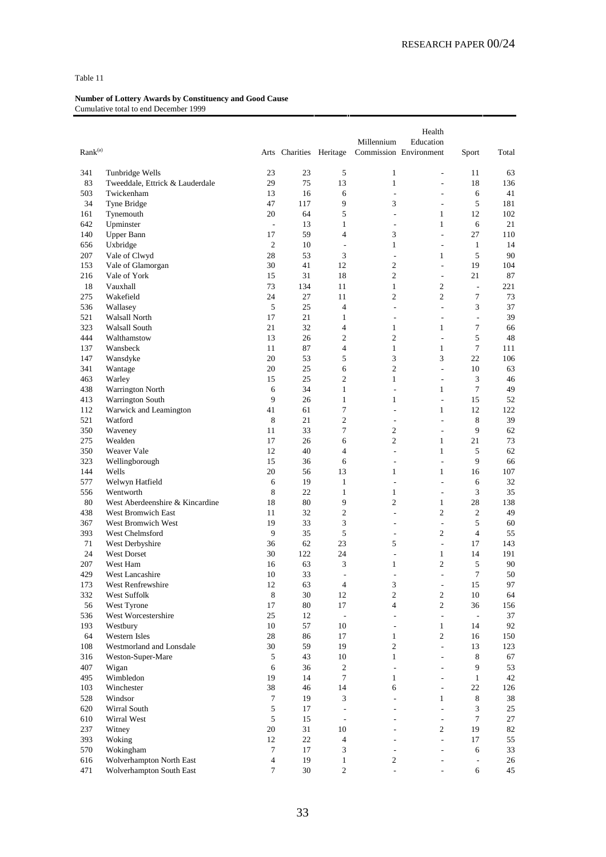| Rank <sup>(a)</sup> |                                               |                  | Arts Charities Heritage |                                  | Millennium                     | Health<br>Education<br>Commission Environment        | Sport                       | Total     |
|---------------------|-----------------------------------------------|------------------|-------------------------|----------------------------------|--------------------------------|------------------------------------------------------|-----------------------------|-----------|
|                     |                                               |                  |                         |                                  |                                |                                                      |                             |           |
| 341                 | Tunbridge Wells                               | 23               | 23                      | 5                                | $\mathbf{1}$                   | $\overline{\phantom{a}}$                             | 11                          | 63        |
| 83<br>503           | Tweeddale, Ettrick & Lauderdale<br>Twickenham | 29<br>13         | 75<br>16                | 13<br>6                          | $\mathbf{1}$<br>÷,             | $\overline{a}$<br>$\overline{a}$                     | 18<br>6                     | 136<br>41 |
| 34                  | Tyne Bridge                                   | 47               | 117                     | 9                                | 3                              | $\overline{\phantom{a}}$                             | 5                           | 181       |
| 161                 | Tynemouth                                     | 20               | 64                      | 5                                | ÷,                             | $\mathbf{1}$                                         | 12                          | 102       |
| 642                 | Upminster                                     | $\blacksquare$   | 13                      | $\mathbf{1}$                     | $\overline{a}$                 | $\mathbf{1}$                                         | 6                           | 21        |
| 140                 | <b>Upper Bann</b>                             | 17               | 59                      | $\overline{4}$                   | 3                              | $\overline{a}$                                       | 27                          | 110       |
| 656                 | Uxbridge                                      | $\mathfrak{2}$   | 10                      | $\overline{\phantom{a}}$         | $\mathbf{1}$                   | $\overline{\phantom{a}}$                             | $\mathbf{1}$                | 14        |
| 207                 | Vale of Clwyd                                 | 28               | 53                      | 3                                | $\overline{\phantom{a}}$       | 1                                                    | 5                           | 90        |
| 153                 | Vale of Glamorgan                             | 30               | 41                      | 12                               | $\overline{c}$                 | $\overline{\phantom{a}}$                             | 19                          | 104       |
| 216                 | Vale of York                                  | 15               | 31                      | 18                               | $\overline{c}$                 | $\overline{a}$                                       | 21                          | 87        |
| 18                  | Vauxhall                                      | 73               | 134                     | 11                               | $\mathbf{1}$                   | $\mathfrak{2}$                                       | ÷,                          | 221       |
| 275                 | Wakefield                                     | 24               | 27                      | 11                               | $\overline{c}$                 | $\overline{2}$                                       | 7                           | 73        |
| 536                 | Wallasey                                      | 5                | 25                      | $\overline{4}$                   | $\overline{\phantom{a}}$       | $\overline{\phantom{a}}$                             | 3                           | 37        |
| 521                 | Walsall North                                 | 17               | 21                      | $\mathbf{1}$                     | ÷,                             | $\overline{\phantom{a}}$                             | $\frac{1}{2}$               | 39        |
| 323                 | Walsall South                                 | 21               | 32                      | $\overline{4}$                   | 1                              | 1                                                    | 7                           | 66        |
| 444<br>137          | Walthamstow<br>Wansbeck                       | 13<br>11         | 26<br>87                | $\overline{c}$<br>$\overline{4}$ | $\overline{c}$<br>$\mathbf{1}$ | $\overline{\phantom{a}}$<br>$\mathbf{1}$             | 5<br>$\tau$                 | 48<br>111 |
| 147                 | Wansdyke                                      | 20               | 53                      | 5                                | 3                              | 3                                                    | 22                          | 106       |
| 341                 | Wantage                                       | 20               | 25                      | 6                                | $\mathfrak{2}$                 | $\overline{\phantom{a}}$                             | 10                          | 63        |
| 463                 | Warley                                        | 15               | 25                      | $\overline{2}$                   | $\mathbf{1}$                   | $\overline{\phantom{a}}$                             | 3                           | 46        |
| 438                 | Warrington North                              | 6                | 34                      | $\mathbf{1}$                     | L,                             | 1                                                    | 7                           | 49        |
| 413                 | <b>Warrington South</b>                       | 9                | 26                      | $\mathbf{1}$                     | 1                              | $\overline{a}$                                       | 15                          | 52        |
| 112                 | Warwick and Leamington                        | 41               | 61                      | $\tau$                           | $\overline{\phantom{a}}$       | 1                                                    | 12                          | 122       |
| 521                 | Watford                                       | 8                | 21                      | $\overline{c}$                   | $\overline{a}$                 | $\overline{\phantom{a}}$                             | 8                           | 39        |
| 350                 | Waveney                                       | 11               | 33                      | $\tau$                           | $\overline{c}$                 | $\overline{\phantom{a}}$                             | 9                           | 62        |
| 275                 | Wealden                                       | 17               | 26                      | 6                                | $\overline{c}$                 | $\mathbf{1}$                                         | 21                          | 73        |
| 350                 | Weaver Vale                                   | 12               | 40                      | $\overline{4}$                   | $\overline{\phantom{a}}$       | $\mathbf{1}$                                         | 5                           | 62        |
| 323                 | Wellingborough                                | 15               | 36                      | 6                                | ÷,                             | $\overline{\phantom{a}}$                             | 9                           | 66        |
| 144                 | Wells                                         | 20               | 56                      | 13                               | $\mathbf{1}$                   | $\mathbf{1}$                                         | 16                          | 107       |
| 577                 | Welwyn Hatfield                               | 6                | 19                      | $\mathbf{1}$                     | ÷,                             | $\overline{a}$                                       | 6                           | 32        |
| 556<br>80           | Wentworth<br>West Aberdeenshire & Kincardine  | 8<br>18          | 22<br>80                | 1<br>9                           | 1<br>$\overline{c}$            | $\sim$<br>$\mathbf{1}$                               | 3<br>28                     | 35<br>138 |
| 438                 | West Bromwich East                            | 11               | 32                      | $\overline{c}$                   | ÷,                             | $\mathfrak{2}$                                       | $\mathfrak{2}$              | 49        |
| 367                 | West Bromwich West                            | 19               | 33                      | 3                                | ÷,                             | $\overline{\phantom{a}}$                             | 5                           | 60        |
| 393                 | West Chelmsford                               | 9                | 35                      | 5                                | ÷                              | $\mathfrak{2}$                                       | $\overline{4}$              | 55        |
| 71                  | West Derbyshire                               | 36               | 62                      | 23                               | 5                              | $\overline{\phantom{a}}$                             | 17                          | 143       |
| 24                  | <b>West Dorset</b>                            | 30               | 122                     | 24                               | L,                             | $\mathbf{1}$                                         | 14                          | 191       |
| 207                 | West Ham                                      | 16               | 63                      | 3                                | 1                              | $\mathfrak{2}$                                       | 5                           | 90        |
| 429                 | West Lancashire                               | 10               | 33                      | $\overline{\phantom{a}}$         | $\overline{a}$                 | ÷,                                                   | $\overline{7}$              | 50        |
| 173                 | West Renfrewshire                             | $12\,$           | 63                      | 4                                | $\mathfrak{Z}$                 | $\overline{\phantom{a}}$                             | $15\,$                      | 97        |
| 332                 | West Suffolk                                  | $\,8\,$          | $30\,$                  | 12                               | $\overline{c}$                 | $\mathfrak{2}$                                       | 10                          | 64        |
| 56                  | West Tyrone                                   | 17               | 80                      | 17                               | $\overline{4}$                 | $\sqrt{2}$                                           | 36                          | 156       |
| 536                 | West Worcestershire                           | 25               | 12                      | $\overline{\phantom{a}}$         | $\sim$                         | $\overline{\phantom{a}}$                             | $\mathcal{L}_{\mathcal{A}}$ | 37        |
| 193                 | Westbury                                      | 10               | 57                      | 10                               | ٠                              | $\mathbf{1}$                                         | 14                          | 92        |
| 64                  | <b>Western Isles</b>                          | 28<br>30         | 86                      | 17                               | $\mathbf{1}$<br>$\overline{c}$ | $\sqrt{2}$                                           | 16                          | 150       |
| 108                 | Westmorland and Lonsdale                      | 5                | 59                      | 19<br>10                         | $\mathbf{1}$                   | $\overline{\phantom{a}}$<br>$\overline{\phantom{a}}$ | 13                          | 123<br>67 |
| 316<br>407          | Weston-Super-Mare<br>Wigan                    | $\sqrt{6}$       | 43<br>36                | $\sqrt{2}$                       | $\sim$                         | $\overline{a}$                                       | 8<br>9                      | 53        |
| 495                 | Wimbledon                                     | 19               | 14                      | $\tau$                           | $\mathbf{1}$                   | $\overline{a}$                                       | $\mathbf{1}$                | 42        |
| 103                 | Winchester                                    | 38               | 46                      | 14                               | 6                              | $\overline{\phantom{a}}$                             | 22                          | 126       |
| 528                 | Windsor                                       | $\boldsymbol{7}$ | 19                      | 3                                | $\overline{a}$                 | $\mathbf{1}$                                         | $\,8\,$                     | 38        |
| 620                 | Wirral South                                  | 5                | 17                      | $\overline{a}$                   | $\overline{\phantom{a}}$       | ÷,                                                   | 3                           | 25        |
| 610                 | Wirral West                                   | 5                | 15                      | $\overline{\phantom{a}}$         |                                | $\overline{a}$                                       | $\tau$                      | $27\,$    |
| 237                 | Witney                                        | $20\,$           | 31                      | 10                               |                                | $\mathfrak{2}$                                       | 19                          | 82        |
| 393                 | Woking                                        | 12               | 22                      | $\overline{4}$                   | ÷.                             | L.                                                   | 17                          | 55        |
| 570                 | Wokingham                                     | $\tau$           | 17                      | $\mathfrak{Z}$                   | ٠                              | $\overline{a}$                                       | 6                           | 33        |
| 616                 | Wolverhampton North East                      | $\overline{4}$   | 19                      | $\mathbf{1}$                     | 2                              |                                                      | $\overline{\phantom{a}}$    | 26        |
| 471                 | Wolverhampton South East                      | $\tau$           | 30                      | $\overline{c}$                   | $\frac{1}{2}$                  | $\frac{1}{2}$                                        | 6                           | 45        |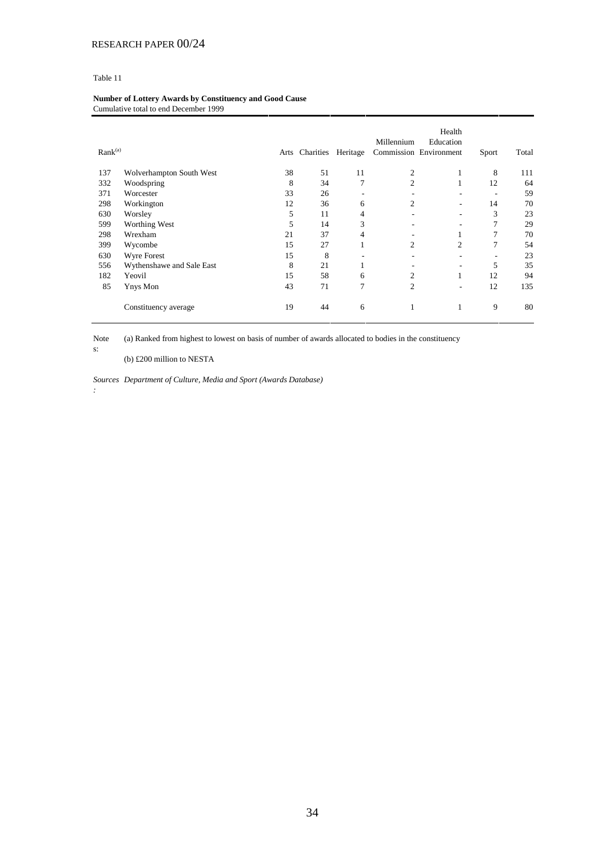#### **Number of Lottery Awards by Constituency and Good Cause** Cumulative total to end December 1999

| Rank <sup>(a)</sup> |                           | Arts | Charities | Heritage | Millennium     | Health<br>Education<br>Commission Environment | Sport                    | Total |
|---------------------|---------------------------|------|-----------|----------|----------------|-----------------------------------------------|--------------------------|-------|
| 137                 | Wolverhampton South West  | 38   | 51        | 11       | $\overline{c}$ | 1                                             | 8                        | 111   |
| 332                 | Woodspring                | 8    | 34        | 7        | $\overline{c}$ | 1                                             | 12                       | 64    |
| 371                 | Worcester                 | 33   | 26        | ٠        |                |                                               | $\overline{\phantom{a}}$ | 59    |
| 298                 | Workington                | 12   | 36        | 6        | $\overline{c}$ |                                               | 14                       | 70    |
| 630                 | Worsley                   | 5    | 11        | 4        |                |                                               | 3                        | 23    |
| 599                 | Worthing West             | 5    | 14        | 3        |                |                                               | 7                        | 29    |
| 298                 | Wrexham                   | 21   | 37        | 4        |                | 1                                             | 7                        | 70    |
| 399                 | Wycombe                   | 15   | 27        | Ι.       | 2              | 2                                             | 7                        | 54    |
| 630                 | Wyre Forest               | 15   | 8         | ۰        |                |                                               | $\overline{\phantom{a}}$ | 23    |
| 556                 | Wythenshawe and Sale East | 8    | 21        | 1        |                | $\overline{\phantom{a}}$                      | 5                        | 35    |
| 182                 | Yeovil                    | 15   | 58        | 6        | 2              | 1                                             | 12                       | 94    |
| 85                  | Ynys Mon                  | 43   | 71        | 7        | $\overline{2}$ | $\overline{\phantom{a}}$                      | 12                       | 135   |
|                     | Constituency average      | 19   | 44        | 6        | 1              | 1                                             | 9                        | 80    |

Note (a) Ranked from highest to lowest on basis of number of awards allocated to bodies in the constituency

(b) £200 million to NESTA

*Sources Department of Culture, Media and Sport (Awards Database)*

*:*

s: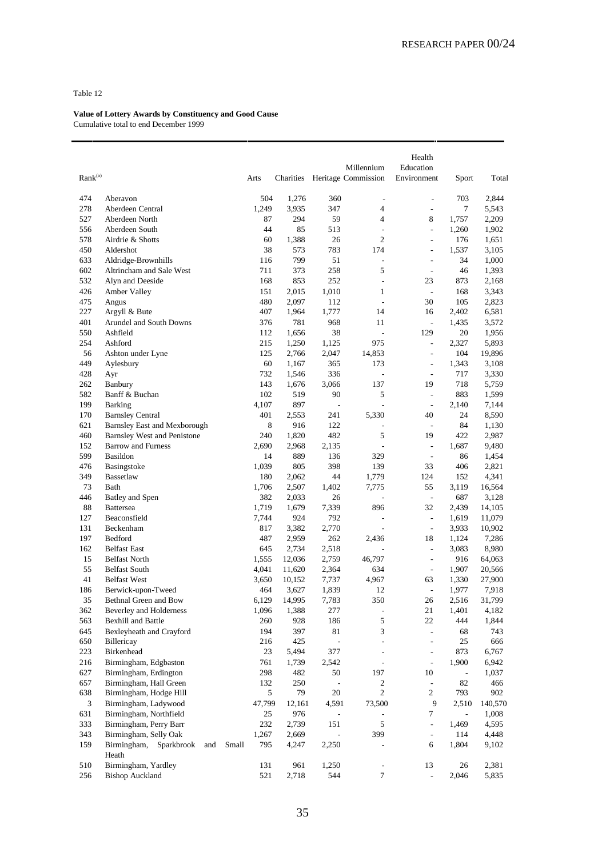| Rank <sup>(a)</sup> |                                     |       | Arts         | Charities    |                          | Millennium<br>Heritage Commission | Health<br>Education<br>Environment | Sport                    | Total            |
|---------------------|-------------------------------------|-------|--------------|--------------|--------------------------|-----------------------------------|------------------------------------|--------------------------|------------------|
| 474                 | Aberavon                            |       | 504          | 1,276        | 360                      | $\overline{\phantom{a}}$          | $\overline{\phantom{a}}$           | 703                      | 2,844            |
| 278                 | Aberdeen Central                    |       | 1,249        | 3,935        | 347                      | $\overline{4}$                    | ÷,                                 | 7                        | 5,543            |
| 527                 | Aberdeen North                      |       | 87           | 294          | 59                       | 4                                 | 8                                  | 1,757                    | 2,209            |
| 556                 | Aberdeen South                      |       | 44           | 85           | 513                      | L,                                | $\overline{a}$                     | 1,260                    | 1,902            |
| 578                 | Airdrie & Shotts                    |       | 60           | 1,388        | 26                       | $\overline{2}$                    | $\frac{1}{2}$                      | 176                      | 1,651            |
| 450                 | Aldershot                           |       | 38           | 573          | 783                      | 174                               | $\overline{\phantom{a}}$           | 1,537                    | 3,105            |
| 633                 | Aldridge-Brownhills                 |       | 116          | 799          | 51                       | L,                                | ÷,                                 | 34                       | 1,000            |
| 602                 | Altrincham and Sale West            |       | 711          | 373          | 258                      | 5                                 | $\overline{a}$                     | 46                       | 1,393            |
| 532                 | Alyn and Deeside                    |       | 168          | 853          | 252                      | $\overline{a}$                    | 23                                 | 873                      | 2,168            |
| 426                 | Amber Valley                        |       | 151          | 2,015        | 1,010                    | 1                                 | $\overline{\phantom{a}}$           | 168                      | 3,343            |
| 475                 | Angus                               |       | 480          | 2,097        | 112                      | $\overline{a}$                    | 30                                 | 105                      | 2,823            |
| 227                 | Argyll & Bute                       |       | 407          | 1,964        | 1,777                    | 14                                | 16                                 | 2,402                    | 6,581            |
| 401                 | Arundel and South Downs             |       | 376          | 781          | 968                      | 11                                | $\overline{\phantom{a}}$           | 1,435                    | 3,572            |
| 550                 | Ashfield                            |       | 112          | 1,656        | 38                       | L,                                | 129                                | 20                       | 1,956            |
| 254                 | Ashford                             |       | 215          | 1,250        | 1,125                    | 975                               | $\frac{1}{2}$                      | 2,327                    | 5,893            |
| 56                  | Ashton under Lyne                   |       | 125          | 2,766        | 2,047                    | 14,853                            | ÷,                                 | 104                      | 19,896           |
| 449                 | Aylesbury                           |       | 60           | 1,167        | 365                      | 173                               | $\overline{a}$                     | 1,343                    | 3,108            |
| 428                 | Ayr                                 |       | 732          | 1,546        | 336                      | $\frac{1}{2}$                     | $\frac{1}{2}$                      | 717                      | 3,330            |
| 262                 | Banbury                             |       | 143          | 1,676        | 3,066                    | 137                               | 19                                 | 718                      | 5,759            |
| 582                 | Banff & Buchan                      |       | 102          | 519          | 90                       | 5                                 | ÷,                                 | 883                      | 1,599            |
| 199                 | Barking                             |       | 4,107        | 897          | $\overline{a}$           | $\overline{a}$                    | $\overline{\phantom{a}}$           | 2,140                    | 7,144            |
| 170                 | <b>Barnsley Central</b>             |       | 401          | 2,553        | 241                      | 5.330                             | 40                                 | 24                       | 8,590            |
| 621                 | <b>Barnsley East and Mexborough</b> |       | 8            | 916          | 122                      | L,                                | $\overline{\phantom{a}}$           | 84                       | 1,130            |
| 460                 | Barnsley West and Penistone         |       | 240          | 1,820        | 482                      | 5                                 | 19                                 | 422                      | 2,987            |
| 152                 | <b>Barrow and Furness</b>           |       | 2,690        | 2,968        | 2,135                    | $\overline{a}$                    | $\overline{\phantom{a}}$           | 1,687                    | 9,480            |
| 599                 | Basildon                            |       | 14           | 889          | 136                      | 329                               | ÷,                                 | 86                       | 1,454            |
| 476                 | Basingstoke                         |       | 1,039        | 805          | 398                      | 139                               | 33                                 | 406                      | 2,821            |
| 349                 | Bassetlaw                           |       | 180          | 2,062        | 44                       | 1,779                             | 124                                | 152                      | 4,341            |
| 73                  | Bath                                |       | 1,706        | 2,507        | 1,402                    | 7,775<br>L,                       | 55                                 | 3,119                    | 16,564           |
| 446<br>88           | Batley and Spen                     |       | 382<br>1,719 | 2,033        | 26                       |                                   | $\overline{\phantom{a}}$<br>32     | 687                      | 3,128            |
| 127                 | <b>Battersea</b><br>Beaconsfield    |       | 7,744        | 1,679<br>924 | 7,339<br>792             | 896<br>L,                         | $\frac{1}{2}$                      | 2,439<br>1,619           | 14,105<br>11,079 |
| 131                 | Beckenham                           |       | 817          | 3,382        | 2,770                    | L,                                | $\overline{a}$                     | 3,933                    | 10,902           |
| 197                 | Bedford                             |       | 487          | 2,959        | 262                      | 2,436                             | 18                                 | 1,124                    | 7,286            |
| 162                 | <b>Belfast East</b>                 |       | 645          | 2,734        | 2,518                    |                                   | ÷,                                 | 3,083                    | 8,980            |
| 15                  | <b>Belfast North</b>                |       | 1,555        | 12,036       | 2,759                    | 46,797                            | ÷,                                 | 916                      | 64,063           |
| 55                  | <b>Belfast South</b>                |       | 4,041        | 11,620       | 2,364                    | 634                               | $\overline{\phantom{a}}$           | 1,907                    | 20,566           |
| 41                  | <b>Belfast West</b>                 |       | 3,650        | 10,152       | 7,737                    | 4,967                             | 63                                 | 1,330                    | 27,900           |
| 186                 | Berwick-upon-Tweed                  |       | 464          | 3,627        | 1,839                    | 12                                | $\frac{1}{2}$                      | 1,977                    | 7,918            |
| 35                  | Bethnal Green and Bow               |       | 6,129        | 14,995       | 7,783                    | 350                               | 26                                 | 2,516                    | 31,799           |
| 362                 | Beverley and Holderness             |       | 1,096        | 1,388        | 277                      | -                                 | 21                                 | 1,401                    | 4,182            |
| 563                 | <b>Bexhill and Battle</b>           |       | 260          | 928          | 186                      | 5                                 | $22\,$                             | 444                      | 1,844            |
| 645                 | Bexleyheath and Crayford            |       | 194          | 397          | 81                       | 3                                 | $\frac{1}{2}$                      | 68                       | 743              |
| 650                 | Billericay                          |       | 216          | 425          | $\frac{1}{2}$            | L                                 | $\frac{1}{2}$                      | 25                       | 666              |
| 223                 | Birkenhead                          |       | 23           | 5,494        | 377                      | $\frac{1}{2}$                     | $\overline{\phantom{a}}$           | 873                      | 6,767            |
| 216                 | Birmingham, Edgbaston               |       | 761          | 1,739        | 2,542                    | $\overline{\phantom{a}}$          | $\frac{1}{2}$                      | 1,900                    | 6,942            |
| 627                 | Birmingham, Erdington               |       | 298          | 482          | 50                       | 197                               | 10                                 | $\overline{\phantom{a}}$ | 1,037            |
| 657                 | Birmingham, Hall Green              |       | 132          | 250          | $\blacksquare$           | $\mathbf{2}$                      | $\overline{\phantom{a}}$           | 82                       | 466              |
| 638                 | Birmingham, Hodge Hill              |       | 5            | 79           | 20                       | $\overline{2}$                    | $\overline{c}$                     | 793                      | 902              |
| 3                   | Birmingham, Ladywood                |       | 47,799       | 12,161       | 4,591                    | 73,500                            | 9                                  | 2,510                    | 140,570          |
| 631                 | Birmingham, Northfield              |       | 25           | 976          |                          | ÷                                 | $\tau$                             | $\blacksquare$           | 1,008            |
| 333                 | Birmingham, Perry Barr              |       | 232          | 2,739        | 151                      | $\sqrt{5}$                        | $\overline{a}$                     | 1,469                    | 4,595            |
| 343                 | Birmingham, Selly Oak               |       | 1,267        | 2,669        | $\overline{\phantom{a}}$ | 399                               | $\overline{\phantom{a}}$           | 114                      | 4,448            |
| 159                 | Birmingham,<br>Sparkbrook<br>and    | Small | 795          | 4,247        | 2,250                    | L                                 | 6                                  | 1,804                    | 9,102            |
|                     | Heath                               |       |              |              |                          |                                   |                                    |                          |                  |
| 510                 | Birmingham, Yardley                 |       | 131          | 961          | 1,250                    | $\blacksquare$                    | 13                                 | 26                       | 2,381            |
| 256                 | <b>Bishop Auckland</b>              |       | 521          | 2,718        | 544                      | $\tau$                            | $\overline{\phantom{a}}$           | 2,046                    | 5,835            |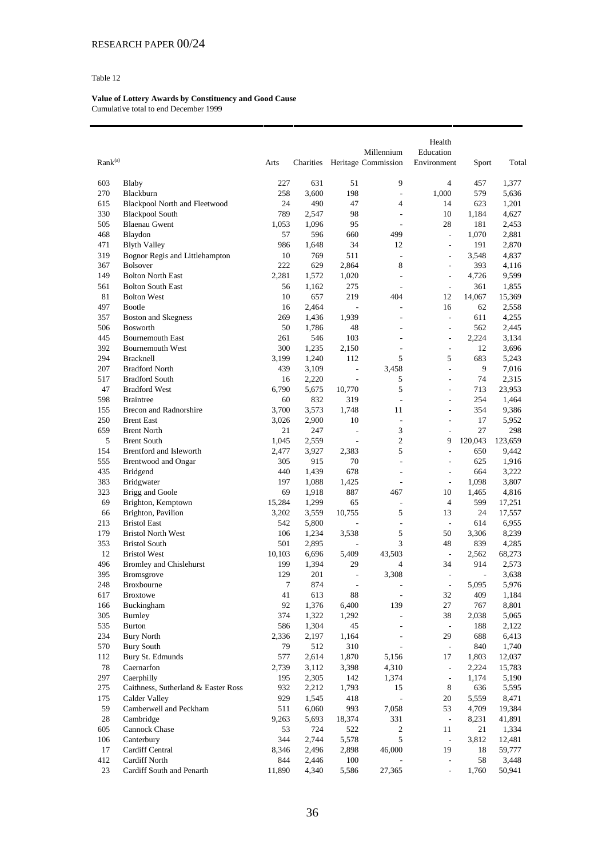| Rank <sup>(a)</sup> |                                     | Arts     | Charities  |                                                          | Millennium<br>Heritage Commission | Health<br>Education<br>Environment | Sport                   | Total          |
|---------------------|-------------------------------------|----------|------------|----------------------------------------------------------|-----------------------------------|------------------------------------|-------------------------|----------------|
| 603                 | Blaby                               | 227      | 631        | 51                                                       | 9                                 | $\overline{4}$                     | 457                     | 1,377          |
| 270                 | Blackburn                           | 258      | 3,600      | 198                                                      | $\overline{a}$                    | 1,000                              | 579                     | 5,636          |
| 615                 | Blackpool North and Fleetwood       | 24       | 490        | 47                                                       | $\overline{4}$                    | 14                                 | 623                     | 1,201          |
| 330                 | <b>Blackpool South</b>              | 789      | 2,547      | 98                                                       | $\overline{a}$                    | 10                                 | 1,184                   | 4,627          |
| 505                 | <b>Blaenau Gwent</b>                | 1,053    | 1,096      | 95                                                       | L.                                | 28                                 | 181                     | 2,453          |
| 468                 | Blaydon                             | 57       | 596        | 660                                                      | 499                               | $\overline{\phantom{a}}$           | 1,070                   | 2,881          |
| 471                 | <b>Blyth Valley</b>                 | 986      | 1,648      | 34                                                       | 12                                | $\frac{1}{2}$                      | 191                     | 2,870          |
| 319                 | Bognor Regis and Littlehampton      | 10       | 769        | 511                                                      | ÷,                                | $\overline{a}$                     | 3,548                   | 4,837          |
| 367                 | <b>Bolsover</b>                     | 222      | 629        | 2,864                                                    | 8                                 | $\frac{1}{2}$                      | 393                     | 4,116          |
| 149                 | <b>Bolton North East</b>            | 2,281    | 1,572      | 1,020                                                    | ÷,                                | $\overline{a}$                     | 4,726                   | 9,599          |
| 561                 | <b>Bolton South East</b>            | 56       | 1,162      | 275                                                      | $\overline{a}$                    | $\frac{1}{2}$                      | 361                     | 1,855          |
| 81                  | <b>Bolton West</b>                  | 10       | 657        | 219                                                      | 404                               | 12                                 | 14,067                  | 15,369         |
| 497                 | <b>Bootle</b>                       | 16       | 2,464      | ÷,                                                       | L,                                | 16                                 | 62                      | 2,558          |
| 357                 | <b>Boston and Skegness</b>          | 269      | 1,436      | 1,939                                                    | L,                                | $\overline{a}$                     | 611                     | 4,255          |
| 506                 | Bosworth                            | 50       | 1,786      | 48                                                       | ÷                                 | $\overline{\phantom{a}}$           | 562                     | 2,445          |
| 445                 | <b>Bournemouth East</b>             | 261      | 546        | 103                                                      | ÷.                                | $\overline{\phantom{a}}$           | 2,224                   | 3,134          |
| 392                 | <b>Bournemouth West</b>             | 300      | 1,235      | 2,150                                                    | $\overline{a}$                    | $\overline{a}$                     | 12                      | 3,696          |
| 294                 | <b>Bracknell</b>                    | 3,199    | 1,240      | 112                                                      | 5                                 | 5                                  | 683                     | 5,243          |
| 207                 | <b>Bradford North</b>               | 439      | 3,109      | $\overline{\phantom{a}}$                                 | 3,458                             | $\frac{1}{2}$                      | 9                       | 7,016          |
| 517                 | <b>Bradford South</b>               | 16       | 2,220      | $\overline{a}$                                           | 5                                 | $\overline{a}$                     | 74                      | 2,315          |
| 47                  | <b>Bradford West</b>                | 6,790    | 5,675      | 10,770                                                   | 5                                 | $\overline{a}$                     | 713                     | 23,953         |
| 598                 | <b>Braintree</b>                    | 60       | 832        | 319                                                      | $\overline{a}$                    | $\overline{a}$                     | 254                     | 1,464          |
| 155                 | Brecon and Radnorshire              | 3,700    | 3,573      | 1,748                                                    | 11                                | $\overline{a}$                     | 354                     | 9,386          |
| 250                 | <b>Brent East</b>                   | 3,026    | 2,900      | 10                                                       | $\overline{a}$                    | $\overline{a}$                     | 17                      | 5,952          |
| 659                 | <b>Brent North</b>                  | 21       | 247        | $\overline{a}$                                           | 3                                 | $\overline{a}$                     | 27                      | 298            |
| 5                   | <b>Brent South</b>                  | 1,045    | 2,559      | $\frac{1}{2}$                                            | $\overline{2}$                    | 9                                  | 120,043                 | 123,659        |
| 154                 | Brentford and Isleworth             | 2,477    | 3,927      | 2,383                                                    | 5                                 | $\frac{1}{2}$                      | 650                     | 9,442          |
| 555                 | Brentwood and Ongar                 | 305      | 915        | 70                                                       | ÷,                                | $\frac{1}{2}$                      | 625                     | 1,916          |
| 435                 | <b>Bridgend</b>                     | 440      | 1,439      | 678                                                      | ÷,                                | $\overline{a}$                     | 664                     | 3,222          |
| 383                 | Bridgwater                          | 197      | 1,088      | 1,425                                                    | ÷,                                | $\overline{\phantom{a}}$           | 1,098                   | 3,807          |
| 323                 | Brigg and Goole                     | 69       | 1,918      | 887                                                      | 467                               | 10                                 | 1,465                   | 4,816          |
| 69                  | Brighton, Kemptown                  | 15,284   | 1,299      | 65                                                       | ÷,                                | $\overline{4}$                     | 599                     | 17,251         |
| 66                  | Brighton, Pavilion                  | 3,202    | 3,559      | 10,755                                                   | 5                                 | 13                                 | 24                      | 17,557         |
| 213                 | <b>Bristol East</b>                 | 542      | 5,800      | $\overline{\phantom{a}}$                                 | $\overline{\phantom{a}}$          | $\overline{\phantom{a}}$           | 614                     | 6,955          |
| 179                 | <b>Bristol North West</b>           | 106      | 1,234      | 3,538                                                    | 5                                 | 50                                 | 3,306                   | 8,239          |
| 353                 | <b>Bristol South</b>                | 501      | 2,895      |                                                          | 3                                 | 48                                 | 839                     | 4,285          |
| 12                  | <b>Bristol West</b>                 | 10,103   | 6,696      | 5,409                                                    | 43,503                            | $\overline{\phantom{a}}$<br>34     | 2,562<br>914            | 68,273         |
| 496                 | <b>Bromley and Chislehurst</b>      | 199      | 1,394      | 29                                                       | $\overline{4}$                    |                                    |                         | 2,573          |
| 395<br>248          | Bromsgrove<br>Broxbourne            | 129<br>7 | 201<br>874 | $\qquad \qquad \blacksquare$<br>$\overline{\phantom{a}}$ | 3,308<br>÷,                       | $\overline{a}$<br>$\overline{a}$   | $\overline{a}$<br>5,095 | 3,638<br>5,976 |
| 617                 | <b>Broxtowe</b>                     | 41       | 613        | $\bf 88$                                                 | $\overline{\phantom{a}}$          | 32                                 | 409                     | 1,184          |
| 166                 | Buckingham                          | 92       | 1,376      | 6,400                                                    | 139                               | 27                                 | 767                     | 8,801          |
| 305                 | Burnley                             | 374      | 1,322      | 1,292                                                    | ÷,                                | 38                                 | 2,038                   | 5,065          |
| 535                 | <b>Burton</b>                       | 586      | 1,304      | 45                                                       | $\overline{\phantom{a}}$          | $\overline{\phantom{a}}$           | 188                     | 2,122          |
| 234                 | <b>Bury North</b>                   | 2,336    | 2,197      | 1,164                                                    | $\overline{\phantom{a}}$          | 29                                 | 688                     | 6,413          |
| 570                 | <b>Bury South</b>                   | 79       | 512        | 310                                                      | $\overline{\phantom{a}}$          | $\overline{\phantom{a}}$           | 840                     | 1,740          |
| 112                 | Bury St. Edmunds                    | 577      | 2,614      | 1,870                                                    | 5,156                             | 17                                 | 1,803                   | 12,037         |
| $78\,$              | Caernarfon                          | 2,739    | 3,112      | 3,398                                                    | 4,310                             | $\overline{\phantom{a}}$           | 2,224                   | 15,783         |
| 297                 | Caerphilly                          | 195      | 2,305      | 142                                                      | 1,374                             | $\overline{\phantom{a}}$           | 1,174                   | 5,190          |
| 275                 | Caithness, Sutherland & Easter Ross | 932      | 2,212      | 1,793                                                    | 15                                | 8                                  | 636                     | 5,595          |
| 175                 | Calder Valley                       | 929      | 1,545      | 418                                                      | $\frac{1}{2}$                     | 20                                 | 5,559                   | 8,471          |
| 59                  | Camberwell and Peckham              | 511      | 6,060      | 993                                                      | 7,058                             | 53                                 | 4,709                   | 19,384         |
| $28\,$              | Cambridge                           | 9,263    | 5,693      | 18,374                                                   | 331                               | $\overline{\phantom{a}}$           | 8,231                   | 41,891         |
| 605                 | Cannock Chase                       | 53       | 724        | 522                                                      | 2                                 | 11                                 | 21                      | 1,334          |
| 106                 | Canterbury                          | 344      | 2,744      | 5,578                                                    | 5                                 | $\overline{\phantom{a}}$           | 3,812                   | 12,481         |
| 17                  | Cardiff Central                     | 8,346    | 2,496      | 2,898                                                    | 46,000                            | 19                                 | 18                      | 59,777         |
| 412                 | Cardiff North                       | 844      | 2,446      | 100                                                      |                                   | $\overline{\phantom{a}}$           | 58                      | 3,448          |
| 23                  | Cardiff South and Penarth           | 11,890   | 4,340      | 5,586                                                    | 27,365                            | $\overline{\phantom{a}}$           | 1,760                   | 50,941         |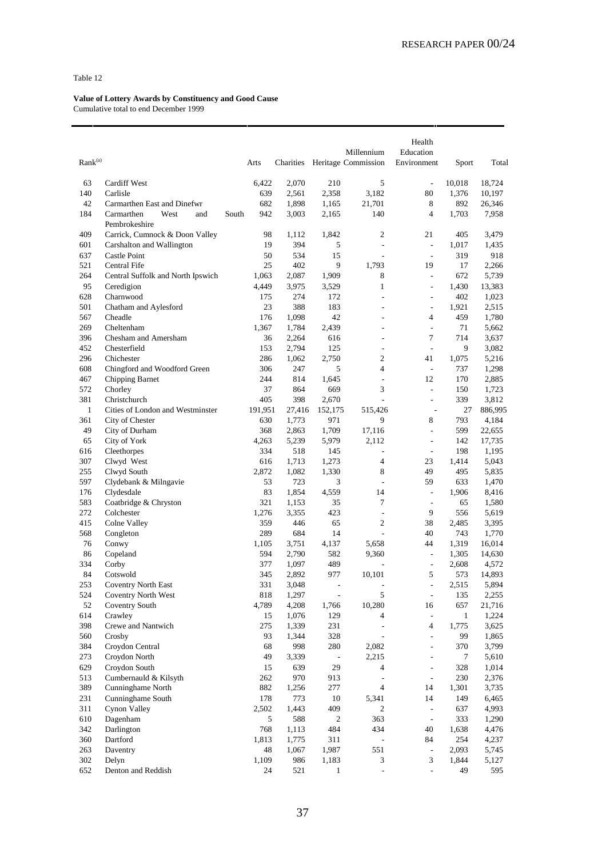| Rank <sup>(a)</sup> |                                            |       | Arts         | Charities      |                          | Millennium<br>Heritage Commission                    | Health<br>Education<br>Environment | Sport            | Total            |
|---------------------|--------------------------------------------|-------|--------------|----------------|--------------------------|------------------------------------------------------|------------------------------------|------------------|------------------|
| 63                  | Cardiff West                               |       | 6,422        | 2,070          | 210                      | 5                                                    | $\overline{a}$                     | 10,018           | 18,724           |
| 140                 | Carlisle                                   |       | 639          | 2,561          | 2,358                    | 3,182                                                | 80                                 | 1,376            | 10,197           |
| 42                  | Carmarthen East and Dinefwr                |       | 682          | 1,898          | 1,165                    | 21,701                                               | 8                                  | 892              | 26,346           |
| 184                 | Carmarthen<br>West<br>and<br>Pembrokeshire | South | 942          | 3,003          | 2,165                    | 140                                                  | $\overline{4}$                     | 1,703            | 7,958            |
| 409                 | Carrick, Cumnock & Doon Valley             |       | 98           | 1,112          | 1,842                    | $\overline{c}$                                       | 21                                 | 405              | 3,479            |
| 601                 | Carshalton and Wallington                  |       | 19           | 394            | 5                        | $\overline{\phantom{a}}$                             | $\overline{\phantom{a}}$           | 1,017            | 1,435            |
| 637                 | <b>Castle Point</b>                        |       | 50           | 534            | 15                       | L.                                                   | $\overline{\phantom{a}}$           | 319              | 918              |
| 521                 | Central Fife                               |       | 25           | 402            | 9                        | 1,793                                                | 19                                 | 17               | 2,266            |
| 264                 | Central Suffolk and North Ipswich          |       | 1,063        | 2,087          | 1,909                    | 8                                                    | ÷,                                 | 672              | 5,739            |
| 95                  | Ceredigion                                 |       | 4,449        | 3,975          | 3,529                    | $\mathbf{1}$                                         | $\overline{a}$                     | 1,430            | 13,383           |
| 628                 | Charnwood                                  |       | 175          | 274            | 172                      | ÷,                                                   | $\frac{1}{2}$                      | 402              | 1,023            |
| 501                 | Chatham and Aylesford                      |       | 23           | 388            | 183                      | $\overline{\phantom{a}}$                             | $\overline{a}$                     | 1,921            | 2,515            |
| 567                 | Cheadle                                    |       | 176          | 1,098          | 42                       | ÷,                                                   | 4                                  | 459              | 1,780            |
| 269<br>396          | Cheltenham<br>Chesham and Amersham         |       | 1,367<br>36  | 1,784          | 2,439<br>616             | $\overline{\phantom{a}}$<br>$\overline{\phantom{a}}$ | $\overline{a}$<br>7                | 71<br>714        | 5,662            |
| 452                 | Chesterfield                               |       | 153          | 2,264<br>2,794 | 125                      | $\overline{a}$                                       | ÷,                                 | 9                | 3,637<br>3,082   |
| 296                 | Chichester                                 |       | 286          | 1,062          | 2,750                    | $\overline{c}$                                       | 41                                 | 1,075            | 5,216            |
| 608                 | Chingford and Woodford Green               |       | 306          | 247            | 5                        | $\overline{4}$                                       | $\overline{a}$                     | 737              | 1,298            |
| 467                 | Chipping Barnet                            |       | 244          | 814            | 1,645                    | $\overline{\phantom{a}}$                             | 12                                 | 170              | 2,885            |
| 572                 | Chorley                                    |       | 37           | 864            | 669                      | 3                                                    | ÷,                                 | 150              | 1,723            |
| 381                 | Christchurch                               |       | 405          | 398            | 2,670                    | ÷,                                                   | $\overline{a}$                     | 339              | 3,812            |
| $\mathbf{1}$        | Cities of London and Westminster           |       | 191,951      | 27,416         | 152,175                  | 515,426                                              | $\overline{a}$                     | 27               | 886,995          |
| 361                 | City of Chester                            |       | 630          | 1,773          | 971                      | 9                                                    | 8                                  | 793              | 4,184            |
| 49                  | City of Durham                             |       | 368          | 2,863          | 1,709                    | 17,116                                               | $\frac{1}{2}$                      | 599              | 22,655           |
| 65                  | City of York                               |       | 4,263        | 5,239          | 5,979                    | 2,112                                                | $\overline{a}$                     | 142              | 17,735           |
| 616                 | Cleethorpes                                |       | 334          | 518            | 145                      | $\overline{\phantom{a}}$                             | $\overline{a}$                     | 198              | 1,195            |
| 307                 | Clwyd West                                 |       | 616          | 1,713          | 1,273                    | $\overline{4}$                                       | 23                                 | 1,414            | 5,043            |
| 255                 | Clwyd South                                |       | 2,872        | 1,082          | 1,330                    | 8                                                    | 49                                 | 495              | 5,835            |
| 597                 | Clydebank & Milngavie                      |       | 53           | 723            | 3                        | L.                                                   | 59                                 | 633              | 1,470            |
| 176                 | Clydesdale                                 |       | 83           | 1,854          | 4,559                    | 14                                                   | $\overline{\phantom{a}}$           | 1,906            | 8,416            |
| 583                 | Coatbridge & Chryston                      |       | 321          | 1,153          | 35                       | 7                                                    | $\overline{a}$                     | 65               | 1,580            |
| 272                 | Colchester                                 |       | 1,276        | 3,355          | 423                      | $\overline{\phantom{a}}$                             | 9                                  | 556              | 5,619            |
| 415                 | Colne Valley                               |       | 359          | 446            | 65                       | $\overline{c}$                                       | 38                                 | 2,485            | 3,395            |
| 568                 | Congleton                                  |       | 289          | 684            | 14                       | $\overline{a}$                                       | 40                                 | 743              | 1,770            |
| 76<br>86            | Conwy<br>Copeland                          |       | 1,105<br>594 | 3,751<br>2,790 | 4,137<br>582             | 5,658<br>9,360                                       | 44<br>$\overline{\phantom{a}}$     | 1,319<br>1,305   | 16,014<br>14,630 |
| 334                 | Corby                                      |       | 377          | 1,097          | 489                      | $\overline{a}$                                       | $\overline{\phantom{a}}$           | 2,608            | 4,572            |
| 84                  | Cotswold                                   |       | 345          | 2,892          | 977                      | 10,101                                               | 5                                  | 573              | 14,893           |
| 253                 | <b>Coventry North East</b>                 |       | 331          | 3,048          | ÷,                       | $\overline{a}$                                       | $\overline{a}$                     | 2,515            | 5,894            |
| 524                 | Coventry North West                        |       | 818          | 1,297          | $\overline{\phantom{a}}$ | 5                                                    | $\overline{\phantom{a}}$           | 135              | 2,255            |
| 52                  | <b>Coventry South</b>                      |       | 4,789        | 4,208          | 1,766                    | 10,280                                               | 16                                 | 657              | 21,716           |
| 614                 | Crawley                                    |       | 15           | 1,076          | 129                      | 4                                                    | $\overline{\phantom{a}}$           | $\mathbf{1}$     | 1,224            |
| 398                 | Crewe and Nantwich                         |       | 275          | 1,339          | 231                      | $\blacksquare$                                       | $\overline{4}$                     | 1,775            | 3,625            |
| 560                 | Crosby                                     |       | 93           | 1,344          | 328                      | $\overline{\phantom{a}}$                             | ÷,                                 | 99               | 1,865            |
| 384                 | Croydon Central                            |       | 68           | 998            | 280                      | 2,082                                                | $\overline{a}$                     | 370              | 3,799            |
| 273                 | Croydon North                              |       | 49           | 3,339          | $\overline{\phantom{a}}$ | 2,215                                                | $\overline{a}$                     | $\boldsymbol{7}$ | 5,610            |
| 629                 | Croydon South                              |       | 15           | 639            | 29                       | 4                                                    | $\overline{a}$                     | 328              | 1,014            |
| 513                 | Cumbernauld & Kilsyth                      |       | 262          | 970            | 913                      | $\Box$                                               | $\frac{1}{2}$                      | 230              | 2,376            |
| 389                 | Cunninghame North                          |       | 882          | 1,256          | 277                      | $\overline{4}$                                       | 14                                 | 1,301            | 3,735            |
| 231                 | Cunninghame South                          |       | 178          | 773            | 10                       | 5,341                                                | 14                                 | 149              | 6,465            |
| 311                 | Cynon Valley                               |       | 2,502        | 1,443          | 409                      | $\overline{c}$                                       | $\overline{\phantom{a}}$           | 637              | 4,993            |
| 610                 | Dagenham                                   |       | 5            | 588            | $\mathfrak{2}$           | 363                                                  | $\overline{\phantom{a}}$           | 333              | 1,290            |
| 342                 | Darlington                                 |       | 768          | 1,113          | 484                      | 434                                                  | 40                                 | 1,638            | 4,476            |
| 360                 | Dartford                                   |       | 1,813        | 1,775          | 311                      | $\overline{\phantom{a}}$                             | 84                                 | 254              | 4,237            |
| 263<br>302          | Daventry                                   |       | 48<br>1,109  | 1,067          | 1,987                    | 551                                                  | $\overline{\phantom{a}}$<br>3      | 2,093            | 5,745            |
| 652                 | Delyn<br>Denton and Reddish                |       | 24           | 986<br>521     | 1,183<br>$\mathbf{1}$    | 3<br>$\blacksquare$                                  | $\overline{a}$                     | 1,844<br>49      | 5,127<br>595     |
|                     |                                            |       |              |                |                          |                                                      |                                    |                  |                  |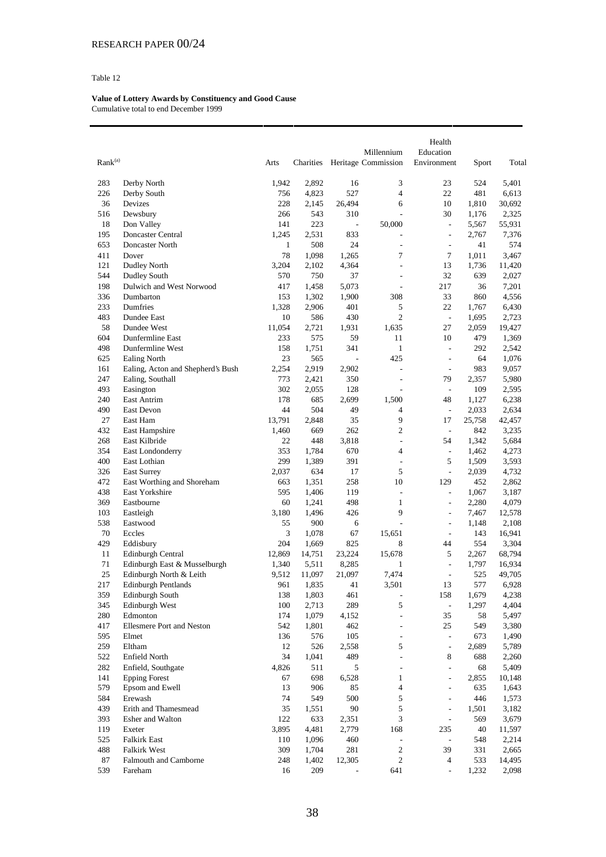| Rank <sup>(a)</sup> |                                   | Arts       | Charities      |                          | Millennium<br>Heritage Commission | Health<br>Education<br>Environment | Sport          | Total          |
|---------------------|-----------------------------------|------------|----------------|--------------------------|-----------------------------------|------------------------------------|----------------|----------------|
| 283                 | Derby North                       | 1,942      | 2,892          | 16                       | 3                                 | 23                                 | 524            | 5,401          |
| 226                 | Derby South                       | 756        | 4,823          | 527                      | $\overline{4}$                    | 22                                 | 481            | 6,613          |
| 36                  | Devizes                           | 228        | 2,145          | 26,494                   | 6                                 | 10                                 | 1,810          | 30,692         |
| 516                 | Dewsbury                          | 266        | 543            | 310                      | $\overline{a}$                    | 30                                 | 1,176          | 2,325          |
| 18                  | Don Valley                        | 141        | 223            | $\overline{\phantom{a}}$ | 50,000                            | $\frac{1}{2}$                      | 5,567          | 55,931         |
| 195                 | Doncaster Central                 | 1,245      | 2,531          | 833                      | $\overline{a}$                    | $\overline{\phantom{a}}$           | 2,767          | 7,376          |
| 653                 | Doncaster North                   | 1          | 508            | 24                       | ÷,                                | $\overline{a}$                     | 41             | 574            |
| 411                 | Dover                             | 78         | 1,098          | 1,265                    | 7                                 | 7                                  | 1,011          | 3,467          |
| 121                 | <b>Dudley North</b>               | 3,204      | 2,102          | 4,364                    | ÷,                                | 13                                 | 1,736          | 11,420         |
| 544                 | <b>Dudley South</b>               | 570        | 750            | 37                       | $\overline{\phantom{a}}$          | 32                                 | 639            | 2,027          |
| 198                 | Dulwich and West Norwood          | 417        | 1,458          | 5,073                    | $\overline{a}$                    | 217                                | 36             | 7,201          |
| 336                 | Dumbarton                         | 153        | 1,302          | 1,900                    | 308                               | 33                                 | 860            | 4,556          |
| 233                 | Dumfries                          | 1,328      | 2,906          | 401                      | 5                                 | 22                                 | 1,767          | 6,430          |
| 483                 | Dundee East                       | 10         | 586            | 430                      | $\overline{c}$                    | $\overline{\phantom{a}}$           | 1,695          | 2,723          |
| 58                  | Dundee West                       | 11,054     | 2,721          | 1,931                    | 1,635                             | 27                                 | 2,059          | 19,427         |
| 604                 | Dunfermline East                  | 233        | 575            | 59                       | 11                                | 10                                 | 479            | 1,369          |
| 498                 | Dunfermline West                  | 158        | 1,751          | 341                      | $\mathbf{1}$                      | $\overline{a}$                     | 292            | 2,542          |
| 625                 | <b>Ealing North</b>               | 23         | 565            | $\overline{\phantom{a}}$ | 425                               | $\frac{1}{2}$                      | 64             | 1,076          |
| 161                 | Ealing, Acton and Shepherd's Bush | 2,254      | 2,919          | 2,902                    | ÷,                                | $\frac{1}{2}$                      | 983            | 9,057          |
| 247                 | Ealing, Southall                  | 773        | 2,421          | 350                      | $\overline{a}$                    | 79                                 | 2,357          | 5,980          |
| 493                 | Easington                         | 302        | 2,055          | 128                      | ÷,                                | $\overline{\phantom{a}}$           | 109            | 2,595          |
| 240                 | East Antrim                       | 178        | 685            | 2,699                    | 1,500                             | 48                                 | 1,127          | 6,238          |
| 490                 | East Devon                        | 44         | 504            | 49                       | 4                                 | $\overline{\phantom{a}}$           | 2,033          | 2,634          |
| 27                  | East Ham                          | 13,791     | 2,848          | 35                       | 9                                 | 17                                 | 25,758         | 42,457         |
| 432                 | East Hampshire                    | 1,460      | 669            | 262                      | $\overline{2}$                    | $\overline{\phantom{a}}$           | 842            | 3,235          |
| 268                 | East Kilbride                     | 22         | 448            | 3,818                    | $\frac{1}{2}$                     | 54                                 | 1,342          | 5,684          |
| 354                 | East Londonderry                  | 353        | 1,784          | 670                      | $\overline{4}$                    | $\overline{\phantom{a}}$           | 1,462          | 4,273          |
| 400                 | East Lothian                      | 299        | 1,389          | 391                      | $\frac{1}{2}$                     | 5                                  | 1,509          | 3,593          |
| 326                 | <b>East Surrey</b>                | 2,037      | 634            | 17                       | 5                                 | $\overline{\phantom{a}}$           | 2,039          | 4,732          |
| 472                 | East Worthing and Shoreham        | 663        | 1,351          | 258                      | 10                                | 129                                | 452            | 2,862          |
| 438                 | East Yorkshire                    | 595        | 1,406          | 119                      | $\frac{1}{2}$                     | $\overline{\phantom{a}}$           | 1,067          | 3,187          |
| 369                 | Eastbourne                        | 60         | 1,241          | 498                      | 1                                 | $\frac{1}{2}$                      | 2,280          | 4,079          |
| 103                 | Eastleigh                         | 3,180      | 1,496          | 426                      | 9                                 | $\overline{a}$                     | 7,467          | 12,578         |
| 538                 | Eastwood                          | 55         | 900            | 6                        | $\frac{1}{2}$                     | $\frac{1}{2}$                      | 1,148          | 2,108          |
| 70                  | Eccles                            | 3          | 1,078          | 67                       | 15,651                            | $\overline{\phantom{a}}$           | 143            | 16,941         |
| 429                 | Eddisbury                         | 204        | 1,669          | 825                      | 8                                 | 44                                 | 554            | 3,304          |
| 11                  | <b>Edinburgh Central</b>          | 12,869     | 14,751         | 23,224                   | 15,678                            | 5                                  | 2,267          | 68,794         |
| 71                  | Edinburgh East & Musselburgh      | 1,340      | 5,511          | 8,285                    | 1                                 | $\overline{\phantom{a}}$           | 1,797          | 16,934         |
| 25<br>217           | Edinburgh North & Leith           | 9,512      | 11,097         | 21,097                   | 7,474                             | $\overline{\phantom{a}}$           | 525            | 49,705         |
|                     | Edinburgh Pentlands               | 961        | 1,835          | 41                       | 3,501                             | 13                                 | 577            | 6,928          |
| 359<br>345          | Edinburgh South<br>Edinburgh West | 138<br>100 | 1,803<br>2,713 | 461<br>289               | $\overline{\phantom{a}}$<br>5     | 158                                | 1,679<br>1,297 | 4,238<br>4,404 |
| 280                 | Edmonton                          | 174        | 1,079          | 4,152                    | $\overline{a}$                    | $\overline{\phantom{a}}$<br>35     | 58             | 5,497          |
| 417                 | Ellesmere Port and Neston         | 542        | 1,801          | 462                      | $\frac{1}{2}$                     | 25                                 | 549            | 3,380          |
| 595                 | Elmet                             | 136        | 576            | 105                      | $\overline{\phantom{a}}$          | $\bar{\phantom{a}}$                | 673            | 1,490          |
| 259                 | Eltham                            | 12         | 526            | 2,558                    | 5                                 | $\overline{\phantom{a}}$           | 2,689          | 5,789          |
| 522                 | Enfield North                     | 34         | 1,041          | 489                      | $\frac{1}{2}$                     | 8                                  | 688            | 2,260          |
| 282                 | Enfield, Southgate                | 4,826      | 511            | 5                        | $\frac{1}{2}$                     | $\overline{a}$                     | 68             | 5,409          |
| 141                 | <b>Epping Forest</b>              | 67         | 698            | 6,528                    | $\mathbf{1}$                      | $\overline{\phantom{a}}$           | 2,855          | 10,148         |
| 579                 | Epsom and Ewell                   | 13         | 906            | 85                       | $\overline{4}$                    | $\overline{\phantom{a}}$           | 635            | 1,643          |
| 584                 | Erewash                           | 74         | 549            | 500                      | $\mathfrak s$                     | $\overline{a}$                     | 446            | 1,573          |
| 439                 | Erith and Thamesmead              | 35         | 1,551          | $90\,$                   | 5                                 | $\frac{1}{2}$                      | 1,501          | 3,182          |
| 393                 | Esher and Walton                  | 122        | 633            | 2,351                    | 3                                 | $\overline{\phantom{a}}$           | 569            | 3,679          |
| 119                 | Exeter                            | 3,895      | 4,481          | 2,779                    | 168                               | 235                                | 40             | 11,597         |
| 525                 | <b>Falkirk East</b>               | 110        | 1,096          | 460                      | ÷,                                | $\overline{\phantom{a}}$           | 548            | 2,214          |
| 488                 | Falkirk West                      | 309        | 1,704          | 281                      | $\overline{c}$                    | 39                                 | 331            | 2,665          |
| 87                  | Falmouth and Camborne             | 248        | 1,402          | 12,305                   | 2                                 | 4                                  | 533            | 14,495         |
| 539                 | Fareham                           | 16         | 209            |                          | 641                               | $\overline{\phantom{a}}$           | 1,232          | 2,098          |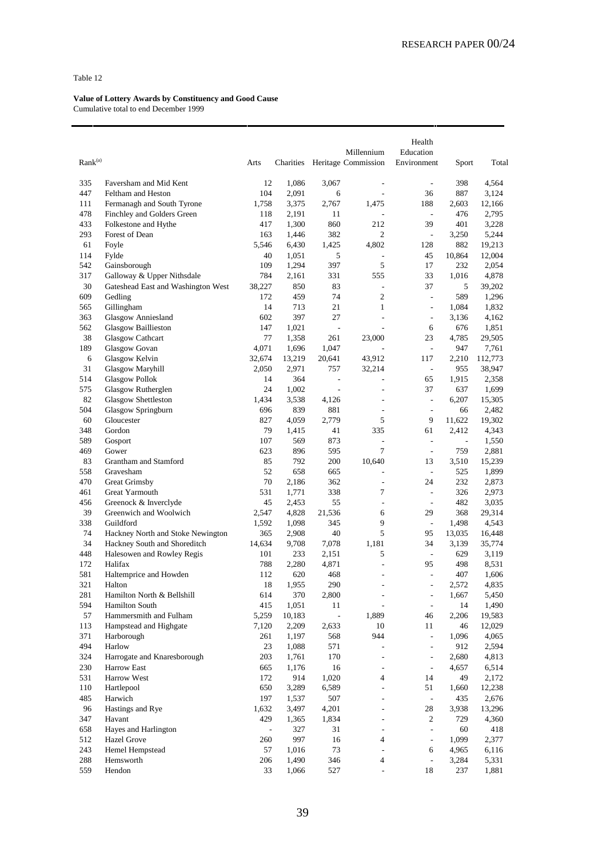|                     |                                    |               |           |                          |                              | Health                   |                |         |
|---------------------|------------------------------------|---------------|-----------|--------------------------|------------------------------|--------------------------|----------------|---------|
|                     |                                    |               |           |                          | Millennium                   | Education                |                |         |
| Rank <sup>(a)</sup> |                                    | Arts          | Charities |                          | Heritage Commission          | Environment              | Sport          | Total   |
|                     |                                    | 12            | 1,086     |                          |                              |                          |                |         |
| 335                 | Faversham and Mid Kent             |               |           | 3,067                    | $\overline{a}$<br>L,         | ÷,                       | 398            | 4,564   |
| 447                 | Feltham and Heston                 | 104           | 2,091     | 6                        |                              | 36                       | 887            | 3,124   |
| 111                 | Fermanagh and South Tyrone         | 1,758         | 3,375     | 2,767                    | 1,475                        | 188                      | 2,603          | 12,166  |
| 478                 | Finchley and Golders Green         | 118           | 2,191     | 11                       |                              | $\overline{\phantom{a}}$ | 476            | 2,795   |
| 433                 | Folkestone and Hythe               | 417           | 1,300     | 860                      | 212                          | 39                       | 401            | 3,228   |
| 293                 | Forest of Dean                     | 163           | 1,446     | 382                      | 2                            | $\Box$                   | 3,250          | 5,244   |
| 61                  | Foyle                              | 5,546         | 6,430     | 1,425                    | 4,802                        | 128                      | 882            | 19,213  |
| 114                 | Fylde                              | 40            | 1,051     | 5                        | $\overline{a}$               | 45                       | 10,864         | 12,004  |
| 542                 | Gainsborough                       | 109           | 1,294     | 397                      | 5                            | 17                       | 232            | 2,054   |
| 317                 | Galloway & Upper Nithsdale         | 784           | 2,161     | 331                      | 555                          | 33                       | 1,016          | 4,878   |
| 30                  | Gateshead East and Washington West | 38,227        | 850       | 83                       | L.                           | 37                       | 5              | 39,202  |
| 609                 | Gedling                            | 172           | 459       | 74                       | $\overline{c}$               | $\frac{1}{2}$            | 589            | 1,296   |
| 565                 | Gillingham                         | 14            | 713       | 21                       | 1                            | $\overline{\phantom{a}}$ | 1,084          | 1,832   |
| 363                 | Glasgow Anniesland                 | 602           | 397       | 27                       | $\overline{a}$               | $\frac{1}{2}$            | 3,136          | 4,162   |
| 562                 | <b>Glasgow Baillieston</b>         | 147           | 1,021     | $\overline{\phantom{a}}$ | ÷,                           | 6                        | 676            | 1,851   |
| 38                  | Glasgow Cathcart                   | 77            | 1,358     | 261                      | 23,000                       | 23                       | 4,785          | 29,505  |
| 189                 | Glasgow Govan                      | 4,071         | 1,696     | 1,047                    |                              | $\overline{\phantom{a}}$ | 947            | 7,761   |
| 6                   | Glasgow Kelvin                     | 32,674        | 13,219    | 20,641                   | 43,912                       | 117                      | 2,210          | 112,773 |
| 31                  | Glasgow Maryhill                   | 2,050         | 2,971     | 757                      | 32,214                       | $\overline{\phantom{a}}$ | 955            | 38,947  |
| 514                 | <b>Glasgow Pollok</b>              | 14            | 364       | $\overline{\phantom{a}}$ | L                            | 65                       | 1,915          | 2,358   |
| 575                 | Glasgow Rutherglen                 | 24            | 1,002     | $\overline{\phantom{a}}$ | $\overline{a}$               | 37                       | 637            | 1,699   |
| 82                  | <b>Glasgow Shettleston</b>         | 1,434         | 3,538     | 4,126                    | ÷,                           | $\overline{\phantom{a}}$ | 6,207          | 15,305  |
| 504                 | Glasgow Springburn                 | 696           | 839       | 881                      | ÷,                           | ÷,                       | 66             | 2,482   |
| 60                  | Gloucester                         | 827           | 4,059     | 2,779                    | 5                            | 9                        | 11,622         | 19,302  |
| 348                 | Gordon                             | 79            | 1,415     | 41                       | 335                          | 61                       | 2,412          | 4,343   |
| 589                 | Gosport                            | 107           | 569       | 873                      | L,                           | $\overline{a}$           | $\overline{a}$ | 1,550   |
| 469                 | Gower                              | 623           | 896       | 595                      | 7                            | $\overline{\phantom{a}}$ | 759            | 2,881   |
| 83                  | Grantham and Stamford              | 85            | 792       | 200                      | 10,640                       | 13                       | 3,510          | 15,239  |
| 558                 | Gravesham                          | 52            | 658       | 665                      | L,                           | $\overline{\phantom{a}}$ | 525            | 1,899   |
| 470                 | Great Grimsby                      | 70            | 2,186     | 362                      | L,                           | 24                       | 232            | 2,873   |
| 461                 | Great Yarmouth                     | 531           | 1,771     | 338                      | 7                            | $\Box$                   | 326            | 2,973   |
| 456                 | Greenock & Inverclyde              | 45            | 2,453     | 55                       | ÷,                           | $\overline{\phantom{a}}$ | 482            | 3,035   |
| 39                  | Greenwich and Woolwich             | 2,547         | 4,828     | 21,536                   | 6                            | 29                       | 368            | 29,314  |
| 338                 | Guildford                          | 1,592         | 1,098     | 345                      | 9                            | $\overline{\phantom{a}}$ | 1,498          | 4,543   |
| 74                  | Hackney North and Stoke Newington  | 365           | 2,908     | 40                       | 5                            | 95                       | 13,035         | 16,448  |
| 34                  | Hackney South and Shoreditch       | 14,634        | 9,708     | 7.078                    | 1.181                        | 34                       | 3,139          | 35,774  |
| 448                 | Halesowen and Rowley Regis         | 101           | 233       | 2,151                    | 5                            | $\overline{\phantom{a}}$ | 629            | 3,119   |
| 172                 | Halifax                            | 788           | 2,280     | 4,871                    | L,                           | 95                       | 498            | 8,531   |
| 581                 | Haltemprice and Howden             | 112           | 620       | 468                      | L,                           | ÷,                       | 407            | 1,606   |
| 321                 | Halton                             | 18            | 1,955     | 290                      | $\overline{a}$               | $\overline{\phantom{a}}$ | 2,572          | 4,835   |
| 281                 | Hamilton North & Bellshill         | 614           | 370       | 2,800                    | -                            | ÷                        | 1,667          | 5,450   |
| 594                 | Hamilton South                     | 415           | 1,051     | 11                       | $\overline{a}$               | $\Box$                   | 14             | 1,490   |
| 57                  | Hammersmith and Fulham             | 5,259         | 10,183    | $\overline{a}$           | 1,889                        | 46                       | 2,206          | 19,583  |
| 113                 | Hampstead and Highgate             | 7,120         | 2,209     | 2,633                    | 10                           | 11                       | 46             | 12,029  |
| 371                 | Harborough                         | 261           | 1,197     | 568                      | 944                          | $\overline{\phantom{a}}$ | 1,096          | 4,065   |
| 494                 | Harlow                             | 23            | 1,088     | 571                      | $\overline{a}$               | $\frac{1}{2}$            | 912            | 2,594   |
| 324                 | Harrogate and Knaresborough        | 203           | 1,761     | 170                      | $\overline{a}$               | $\overline{\phantom{a}}$ | 2,680          | 4,813   |
| 230                 | Harrow East                        | 665           | 1,176     | 16                       | $\qquad \qquad \blacksquare$ | $\overline{\phantom{a}}$ | 4,657          | 6,514   |
| 531                 | Harrow West                        | 172           | 914       | 1,020                    | 4                            | 14                       | 49             | 2,172   |
| 110                 | Hartlepool                         | 650           | 3,289     | 6,589                    | $\overline{a}$               | 51                       | 1,660          | 12,238  |
| 485                 | Harwich                            | 197           | 1,537     | 507                      | L,                           | $\sim$                   | 435            | 2,676   |
| 96                  | Hastings and Rye                   |               | 3,497     |                          | ÷,                           | 28                       |                | 13,296  |
|                     |                                    | 1,632         |           | 4,201                    |                              |                          | 3,938          |         |
| 347                 | Havant                             | 429           | 1,365     | 1,834                    | ÷,                           | $\overline{c}$           | 729            | 4,360   |
| 658                 | Hayes and Harlington               | $\frac{1}{2}$ | 327       | 31                       | ÷,                           | ÷,                       | 60             | 418     |
| 512                 | Hazel Grove                        | 260           | 997       | 16                       | 4                            | $\frac{1}{2}$            | 1,099          | 2,377   |
| 243                 | Hemel Hempstead                    | 57            | 1,016     | 73                       | ÷,                           | 6                        | 4,965          | 6,116   |
| 288                 | Hemsworth                          | 206           | 1,490     | 346                      | 4                            | $\overline{\phantom{a}}$ | 3,284          | 5,331   |
| 559                 | Hendon                             | 33            | 1,066     | 527                      | $\overline{a}$               | 18                       | 237            | 1,881   |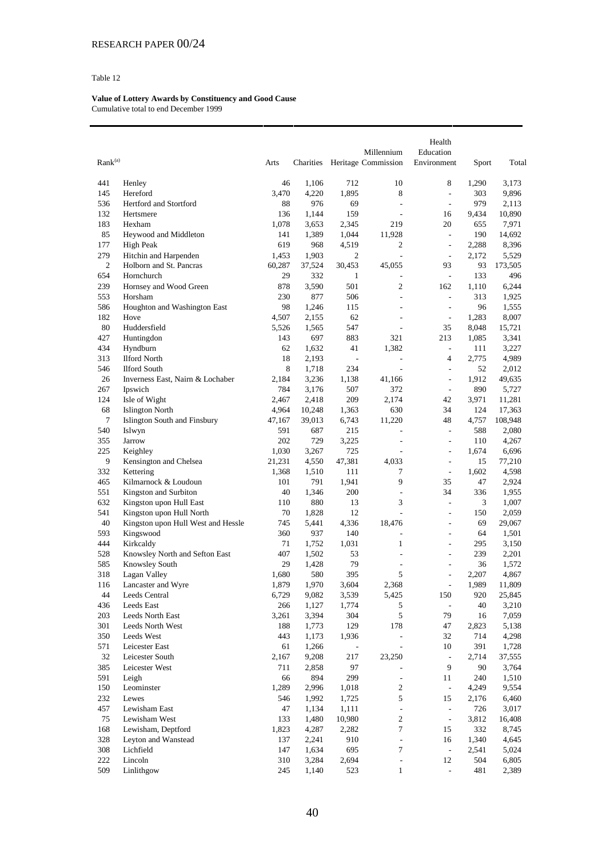| Rank <sup>(a)</sup> |                                    | Arts         | Charities      |                          | Millennium<br>Heritage Commission                    | Health<br>Education<br>Environment | Sport        | Total          |
|---------------------|------------------------------------|--------------|----------------|--------------------------|------------------------------------------------------|------------------------------------|--------------|----------------|
| 441                 | Henley                             | 46           | 1,106          | 712                      | 10                                                   | 8                                  | 1,290        | 3,173          |
| 145                 | Hereford                           | 3,470        | 4,220          | 1,895                    | 8                                                    | $\overline{a}$                     | 303          | 9,896          |
| 536                 | Hertford and Stortford             | 88           | 976            | 69                       | $\overline{\phantom{a}}$                             | $\frac{1}{2}$                      | 979          | 2,113          |
| 132                 | Hertsmere                          | 136          | 1,144          | 159                      | $\overline{\phantom{a}}$                             | 16                                 | 9,434        | 10,890         |
| 183                 | Hexham                             | 1,078        | 3,653          | 2,345                    | 219                                                  | 20                                 | 655          | 7,971          |
| 85                  | Heywood and Middleton              | 141          | 1,389          | 1,044                    | 11,928                                               | $\blacksquare$                     | 190          | 14,692         |
| 177                 | High Peak                          | 619          | 968            | 4,519                    | 2                                                    | $\frac{1}{2}$                      | 2,288        | 8,396          |
| 279                 | Hitchin and Harpenden              | 1,453        | 1,903          | $\mathfrak{2}$           | ÷,                                                   | $\frac{1}{2}$                      | 2,172        | 5,529          |
| $\mathfrak{2}$      | Holborn and St. Pancras            | 60,287       | 37,524         | 30,453                   | 45,055                                               | 93                                 | 93           | 173,505        |
| 654                 | Hornchurch                         | 29           | 332            | $\mathbf{1}$             | $\overline{\phantom{a}}$                             | $\blacksquare$                     | 133          | 496            |
| 239                 | Hornsey and Wood Green             | 878          | 3,590          | 501                      | $\overline{c}$                                       | 162                                | 1,110        | 6,244          |
| 553                 | Horsham                            | 230          | 877            | 506                      | $\overline{\phantom{a}}$                             | $\overline{\phantom{a}}$           | 313          | 1,925          |
| 586                 | Houghton and Washington East       | 98           | 1,246          | 115                      | $\overline{a}$                                       | L,                                 | 96           | 1,555          |
| 182<br>80           | Hove                               | 4,507        | 2,155          | 62                       | $\overline{\phantom{a}}$                             | $\overline{\phantom{a}}$           | 1,283        | 8,007          |
| 427                 | Huddersfield                       | 5,526<br>143 | 1,565<br>697   | 547<br>883               | $\overline{\phantom{a}}$<br>321                      | 35<br>213                          | 8,048        | 15,721         |
| 434                 | Huntingdon<br>Hyndburn             | 62           | 1,632          | 41                       | 1,382                                                | $\overline{\phantom{a}}$           | 1,085<br>111 | 3,341<br>3,227 |
| 313                 | <b>Ilford North</b>                | 18           | 2,193          | $\overline{\phantom{a}}$ | $\overline{\phantom{a}}$                             | $\overline{4}$                     | 2,775        | 4,989          |
| 546                 | <b>Ilford South</b>                | 8            | 1,718          | 234                      | $\overline{a}$                                       | $\overline{a}$                     | 52           | 2,012          |
| 26                  | Inverness East, Nairn & Lochaber   | 2,184        | 3,236          | 1,138                    | 41,166                                               | $\overline{a}$                     | 1,912        | 49,635         |
| 267                 | Ipswich                            | 784          | 3,176          | 507                      | 372                                                  | $\overline{\phantom{a}}$           | 890          | 5,727          |
| 124                 | Isle of Wight                      | 2,467        | 2,418          | 209                      | 2,174                                                | 42                                 | 3,971        | 11,281         |
| 68                  | <b>Islington North</b>             | 4,964        | 10,248         | 1,363                    | 630                                                  | 34                                 | 124          | 17,363         |
| 7                   | Islington South and Finsbury       | 47,167       | 39,013         | 6,743                    | 11,220                                               | 48                                 | 4,757        | 108,948        |
| 540                 | Islwyn                             | 591          | 687            | 215                      | ÷,                                                   | $\frac{1}{2}$                      | 588          | 2,080          |
| 355                 | Jarrow                             | 202          | 729            | 3,225                    | $\sim$                                               | L,                                 | 110          | 4,267          |
| 225                 | Keighley                           | 1,030        | 3,267          | 725                      | ÷                                                    | $\overline{a}$                     | 1,674        | 6,696          |
| 9                   | Kensington and Chelsea             | 21,231       | 4,550          | 47,381                   | 4,033                                                | $\overline{a}$                     | 15           | 77,210         |
| 332                 | Kettering                          | 1,368        | 1,510          | 111                      | 7                                                    | $\blacksquare$                     | 1,602        | 4,598          |
| 465                 | Kilmarnock & Loudoun               | 101          | 791            | 1,941                    | 9                                                    | 35                                 | 47           | 2,924          |
| 551                 | Kingston and Surbiton              | 40           | 1,346          | 200                      | $\overline{\phantom{a}}$                             | 34                                 | 336          | 1,955          |
| 632                 | Kingston upon Hull East            | 110          | 880            | 13                       | 3                                                    | $\overline{a}$                     | 3            | 1,007          |
| 541                 | Kingston upon Hull North           | 70           | 1,828          | 12                       | $\overline{a}$                                       | $\overline{a}$                     | 150          | 2,059          |
| 40                  | Kingston upon Hull West and Hessle | 745          | 5,441          | 4,336                    | 18,476                                               | $\overline{a}$                     | 69           | 29,067         |
| 593                 | Kingswood                          | 360          | 937            | 140                      | ÷,                                                   | $\overline{a}$                     | 64           | 1,501          |
| 444                 | Kirkcaldy                          | 71           | 1,752          | 1,031                    | $\mathbf{1}$                                         | L,                                 | 295          | 3,150          |
| 528                 | Knowsley North and Sefton East     | 407          | 1,502          | 53                       | $\overline{\phantom{a}}$                             | $\overline{a}$                     | 239          | 2,201          |
| 585                 | Knowsley South                     | 29           | 1,428          | 79                       | $\overline{\phantom{a}}$                             | L,                                 | 36           | 1,572          |
| 318                 | Lagan Valley                       | 1,680        | 580            | 395                      | 5                                                    | $\overline{a}$                     | 2,207        | 4,867          |
| 116                 | Lancaster and Wyre                 | 1,879        | 1,970          | 3,604                    | 2,368                                                | $\overline{a}$                     | 1,989        | 11,809         |
| 44                  | Leeds Central                      | 6,729        | 9,082          | 3,539                    | 5,425                                                | 150                                | 920          | 25,845         |
| 436                 | Leeds East                         | 266          | 1,127          | 1,774                    | 5                                                    | $\overline{\phantom{a}}$           | 40           | 3,210          |
| 203                 | Leeds North East                   | 3,261        | 3,394          | 304                      | $\sqrt{5}$                                           | 79                                 | 16           | 7,059          |
| 301                 | Leeds North West                   | 188          | 1,773          | 129                      | 178                                                  | 47                                 | 2,823        | 5,138          |
| 350<br>571          | Leeds West<br>Leicester East       | 443<br>61    | 1,173<br>1,266 | 1,936<br>$\blacksquare$  | $\overline{\phantom{a}}$<br>$\overline{\phantom{a}}$ | 32<br>10                           | 714<br>391   | 4,298<br>1,728 |
| 32                  | Leicester South                    | 2,167        | 9,208          | 217                      | 23,250                                               | $\overline{\phantom{a}}$           | 2,714        | 37,555         |
| 385                 | Leicester West                     | 711          | 2,858          | 97                       | $\overline{\phantom{a}}$                             | 9                                  | 90           | 3,764          |
| 591                 | Leigh                              | 66           | 894            | 299                      | $\blacksquare$                                       | 11                                 | 240          | 1,510          |
| 150                 | Leominster                         | 1,289        | 2,996          | 1,018                    | $\overline{c}$                                       | $\Box$                             | 4,249        | 9,554          |
| 232                 | Lewes                              | 546          | 1,992          | 1,725                    | 5                                                    | 15                                 | 2,176        | 6,460          |
| 457                 | Lewisham East                      | 47           | 1,134          | 1,111                    | $\Box$                                               | $\overline{\phantom{a}}$           | 726          | 3,017          |
| 75                  | Lewisham West                      | 133          | 1,480          | 10,980                   | $\mathbf{2}$                                         | $\overline{\phantom{a}}$           | 3,812        | 16,408         |
| 168                 | Lewisham, Deptford                 | 1,823        | 4,287          | 2,282                    | $\tau$                                               | 15                                 | 332          | 8,745          |
| 328                 | Leyton and Wanstead                | 137          | 2,241          | 910                      | $\overline{\phantom{a}}$                             | 16                                 | 1,340        | 4,645          |
| 308                 | Lichfield                          | 147          | 1,634          | 695                      | $\tau$                                               | $\overline{\phantom{a}}$           | 2,541        | 5,024          |
| 222                 | Lincoln                            | 310          | 3,284          | 2,694                    | $\Box$                                               | 12                                 | 504          | 6,805          |
| 509                 | Linlithgow                         | 245          | 1,140          | 523                      | $\mathbf{1}$                                         | $\overline{\phantom{a}}$           | 481          | 2,389          |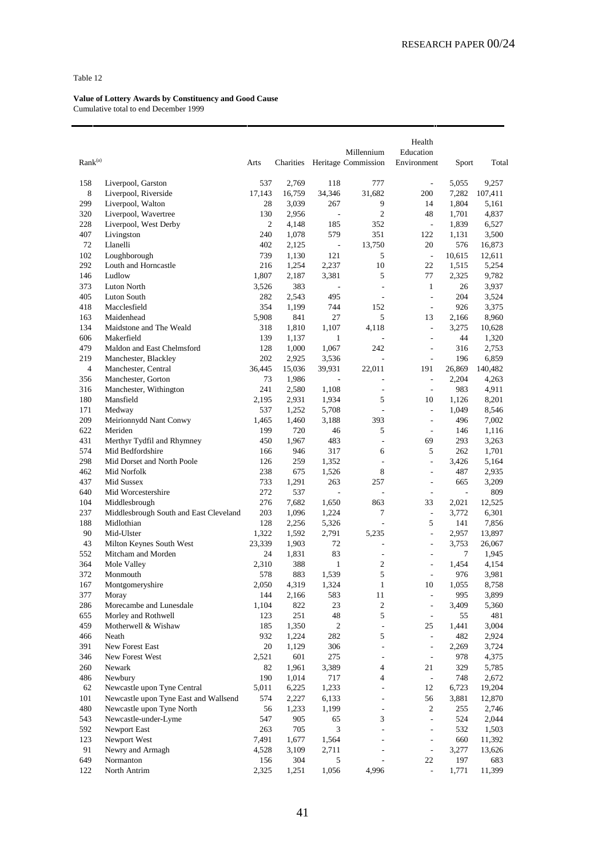| Rank <sup>(a)</sup> |                                                                      | Arts           | Charities       |                          | Millennium<br>Heritage Commission | Health<br>Education<br>Environment | Sport                    | Total            |
|---------------------|----------------------------------------------------------------------|----------------|-----------------|--------------------------|-----------------------------------|------------------------------------|--------------------------|------------------|
|                     |                                                                      |                |                 |                          |                                   |                                    |                          |                  |
| 158<br>8            | Liverpool, Garston<br>Liverpool, Riverside                           | 537<br>17,143  | 2,769<br>16,759 | 118<br>34,346            | 777<br>31,682                     | ÷,<br>200                          | 5,055<br>7,282           | 9,257<br>107,411 |
| 299                 | Liverpool, Walton                                                    | 28             | 3,039           | 267                      | 9                                 | 14                                 | 1,804                    | 5,161            |
| 320                 | Liverpool, Wavertree                                                 | 130            | 2,956           | $\overline{\phantom{a}}$ | $\overline{c}$                    | 48                                 | 1,701                    | 4,837            |
| 228                 | Liverpool, West Derby                                                | $\overline{2}$ | 4,148           | 185                      | 352                               | $\frac{1}{2}$                      | 1,839                    | 6,527            |
| 407                 | Livingston                                                           | 240            | 1,078           | 579                      | 351                               | 122                                | 1,131                    | 3,500            |
| 72                  | Llanelli                                                             | 402            | 2,125           | $\overline{\phantom{a}}$ | 13,750                            | 20                                 | 576                      | 16,873           |
| 102                 | Loughborough                                                         | 739            | 1,130           | 121                      | 5                                 | $\overline{\phantom{a}}$           | 10,615                   | 12,611           |
| 292                 | Louth and Horncastle                                                 | 216            | 1,254           | 2,237                    | 10                                | 22                                 | 1,515                    | 5,254            |
| 146                 | Ludlow                                                               | 1,807          | 2,187           | 3,381                    | 5                                 | 77                                 | 2,325                    | 9,782            |
| 373                 | Luton North                                                          | 3,526          | 383             | $\overline{\phantom{a}}$ | ÷,                                | $\mathbf{1}$                       | 26                       | 3,937            |
| 405                 | Luton South                                                          | 282            | 2,543           | 495                      | L,                                | $\frac{1}{2}$                      | 204                      | 3,524            |
| 418                 | Macclesfield                                                         | 354            | 1,199           | 744                      | 152                               | ÷,                                 | 926                      | 3,375            |
| 163                 | Maidenhead                                                           | 5,908          | 841             | 27                       | 5                                 | 13                                 | 2,166                    | 8,960            |
| 134                 | Maidstone and The Weald                                              | 318            | 1,810           | 1,107                    | 4,118                             | $\overline{\phantom{a}}$           | 3,275                    | 10,628           |
| 606                 | Makerfield                                                           | 139            | 1,137           | $\mathbf{1}$             |                                   | ÷,                                 | 44                       | 1,320            |
| 479                 | Maldon and East Chelmsford                                           | 128            | 1,000           | 1,067                    | 242                               | ÷,                                 | 316                      | 2,753            |
| 219                 | Manchester, Blackley                                                 | 202            | 2,925           | 3,536                    | $\overline{a}$                    | $\overline{\phantom{a}}$           | 196                      | 6,859            |
| $\overline{4}$      | Manchester, Central                                                  | 36,445         | 15,036          | 39,931                   | 22,011                            | 191                                | 26,869                   | 140,482          |
| 356                 | Manchester, Gorton                                                   | 73             | 1,986           | ÷,                       | L,                                | ÷,                                 | 2,204                    | 4,263            |
| 316                 | Manchester, Withington                                               | 241            | 2,580           | 1,108                    | ÷,                                | $\overline{\phantom{a}}$           | 983                      | 4,911            |
| 180                 | Mansfield                                                            | 2,195          | 2,931           | 1,934                    | 5                                 | 10                                 | 1,126                    | 8,201            |
| 171                 | Medway                                                               | 537            | 1,252           | 5,708                    | ÷,                                | ÷,                                 | 1,049                    | 8,546            |
| 209                 | Meirionnydd Nant Conwy                                               | 1,465          | 1,460           | 3,188                    | 393                               | ÷,                                 | 496                      | 7,002            |
| 622<br>431          | Meriden<br>Merthyr Tydfil and Rhymney                                | 199<br>450     | 720<br>1,967    | 46<br>483                | 5<br>÷,                           | $\overline{a}$<br>69               | 146<br>293               | 1,116<br>3,263   |
| 574                 | Mid Bedfordshire                                                     | 166            | 946             | 317                      | 6                                 | 5                                  | 262                      | 1,701            |
| 298                 | Mid Dorset and North Poole                                           | 126            | 259             | 1,352                    | $\overline{a}$                    | $\frac{1}{2}$                      | 3,426                    | 5,164            |
| 462                 | Mid Norfolk                                                          | 238            | 675             | 1,526                    | 8                                 | ÷,                                 | 487                      | 2,935            |
| 437                 | Mid Sussex                                                           | 733            | 1,291           | 263                      | 257                               | L,                                 | 665                      | 3,209            |
| 640                 | Mid Worcestershire                                                   | 272            | 537             | ÷,                       | $\overline{a}$                    | $\overline{a}$                     | $\overline{\phantom{a}}$ | 809              |
| 104                 | Middlesbrough                                                        | 276            | 7,682           | 1,650                    | 863                               | 33                                 | 2,021                    | 12,525           |
| 237                 | Middlesbrough South and East Cleveland                               | 203            | 1,096           | 1,224                    | 7                                 | $\frac{1}{2}$                      | 3,772                    | 6,301            |
| 188                 | Midlothian                                                           | 128            | 2,256           | 5,326                    | $\frac{1}{2}$                     | 5                                  | 141                      | 7,856            |
| 90                  | Mid-Ulster                                                           | 1,322          | 1,592           | 2,791                    | 5,235                             | $\overline{a}$                     | 2,957                    | 13,897           |
| 43                  | Milton Keynes South West                                             | 23,339         | 1,903           | 72                       | L,                                | ÷,                                 | 3,753                    | 26,067           |
| 552                 | Mitcham and Morden                                                   | 24             | 1,831           | 83                       | $\qquad \qquad \blacksquare$      | ÷                                  | 7                        | 1,945            |
| 364                 | Mole Valley                                                          | 2,310          | 388             | $\mathbf{1}$             | 2                                 | $\overline{\phantom{a}}$           | 1,454                    | 4,154            |
| 372                 | Monmouth                                                             | 578            | 883             | 1,539                    | 5                                 | ÷,                                 | 976                      | 3,981            |
| 167                 | Montgomeryshire                                                      | 2,050          | 4,319           | 1,324                    | $\mathbf{1}$                      | 10                                 | 1,055                    | 8,758            |
| 377                 | Moray                                                                | 144            | 2,166           | 583                      | 11                                | $\overline{\phantom{0}}$           | 995                      | 3,899            |
| 286                 | Morecambe and Lunesdale                                              | 1,104          | 822             | 23                       | $\overline{\mathbf{c}}$           | $\overline{\phantom{a}}$           | 3,409                    | 5,360            |
| 655                 | Morley and Rothwell                                                  | 123            | 251             | 48                       | 5                                 | ÷,                                 | 55                       | 481              |
| 459                 | Motherwell & Wishaw                                                  | 185            | 1,350           | $\overline{c}$           | $\frac{1}{2}$                     | 25                                 | 1,441                    | 3,004            |
| 466                 | Neath                                                                | 932            | 1,224           | 282                      | 5                                 | $\frac{1}{2}$                      | 482                      | 2,924            |
| 391                 | New Forest East                                                      | 20             | 1,129           | 306                      | $\frac{1}{2}$                     | $\overline{\phantom{a}}$           | 2,269                    | 3,724            |
| 346                 | New Forest West                                                      | 2,521          | 601             | 275                      | $\overline{\phantom{0}}$          | $\overline{a}$                     | 978                      | 4,375            |
| 260                 | Newark                                                               | 82             | 1,961           | 3,389                    | $\overline{4}$                    | 21                                 | 329                      | 5,785            |
| 486<br>62           | Newbury                                                              | 190            | 1,014           | 717                      | 4<br>$\overline{a}$               | $\Box$<br>12                       | 748                      | 2,672            |
| 101                 | Newcastle upon Tyne Central<br>Newcastle upon Tyne East and Wallsend | 5,011<br>574   | 6,225<br>2,227  | 1,233<br>6,133           | L,                                | 56                                 | 6,723<br>3,881           | 19,204<br>12,870 |
| 480                 | Newcastle upon Tyne North                                            | 56             | 1,233           | 1,199                    | L,                                | 2                                  | 255                      | 2,746            |
| 543                 | Newcastle-under-Lyme                                                 | 547            | 905             | 65                       | 3                                 | $\frac{1}{2}$                      | 524                      | 2,044            |
| 592                 | Newport East                                                         | 263            | 705             | $\mathfrak{Z}$           | $\overline{a}$                    | $\overline{\phantom{a}}$           | 532                      | 1,503            |
| 123                 | Newport West                                                         | 7,491          | 1,677           | 1,564                    | L,                                | $\overline{a}$                     | 660                      | 11,392           |
| 91                  | Newry and Armagh                                                     | 4,528          | 3,109           | 2,711                    | L,                                | $\frac{1}{2}$                      | 3,277                    | 13,626           |
| 649                 | Normanton                                                            | 156            | 304             | 5                        |                                   | 22                                 | 197                      | 683              |
| 122                 | North Antrim                                                         | 2,325          | 1,251           | 1,056                    | 4,996                             | $\overline{\phantom{a}}$           | 1,771                    | 11,399           |
|                     |                                                                      |                |                 |                          |                                   |                                    |                          |                  |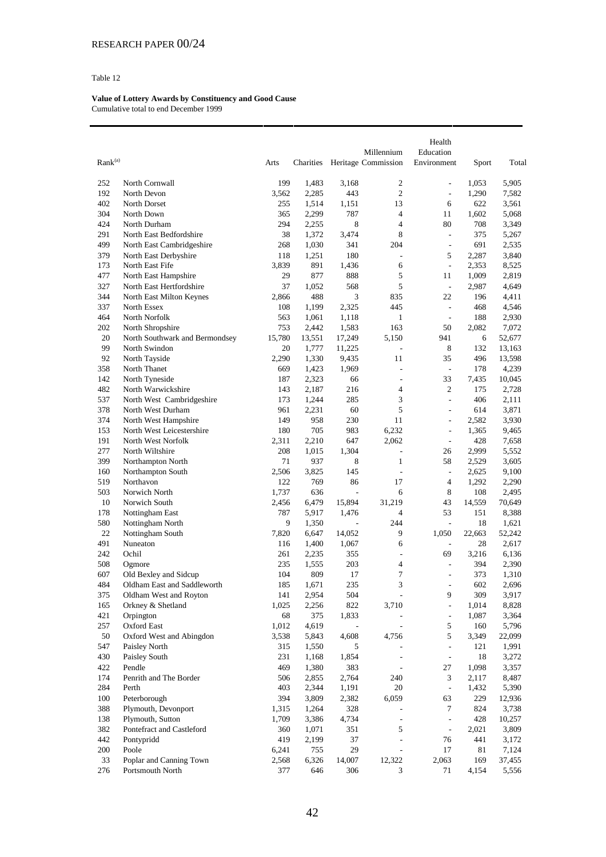|                     |                                                    |        |              |               |                          | Health                       |                |                |
|---------------------|----------------------------------------------------|--------|--------------|---------------|--------------------------|------------------------------|----------------|----------------|
|                     |                                                    |        |              |               | Millennium               | Education                    |                |                |
| Rank <sup>(a)</sup> |                                                    | Arts   | Charities    |               | Heritage Commission      | Environment                  | Sport          | Total          |
| 252                 | North Cornwall                                     | 199    | 1,483        | 3,168         | $\mathfrak{2}$           | $\frac{1}{2}$                | 1,053          | 5,905          |
| 192                 | North Devon                                        | 3,562  | 2,285        | 443           | $\mathfrak{2}$           | $\overline{\phantom{a}}$     | 1,290          | 7,582          |
| 402                 | North Dorset                                       | 255    | 1,514        | 1,151         | 13                       | 6                            | 622            | 3,561          |
| 304                 | North Down                                         | 365    | 2,299        | 787           | $\overline{4}$           | 11                           | 1,602          | 5,068          |
| 424                 | North Durham                                       | 294    | 2,255        | 8             | $\overline{4}$           | 80                           | 708            | 3,349          |
| 291                 | North East Bedfordshire                            | 38     | 1,372        | 3,474         | 8                        | $\overline{\phantom{a}}$     | 375            | 5,267          |
| 499                 |                                                    | 268    | 1,030        | 341           | 204                      | $\frac{1}{2}$                | 691            | 2,535          |
| 379                 | North East Cambridgeshire<br>North East Derbyshire | 118    |              | 180           | ÷,                       | 5                            | 2,287          | 3,840          |
| 173                 | North East Fife                                    | 3,839  | 1,251<br>891 |               | 6                        | $\overline{\phantom{a}}$     |                |                |
| 477                 | North East Hampshire                               | 29     | 877          | 1,436<br>888  | 5                        | 11                           | 2,353<br>1,009 | 8,525<br>2,819 |
| 327                 | North East Hertfordshire                           | 37     | 1,052        | 568           | 5                        | $\overline{\phantom{a}}$     | 2,987          | 4,649          |
| 344                 |                                                    | 2,866  | 488          | 3             | 835                      | 22                           | 196            |                |
| 337                 | North East Milton Keynes<br>North Essex            | 108    |              |               | 445                      | $\overline{\phantom{a}}$     | 468            | 4,411          |
| 464                 | North Norfolk                                      | 563    | 1,199        | 2,325         | $\mathbf{1}$             | $\overline{a}$               | 188            | 4,546<br>2,930 |
| 202                 |                                                    | 753    | 1,061        | 1,118         | 163                      | 50                           |                | 7,072          |
| 20                  | North Shropshire<br>North Southwark and Bermondsey |        | 2,442        | 1,583         | 5,150                    | 941                          | 2,082          |                |
|                     |                                                    | 15,780 | 13,551       | 17,249        | ÷,                       |                              | 6              | 52,677         |
| 99                  | North Swindon                                      | 20     | 1,777        | 11,225        |                          | 8                            | 132            | 13,163         |
| 92                  | North Tayside                                      | 2,290  | 1,330        | 9,435         | 11                       | 35                           | 496            | 13,598         |
| 358                 | North Thanet                                       | 669    | 1,423        | 1,969         | ÷,                       | $\overline{\phantom{a}}$     | 178            | 4,239          |
| 142                 | North Tyneside                                     | 187    | 2,323        | 66            | $\overline{a}$           | 33                           | 7,435          | 10,045         |
| 482                 | North Warwickshire                                 | 143    | 2,187        | 216           | $\overline{4}$           | $\overline{2}$               | 175            | 2,728          |
| 537                 | North West Cambridgeshire                          | 173    | 1,244        | 285           | 3                        | $\overline{a}$               | 406            | 2,111          |
| 378                 | North West Durham                                  | 961    | 2,231        | 60            | 5                        | $\overline{a}$               | 614            | 3,871          |
| 374                 | North West Hampshire                               | 149    | 958          | 230           | 11                       | $\overline{\phantom{a}}$     | 2,582          | 3,930          |
| 153                 | North West Leicestershire                          | 180    | 705          | 983           | 6,232                    | $\frac{1}{2}$                | 1,365          | 9,465          |
| 191                 | North West Norfolk                                 | 2,311  | 2,210        | 647           | 2,062                    | $\frac{1}{2}$                | 428            | 7,658          |
| 277                 | North Wiltshire                                    | 208    | 1,015        | 1,304         | ÷,                       | 26                           | 2,999          | 5,552          |
| 399                 | Northampton North                                  | 71     | 937          | 8             | 1                        | 58                           | 2,529          | 3,605          |
| 160                 | Northampton South                                  | 2,506  | 3,825        | 145           | $\overline{a}$           | $\frac{1}{2}$                | 2,625          | 9,100          |
| 519                 | Northavon                                          | 122    | 769          | 86            | 17                       | $\overline{4}$               | 1,292          | 2,290          |
| 503                 | Norwich North                                      | 1,737  | 636          | $\frac{1}{2}$ | 6                        | 8                            | 108            | 2,495          |
| 10                  | Norwich South                                      | 2,456  | 6,479        | 15,894        | 31,219                   | 43                           | 14,559         | 70,649         |
| 178                 | Nottingham East                                    | 787    | 5,917        | 1,476         | $\overline{4}$           | 53                           | 151            | 8,388          |
| 580                 | Nottingham North                                   | 9      | 1,350        |               | 244                      | $\overline{\phantom{a}}$     | 18             | 1,621          |
| 22                  | Nottingham South                                   | 7,820  | 6,647        | 14,052        | 9                        | 1,050                        | 22,663         | 52,242         |
| 491                 | Nuneaton                                           | 116    | 1,400        | 1,067         | 6                        | $\qquad \qquad \blacksquare$ | 28             | 2,617          |
| 242                 | Ochil                                              | 261    | 2,235        | 355           | ÷,                       | 69                           | 3,216          | 6,136          |
| 508                 | Ogmore                                             | 235    | 1,555        | 203           | $\overline{4}$           | $\overline{a}$               | 394            | 2,390          |
| 607                 | Old Bexley and Sidcup                              | 104    | 809          | 17            | $\tau$                   | $\overline{a}$               | 373            | 1,310          |
| 484                 | Oldham East and Saddleworth                        | 185    | 1,671        | 235           | 3                        | $\overline{a}$               | 602            | 2,696          |
| 375                 | Oldham West and Royton                             | 141    | 2,954        | 504           | $\overline{a}$           | 9                            | 309            | 3,917          |
| 165                 | Orkney & Shetland                                  | 1,025  | 2,256        | 822           | 3,710                    | $\overline{a}$               | 1,014          | 8,828          |
| 421                 | Orpington                                          | 68     | 375          | 1,833         | $\overline{\phantom{a}}$ | $\overline{\phantom{a}}$     | 1,087          | 3,364          |
| 257                 | Oxford East                                        | 1,012  | 4,619        |               | $\frac{1}{2}$            | 5                            | 160            | 5,796          |
| 50                  | Oxford West and Abingdon                           | 3,538  | 5,843        | 4,608         | 4,756                    | 5                            | 3,349          | 22,099         |
| 547                 | Paisley North                                      | 315    | 1,550        | 5             | $\frac{1}{2}$            | $\overline{\phantom{a}}$     | 121            | 1,991          |
| 430                 | Paisley South                                      | 231    | 1,168        | 1,854         | $\overline{\phantom{a}}$ | $\overline{\phantom{a}}$     | 18             | 3,272          |
| 422                 | Pendle                                             | 469    | 1,380        | 383           | $\overline{\phantom{a}}$ | 27                           | 1,098          | 3,357          |
| 174                 | Penrith and The Border                             | 506    | 2,855        | 2,764         | 240                      | 3                            | 2,117          | 8,487          |
| 284                 | Perth                                              | 403    | 2,344        | 1,191         | 20                       | $\frac{1}{2}$                | 1,432          | 5,390          |
| 100                 | Peterborough                                       | 394    | 3,809        | 2,382         | 6,059                    | 63                           | 229            | 12,936         |
| 388                 | Plymouth, Devonport                                | 1,315  | 1,264        | 328           | $\overline{a}$           | 7                            | 824            | 3,738          |
| 138                 | Plymouth, Sutton                                   | 1,709  | 3,386        | 4,734         | $\overline{\phantom{a}}$ | $\blacksquare$               | 428            | 10,257         |
| 382                 | Pontefract and Castleford                          | 360    | 1,071        | 351           | 5                        | $\Box$                       | 2,021          | 3,809          |
| 442                 | Pontypridd                                         | 419    | 2,199        | 37            | $\frac{1}{2}$            | 76                           | 441            | 3,172          |
| 200                 | Poole                                              | 6,241  | 755          | 29            | $\overline{\phantom{a}}$ | 17                           | 81             | 7,124          |
| 33                  | Poplar and Canning Town                            | 2,568  | 6,326        | 14,007        | 12,322                   | 2,063                        | 169            | 37,455         |
| 276                 | Portsmouth North                                   | 377    | 646          | 306           | 3                        | 71                           | 4,154          | 5,556          |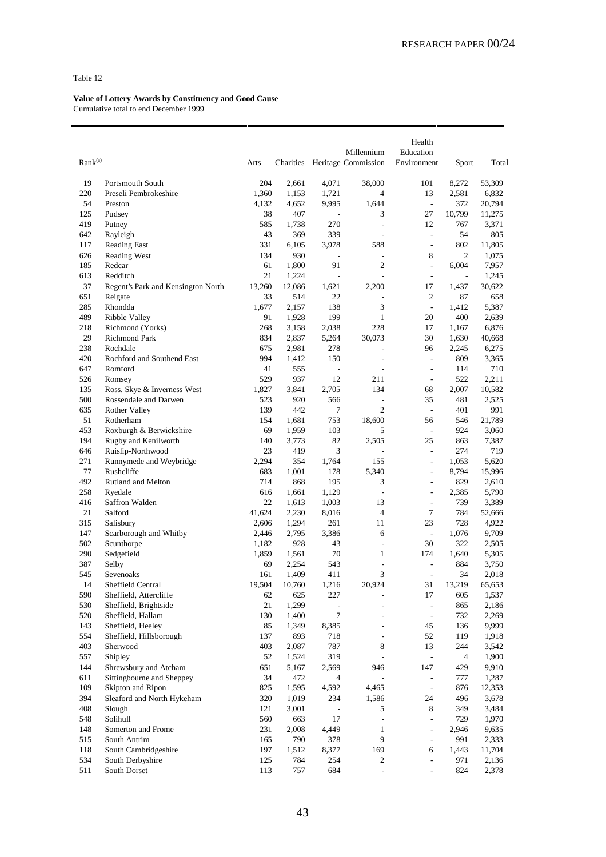| Rank <sup>(a)</sup> |                                    | Arts            | Charities      |                          | Millennium<br>Heritage Commission | Health<br>Education<br>Environment | Sport                    | Total           |
|---------------------|------------------------------------|-----------------|----------------|--------------------------|-----------------------------------|------------------------------------|--------------------------|-----------------|
| 19                  | Portsmouth South                   | 204             | 2,661          | 4,071                    | 38,000                            | 101                                | 8,272                    | 53,309          |
| 220                 | Preseli Pembrokeshire              | 1,360           | 1,153          | 1,721                    | 4                                 | 13                                 | 2,581                    | 6,832           |
| 54                  | Preston                            | 4.132           | 4,652          | 9,995                    | 1,644                             | $\overline{\phantom{a}}$           | 372                      | 20,794          |
| 125                 | Pudsey                             | 38              | 407            | $\overline{a}$           | 3                                 | 27                                 | 10,799                   | 11,275          |
| 419                 | Putney                             | 585             | 1,738          | 270                      | ÷,                                | 12                                 | 767                      | 3,371           |
| 642                 | Rayleigh                           | 43              | 369            | 339                      | L,                                | $\overline{\phantom{a}}$           | 54                       | 805             |
| 117                 | <b>Reading East</b>                | 331             | 6,105          | 3,978                    | 588                               | $\overline{a}$                     | 802                      | 11,805          |
| 626                 | <b>Reading West</b>                | 134             | 930            |                          | L,                                | 8                                  | $\overline{2}$           | 1,075           |
| 185                 | Redcar                             | 61              | 1,800          | 91                       | $\overline{2}$                    | $\frac{1}{2}$                      | 6,004                    | 7,957           |
| 613                 | Redditch                           | 21              | 1,224          | $\overline{\phantom{a}}$ | $\overline{a}$                    | $\overline{\phantom{a}}$           | $\overline{\phantom{a}}$ | 1,245           |
| 37                  | Regent's Park and Kensington North | 13,260          | 12,086         | 1,621                    | 2,200                             | 17                                 | 1,437                    | 30,622          |
| 651                 | Reigate                            | 33              | 514            | 22                       | $\overline{a}$                    | 2                                  | 87                       | 658             |
| 285                 | Rhondda                            | 1,677           | 2,157          | 138                      | 3                                 | $\frac{1}{2}$                      | 1,412                    | 5,387           |
| 489                 | Ribble Valley                      | 91              | 1,928          | 199                      | $\mathbf{1}$                      | 20                                 | 400                      | 2,639           |
| 218                 | Richmond (Yorks)                   | 268             | 3,158          | 2,038                    | 228                               | 17                                 | 1,167                    | 6,876           |
| 29                  | <b>Richmond Park</b>               | 834             | 2,837          | 5,264                    | 30,073                            | 30                                 | 1,630                    | 40,668          |
| 238                 | Rochdale                           | 675             | 2,981          | 278                      |                                   | 96                                 | 2,245                    | 6,275           |
| 420                 | Rochford and Southend East         | 994             | 1,412          | 150                      | $\overline{a}$                    | $\overline{\phantom{a}}$           | 809                      | 3,365           |
| 647                 | Romford                            | 41              | 555            | $\overline{a}$           | L,                                | $\overline{a}$                     | 114                      | 710             |
| 526                 | Romsey                             | 529             | 937            | 12                       | 211                               | ÷,                                 | 522                      | 2,211           |
| 135                 | Ross, Skye & Inverness West        | 1,827           | 3,841          | 2,705                    | 134                               | 68                                 | 2,007                    | 10,582          |
| 500                 | Rossendale and Darwen              | 523             | 920            | 566                      | $\overline{a}$                    | 35                                 | 481                      | 2,525           |
| 635                 | <b>Rother Valley</b>               | 139             | 442            | 7                        | $\overline{c}$                    | $\overline{\phantom{a}}$           | 401                      | 991             |
| 51                  | Rotherham                          | 154             | 1,681          | 753                      | 18,600                            | 56                                 | 546                      | 21,789          |
| 453                 | Roxburgh & Berwickshire            | 69              | 1,959          | 103                      | 5                                 | $\frac{1}{2}$                      | 924                      | 3,060           |
| 194                 | Rugby and Kenilworth               | 140             | 3,773          | 82                       | 2,505                             | 25                                 | 863                      | 7,387           |
| 646                 | Ruislip-Northwood                  | 23              | 419            | 3                        | ÷,                                | ÷,                                 | 274                      | 719             |
| 271                 | Runnymede and Weybridge            | 2,294           | 354            | 1,764                    | 155                               | $\frac{1}{2}$                      | 1,053                    | 5,620           |
| 77                  | Rushcliffe                         | 683             | 1,001          | 178                      | 5,340                             | ÷                                  | 8,794                    | 15,996          |
| 492                 |                                    | 714             | 868            | 195                      | 3                                 | L,                                 | 829                      |                 |
| 258                 | Rutland and Melton<br>Ryedale      | 616             | 1,661          | 1,129                    | $\frac{1}{2}$                     | $\frac{1}{2}$                      | 2,385                    | 2,610<br>5,790  |
| 416                 | Saffron Walden                     | 22              | 1,613          | 1,003                    | 13                                | $\overline{a}$                     | 739                      | 3,389           |
| 21                  |                                    |                 |                |                          | $\overline{4}$                    |                                    |                          |                 |
| 315                 | Salford                            | 41,624<br>2,606 | 2,230<br>1,294 | 8,016<br>261             | 11                                | 7<br>23                            | 784<br>728               | 52,666<br>4,922 |
| 147                 | Salisbury                          |                 |                |                          | 6                                 | $\overline{\phantom{a}}$           |                          |                 |
|                     | Scarborough and Whitby             | 2,446           | 2,795          | 3,386                    |                                   |                                    | 1,076                    | 9,709           |
| 502                 | Scunthorpe                         | 1,182           | 928            | 43                       | $\overline{a}$                    | 30                                 | 322                      | 2,505           |
| 290                 | Sedgefield                         | 1,859           | 1,561          | 70                       | 1                                 | 174                                | 1,640                    | 5,305           |
| 387                 | Selby                              | 69              | 2,254          | 543                      | ÷,                                | $\overline{a}$                     | 884                      | 3,750           |
| 545                 | Sevenoaks                          | 161             | 1,409          | 411                      | 3                                 | ÷,                                 | 34                       | 2,018           |
| 14                  | Sheffield Central                  | 19,504          | 10,760         | 1,216                    | 20,924                            | 31                                 | 13,219                   | 65,653          |
| 590                 | Sheffield, Attercliffe             | 62              | 625            | 227                      |                                   | 17                                 | 605                      | 1,537           |
| 530                 | Sheffield, Brightside              | 21              | 1,299          |                          |                                   | $\frac{1}{2}$                      | 865                      | 2,186           |
| 520                 | Sheffield, Hallam                  | 130             | 1,400          | $\tau$                   | ÷,                                | $\overline{\phantom{a}}$           | 732                      | 2,269           |
| 143                 | Sheffield, Heeley                  | 85              | 1,349          | 8,385                    | $\overline{a}$                    | 45                                 | 136                      | 9,999           |
| 554                 | Sheffield, Hillsborough            | 137             | 893            | 718                      | $\overline{a}$                    | 52                                 | 119                      | 1,918           |
| 403                 | Sherwood                           | 403             | 2,087          | 787                      | 8                                 | 13                                 | 244                      | 3,542           |
| 557                 | Shipley                            | 52              | 1,524          | 319                      | L                                 | $\overline{\phantom{a}}$           | $\overline{\mathcal{A}}$ | 1,900           |
| 144                 | Shrewsbury and Atcham              | 651             | 5,167          | 2,569                    | 946                               | 147                                | 429                      | 9,910           |
| 611                 | Sittingbourne and Sheppey          | 34              | 472            | $\overline{4}$           | ÷,                                | $\blacksquare$                     | 777                      | 1,287           |
| 109                 | Skipton and Ripon                  | 825             | 1,595          | 4,592                    | 4,465                             | $\Box$                             | 876                      | 12,353          |
| 394                 | Sleaford and North Hykeham         | 320             | 1,019          | 234                      | 1,586                             | 24                                 | 496                      | 3,678           |
| 408                 | Slough                             | 121             | 3,001          |                          | 5                                 | 8                                  | 349                      | 3,484           |
| 548                 | Solihull                           | 560             | 663            | 17                       | $\overline{\phantom{a}}$          | $\frac{1}{2}$                      | 729                      | 1,970           |
| 148                 | Somerton and Frome                 | 231             | 2,008          | 4,449                    | $\mathbf{1}$                      | $\overline{\phantom{a}}$           | 2,946                    | 9,635           |
| 515                 | South Antrim                       | 165             | 790            | 378                      | 9                                 | ÷,                                 | 991                      | 2,333           |
| 118                 | South Cambridgeshire               | 197             | 1,512          | 8,377                    | 169                               | 6                                  | 1,443                    | 11,704          |
| 534                 | South Derbyshire                   | 125             | 784            | 254                      | 2                                 | ÷,                                 | 971                      | 2,136           |
| 511                 | South Dorset                       | 113             | 757            | 684                      | $\frac{1}{2}$                     |                                    | 824                      | 2,378           |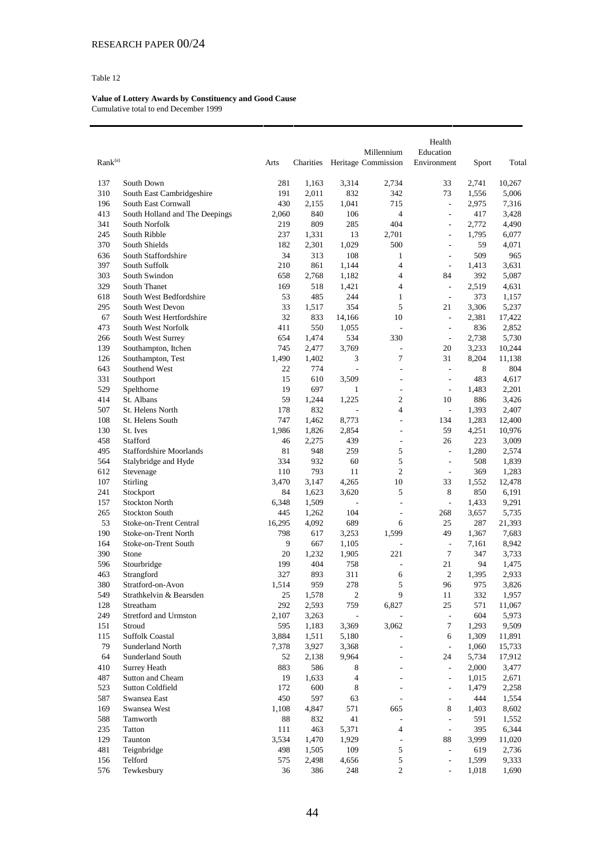|                     |                                             |              |              |                          | Millennium          | Health<br>Education            |              |                |
|---------------------|---------------------------------------------|--------------|--------------|--------------------------|---------------------|--------------------------------|--------------|----------------|
| Rank <sup>(a)</sup> |                                             | Arts         | Charities    |                          | Heritage Commission | Environment                    | Sport        | Total          |
| 137                 | South Down                                  | 281          | 1,163        | 3,314                    | 2,734               | 33                             | 2,741        | 10,267         |
| 310                 | South East Cambridgeshire                   | 191          | 2,011        | 832                      | 342                 | 73                             | 1,556        | 5,006          |
| 196                 | South East Cornwall                         | 430          | 2,155        | 1,041                    | 715                 | $\overline{\phantom{a}}$       | 2,975        | 7,316          |
| 413                 | South Holland and The Deepings              | 2,060        | 840          | 106                      | $\overline{4}$      | $\overline{a}$                 | 417          | 3,428          |
| 341                 | South Norfolk                               | 219          | 809          | 285                      | 404                 | $\frac{1}{2}$                  | 2,772        | 4,490          |
| 245                 | South Ribble                                | 237          | 1,331        | 13                       | 2,701               | $\qquad \qquad \blacksquare$   | 1,795        | 6,077          |
| 370                 | South Shields                               | 182          | 2,301        | 1,029                    | 500                 | $\overline{a}$                 | 59           | 4,071          |
| 636                 | South Staffordshire                         | 34           | 313          | 108                      | 1                   | $\overline{a}$                 | 509          | 965            |
| 397                 | South Suffolk                               | 210          | 861          | 1,144                    | $\overline{4}$      | $\frac{1}{2}$                  | 1,413        | 3,631          |
| 303                 | South Swindon                               | 658          | 2,768        | 1,182                    | $\overline{4}$      | 84                             | 392          | 5,087          |
| 329                 | South Thanet                                | 169          | 518          | 1,421                    | $\overline{4}$      | $\overline{\phantom{a}}$       | 2,519        | 4,631          |
| 618<br>295          | South West Bedfordshire<br>South West Devon | 53<br>33     | 485          | 244<br>354               | $\mathbf{1}$<br>5   | $\overline{\phantom{a}}$<br>21 | 373<br>3,306 | 1,157<br>5,237 |
| 67                  | South West Hertfordshire                    | 32           | 1,517<br>833 | 14,166                   | 10                  | $\overline{\phantom{0}}$       | 2,381        | 17,422         |
| 473                 | South West Norfolk                          | 411          | 550          | 1,055                    | $\frac{1}{2}$       | $\overline{\phantom{a}}$       | 836          | 2,852          |
| 266                 | South West Surrey                           | 654          | 1,474        | 534                      | 330                 | $\frac{1}{2}$                  | 2,738        | 5,730          |
| 139                 | Southampton, Itchen                         | 745          | 2,477        | 3,769                    | $\overline{a}$      | 20                             | 3,233        | 10,244         |
| 126                 | Southampton, Test                           | 1,490        | 1,402        | 3                        | 7                   | 31                             | 8,204        | 11,138         |
| 643                 | Southend West                               | 22           | 774          | $\overline{\phantom{a}}$ | L.                  | $\overline{\phantom{a}}$       | 8            | 804            |
| 331                 | Southport                                   | 15           | 610          | 3,509                    | $\overline{a}$      | $\overline{a}$                 | 483          | 4,617          |
| 529                 | Spelthorne                                  | 19           | 697          | $\mathbf{1}$             | $\overline{a}$      | $\overline{\phantom{a}}$       | 1,483        | 2,201          |
| 414                 | St. Albans                                  | 59           | 1,244        | 1,225                    | $\overline{c}$      | 10                             | 886          | 3,426          |
| 507                 | St. Helens North                            | 178          | 832          | ÷                        | $\overline{4}$      | $\overline{\phantom{a}}$       | 1,393        | 2,407          |
| 108                 | St. Helens South                            | 747          | 1,462        | 8,773                    | $\overline{a}$      | 134                            | 1,283        | 12,400         |
| 130                 | St. Ives                                    | 1,986        | 1,826        | 2,854                    | ÷,                  | 59                             | 4,251        | 10,976         |
| 458                 | Stafford                                    | 46           | 2,275        | 439                      | $\frac{1}{2}$       | 26                             | 223          | 3,009          |
| 495                 | <b>Staffordshire Moorlands</b>              | 81           | 948          | 259                      | 5                   | $\overline{a}$                 | 1,280        | 2,574          |
| 564                 | Stalybridge and Hyde                        | 334          | 932          | 60                       | 5                   | $\overline{\phantom{a}}$       | 508          | 1,839          |
| 612                 | Stevenage                                   | 110          | 793          | 11                       | $\overline{c}$      | $\overline{\phantom{a}}$       | 369          | 1,283          |
| 107                 | Stirling                                    | 3,470        | 3,147        | 4,265                    | 10                  | 33                             | 1,552        | 12,478         |
| 241                 | Stockport                                   | 84           | 1,623        | 3,620                    | 5                   | 8                              | 850          | 6,191          |
| 157                 | <b>Stockton North</b>                       | 6,348        | 1,509        | $\overline{a}$           | ÷,                  | $\overline{\phantom{a}}$       | 1,433        | 9,291          |
| 265                 | <b>Stockton South</b>                       | 445          | 1,262        | 104                      | ÷,                  | 268                            | 3,657        | 5,735          |
| 53                  | Stoke-on-Trent Central                      | 16,295       | 4,092        | 689                      | 6                   | 25                             | 287          | 21,393         |
| 190                 | Stoke-on-Trent North                        | 798          | 617          | 3,253                    | 1,599               | 49                             | 1,367        | 7,683          |
| 164                 | Stoke-on-Trent South                        | 9            | 667          | 1,105                    |                     | $\overline{\phantom{a}}$       | 7,161        | 8,942          |
| 390                 | Stone                                       | 20           | 1,232<br>404 | 1,905                    | 221<br>÷,           | 7<br>21                        | 347          | 3,733          |
| 596                 | Stourbridge<br>Strangford                   | 199          |              | 758                      |                     | $\mathfrak{2}$                 | 94           | 1,475          |
| 463<br>380          | Stratford-on-Avon                           | 327<br>1,514 | 893<br>959   | 311<br>278               | 6<br>5              | 96                             | 1,395<br>975 | 2,933<br>3,826 |
| 549                 | Strathkelvin & Bearsden                     | 25           | 1,578        | 2                        | 9                   | 11                             | 332          | 1,957          |
| 128                 | Streatham                                   | 292          | 2,593        | 759                      | 6,827               | 25                             | 571          | 11,067         |
| 249                 | Stretford and Urmston                       | 2,107        | 3,263        |                          |                     | $\overline{\phantom{a}}$       | 604          | 5,973          |
| 151                 | Stroud                                      | 595          | 1,183        | 3,369                    | 3,062               | $\tau$                         | 1,293        | 9,509          |
| 115                 | <b>Suffolk Coastal</b>                      | 3,884        | 1,511        | 5,180                    | $\frac{1}{2}$       | 6                              | 1,309        | 11,891         |
| 79                  | Sunderland North                            | 7,378        | 3,927        | 3,368                    | L.                  | $\overline{\phantom{a}}$       | 1,060        | 15,733         |
| 64                  | Sunderland South                            | 52           | 2,138        | 9,964                    | ÷,                  | 24                             | 5,734        | 17,912         |
| 410                 | Surrey Heath                                | 883          | 586          | 8                        | $\overline{a}$      | $\frac{1}{2}$                  | 2,000        | 3,477          |
| 487                 | Sutton and Cheam                            | 19           | 1,633        | $\overline{4}$           | $\overline{a}$      | $\overline{\phantom{a}}$       | 1,015        | 2,671          |
| 523                 | <b>Sutton Coldfield</b>                     | 172          | 600          | 8                        | ÷,                  | $\blacksquare$                 | 1,479        | 2,258          |
| 587                 | Swansea East                                | 450          | 597          | 63                       | ÷,                  | $\blacksquare$                 | 444          | 1,554          |
| 169                 | Swansea West                                | 1,108        | 4,847        | 571                      | 665                 | 8                              | 1,403        | 8,602          |
| 588                 | Tamworth                                    | 88           | 832          | 41                       | $\blacksquare$      | $\blacksquare$                 | 591          | 1,552          |
| 235                 | Tatton                                      | 111          | 463          | 5,371                    | $\overline{4}$      | $\blacksquare$                 | 395          | 6,344          |
| 129                 | Taunton                                     | 3,534        | 1,470        | 1,929                    | $\frac{1}{2}$       | 88                             | 3,999        | 11,020         |
| 481                 | Teignbridge                                 | 498          | 1,505        | 109                      | 5                   | $\overline{a}$                 | 619          | 2,736          |
| 156                 | Telford                                     | 575          | 2,498        | 4,656                    | $\mathfrak s$       | $\overline{\phantom{a}}$       | 1,599        | 9,333          |
| 576                 | Tewkesbury                                  | 36           | 386          | 248                      | $\overline{2}$      | $\frac{1}{2}$                  | 1,018        | 1,690          |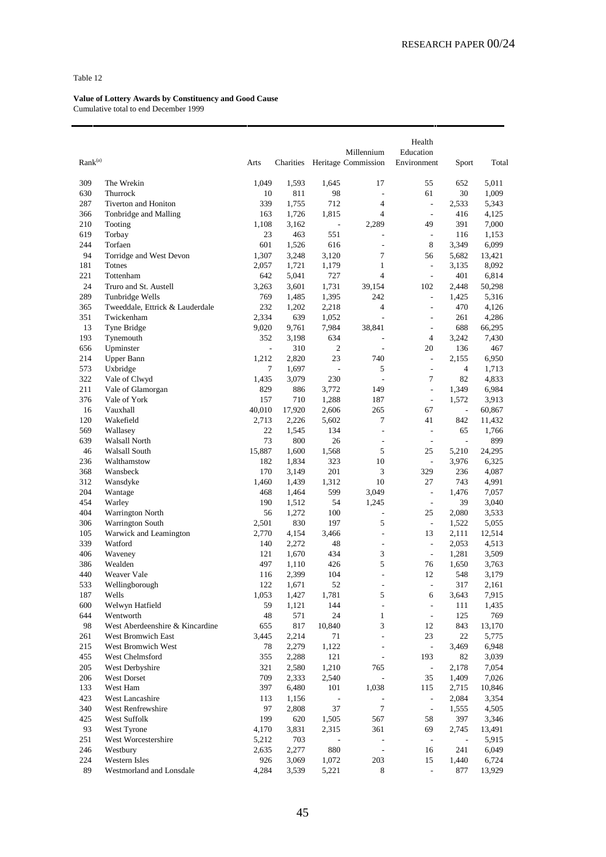| Rank <sup>(a)</sup> |                                              | Arts                     | Charities    |                          | Millennium<br>Heritage Commission | Health<br>Education<br>Environment | Sport                    | Total           |
|---------------------|----------------------------------------------|--------------------------|--------------|--------------------------|-----------------------------------|------------------------------------|--------------------------|-----------------|
| 309                 | The Wrekin                                   | 1,049                    | 1,593        | 1,645                    | 17                                | 55                                 | 652                      | 5,011           |
| 630                 | Thurrock                                     | 10                       | 811          | 98                       | Ĭ,                                | 61                                 | 30                       | 1,009           |
| 287                 | <b>Tiverton and Honiton</b>                  | 339                      | 1,755        | 712                      | 4                                 | $\overline{\phantom{a}}$           | 2,533                    | 5,343           |
| 366                 | Tonbridge and Malling                        | 163                      | 1,726        | 1,815                    | $\overline{4}$                    | ÷,                                 | 416                      | 4,125           |
| 210                 | Tooting                                      | 1,108                    | 3,162        | $\overline{\phantom{a}}$ | 2,289                             | 49                                 | 391                      | 7,000           |
| 619                 | Torbay                                       | 23                       | 463          | 551                      | L,                                | $\overline{\phantom{a}}$           | 116                      | 1,153           |
| 244                 | Torfaen                                      | 601                      | 1,526        | 616                      | ÷,                                | 8                                  | 3,349                    | 6,099           |
| 94                  | Torridge and West Devon                      | 1,307                    | 3,248        | 3,120                    | 7                                 | 56                                 | 5,682                    | 13,421          |
| 181                 | Totnes                                       | 2,057                    | 1,721        | 1,179                    | $\mathbf{1}$                      | $\frac{1}{2}$                      | 3,135                    | 8,092           |
| 221                 | Tottenham                                    | 642                      | 5,041        | 727                      | $\overline{4}$                    | $\overline{\phantom{a}}$           | 401                      | 6,814           |
| 24                  | Truro and St. Austell                        | 3,263                    | 3,601        | 1,731                    | 39,154                            | 102                                | 2,448                    | 50,298          |
| 289                 | Tunbridge Wells                              | 769                      | 1,485        | 1,395                    | 242                               | $\frac{1}{2}$                      | 1,425                    | 5,316           |
| 365                 | Tweeddale, Ettrick & Lauderdale              | 232                      | 1,202        | 2,218                    | 4                                 | $\overline{a}$                     | 470                      | 4,126           |
| 351                 | Twickenham                                   | 2,334                    | 639          | 1,052                    | L                                 | L,                                 | 261                      | 4,286           |
| 13                  | Tyne Bridge                                  | 9,020                    | 9,761        | 7,984                    | 38,841                            | $\overline{\phantom{a}}$           | 688                      | 66,295          |
| 193                 | Tynemouth                                    | 352                      | 3,198        | 634                      | L,                                | $\overline{4}$                     | 3,242                    | 7,430           |
| 656                 | Upminster                                    | $\overline{\phantom{a}}$ | 310          | $\overline{c}$           | L                                 | 20                                 | 136                      | 467             |
| 214                 | Upper Bann                                   | 1,212                    | 2,820        | 23                       | 740                               | $\frac{1}{2}$                      | 2,155                    | 6,950           |
| 573                 | Uxbridge                                     | 7                        | 1,697        | $\overline{\phantom{a}}$ | 5<br>÷,                           | $\frac{1}{2}$<br>7                 | $\overline{4}$           | 1,713           |
| 322<br>211          | Vale of Clwyd                                | 1,435<br>829             | 3,079<br>886 | 230                      | 149                               | $\frac{1}{2}$                      | 82                       | 4,833<br>6,984  |
| 376                 | Vale of Glamorgan<br>Vale of York            | 157                      | 710          | 3,772<br>1,288           | 187                               | $\overline{\phantom{a}}$           | 1,349<br>1,572           | 3,913           |
| 16                  | Vauxhall                                     | 40,010                   | 17,920       | 2,606                    | 265                               | 67                                 | $\overline{\phantom{a}}$ | 60,867          |
| 120                 | Wakefield                                    | 2,713                    | 2,226        | 5,602                    | 7                                 | 41                                 | 842                      | 11,432          |
| 569                 | Wallasey                                     | 22                       | 1,545        | 134                      | $\overline{a}$                    | $\frac{1}{2}$                      | 65                       | 1,766           |
| 639                 | Walsall North                                | 73                       | 800          | 26                       | $\overline{a}$                    | $\overline{\phantom{a}}$           | $\overline{\phantom{a}}$ | 899             |
| 46                  | Walsall South                                | 15,887                   | 1,600        | 1,568                    | 5                                 | 25                                 | 5,210                    | 24,295          |
| 236                 | Walthamstow                                  | 182                      | 1,834        | 323                      | 10                                | $\overline{\phantom{a}}$           | 3,976                    | 6,325           |
| 368                 | Wansbeck                                     | 170                      | 3,149        | 201                      | 3                                 | 329                                | 236                      | 4,087           |
| 312                 | Wansdyke                                     | 1,460                    | 1,439        | 1,312                    | 10                                | 27                                 | 743                      | 4,991           |
| 204                 | Wantage                                      | 468                      | 1,464        | 599                      | 3,049                             | $\overline{\phantom{a}}$           | 1,476                    | 7,057           |
| 454                 | Warley                                       | 190                      | 1,512        | 54                       | 1,245                             | $\overline{\phantom{a}}$           | 39                       | 3,040           |
| 404                 | Warrington North                             | 56                       | 1,272        | 100                      | $\overline{a}$                    | 25                                 | 2,080                    | 3,533           |
| 306                 | <b>Warrington South</b>                      | 2,501                    | 830          | 197                      | 5                                 | $\overline{\phantom{a}}$           | 1,522                    | 5,055           |
| 105                 | Warwick and Leamington                       | 2,770                    | 4,154        | 3,466                    | $\overline{a}$                    | 13                                 | 2,111                    | 12,514          |
| 339                 | Watford                                      | 140                      | 2,272        | 48                       | $\overline{a}$                    | ÷,                                 | 2,053                    | 4,513           |
| 406                 | Waveney                                      | 121                      | 1,670        | 434                      | 3                                 | $\overline{\phantom{a}}$           | 1,281                    | 3,509           |
| 386                 | Wealden                                      | 497                      | 1,110        | 426                      | 5                                 | 76                                 | 1,650                    | 3,763           |
| 440                 | Weaver Vale                                  | 116                      | 2,399        | 104                      | ÷,                                | 12                                 | 548                      | 3,179           |
| 533                 | Wellingborough                               | 122                      | 1,671        | 52                       | L,                                | ÷,                                 | 317                      | 2,161           |
| 187                 | Wells                                        | 1,053                    | 1,427        | 1,781                    | 5                                 | 6                                  | 3,643                    | 7,915           |
| 600                 | Welwyn Hatfield                              | 59                       | 1,121        | 144                      | ÷                                 | $\overline{\phantom{a}}$           | 111                      | 1,435           |
| 644<br>98           | Wentworth<br>West Aberdeenshire & Kincardine | 48                       | 571<br>817   | 24<br>10,840             | $\mathbf{1}$<br>3                 | $\overline{\phantom{a}}$<br>12     | 125                      | 769             |
| 261                 | <b>West Bromwich East</b>                    | 655                      | 2,214        |                          | L                                 | 23                                 | 843<br>22                | 13,170<br>5,775 |
| 215                 | West Bromwich West                           | 3,445<br>78              | 2,279        | 71<br>1,122              | L,                                | $\overline{\phantom{a}}$           | 3,469                    | 6,948           |
| 455                 | West Chelmsford                              | 355                      | 2,288        | 121                      | L,                                | 193                                | 82                       | 3,039           |
| 205                 | West Derbyshire                              | 321                      | 2,580        | 1,210                    | 765                               | $\overline{\phantom{a}}$           | 2,178                    | 7,054           |
| 206                 | West Dorset                                  | 709                      | 2,333        | 2,540                    | ÷,                                | 35                                 | 1,409                    | 7,026           |
| 133                 | West Ham                                     | 397                      | 6,480        | 101                      | 1,038                             | 115                                | 2,715                    | 10,846          |
| 423                 | West Lancashire                              | 113                      | 1,156        | $\overline{\phantom{a}}$ | $\overline{a}$                    | $\overline{\phantom{a}}$           | 2,084                    | 3,354           |
| 340                 | West Renfrewshire                            | 97                       | 2,808        | 37                       | $\tau$                            | $\frac{1}{2}$                      | 1,555                    | 4,505           |
| 425                 | West Suffolk                                 | 199                      | 620          | 1,505                    | 567                               | 58                                 | 397                      | 3,346           |
| 93                  | West Tyrone                                  | 4,170                    | 3,831        | 2,315                    | 361                               | 69                                 | 2,745                    | 13,491          |
| 251                 | West Worcestershire                          | 5,212                    | 703          | $\overline{\phantom{a}}$ | $\overline{a}$                    | $\overline{\phantom{a}}$           | $\overline{\phantom{a}}$ | 5,915           |
| 246                 | Westbury                                     | 2,635                    | 2,277        | 880                      | $\overline{a}$                    | 16                                 | 241                      | 6,049           |
| 224                 | Western Isles                                | 926                      | 3,069        | 1,072                    | 203                               | 15                                 | 1,440                    | 6,724           |
| 89                  | Westmorland and Lonsdale                     | 4,284                    | 3,539        | 5,221                    | 8                                 | $\overline{\phantom{a}}$           | 877                      | 13,929          |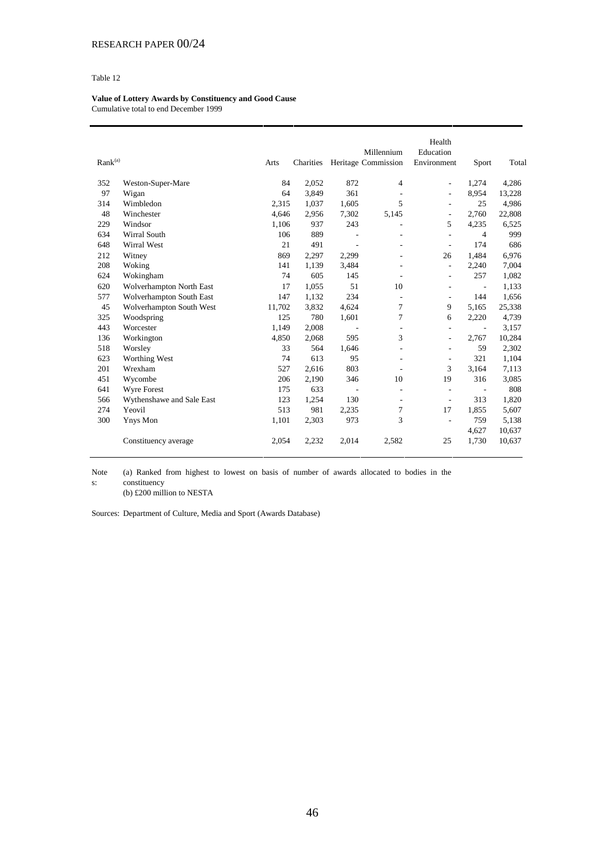**Value of Lottery Awards by Constituency and Good Cause** Cumulative total to end December 1999

| Rank <sup>(a)</sup> |                           | Arts   | Charities |                          | Millennium<br>Heritage Commission | Health<br>Education<br>Environment | Sport                    | Total  |
|---------------------|---------------------------|--------|-----------|--------------------------|-----------------------------------|------------------------------------|--------------------------|--------|
| 352                 | Weston-Super-Mare         | 84     | 2,052     | 872                      | $\overline{4}$                    | $\overline{\phantom{a}}$           | 1,274                    | 4,286  |
| 97                  | Wigan                     | 64     | 3,849     | 361                      | $\overline{a}$                    | ÷,                                 | 8,954                    | 13,228 |
| 314                 | Wimbledon                 | 2,315  | 1.037     | 1.605                    | 5                                 | ÷,                                 | 25                       | 4,986  |
| 48                  | Winchester                | 4,646  | 2,956     | 7,302                    | 5,145                             | $\overline{\phantom{a}}$           | 2,760                    | 22,808 |
| 229                 | Windsor                   | 1,106  | 937       | 243                      | ٠                                 | 5                                  | 4,235                    | 6,525  |
| 634                 | Wirral South              | 106    | 889       |                          |                                   | $\overline{a}$                     | $\overline{4}$           | 999    |
| 648                 | Wirral West               | 21     | 491       | $\overline{\phantom{a}}$ | ٠                                 | $\overline{\phantom{a}}$           | 174                      | 686    |
| 212                 | Witney                    | 869    | 2,297     | 2,299                    |                                   | 26                                 | 1,484                    | 6,976  |
| 208                 | Woking                    | 141    | 1,139     | 3.484                    | L,                                | $\blacksquare$                     | 2,240                    | 7,004  |
| 624                 | Wokingham                 | 74     | 605       | 145                      | $\overline{a}$                    | $\overline{\phantom{a}}$           | 257                      | 1,082  |
| 620                 | Wolverhampton North East  | 17     | 1,055     | 51                       | 10                                | ÷,                                 | $\overline{\phantom{a}}$ | 1,133  |
| 577                 | Wolverhampton South East  | 147    | 1,132     | 234                      | $\overline{a}$                    | $\overline{\phantom{a}}$           | 144                      | 1,656  |
| 45                  | Wolverhampton South West  | 11,702 | 3,832     | 4,624                    | 7                                 | 9                                  | 5.165                    | 25,338 |
| 325                 | Woodspring                | 125    | 780       | 1,601                    | 7                                 | 6                                  | 2,220                    | 4,739  |
| 443                 | Worcester                 | 1.149  | 2,008     | $\overline{\phantom{a}}$ | $\overline{\phantom{a}}$          | $\overline{\phantom{a}}$           | $\sim$                   | 3,157  |
| 136                 | Workington                | 4,850  | 2,068     | 595                      | 3                                 | $\overline{\phantom{a}}$           | 2,767                    | 10,284 |
| 518                 | Worsley                   | 33     | 564       | 1.646                    | $\overline{a}$                    | $\overline{\phantom{a}}$           | 59                       | 2,302  |
| 623                 | Worthing West             | 74     | 613       | 95                       | ٠                                 | ÷,                                 | 321                      | 1,104  |
| 201                 | Wrexham                   | 527    | 2,616     | 803                      | $\overline{\phantom{a}}$          | 3                                  | 3.164                    | 7,113  |
| 451                 | Wycombe                   | 206    | 2,190     | 346                      | 10                                | 19                                 | 316                      | 3,085  |
| 641                 | Wyre Forest               | 175    | 633       | $\overline{\phantom{a}}$ | $\overline{\phantom{a}}$          | $\overline{\phantom{a}}$           | $\overline{\phantom{a}}$ | 808    |
| 566                 | Wythenshawe and Sale East | 123    | 1,254     | 130                      | $\overline{\phantom{a}}$          | $\overline{\phantom{a}}$           | 313                      | 1,820  |
| 274                 | Yeovil                    | 513    | 981       | 2,235                    | 7                                 | 17                                 | 1,855                    | 5,607  |
| 300                 | <b>Ynys</b> Mon           | 1,101  | 2,303     | 973                      | 3                                 | L,                                 | 759                      | 5,138  |
|                     |                           |        |           |                          |                                   |                                    | 4,627                    | 10,637 |
|                     | Constituency average      | 2,054  | 2,232     | 2,014                    | 2,582                             | 25                                 | 1,730                    | 10,637 |

Note s: (a) Ranked from highest to lowest on basis of number of awards allocated to bodies in the constituency

(b) £200 million to NESTA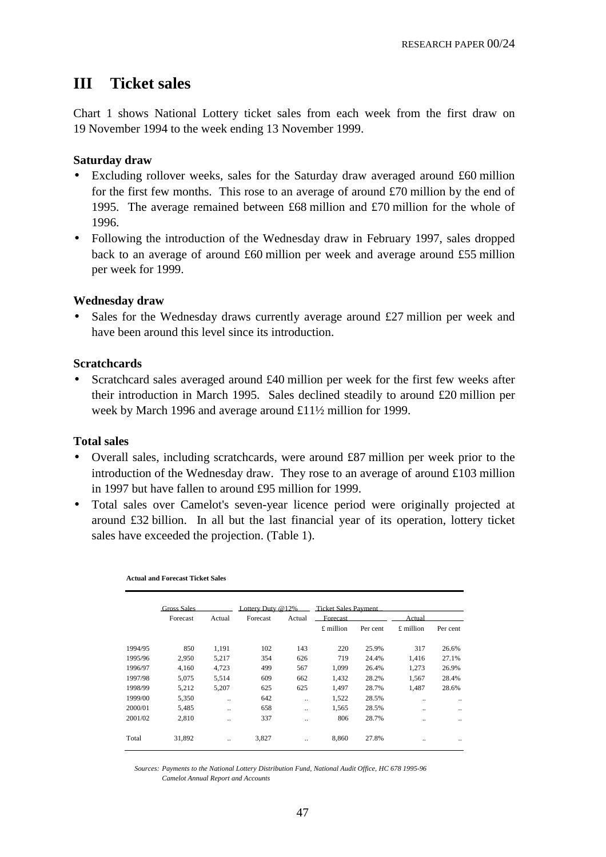# **III Ticket sales**

Chart 1 shows National Lottery ticket sales from each week from the first draw on 19 November 1994 to the week ending 13 November 1999.

# **Saturday draw**

- Excluding rollover weeks, sales for the Saturday draw averaged around £60 million for the first few months. This rose to an average of around £70 million by the end of 1995. The average remained between £68 million and £70 million for the whole of 1996.
- Following the introduction of the Wednesday draw in February 1997, sales dropped back to an average of around £60 million per week and average around £55 million per week for 1999.

## **Wednesday draw**

• Sales for the Wednesday draws currently average around £27 million per week and have been around this level since its introduction.

## **Scratchcards**

• Scratchcard sales averaged around  $\text{\pounds}40$  million per week for the first few weeks after their introduction in March 1995. Sales declined steadily to around £20 million per week by March 1996 and average around £11½ million for 1999.

## **Total sales**

- Overall sales, including scratchcards, were around £87 million per week prior to the introduction of the Wednesday draw. They rose to an average of around £103 million in 1997 but have fallen to around £95 million for 1999.
- Total sales over Camelot's seven-year licence period were originally projected at around £32 billion. In all but the last financial year of its operation, lottery ticket sales have exceeded the projection. (Table 1).

|         | <b>Gross Sales</b> |           | Lottery Duty $@12\%$ |                      | <b>Ticket Sales Payment</b> |          |                      |          |
|---------|--------------------|-----------|----------------------|----------------------|-----------------------------|----------|----------------------|----------|
|         | Forecast           | Actual    | Forecast             | Actual               | Forecast                    |          | Actual               |          |
|         |                    |           |                      |                      | $£$ million                 | Per cent | £ million            | Per cent |
| 1994/95 | 850                | 1,191     | 102                  | 143                  | 220                         | 25.9%    | 317                  | 26.6%    |
| 1995/96 | 2.950              | 5,217     | 354                  | 626                  | 719                         | 24.4%    | 1.416                | 27.1%    |
| 1996/97 | 4.160              | 4.723     | 499                  | 567                  | 1.099                       | 26.4%    | 1.273                | 26.9%    |
| 1997/98 | 5,075              | 5,514     | 609                  | 662                  | 1,432                       | 28.2%    | 1,567                | 28.4%    |
| 1998/99 | 5,212              | 5,207     | 625                  | 625                  | 1.497                       | 28.7%    | 1,487                | 28.6%    |
| 1999/00 | 5,350              | $\ddotsc$ | 642                  |                      | 1,522                       | 28.5%    |                      |          |
| 2000/01 | 5,485              |           | 658                  | $\ddotsc$            | 1,565                       | 28.5%    | $\ddot{\phantom{0}}$ |          |
| 2001/02 | 2.810              |           | 337                  | $\ddot{\phantom{a}}$ | 806                         | 28.7%    | $\ddot{\phantom{0}}$ |          |
| Total   | 31,892             |           | 3,827                |                      | 8,860                       | 27.8%    |                      |          |

**Actual and Forecast Ticket Sales**

*Sources: Payments to the National Lottery Distribution Fund, National Audit Office, HC 678 1995-96 Camelot Annual Report and Accounts*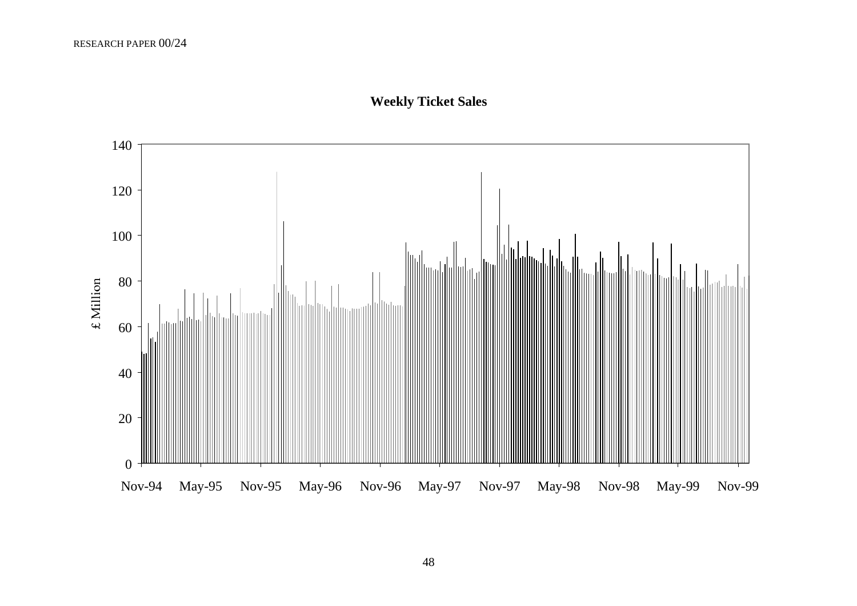

# **Weekly Ticket Sales**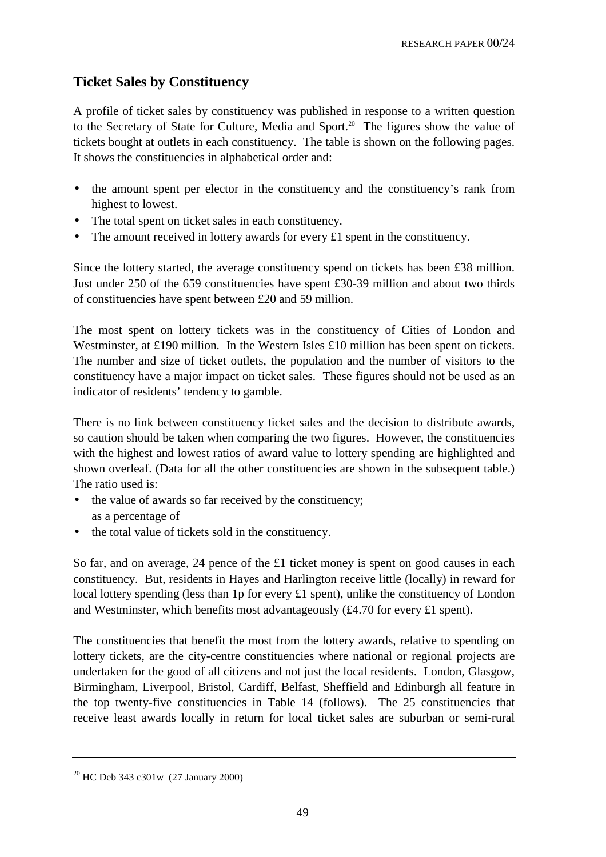# **Ticket Sales by Constituency**

A profile of ticket sales by constituency was published in response to a written question to the Secretary of State for Culture, Media and Sport.<sup>20</sup> The figures show the value of tickets bought at outlets in each constituency. The table is shown on the following pages. It shows the constituencies in alphabetical order and:

- the amount spent per elector in the constituency and the constituency's rank from highest to lowest.
- The total spent on ticket sales in each constituency.
- The amount received in lottery awards for every £1 spent in the constituency.

Since the lottery started, the average constituency spend on tickets has been £38 million. Just under 250 of the 659 constituencies have spent £30-39 million and about two thirds of constituencies have spent between £20 and 59 million.

The most spent on lottery tickets was in the constituency of Cities of London and Westminster, at £190 million. In the Western Isles £10 million has been spent on tickets. The number and size of ticket outlets, the population and the number of visitors to the constituency have a major impact on ticket sales. These figures should not be used as an indicator of residents' tendency to gamble.

There is no link between constituency ticket sales and the decision to distribute awards, so caution should be taken when comparing the two figures. However, the constituencies with the highest and lowest ratios of award value to lottery spending are highlighted and shown overleaf. (Data for all the other constituencies are shown in the subsequent table.) The ratio used is:

- the value of awards so far received by the constituency; as a percentage of
- the total value of tickets sold in the constituency.

So far, and on average, 24 pence of the £1 ticket money is spent on good causes in each constituency. But, residents in Hayes and Harlington receive little (locally) in reward for local lottery spending (less than 1p for every £1 spent), unlike the constituency of London and Westminster, which benefits most advantageously (£4.70 for every £1 spent).

The constituencies that benefit the most from the lottery awards, relative to spending on lottery tickets, are the city-centre constituencies where national or regional projects are undertaken for the good of all citizens and not just the local residents. London, Glasgow, Birmingham, Liverpool, Bristol, Cardiff, Belfast, Sheffield and Edinburgh all feature in the top twenty-five constituencies in Table 14 (follows). The 25 constituencies that receive least awards locally in return for local ticket sales are suburban or semi-rural

<sup>&</sup>lt;sup>20</sup> HC Deb 343 c301w (27 January 2000)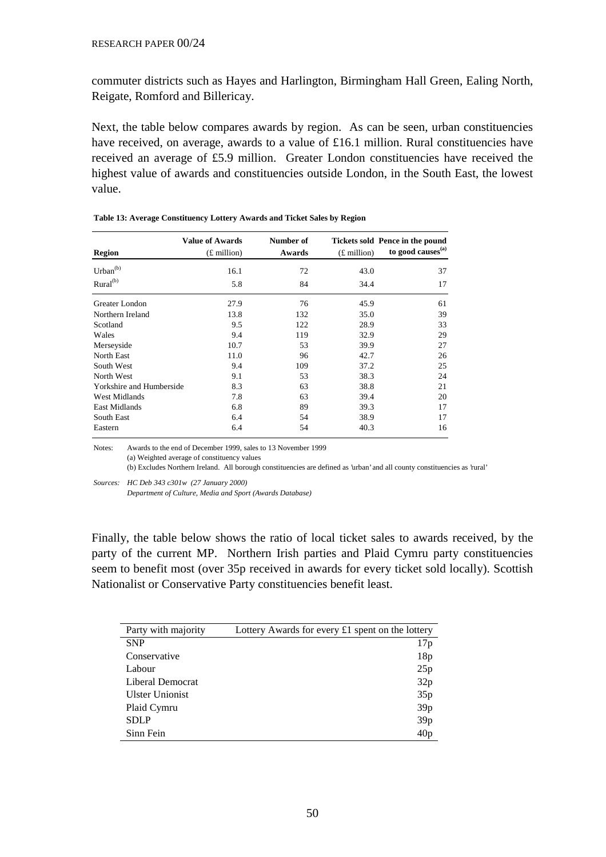commuter districts such as Hayes and Harlington, Birmingham Hall Green, Ealing North, Reigate, Romford and Billericay.

Next, the table below compares awards by region. As can be seen, urban constituencies have received, on average, awards to a value of £16.1 million. Rural constituencies have received an average of £5.9 million. Greater London constituencies have received the highest value of awards and constituencies outside London, in the South East, the lowest value.

| Region                   | <b>Value of Awards</b><br>$(E$ million) | Number of<br>Awards | $(E$ million) | Tickets sold Pence in the pound<br>to good causes <sup>(a)</sup> |
|--------------------------|-----------------------------------------|---------------------|---------------|------------------------------------------------------------------|
| Urban <sup>(b)</sup>     | 16.1                                    | 72                  | 43.0          | 37                                                               |
| Rural <sup>(b)</sup>     | 5.8                                     | 84                  | 34.4          | 17                                                               |
| Greater London           | 27.9                                    | 76                  | 45.9          | 61                                                               |
| Northern Ireland         | 13.8                                    | 132                 | 35.0          | 39                                                               |
| Scotland                 | 9.5                                     | 122                 | 28.9          | 33                                                               |
| Wales                    | 9.4                                     | 119                 | 32.9          | 29                                                               |
| Merseyside               | 10.7                                    | 53                  | 39.9          | 27                                                               |
| North East               | 11.0                                    | 96                  | 42.7          | 26                                                               |
| South West               | 9.4                                     | 109                 | 37.2          | 25                                                               |
| North West               | 9.1                                     | 53                  | 38.3          | 24                                                               |
| Yorkshire and Humberside | 8.3                                     | 63                  | 38.8          | 21                                                               |
| <b>West Midlands</b>     | 7.8                                     | 63                  | 39.4          | 20                                                               |
| <b>East Midlands</b>     | 6.8                                     | 89                  | 39.3          | 17                                                               |
| South East               | 6.4                                     | 54                  | 38.9          | 17                                                               |
| Eastern                  | 6.4                                     | 54                  | 40.3          | 16                                                               |

**Table 13: Average Constituency Lottery Awards and Ticket Sales by Region**

Notes: Awards to the end of December 1999, sales to 13 November 1999 (a) Weighted average of constituency values (b) Excludes Northern Ireland. All borough constituencies are defined as 'urban' and all county constituencies as 'rural'

*Sources: HC Deb 343 c301w (27 January 2000)* 

*Department of Culture, Media and Sport (Awards Database)*

Finally, the table below shows the ratio of local ticket sales to awards received, by the party of the current MP. Northern Irish parties and Plaid Cymru party constituencies seem to benefit most (over 35p received in awards for every ticket sold locally). Scottish Nationalist or Conservative Party constituencies benefit least.

| Party with majority    | Lottery Awards for every £1 spent on the lottery |
|------------------------|--------------------------------------------------|
| <b>SNP</b>             | 17p                                              |
| Conservative           | 18p                                              |
| Labour                 | 25p                                              |
| Liberal Democrat       | 32p                                              |
| <b>Ulster Unionist</b> | 35p                                              |
| Plaid Cymru            | 39p                                              |
| <b>SDLP</b>            | 39p                                              |
| Sinn Fein              | 40p                                              |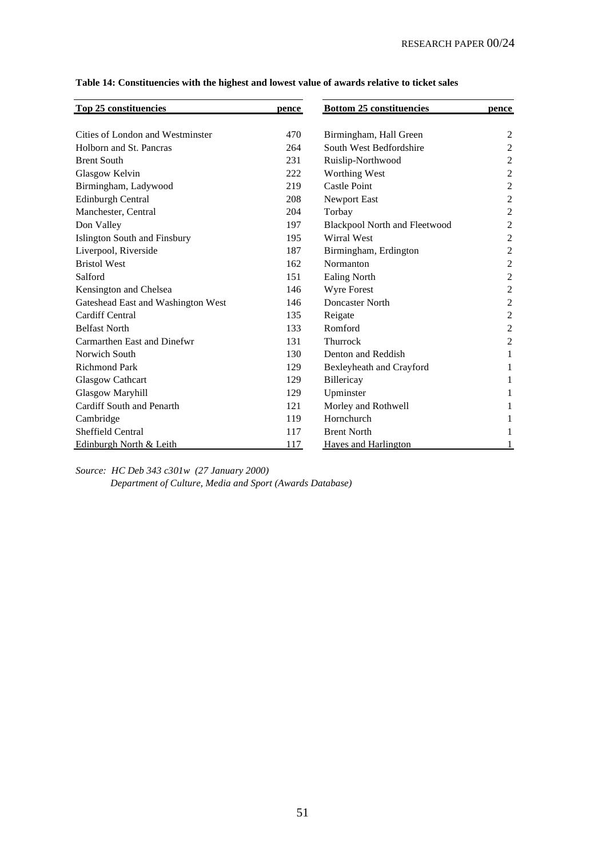| Top 25 constituencies              | pence | <b>Bottom 25 constituencies</b> | pence          |
|------------------------------------|-------|---------------------------------|----------------|
| Cities of London and Westminster   | 470   | Birmingham, Hall Green          | 2              |
| Holborn and St. Pancras            | 264   | South West Bedfordshire         | $\overline{2}$ |
| <b>Brent South</b>                 | 231   | Ruislip-Northwood               | $\overline{2}$ |
| Glasgow Kelvin                     | 222   | Worthing West                   | $\overline{c}$ |
| Birmingham, Ladywood               | 219   | Castle Point                    | $\overline{c}$ |
| <b>Edinburgh Central</b>           | 208   | Newport East                    | $\overline{2}$ |
| Manchester, Central                | 204   | Torbay                          | $\overline{c}$ |
| Don Valley                         | 197   | Blackpool North and Fleetwood   | $\overline{2}$ |
| Islington South and Finsbury       | 195   | <b>Wirral West</b>              | $\overline{c}$ |
| Liverpool, Riverside               | 187   | Birmingham, Erdington           | $\overline{c}$ |
| <b>Bristol West</b>                | 162   | Normanton                       | $\overline{2}$ |
| Salford                            | 151   | <b>Ealing North</b>             | $\overline{c}$ |
| Kensington and Chelsea             | 146   | Wyre Forest                     | $\overline{c}$ |
| Gateshead East and Washington West | 146   | Doncaster North                 | $\overline{2}$ |
| Cardiff Central                    | 135   | Reigate                         | $\overline{c}$ |
| <b>Belfast North</b>               | 133   | Romford                         | $\overline{c}$ |
| Carmarthen East and Dinefwr        | 131   | <b>Thurrock</b>                 | $\overline{2}$ |
| Norwich South                      | 130   | Denton and Reddish              | 1              |
| <b>Richmond Park</b>               | 129   | Bexleyheath and Crayford        | 1              |
| <b>Glasgow Cathcart</b>            | 129   | Billericay                      | 1              |
| <b>Glasgow Maryhill</b>            | 129   | Upminster                       | 1              |
| Cardiff South and Penarth          | 121   | Morley and Rothwell             |                |
| Cambridge                          | 119   | Hornchurch                      |                |
| <b>Sheffield Central</b>           | 117   | <b>Brent North</b>              |                |
| Edinburgh North & Leith            | 117   | <b>Haves and Harlington</b>     |                |

**Table 14: Constituencies with the highest and lowest value of awards relative to ticket sales**

*Source: HC Deb 343 c301w (27 January 2000) Department of Culture, Media and Sport (Awards Database)*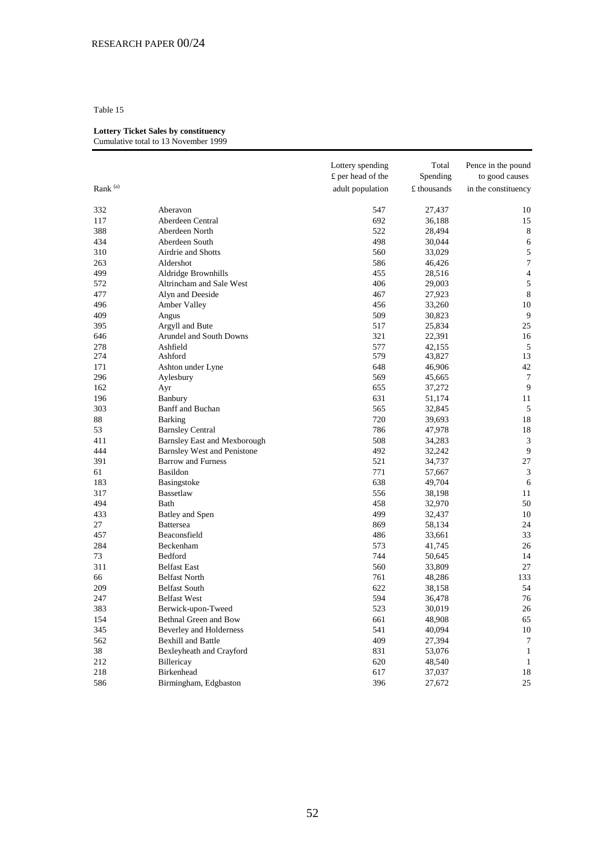#### **Lottery Ticket Sales by constituency** Cumulative total to 13 November 1999

|                     |                                     | Lottery spending<br>£ per head of the | Total<br>Spending | Pence in the pound<br>to good causes |
|---------------------|-------------------------------------|---------------------------------------|-------------------|--------------------------------------|
| Rank <sup>(a)</sup> |                                     | adult population                      | £ thousands       | in the constituency                  |
| 332                 | Aberavon                            | 547                                   | 27,437            | 10                                   |
| 117                 | Aberdeen Central                    | 692                                   | 36,188            | 15                                   |
| 388                 | Aberdeen North                      | 522                                   | 28,494            | 8                                    |
| 434                 | Aberdeen South                      | 498                                   | 30,044            | 6                                    |
| 310                 | Airdrie and Shotts                  | 560                                   | 33,029            | 5                                    |
| 263                 | Aldershot                           | 586                                   | 46,426            | $\tau$                               |
| 499                 | Aldridge Brownhills                 | 455                                   | 28,516            | $\overline{4}$                       |
| 572                 | Altrincham and Sale West            | 406                                   | 29,003            | 5                                    |
| 477                 | Alyn and Deeside                    | 467                                   | 27,923            | $\,8\,$                              |
| 496                 | Amber Valley                        | 456                                   | 33,260            | 10                                   |
| 409                 | Angus                               | 509                                   | 30,823            | 9                                    |
| 395                 | Argyll and Bute                     | 517                                   | 25,834            | 25                                   |
| 646                 | Arundel and South Downs             | 321                                   | 22,391            | 16                                   |
| 278                 | Ashfield                            | 577                                   | 42,155            | $\sqrt{5}$                           |
| 274                 | Ashford                             | 579                                   | 43,827            | 13                                   |
| 171                 | Ashton under Lyne                   | 648                                   | 46,906            | 42                                   |
| 296                 | Aylesbury                           | 569                                   | 45,665            | 7                                    |
| 162                 | Ayr                                 | 655                                   | 37,272            | 9                                    |
| 196                 | Banbury                             | 631                                   | 51,174            | 11                                   |
| 303                 | Banff and Buchan                    | 565                                   | 32,845            | $\sqrt{5}$                           |
| 88                  | <b>Barking</b>                      | 720                                   | 39,693            | 18                                   |
| 53                  | <b>Barnsley Central</b>             | 786                                   | 47,978            | 18                                   |
| 411                 | <b>Barnsley East and Mexborough</b> | 508                                   | 34,283            | 3                                    |
| 444                 | <b>Barnsley West and Penistone</b>  | 492                                   | 32,242            | 9                                    |
| 391                 | <b>Barrow and Furness</b>           | 521                                   | 34,737            | 27                                   |
| 61                  | <b>Basildon</b>                     | 771                                   | 57,667            | 3                                    |
| 183                 | Basingstoke                         | 638                                   | 49,704            | 6                                    |
| 317                 | Bassetlaw                           | 556                                   | 38,198            | 11                                   |
| 494                 | Bath                                | 458                                   | 32,970            | 50                                   |
| 433                 | Batley and Spen                     | 499                                   | 32,437            | 10                                   |
| 27                  | <b>Battersea</b>                    | 869                                   | 58,134            | 24                                   |
| 457                 | Beaconsfield                        | 486                                   | 33,661            | 33                                   |
| 284                 | Beckenham                           | 573                                   | 41,745            | 26                                   |
| 73                  | Bedford                             | 744                                   | 50,645            | 14                                   |
| 311                 | <b>Belfast East</b>                 | 560                                   | 33,809            | 27                                   |
| 66                  | <b>Belfast North</b>                | 761                                   | 48,286            | 133                                  |
| 209                 | <b>Belfast South</b>                | 622                                   | 38,158            | 54                                   |
| 247                 | <b>Belfast West</b>                 | 594                                   | 36,478            | 76                                   |
| 383                 | Berwick-upon-Tweed                  | 523                                   | 30,019            | $26\,$                               |
| 154                 | Bethnal Green and Bow               | 661                                   | 48,908            | 65                                   |
| 345                 | <b>Beverley and Holderness</b>      | 541                                   | 40,094            | 10                                   |
| 562                 | <b>Bexhill and Battle</b>           | 409                                   | 27,394            | 7                                    |
| 38                  | Bexleyheath and Crayford            | 831                                   | 53,076            | $\mathbf{1}$                         |
| 212                 | Billericay                          | 620                                   | 48,540            | 1                                    |
| 218                 | Birkenhead                          | 617                                   | 37,037            | 18                                   |
| 586                 | Birmingham, Edgbaston               | 396                                   | 27,672            | 25                                   |
|                     |                                     |                                       |                   |                                      |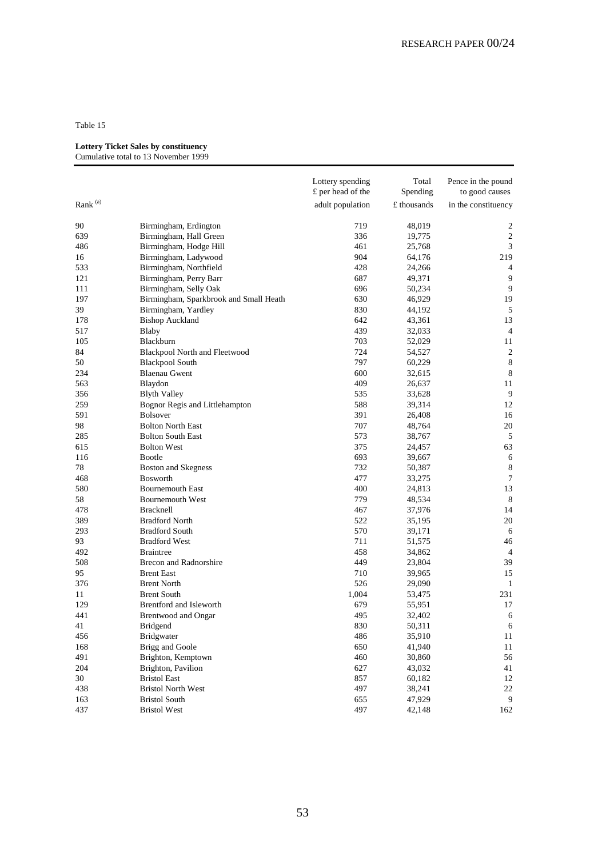#### **Lottery Ticket Sales by constituency**

|               |                                        | Lottery spending  | Total       | Pence in the pound  |
|---------------|----------------------------------------|-------------------|-------------|---------------------|
|               |                                        | £ per head of the | Spending    | to good causes      |
| Rank $^{(a)}$ |                                        | adult population  | £ thousands | in the constituency |
| 90            | Birmingham, Erdington                  | 719               | 48,019      | 2                   |
| 639           | Birmingham, Hall Green                 | 336               | 19,775      | $\sqrt{2}$          |
| 486           | Birmingham, Hodge Hill                 | 461               | 25,768      | 3                   |
| 16            | Birmingham, Ladywood                   | 904               | 64,176      | 219                 |
| 533           | Birmingham, Northfield                 | 428               | 24,266      | 4                   |
| 121           | Birmingham, Perry Barr                 | 687               | 49,371      | 9                   |
| 111           | Birmingham, Selly Oak                  | 696               | 50,234      | 9                   |
| 197           | Birmingham, Sparkbrook and Small Heath | 630               | 46,929      | 19                  |
| 39            | Birmingham, Yardley                    | 830               | 44,192      | $\sqrt{5}$          |
| 178           | <b>Bishop Auckland</b>                 | 642               | 43,361      | 13                  |
| 517           | Blaby                                  | 439               | 32,033      | 4                   |
| 105           | Blackburn                              | 703               | 52,029      | 11                  |
| 84            | Blackpool North and Fleetwood          | 724               | 54,527      | $\overline{2}$      |
| 50            | <b>Blackpool South</b>                 | 797               | 60,229      | $8\phantom{1}$      |
| 234           | <b>Blaenau Gwent</b>                   | 600               | 32,615      | 8                   |
| 563           | Blaydon                                | 409               | 26,637      | 11                  |
| 356           | <b>Blyth Valley</b>                    | 535               | 33,628      | 9                   |
| 259           | Bognor Regis and Littlehampton         | 588               | 39,314      | 12                  |
| 591           | <b>Bolsover</b>                        | 391               | 26,408      | 16                  |
| 98            | <b>Bolton North East</b>               | 707               | 48,764      | 20                  |
| 285           | <b>Bolton South East</b>               | 573               | 38,767      | 5                   |
| 615           | <b>Bolton West</b>                     | 375               | 24,457      | 63                  |
| 116           | Bootle                                 | 693               | 39,667      | 6                   |
| 78            | Boston and Skegness                    | 732               | 50,387      | 8                   |
| 468           | <b>Bosworth</b>                        | 477               | 33,275      | 7                   |
| 580           | <b>Bournemouth East</b>                | 400               | 24,813      | 13                  |
| 58            | <b>Bournemouth West</b>                | 779               | 48,534      | 8                   |
| 478           | <b>Bracknell</b>                       | 467               | 37,976      | 14                  |
| 389           | <b>Bradford North</b>                  | 522               | 35,195      | 20                  |
| 293           | <b>Bradford South</b>                  | 570               | 39,171      | 6                   |
| 93            | <b>Bradford West</b>                   | 711               | 51,575      | 46                  |
| 492           | <b>Braintree</b>                       | 458               | 34,862      | $\overline{4}$      |
| 508           | <b>Brecon and Radnorshire</b>          | 449               | 23,804      | 39                  |
| 95            | <b>Brent East</b>                      | 710               | 39,965      | 15                  |
| 376           | <b>Brent North</b>                     | 526               | 29,090      | 1                   |
| 11            | <b>Brent South</b>                     | 1,004             | 53,475      | 231                 |
| 129           | Brentford and Isleworth                | 679               | 55,951      | 17                  |
| 441           | <b>Brentwood and Ongar</b>             | 495               | 32,402      | 6                   |
| 41            | <b>Bridgend</b>                        | 830               | 50,311      | 6                   |
| 456           | <b>Bridgwater</b>                      | 486               | 35,910      | 11                  |
| 168           | Brigg and Goole                        | 650               | 41,940      | 11                  |
| 491           | Brighton, Kemptown                     | 460               | 30,860      | 56                  |
| 204           | Brighton, Pavilion                     | 627               | 43,032      | 41                  |
| 30            | <b>Bristol East</b>                    | 857               | 60,182      | 12                  |
| 438           | <b>Bristol North West</b>              | 497               | 38,241      | 22                  |
| 163           | <b>Bristol South</b>                   | 655               | 47,929      | 9                   |
| 437           | <b>Bristol West</b>                    | 497               | 42,148      | 162                 |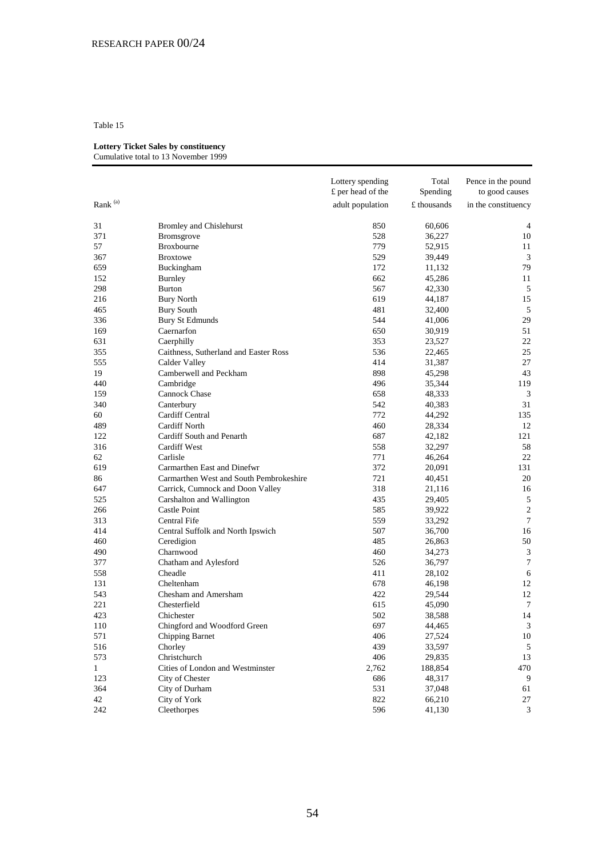# **Lottery Ticket Sales by constituency**

| Cumulative total to 13 November 1999 |  |
|--------------------------------------|--|
|--------------------------------------|--|

|                     |                                         | Lottery spending<br>£ per head of the | Total<br>Spending | Pence in the pound<br>to good causes |
|---------------------|-----------------------------------------|---------------------------------------|-------------------|--------------------------------------|
| Rank <sup>(a)</sup> |                                         | adult population                      | £ thousands       | in the constituency                  |
| 31                  | <b>Bromley and Chislehurst</b>          | 850                                   | 60,606            | 4                                    |
| 371                 | Bromsgrove                              | 528                                   | 36,227            | 10                                   |
| 57                  | Broxbourne                              | 779                                   | 52,915            | 11                                   |
| 367                 | <b>Broxtowe</b>                         | 529                                   | 39,449            | 3                                    |
| 659                 | Buckingham                              | 172                                   | 11,132            | 79                                   |
| 152                 | <b>Burnley</b>                          | 662                                   | 45,286            | 11                                   |
| 298                 | <b>Burton</b>                           | 567                                   | 42,330            | 5                                    |
| 216                 | <b>Bury North</b>                       | 619                                   | 44,187            | 15                                   |
| 465                 | <b>Bury South</b>                       | 481                                   | 32,400            | 5                                    |
| 336                 | <b>Bury St Edmunds</b>                  | 544                                   | 41,006            | 29                                   |
| 169                 | Caernarfon                              | 650                                   | 30,919            | 51                                   |
| 631                 | Caerphilly                              | 353                                   | 23,527            | 22                                   |
| 355                 | Caithness, Sutherland and Easter Ross   | 536                                   | 22,465            | 25                                   |
| 555                 | Calder Valley                           | 414                                   | 31,387            | 27                                   |
| 19                  | Camberwell and Peckham                  | 898                                   | 45,298            | 43                                   |
| 440                 | Cambridge                               | 496                                   | 35,344            | 119                                  |
| 159                 | Cannock Chase                           | 658                                   | 48,333            | 3                                    |
| 340                 | Canterbury                              | 542                                   | 40,383            | 31                                   |
| 60                  | Cardiff Central                         | 772                                   | 44,292            | 135                                  |
| 489                 | <b>Cardiff North</b>                    | 460                                   | 28,334            | 12                                   |
| 122                 | Cardiff South and Penarth               | 687                                   | 42,182            | 121                                  |
| 316                 | <b>Cardiff West</b>                     | 558                                   | 32,297            | 58                                   |
| 62                  | Carlisle                                | 771                                   | 46,264            | 22                                   |
| 619                 | Carmarthen East and Dinefwr             | 372                                   | 20,091            | 131                                  |
| 86                  | Carmarthen West and South Pembrokeshire | 721                                   | 40,451            | 20                                   |
| 647                 | Carrick, Cumnock and Doon Valley        | 318                                   | 21,116            | 16                                   |
| 525                 | Carshalton and Wallington               | 435                                   | 29,405            | 5                                    |
| 266                 | Castle Point                            | 585                                   | 39,922            | $\overline{c}$                       |
| 313                 | Central Fife                            | 559                                   | 33,292            | 7                                    |
| 414                 | Central Suffolk and North Ipswich       | 507                                   | 36,700            | 16                                   |
| 460                 | Ceredigion                              | 485                                   | 26,863            | 50                                   |
| 490                 | Charnwood                               | 460                                   | 34,273            | 3                                    |
| 377                 | Chatham and Aylesford                   | 526                                   | 36,797            | 7                                    |
| 558                 | Cheadle                                 | 411                                   | 28,102            | 6                                    |
| 131                 | Cheltenham                              | 678                                   | 46,198            | 12                                   |
| 543                 | Chesham and Amersham                    | 422                                   | 29,544            | 12                                   |
| 221                 | Chesterfield                            | 615                                   | 45,090            | 7                                    |
| 423                 | Chichester                              | 502                                   | 38,588            | 14                                   |
| 110                 | Chingford and Woodford Green            | 697                                   | 44,465            | 3                                    |
| 571                 | Chipping Barnet                         | 406                                   | 27,524            | 10                                   |
| 516                 | Chorley                                 | 439                                   | 33,597            | 5                                    |
| 573                 | Christchurch                            | 406                                   | 29,835            | 13                                   |
| $\mathbf{1}$        | Cities of London and Westminster        | 2,762                                 | 188,854           | 470                                  |
| 123                 | City of Chester                         | 686                                   | 48,317            | 9                                    |
| 364                 | City of Durham                          | 531                                   | 37,048            | 61                                   |
| 42                  | City of York                            | 822                                   | 66,210            | 27                                   |
| 242                 | Cleethorpes                             | 596                                   | 41,130            | 3                                    |
|                     |                                         |                                       |                   |                                      |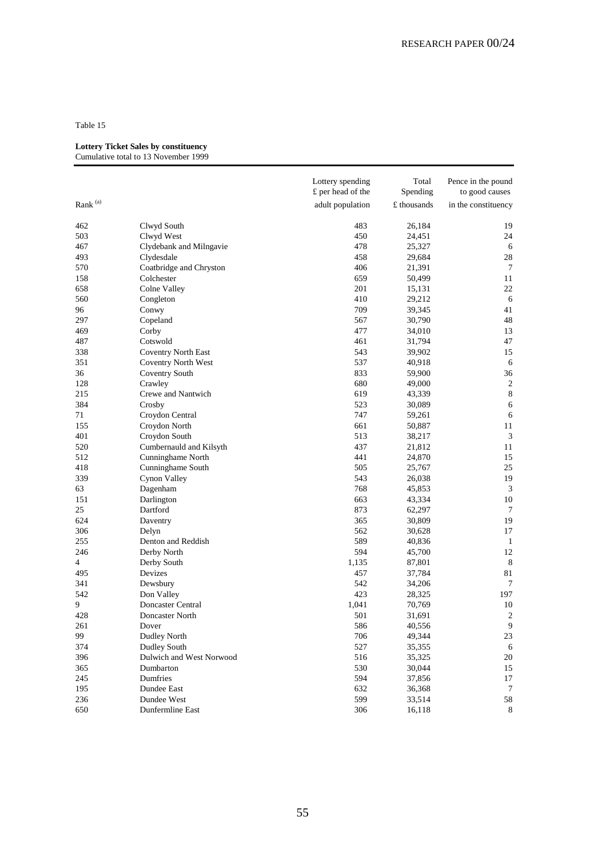#### **Lottery Ticket Sales by constituency**

|                     |                            | Lottery spending<br>£ per head of the | Total<br>Spending | Pence in the pound<br>to good causes |
|---------------------|----------------------------|---------------------------------------|-------------------|--------------------------------------|
| Rank <sup>(a)</sup> |                            | adult population                      | £ thousands       | in the constituency                  |
| 462                 | Clwyd South                | 483                                   | 26,184            | 19                                   |
| 503                 | Clwyd West                 | 450                                   | 24,451            | 24                                   |
| 467                 | Clydebank and Milngavie    | 478                                   | 25,327            | 6                                    |
| 493                 | Clydesdale                 | 458                                   | 29,684            | 28                                   |
| 570                 | Coatbridge and Chryston    | 406                                   | 21,391            | 7                                    |
| 158                 | Colchester                 | 659                                   | 50,499            | 11                                   |
| 658                 | Colne Valley               | 201                                   | 15,131            | 22                                   |
| 560                 | Congleton                  | 410                                   | 29,212            | 6                                    |
| 96                  | Conwy                      | 709                                   | 39,345            | 41                                   |
| 297                 | Copeland                   | 567                                   | 30,790            | 48                                   |
| 469                 | Corby                      | 477                                   | 34,010            | 13                                   |
| 487                 | Cotswold                   | 461                                   | 31,794            | 47                                   |
| 338                 | <b>Coventry North East</b> | 543                                   | 39,902            | 15                                   |
| 351                 | Coventry North West        | 537                                   | 40,918            | 6                                    |
| 36                  | Coventry South             | 833                                   | 59,900            | 36                                   |
| 128                 | Crawley                    | 680                                   | 49,000            | $\overline{2}$                       |
| 215                 | Crewe and Nantwich         | 619                                   | 43,339            | $\,8\,$                              |
| 384                 | Crosby                     | 523                                   | 30,089            | 6                                    |
| 71                  | Croydon Central            | 747                                   | 59,261            | 6                                    |
| 155                 | Croydon North              | 661                                   | 50,887            | 11                                   |
| 401                 | Croydon South              | 513                                   | 38,217            | 3                                    |
| 520                 | Cumbernauld and Kilsyth    | 437                                   | 21,812            | 11                                   |
| 512                 | Cunninghame North          | 441                                   | 24,870            | 15                                   |
| 418                 | Cunninghame South          | 505                                   | 25,767            | 25                                   |
| 339                 | Cynon Valley               | 543                                   | 26,038            | 19                                   |
| 63                  | Dagenham                   | 768                                   | 45,853            | 3                                    |
| 151                 | Darlington                 | 663                                   | 43,334            | 10                                   |
| 25                  | Dartford                   | 873                                   | 62,297            | 7                                    |
| 624                 | Daventry                   | 365                                   | 30,809            | 19                                   |
| 306                 | Delyn                      | 562                                   | 30,628            | 17                                   |
| 255                 | Denton and Reddish         | 589                                   | 40,836            | -1                                   |
| 246                 | Derby North                | 594                                   | 45,700            | 12                                   |
| 4                   | Derby South                | 1,135                                 | 87,801            | 8                                    |
| 495                 | Devizes                    | 457                                   | 37,784            | 81                                   |
| 341                 | Dewsbury                   | 542                                   | 34,206            | 7                                    |
| 542                 | Don Valley                 | 423                                   | 28,325            | 197                                  |
| 9                   | Doncaster Central          | 1,041                                 | 70,769            | 10                                   |
| 428                 | Doncaster North            | 501                                   | 31,691            | 2                                    |
| 261                 | Dover                      | 586                                   | 40,556            | 9                                    |
| 99                  | Dudley North               | 706                                   | 49,344            | 23                                   |
| 374                 | Dudley South               | 527                                   | 35,355            | 6                                    |
| 396                 | Dulwich and West Norwood   | 516                                   | 35,325            | 20                                   |
| 365                 | Dumbarton                  | 530                                   | 30,044            | 15                                   |
| 245                 | Dumfries                   | 594                                   | 37,856            | 17                                   |
| 195                 | Dundee East                | 632                                   | 36,368            | 7                                    |
| 236                 | Dundee West                | 599                                   | 33,514            | 58                                   |
| 650                 | Dunfermline East           | 306                                   | 16,118            | 8                                    |
|                     |                            |                                       |                   |                                      |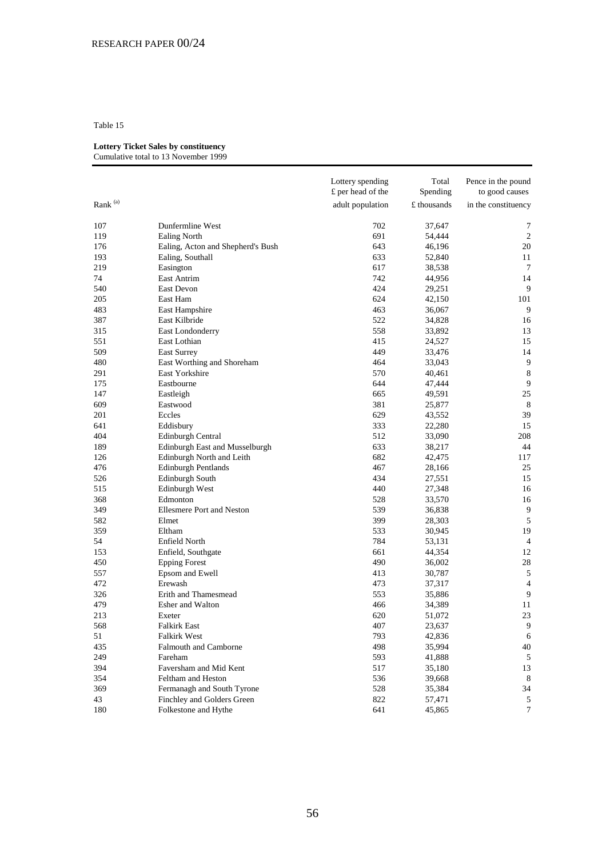## **Lottery Ticket Sales by constituency**

| Cumulative total to 13 November 1999 |  |
|--------------------------------------|--|
|--------------------------------------|--|

|                     |                                   | Lottery spending<br>£ per head of the | Total<br>Spending | Pence in the pound<br>to good causes |
|---------------------|-----------------------------------|---------------------------------------|-------------------|--------------------------------------|
| Rank <sup>(a)</sup> |                                   | adult population                      | £ thousands       | in the constituency                  |
| $107\,$             | Dunfermline West                  | 702                                   | 37,647            | 7                                    |
| 119                 | <b>Ealing North</b>               | 691                                   | 54,444            | 2                                    |
| 176                 | Ealing, Acton and Shepherd's Bush | 643                                   | 46,196            | 20                                   |
| 193                 | Ealing, Southall                  | 633                                   | 52,840            | 11                                   |
| 219                 | Easington                         | 617                                   | 38,538            | 7                                    |
| 74                  | East Antrim                       | 742                                   | 44,956            | 14                                   |
| 540                 | <b>East Devon</b>                 | 424                                   | 29,251            | 9                                    |
| 205                 | East Ham                          | 624                                   | 42,150            | 101                                  |
| 483                 | East Hampshire                    | 463                                   | 36,067            | 9                                    |
| 387                 | East Kilbride                     | 522                                   | 34,828            | 16                                   |
| 315                 | East Londonderry                  | 558                                   | 33,892            | 13                                   |
| 551                 | East Lothian                      | 415                                   | 24,527            | 15                                   |
| 509                 | <b>East Surrey</b>                | 449                                   | 33,476            | 14                                   |
| 480                 | East Worthing and Shoreham        | 464                                   | 33,043            | 9                                    |
| 291                 | East Yorkshire                    | 570                                   | 40,461            | $8\phantom{1}$                       |
| 175                 | Eastbourne                        | 644                                   | 47,444            | 9                                    |
| 147                 | Eastleigh                         | 665                                   | 49,591            | 25                                   |
| 609                 | Eastwood                          | 381                                   | 25,877            | 8                                    |
| 201                 | Eccles                            | 629                                   | 43,552            | 39                                   |
| 641                 | Eddisbury                         | 333                                   | 22,280            | 15                                   |
| 404                 | Edinburgh Central                 | 512                                   | 33,090            | 208                                  |
| 189                 | Edinburgh East and Musselburgh    | 633                                   | 38,217            | 44                                   |
| 126                 | Edinburgh North and Leith         | 682                                   | 42,475            | 117                                  |
| 476                 | <b>Edinburgh Pentlands</b>        | 467                                   | 28,166            | 25                                   |
| 526                 | Edinburgh South                   | 434                                   | 27,551            | 15                                   |
| 515                 | Edinburgh West                    | 440                                   | 27,348            | 16                                   |
| 368                 | Edmonton                          | 528                                   | 33,570            | 16                                   |
| 349                 | <b>Ellesmere Port and Neston</b>  | 539                                   | 36,838            | 9                                    |
| 582                 | Elmet                             | 399                                   | 28,303            | $\sqrt{5}$                           |
| 359                 | Eltham                            | 533                                   | 30,945            | 19                                   |
| 54                  | Enfield North                     | 784                                   | 53,131            | 4                                    |
| 153                 | Enfield, Southgate                | 661                                   | 44,354            | 12                                   |
| 450                 | <b>Epping Forest</b>              | 490                                   | 36,002            | 28                                   |
| 557                 | Epsom and Ewell                   | 413                                   | 30,787            | 5                                    |
| 472                 | Erewash                           | 473                                   | 37,317            | 4                                    |
| 326                 | Erith and Thamesmead              | 553                                   | 35,886            | 9                                    |
| 479                 | Esher and Walton                  | 466                                   | 34,389            | 11                                   |
| 213                 | Exeter                            | 620                                   | 51,072            | 23                                   |
| 568                 | <b>Falkirk East</b>               | 407                                   | 23,637            | 9                                    |
| 51                  | <b>Falkirk West</b>               | 793                                   | 42,836            | 6                                    |
| 435                 | Falmouth and Camborne             | 498                                   | 35,994            | 40                                   |
| 249                 | Fareham                           | 593                                   | 41,888            | 5                                    |
| 394                 | Faversham and Mid Kent            | 517                                   | 35,180            | 13                                   |
| 354                 | Feltham and Heston                | 536                                   | 39,668            | 8                                    |
| 369                 | Fermanagh and South Tyrone        | 528                                   | 35,384            | 34                                   |
| 43                  | Finchley and Golders Green        | 822                                   | 57,471            | 5                                    |
| 180                 | Folkestone and Hythe              | 641                                   | 45,865            | 7                                    |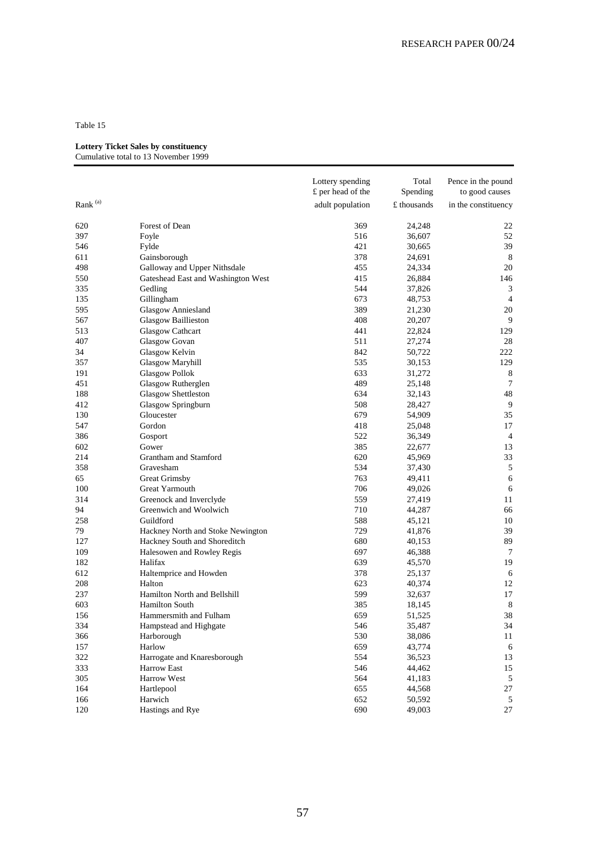#### **Lottery Ticket Sales by constituency**

|                     |                                    | Lottery spending<br>£ per head of the | Total<br>Spending | Pence in the pound<br>to good causes |
|---------------------|------------------------------------|---------------------------------------|-------------------|--------------------------------------|
|                     |                                    |                                       |                   |                                      |
| Rank <sup>(a)</sup> |                                    | adult population                      | £ thousands       | in the constituency                  |
| 620                 | Forest of Dean                     | 369                                   | 24,248            | 22                                   |
| 397                 | Foyle                              | 516                                   | 36,607            | 52                                   |
| 546                 | Fylde                              | 421                                   | 30,665            | 39                                   |
| 611                 | Gainsborough                       | 378                                   | 24,691            | 8                                    |
| 498                 | Galloway and Upper Nithsdale       | 455                                   | 24,334            | 20                                   |
| 550                 | Gateshead East and Washington West | 415                                   | 26,884            | 146                                  |
| 335                 | Gedling                            | 544                                   | 37,826            | 3                                    |
| 135                 | Gillingham                         | 673                                   | 48,753            | $\overline{4}$                       |
| 595                 | <b>Glasgow Anniesland</b>          | 389                                   | 21,230            | 20                                   |
| 567                 | <b>Glasgow Baillieston</b>         | 408                                   | 20,207            | 9                                    |
| 513                 | <b>Glasgow Cathcart</b>            | 441                                   | 22,824            | 129                                  |
| 407                 | Glasgow Govan                      | 511                                   | 27,274            | 28                                   |
| 34                  | Glasgow Kelvin                     | 842                                   | 50,722            | 222                                  |
| 357                 | Glasgow Maryhill                   | 535                                   | 30,153            | 129                                  |
| 191                 | <b>Glasgow Pollok</b>              | 633                                   | 31,272            | $8\phantom{1}$                       |
| 451                 | Glasgow Rutherglen                 | 489                                   | 25,148            | 7                                    |
| 188                 | Glasgow Shettleston                | 634                                   | 32,143            | 48                                   |
| 412                 | Glasgow Springburn                 | 508                                   | 28,427            | 9                                    |
| 130                 | Gloucester                         | 679                                   | 54,909            | 35                                   |
| 547                 | Gordon                             | 418                                   | 25,048            | 17                                   |
| 386                 | Gosport                            | 522                                   | 36,349            | $\overline{4}$                       |
| 602                 | Gower                              | 385                                   | 22,677            | 13                                   |
| 214                 | Grantham and Stamford              | 620                                   | 45,969            | 33                                   |
| 358                 | Gravesham                          | 534                                   | 37,430            | 5                                    |
| 65                  | Great Grimsby                      | 763                                   | 49,411            | 6                                    |
| 100                 | Great Yarmouth                     | 706                                   | 49,026            | 6                                    |
| 314                 | Greenock and Inverclyde            | 559                                   | 27,419            | 11                                   |
| 94                  | Greenwich and Woolwich             | 710                                   | 44,287            | 66                                   |
| 258                 | Guildford                          | 588                                   | 45,121            | 10                                   |
| 79                  | Hackney North and Stoke Newington  | 729                                   | 41,876            | 39                                   |
| 127                 | Hackney South and Shoreditch       | 680                                   | 40,153            | 89                                   |
| 109                 | Halesowen and Rowley Regis         | 697                                   | 46,388            | 7                                    |
| 182                 | Halifax                            | 639                                   | 45,570            | 19                                   |
| 612                 | Haltemprice and Howden             | 378                                   | 25,137            | 6                                    |
| 208                 | Halton                             | 623                                   | 40,374            | 12                                   |
| 237                 | Hamilton North and Bellshill       | 599                                   | 32,637            | 17                                   |
| 603                 | <b>Hamilton South</b>              | 385                                   | 18,145            | 8                                    |
| 156                 | Hammersmith and Fulham             | 659                                   | 51,525            | 38                                   |
| 334                 | Hampstead and Highgate             | 546                                   | 35,487            | 34                                   |
| 366                 | Harborough                         | 530                                   | 38,086            | 11                                   |
| 157                 | Harlow                             | 659                                   | 43,774            | 6                                    |
| 322                 | Harrogate and Knaresborough        | 554                                   | 36,523            | 13                                   |
| 333                 | Harrow East                        | 546                                   | 44,462            | 15                                   |
| 305                 | Harrow West                        | 564                                   | 41,183            | $\sqrt{5}$                           |
| 164                 | Hartlepool                         | 655                                   | 44,568            | 27                                   |
| 166                 | Harwich                            | 652                                   | 50,592            | 5                                    |
| 120                 | Hastings and Rye                   | 690                                   | 49,003            | 27                                   |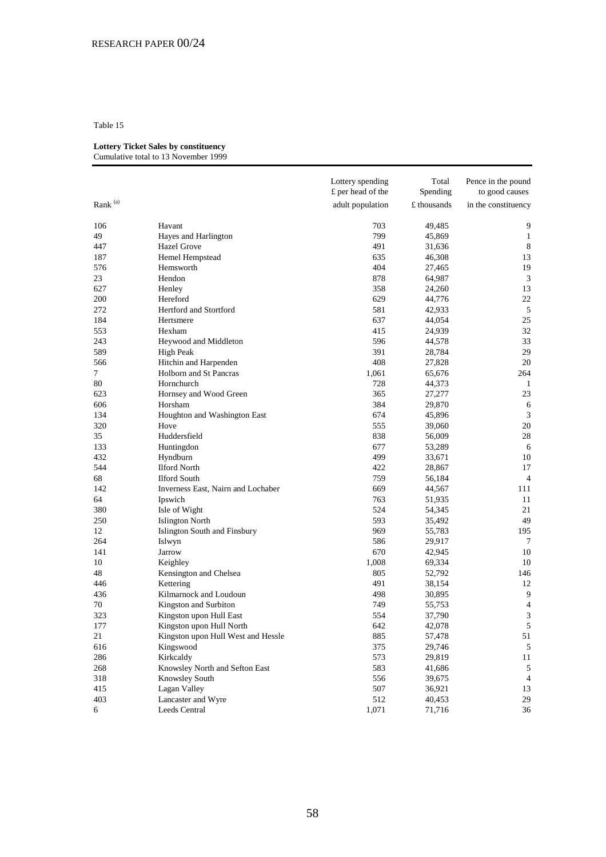## **Lottery Ticket Sales by constituency**

|                     |                                    | Lottery spending<br>£ per head of the | Total<br>Spending | Pence in the pound<br>to good causes |
|---------------------|------------------------------------|---------------------------------------|-------------------|--------------------------------------|
| Rank <sup>(a)</sup> |                                    | adult population                      | £ thousands       | in the constituency                  |
| 106                 | Havant                             | 703                                   | 49,485            | 9                                    |
| 49                  | Hayes and Harlington               | 799                                   | 45,869            | 1                                    |
| 447                 | Hazel Grove                        | 491                                   | 31,636            | $\,8\,$                              |
| 187                 | Hemel Hempstead                    | 635                                   | 46,308            | 13                                   |
| 576                 | Hemsworth                          | 404                                   | 27,465            | 19                                   |
| 23                  | Hendon                             | 878                                   | 64,987            | 3                                    |
| 627                 | Henley                             | 358                                   | 24,260            | 13                                   |
| 200                 | Hereford                           | 629                                   | 44,776            | 22                                   |
| 272                 | Hertford and Stortford             | 581                                   | 42,933            | 5                                    |
| 184                 | Hertsmere                          | 637                                   | 44,054            | 25                                   |
| 553                 | Hexham                             | 415                                   | 24,939            | 32                                   |
| 243                 | Heywood and Middleton              | 596                                   | 44,578            | 33                                   |
| 589                 | <b>High Peak</b>                   | 391                                   | 28,784            | 29                                   |
| 566                 | Hitchin and Harpenden              | 408                                   | 27,828            | 20                                   |
| 7                   | Holborn and St Pancras             | 1,061                                 | 65,676            | 264                                  |
| 80                  | Hornchurch                         | 728                                   | 44,373            | 1                                    |
| 623                 | Hornsey and Wood Green             | 365                                   | 27,277            | 23                                   |
| 606                 | Horsham                            | 384                                   | 29,870            | 6                                    |
| 134                 | Houghton and Washington East       | 674                                   | 45,896            | 3                                    |
| 320                 | Hove                               | 555                                   | 39,060            | 20                                   |
| 35                  | Huddersfield                       | 838                                   | 56,009            | 28                                   |
| 133                 | Huntingdon                         | 677                                   | 53,289            | 6                                    |
| 432                 | Hyndburn                           | 499                                   | 33,671            | 10                                   |
| 544                 | <b>Ilford North</b>                | 422                                   | 28,867            | 17                                   |
| 68                  | <b>Ilford South</b>                | 759                                   | 56,184            | $\overline{4}$                       |
| 142                 | Inverness East, Nairn and Lochaber | 669                                   | 44,567            | 111                                  |
| 64                  | Ipswich                            | 763                                   | 51,935            | 11                                   |
| 380                 | Isle of Wight                      | 524                                   | 54,345            | 21                                   |
| 250                 | <b>Islington North</b>             | 593                                   | 35,492            | 49                                   |
| 12                  | Islington South and Finsbury       | 969                                   | 55,783            | 195                                  |
| 264                 | Islwyn                             | 586                                   | 29,917            | 7                                    |
| 141                 | Jarrow                             | 670                                   | 42,945            | 10                                   |
| 10                  | Keighley                           | 1,008                                 | 69,334            | 10                                   |
| 48                  | Kensington and Chelsea             | 805                                   | 52,792            | 146                                  |
| 446                 | Kettering                          | 491                                   | 38,154            | 12                                   |
| 436                 | Kilmarnock and Loudoun             | 498                                   | 30,895            | 9                                    |
| 70                  | Kingston and Surbiton              | 749                                   | 55,753            | $\overline{4}$                       |
| 323                 | Kingston upon Hull East            | 554                                   | 37,790            | $\mathfrak{Z}$                       |
| 177                 | Kingston upon Hull North           | 642                                   | 42,078            | 5                                    |
| 21                  | Kingston upon Hull West and Hessle | 885                                   | 57,478            | 51                                   |
| 616                 | Kingswood                          | 375                                   | 29,746            | 5                                    |
| 286                 | Kirkcaldy                          | 573                                   | 29,819            | 11                                   |
| 268                 | Knowsley North and Sefton East     | 583                                   | 41,686            | 5                                    |
| 318                 | Knowsley South                     | 556                                   | 39,675            | 4                                    |
| 415                 | Lagan Valley                       | 507                                   | 36,921            | 13                                   |
| 403                 | Lancaster and Wyre                 | 512                                   | 40,453            | 29                                   |
| 6                   | Leeds Central                      | 1,071                                 | 71,716            | 36                                   |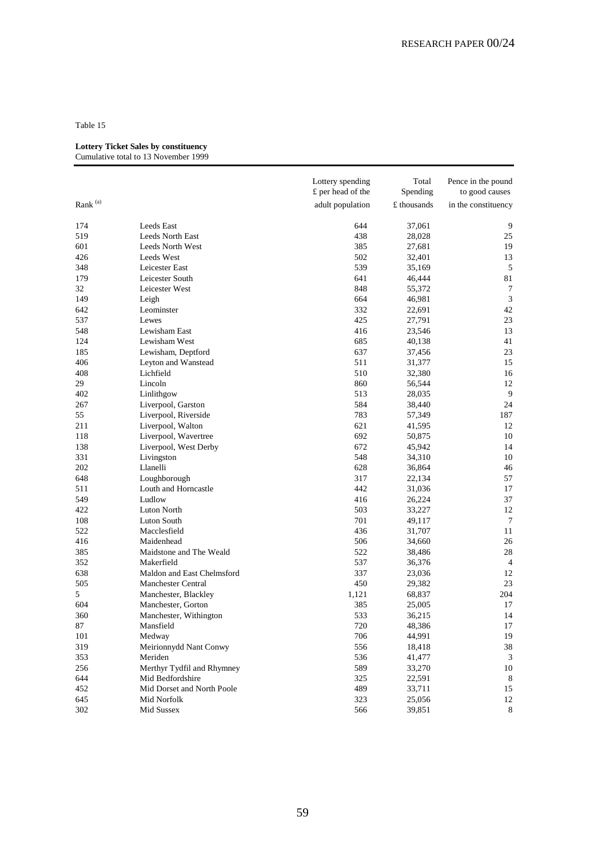#### **Lottery Ticket Sales by constituency**

|               |                                       | Lottery spending<br>£ per head of the | Total<br>Spending | Pence in the pound<br>to good causes |
|---------------|---------------------------------------|---------------------------------------|-------------------|--------------------------------------|
| Rank $^{(a)}$ |                                       | adult population                      | £ thousands       | in the constituency                  |
| 174           | Leeds East                            | 644                                   | 37,061            | 9                                    |
| 519           | <b>Leeds North East</b>               | 438                                   | 28,028            | 25                                   |
| 601           | Leeds North West                      | 385                                   | 27,681            | 19                                   |
| 426           | Leeds West                            | 502                                   | 32,401            | 13                                   |
| 348           | Leicester East                        | 539                                   | 35,169            | 5                                    |
| 179           | Leicester South                       | 641                                   | 46,444            | 81                                   |
| 32            | Leicester West                        | 848                                   | 55,372            | $\tau$                               |
| 149           | Leigh                                 | 664                                   | 46,981            | 3                                    |
| 642           | Leominster                            | 332                                   | 22,691            | 42                                   |
| 537           | Lewes                                 | 425                                   | 27,791            | 23                                   |
| 548           | Lewisham East                         | 416                                   | 23,546            | 13                                   |
| 124           | Lewisham West                         | 685                                   | 40,138            | 41                                   |
| 185           | Lewisham, Deptford                    | 637                                   | 37,456            | 23                                   |
| 406           | Leyton and Wanstead                   | 511                                   | 31,377            | 15                                   |
| 408           | Lichfield                             | 510                                   | 32,380            | 16                                   |
| 29            | Lincoln                               | 860                                   | 56,544            | 12                                   |
| 402           | Linlithgow                            | 513                                   | 28,035            | 9                                    |
| 267           | Liverpool, Garston                    | 584                                   | 38,440            | 24                                   |
| 55            | Liverpool, Riverside                  | 783                                   | 57,349            | 187                                  |
| 211           | Liverpool, Walton                     | 621                                   | 41,595            | 12                                   |
| 118           | Liverpool, Wavertree                  | 692                                   | 50,875            | 10                                   |
| 138           | Liverpool, West Derby                 | 672                                   | 45,942            | 14                                   |
| 331           | Livingston                            | 548                                   | 34,310            | 10                                   |
| 202           | Llanelli                              | 628                                   | 36,864            | 46                                   |
| 648           | Loughborough                          | 317                                   | 22,134            | 57                                   |
| 511           | Louth and Horncastle                  | 442                                   | 31,036            | 17                                   |
| 549           | Ludlow                                | 416                                   | 26,224            | 37                                   |
| 422           | Luton North                           | 503                                   | 33,227            | 12                                   |
| 108           | Luton South                           | 701                                   | 49,117            | 7                                    |
| 522           | Macclesfield                          | 436                                   | 31,707            | 11                                   |
| 416           | Maidenhead                            | 506                                   | 34,660            | 26                                   |
| 385           | Maidstone and The Weald               | 522                                   | 38,486            | 28                                   |
| 352           | Makerfield                            | 537                                   | 36,376            | $\overline{4}$                       |
| 638           | Maldon and East Chelmsford            | 337                                   | 23,036            | 12                                   |
| 505           | Manchester Central                    | 450                                   |                   | 23                                   |
| 5             | Manchester, Blackley                  | 1,121                                 | 29,382<br>68,837  | 204                                  |
| 604           | Manchester, Gorton                    | 385                                   | 25,005            | 17                                   |
| 360           | Manchester, Withington                | 533                                   | 36,215            | 14                                   |
| 87            | Mansfield                             | 720                                   |                   | 17                                   |
|               |                                       |                                       | 48,386            |                                      |
| 101<br>319    | Medway<br>Meirionnydd Nant Conwy      | 706<br>556                            | 44,991            | 19                                   |
|               |                                       |                                       | 18,418            | 38                                   |
| 353           | Meriden<br>Merthyr Tydfil and Rhymney | 536                                   | 41,477            | 3                                    |
| 256           |                                       | 589                                   | 33,270            | 10                                   |
| 644           | Mid Bedfordshire                      | 325                                   | 22,591            | 8                                    |
| 452           | Mid Dorset and North Poole            | 489                                   | 33,711            | 15                                   |
| 645           | Mid Norfolk                           | 323                                   | 25,056            | 12                                   |
| 302           | Mid Sussex                            | 566                                   | 39,851            | 8                                    |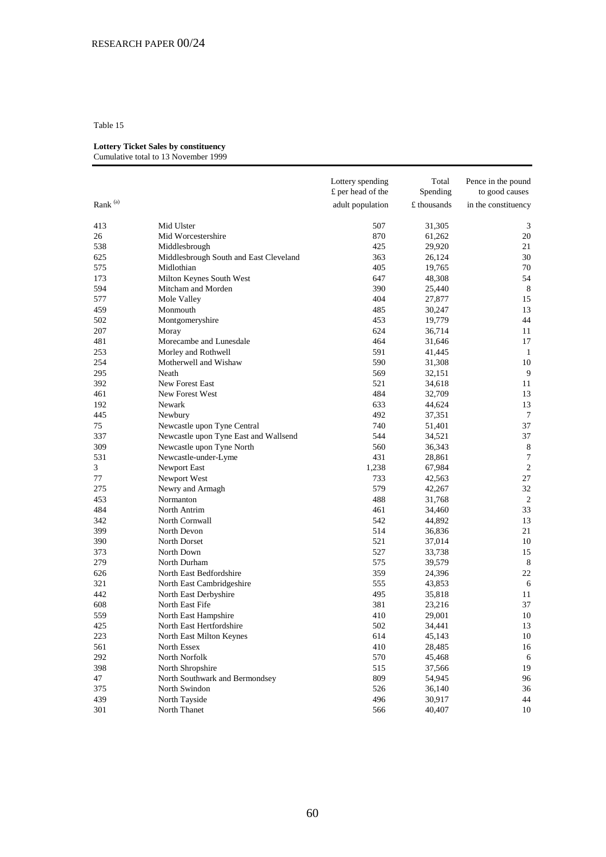## **Lottery Ticket Sales by constituency**

|                     |                                        | Lottery spending<br>£ per head of the | Total<br>Spending | Pence in the pound<br>to good causes |
|---------------------|----------------------------------------|---------------------------------------|-------------------|--------------------------------------|
| Rank <sup>(a)</sup> |                                        | adult population                      | £ thousands       | in the constituency                  |
| 413                 | Mid Ulster                             | 507                                   | 31,305            | 3                                    |
| 26                  | Mid Worcestershire                     | 870                                   | 61,262            | 20                                   |
| 538                 | Middlesbrough                          | 425                                   | 29,920            | 21                                   |
| 625                 | Middlesbrough South and East Cleveland | 363                                   | 26,124            | 30                                   |
| 575                 | Midlothian                             | 405                                   | 19,765            | 70                                   |
| 173                 | Milton Keynes South West               | 647                                   | 48,308            | 54                                   |
| 594                 | Mitcham and Morden                     | 390                                   | 25,440            | 8                                    |
| 577                 | Mole Valley                            | 404                                   | 27,877            | 15                                   |
| 459                 | Monmouth                               | 485                                   | 30,247            | 13                                   |
| 502                 | Montgomeryshire                        | 453                                   | 19,779            | 44                                   |
| 207                 | Moray                                  | 624                                   | 36,714            | 11                                   |
| 481                 | Morecambe and Lunesdale                | 464                                   | 31,646            | 17                                   |
| 253                 | Morley and Rothwell                    | 591                                   | 41,445            | -1                                   |
| 254                 | Motherwell and Wishaw                  | 590                                   | 31,308            | 10                                   |
| 295                 | Neath                                  | 569                                   | 32,151            | 9                                    |
| 392                 | New Forest East                        | 521                                   | 34,618            | 11                                   |
| 461                 | New Forest West                        | 484                                   | 32,709            | 13                                   |
| 192                 | Newark                                 | 633                                   | 44,624            | 13                                   |
| 445                 | Newbury                                | 492                                   | 37,351            | $\overline{7}$                       |
| 75                  | Newcastle upon Tyne Central            | 740                                   | 51,401            | 37                                   |
| 337                 | Newcastle upon Tyne East and Wallsend  | 544                                   | 34,521            | 37                                   |
| 309                 | Newcastle upon Tyne North              | 560                                   | 36,343            | 8                                    |
| 531                 | Newcastle-under-Lyme                   | 431                                   | 28,861            | $\overline{7}$                       |
| 3                   | Newport East                           | 1,238                                 | 67,984            | $\sqrt{2}$                           |
| 77                  | Newport West                           | 733                                   | 42,563            | 27                                   |
| 275                 | Newry and Armagh                       | 579                                   | 42,267            | 32                                   |
| 453                 | Normanton                              | 488                                   | 31,768            | 2                                    |
| 484                 | North Antrim                           | 461                                   | 34,460            | 33                                   |
| 342                 | North Cornwall                         | 542                                   | 44,892            | 13                                   |
| 399                 | North Devon                            | 514                                   | 36,836            | 21                                   |
| 390                 | North Dorset                           | 521                                   | 37,014            | 10                                   |
| 373                 | North Down                             | 527                                   | 33,738            | 15                                   |
| 279                 | North Durham                           | 575                                   | 39,579            | 8                                    |
| 626                 | North East Bedfordshire                | 359                                   | 24,396            | 22                                   |
| 321                 | North East Cambridgeshire              | 555                                   | 43,853            | 6                                    |
| 442                 | North East Derbyshire                  | 495                                   | 35,818            | 11                                   |
| 608                 | North East Fife                        | 381                                   | 23,216            | 37                                   |
| 559                 | North East Hampshire                   | 410                                   | 29,001            | 10                                   |
| 425                 | North East Hertfordshire               | 502                                   | 34,441            | 13                                   |
| 223                 | North East Milton Keynes               | 614                                   | 45,143            | 10                                   |
| 561                 | North Essex                            | 410                                   | 28,485            | 16                                   |
| 292                 | North Norfolk                          | 570                                   | 45,468            | 6                                    |
| 398                 | North Shropshire                       | 515                                   | 37,566            | 19                                   |
| 47                  | North Southwark and Bermondsey         | 809                                   | 54,945            | 96                                   |
| 375                 | North Swindon                          | 526                                   | 36,140            | 36                                   |
| 439                 | North Tayside                          | 496                                   | 30,917            | 44                                   |
| 301                 | North Thanet                           | 566                                   | 40,407            | 10                                   |
|                     |                                        |                                       |                   |                                      |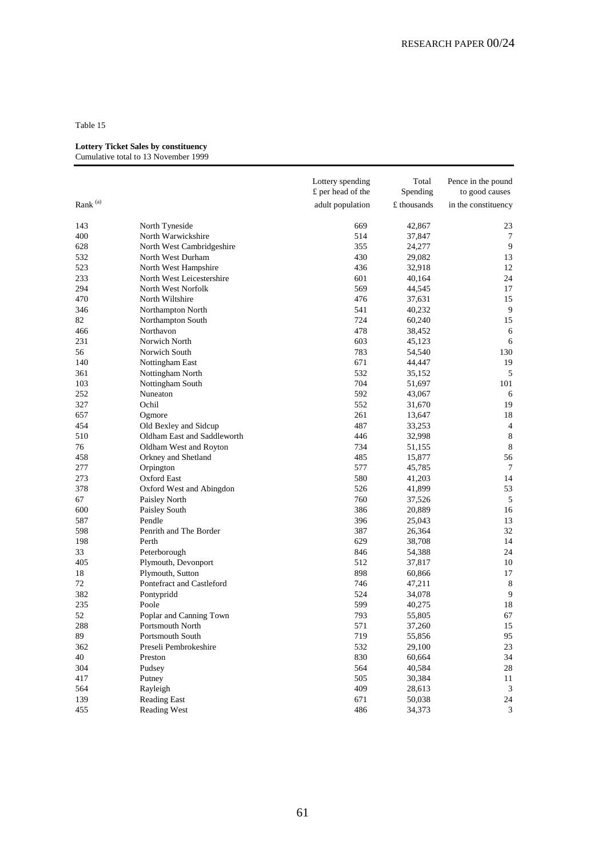#### **Lottery Ticket Sales by constituency**

|               |                             | Lottery spending<br>£ per head of the | Total<br>Spending | Pence in the pound<br>to good causes |
|---------------|-----------------------------|---------------------------------------|-------------------|--------------------------------------|
| Rank $^{(a)}$ |                             | adult population                      | £ thousands       | in the constituency                  |
|               |                             |                                       |                   |                                      |
| 143           | North Tyneside              | 669                                   | 42,867            | 23                                   |
| 400           | North Warwickshire          | 514                                   | 37,847            | 7                                    |
| 628           | North West Cambridgeshire   | 355                                   | 24,277            | 9                                    |
| 532           | North West Durham           | 430                                   | 29,082            | 13                                   |
| 523           | North West Hampshire        | 436                                   | 32,918            | 12                                   |
| 233           | North West Leicestershire   | 601                                   | 40,164            | 24                                   |
| 294           | North West Norfolk          | 569                                   | 44,545            | 17                                   |
| 470           | North Wiltshire             | 476                                   | 37,631            | 15                                   |
| 346           | Northampton North           | 541                                   | 40,232            | 9                                    |
| 82            | Northampton South           | 724                                   | 60,240            | 15                                   |
| 466           | Northavon                   | 478                                   | 38,452            | 6                                    |
| 231           | Norwich North               | 603                                   | 45,123            | 6                                    |
| 56            | Norwich South               | 783                                   | 54,540            | 130                                  |
| 140           | Nottingham East             | 671                                   | 44,447            | 19                                   |
| 361           | Nottingham North            | 532                                   | 35,152            | 5                                    |
| 103           | Nottingham South            | 704                                   | 51,697            | 101                                  |
| 252           | Nuneaton                    | 592                                   | 43,067            | 6                                    |
| 327           | Ochil                       | 552                                   | 31,670            | 19                                   |
| 657           | Ogmore                      | 261                                   | 13,647            | 18                                   |
| 454           | Old Bexley and Sidcup       | 487                                   | 33,253            | 4                                    |
| 510           | Oldham East and Saddleworth | 446                                   | 32,998            | 8                                    |
| 76            | Oldham West and Royton      | 734                                   | 51,155            | 8                                    |
| 458           | Orkney and Shetland         | 485                                   | 15,877            | 56                                   |
| 277           | Orpington                   | 577                                   | 45,785            | 7                                    |
| 273           | Oxford East                 | 580                                   | 41,203            | 14                                   |
| 378           | Oxford West and Abingdon    | 526                                   | 41,899            | 53                                   |
| 67            | Paisley North               | 760                                   | 37,526            | 5                                    |
| 600           | Paisley South               | 386                                   | 20,889            | 16                                   |
| 587           | Pendle                      | 396                                   | 25,043            | 13                                   |
| 598           | Penrith and The Border      | 387                                   | 26,364            | 32                                   |
| 198           | Perth                       | 629                                   | 38,708            | 14                                   |
| 33            | Peterborough                | 846                                   | 54,388            | 24                                   |
| 405           | Plymouth, Devonport         | 512                                   | 37,817            | 10                                   |
| 18            | Plymouth, Sutton            | 898                                   | 60,866            | 17                                   |
| 72            | Pontefract and Castleford   | 746                                   | 47,211            | 8                                    |
| 382           | Pontypridd                  | 524                                   | 34,078            | 9                                    |
| 235           | Poole                       | 599                                   | 40,275            | 18                                   |
| 52            | Poplar and Canning Town     | 793                                   | 55,805            | 67                                   |
| 288           | Portsmouth North            | 571                                   | 37,260            | 15                                   |
| 89            | Portsmouth South            | 719                                   | 55,856            | 95                                   |
| 362           | Preseli Pembrokeshire       | 532                                   | 29,100            | 23                                   |
| 40            | Preston                     | 830                                   | 60,664            | 34                                   |
| 304           | Pudsey                      | 564                                   | 40,584            | 28                                   |
| 417           | Putney                      | 505                                   | 30,384            | $11\,$                               |
| 564           | Rayleigh                    | 409                                   | 28,613            | 3                                    |
| 139           | <b>Reading East</b>         | 671                                   | 50,038            | 24                                   |
| 455           | Reading West                | 486                                   | 34,373            | $\mathfrak{Z}$                       |
|               |                             |                                       |                   |                                      |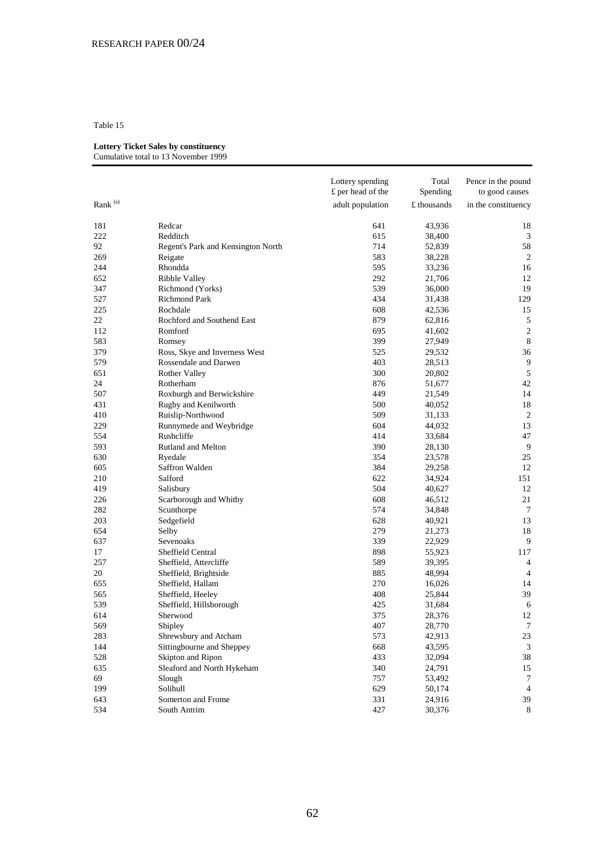## **Lottery Ticket Sales by constituency**

# Cumulative total to 13 November 1999 Lottery spending Total Pence in the pound  $f$  per head of the Spending to good causes £ per head of the Spending to good causes Rank (a) adult population  $\pm$  thousands in the constituency 181 Redcar Redcar 641 43,936 18 222 Redditch 38,400 3 92 Regent's Park and Kensington North 714 52,839 58 269 Reigate 269 Reigate 2012 Reigate 2013 Reigate 2014 Reigate 2014 Reigate 2014 Reigate 2014 Reigate 2014 Reigate 2014 Reigate 2014 Reigate 2014 Reigate 2014 Reigate 2014 Reigate 2014 Reigate 2014 Reigate 2014 Reigate 201 244 Rhondda 16 Rhondda 16 Rhondda 16 Rhondda 16 Rhondda 16 Rhondda 16 Rhondda 16 Rhondda 16 Rhondda 16 Rhondda 652 Ribble Valley 292 21,706 12 347 Richmond (Yorks) 539 36,000 19 527 Richmond Park 434 31,438 129<br>225 Rochdale 608 42,536 15 225 Rochdale 608 42,536 15 22 Rochford and Southend East 879 62,816 5<br>112 Romford 800 695 41,602 2 112 Romford 2 **Romford** 695 41,602 2 583 Romsey 27,949 27,949 B

| 379 | Ross, Skye and Inverness West | 525 | 29,532 | 36             |
|-----|-------------------------------|-----|--------|----------------|
| 579 | Rossendale and Darwen         | 403 | 28,513 | 9              |
| 651 | <b>Rother Valley</b>          | 300 | 20,802 | 5              |
| 24  | Rotherham                     | 876 | 51,677 | 42             |
| 507 | Roxburgh and Berwickshire     | 449 | 21,549 | 14             |
| 431 | Rugby and Kenilworth          | 500 | 40,052 | 18             |
| 410 | Ruislip-Northwood             | 509 | 31,133 | $\overline{2}$ |
| 229 | Runnymede and Weybridge       | 604 | 44,032 | 13             |
| 554 | Rushcliffe                    | 414 | 33,684 | 47             |
| 593 | Rutland and Melton            | 390 | 28,130 | 9              |
| 630 | Ryedale                       | 354 | 23,578 | 25             |
| 605 | Saffron Walden                | 384 | 29,258 | 12             |
| 210 | Salford                       | 622 | 34,924 | 151            |
| 419 | Salisbury                     | 504 | 40,627 | 12             |
| 226 | Scarborough and Whitby        | 608 | 46,512 | 21             |
| 282 | Scunthorpe                    | 574 | 34,848 | $\tau$         |
| 203 | Sedgefield                    | 628 | 40,921 | 13             |
| 654 | Selby                         | 279 | 21,273 | 18             |
| 637 | Sevenoaks                     | 339 | 22,929 | 9              |
| 17  | Sheffield Central             | 898 | 55,923 | 117            |
| 257 | Sheffield, Attercliffe        | 589 | 39,395 | $\overline{4}$ |
| 20  | Sheffield, Brightside         | 885 | 48,994 | 4              |
| 655 | Sheffield, Hallam             | 270 | 16,026 | 14             |
| 565 | Sheffield, Heeley             | 408 | 25,844 | 39             |
| 539 | Sheffield, Hillsborough       | 425 | 31,684 | 6              |
| 614 | Sherwood                      | 375 | 28,376 | 12             |
| 569 | Shipley                       | 407 | 28,770 | $\overline{7}$ |
| 283 | Shrewsbury and Atcham         | 573 | 42,913 | 23             |
| 144 | Sittingbourne and Sheppey     | 668 | 43,595 | 3              |
| 528 | Skipton and Ripon             | 433 | 32,094 | 38             |
| 635 | Sleaford and North Hykeham    | 340 | 24,791 | 15             |
| 69  | Slough                        | 757 | 53,492 | $\tau$         |
| 199 | Solihull                      | 629 | 50,174 | $\overline{4}$ |
| 643 | Somerton and Frome            | 331 | 24,916 | 39             |
| 534 | South Antrim                  | 427 | 30,376 | 8              |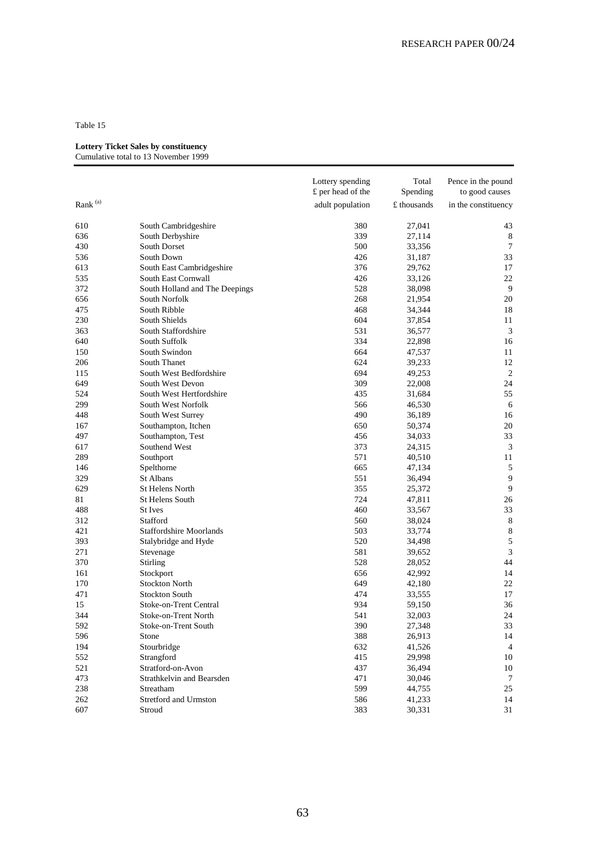#### **Lottery Ticket Sales by constituency**

|                     |                                | Lottery spending<br>£ per head of the | Total<br>Spending | Pence in the pound<br>to good causes |
|---------------------|--------------------------------|---------------------------------------|-------------------|--------------------------------------|
| Rank <sup>(a)</sup> |                                | adult population                      | £ thousands       | in the constituency                  |
| 610                 | South Cambridgeshire           | 380                                   | 27,041            | 43                                   |
| 636                 | South Derbyshire               | 339                                   | 27,114            | 8                                    |
| 430                 | South Dorset                   | 500                                   | 33,356            | 7                                    |
| 536                 | South Down                     | 426                                   | 31,187            | 33                                   |
| 613                 | South East Cambridgeshire      | 376                                   | 29,762            | 17                                   |
| 535                 | South East Cornwall            | 426                                   | 33,126            | 22                                   |
| 372                 | South Holland and The Deepings | 528                                   | 38,098            | 9                                    |
| 656                 | South Norfolk                  | 268                                   | 21,954            | 20                                   |
| 475                 | South Ribble                   | 468                                   | 34,344            | 18                                   |
| 230                 | South Shields                  | 604                                   | 37,854            | 11                                   |
| 363                 | South Staffordshire            | 531                                   | 36,577            | 3                                    |
| 640                 | South Suffolk                  | 334                                   | 22,898            | 16                                   |
| 150                 | South Swindon                  | 664                                   | 47,537            | 11                                   |
| 206                 | South Thanet                   | 624                                   | 39,233            | 12                                   |
| 115                 | South West Bedfordshire        | 694                                   | 49,253            | $\overline{2}$                       |
| 649                 | South West Devon               | 309                                   | 22,008            | 24                                   |
| 524                 | South West Hertfordshire       | 435                                   | 31,684            | 55                                   |
| 299                 | South West Norfolk             | 566                                   | 46,530            | 6                                    |
| 448                 | South West Surrey              | 490                                   | 36,189            | 16                                   |
| 167                 | Southampton, Itchen            | 650                                   | 50,374            | 20                                   |
| 497                 | Southampton, Test              | 456                                   | 34,033            | 33                                   |
| 617                 | Southend West                  | 373                                   | 24,315            | 3                                    |
| 289                 | Southport                      | 571                                   | 40,510            | 11                                   |
| 146                 | Spelthorne                     | 665                                   | 47,134            | 5                                    |
| 329                 | St Albans                      | 551                                   | 36,494            | 9                                    |
| 629                 | St Helens North                | 355                                   | 25,372            | $\overline{9}$                       |
| 81                  | St Helens South                | 724                                   | 47,811            | 26                                   |
| 488                 | <b>St</b> Ives                 | 460                                   | 33,567            | 33                                   |
| 312                 | Stafford                       | 560                                   | 38,024            | $8\phantom{1}$                       |
| 421                 | <b>Staffordshire Moorlands</b> | 503                                   | 33,774            | $\,$ 8 $\,$                          |
| 393                 | Stalybridge and Hyde           | 520                                   | 34,498            | $\sqrt{5}$                           |
| 271                 | Stevenage                      | 581                                   | 39,652            | $\mathfrak{Z}$                       |
| 370                 | Stirling                       | 528                                   | 28,052            | 44                                   |
| 161                 | Stockport                      | 656                                   | 42,992            | 14                                   |
| 170                 | <b>Stockton North</b>          | 649                                   | 42,180            | 22                                   |
| 471                 | <b>Stockton South</b>          | 474                                   | 33,555            | 17                                   |
| 15                  | Stoke-on-Trent Central         | 934                                   | 59,150            | 36                                   |
| 344                 | Stoke-on-Trent North           | 541                                   | 32,003            | 24                                   |
| 592                 | Stoke-on-Trent South           | 390                                   | 27,348            | 33                                   |
| 596                 | Stone                          | 388                                   | 26,913            | 14                                   |
| 194                 | Stourbridge                    | 632                                   | 41,526            | $\overline{4}$                       |
| 552                 | Strangford                     | 415                                   | 29,998            | 10                                   |
| 521                 | Stratford-on-Avon              | 437                                   | 36,494            | 10                                   |
| 473                 | Strathkelvin and Bearsden      | 471                                   | 30,046            | 7                                    |
| 238                 | Streatham                      | 599                                   | 44,755            | 25                                   |
| 262                 | Stretford and Urmston          | 586                                   | 41,233            | 14                                   |
| 607                 | Stroud                         | 383                                   | 30,331            | 31                                   |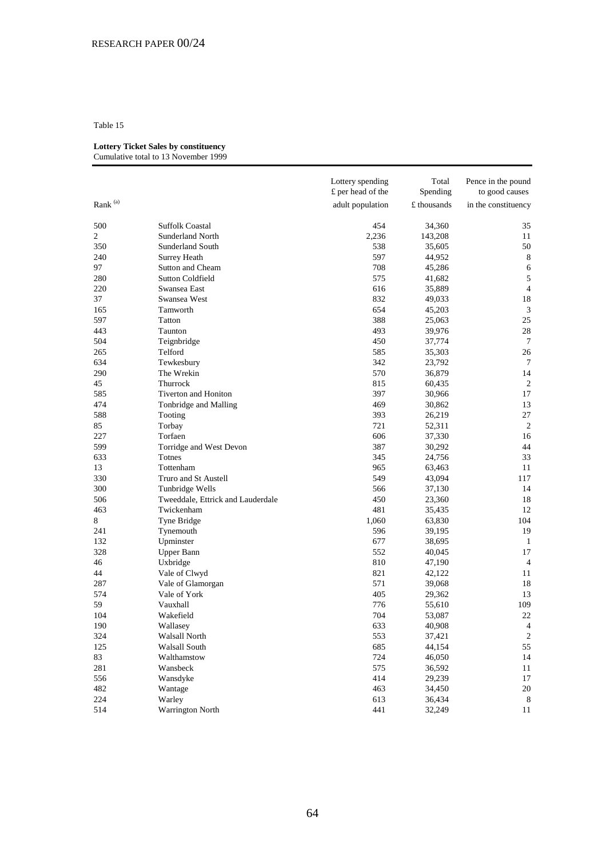#### **Lottery Ticket Sales by constituency** Cumulative total to 13 November 1999

|                     |                                   | Lottery spending<br>£ per head of the | Total<br>Spending | Pence in the pound<br>to good causes |
|---------------------|-----------------------------------|---------------------------------------|-------------------|--------------------------------------|
| Rank <sup>(a)</sup> |                                   | adult population                      | £ thousands       | in the constituency                  |
| 500                 | <b>Suffolk Coastal</b>            | 454                                   | 34,360            | 35                                   |
| $\mathbf{2}$        | <b>Sunderland North</b>           | 2,236                                 | 143,208           | 11                                   |
| 350                 | Sunderland South                  | 538                                   | 35,605            | 50                                   |
| 240                 | <b>Surrey Heath</b>               | 597                                   | 44,952            | 8                                    |
| 97                  | Sutton and Cheam                  | 708                                   | 45,286            | 6                                    |
| 280                 | Sutton Coldfield                  | 575                                   | 41,682            | 5                                    |
| 220                 | Swansea East                      | 616                                   | 35,889            | $\overline{4}$                       |
| 37                  | Swansea West                      | 832                                   | 49,033            | 18                                   |
| 165                 | Tamworth                          | 654                                   | 45,203            | 3                                    |
| 597                 | Tatton                            | 388                                   | 25,063            | 25                                   |
| 443                 | Taunton                           | 493                                   | 39,976            | 28                                   |
| 504                 | Teignbridge                       | 450                                   | 37,774            | 7                                    |
| 265                 | Telford                           | 585                                   | 35,303            | 26                                   |
| 634                 | Tewkesbury                        | 342                                   | 23,792            | 7                                    |
| 290                 | The Wrekin                        | 570                                   | 36,879            | 14                                   |
| 45                  | Thurrock                          | 815                                   | 60,435            | 2                                    |
| 585                 | Tiverton and Honiton              | 397                                   | 30,966            | 17                                   |
| 474                 | Tonbridge and Malling             | 469                                   | 30,862            | 13                                   |
| 588                 | Tooting                           | 393                                   | 26,219            | 27                                   |
| 85                  | Torbay                            | 721                                   | 52,311            | $\overline{2}$                       |
| 227                 | Torfaen                           | 606                                   | 37,330            | 16                                   |
| 599                 | Torridge and West Devon           | 387                                   | 30,292            | 44                                   |
| 633                 | Totnes                            | 345                                   | 24,756            | 33                                   |
| 13                  | Tottenham                         | 965                                   | 63,463            | 11                                   |
| 330                 | Truro and St Austell              | 549                                   | 43,094            | 117                                  |
| 300                 | Tunbridge Wells                   | 566                                   | 37,130            | 14                                   |
| 506                 | Tweeddale, Ettrick and Lauderdale | 450                                   | 23,360            | 18                                   |
| 463                 | Twickenham                        | 481                                   | 35,435            | 12                                   |
| 8                   | Tyne Bridge                       | 1,060                                 | 63,830            | 104                                  |
| 241                 | Tynemouth                         | 596                                   | 39,195            | 19                                   |
| 132                 | Upminster                         | 677                                   | 38,695            | 1                                    |
| 328                 | <b>Upper Bann</b>                 | 552                                   | 40,045            | 17                                   |
| 46                  | Uxbridge                          | 810                                   | 47,190            | $\overline{4}$                       |
| 44                  | Vale of Clwyd                     | 821                                   | 42,122            | 11                                   |
| 287                 | Vale of Glamorgan                 | 571                                   | 39,068            | 18                                   |
| 574                 | Vale of York                      | 405                                   | 29,362            | 13                                   |
| 59                  | Vauxhall                          | 776                                   | 55,610            | 109                                  |
| 104                 | Wakefield                         | 704                                   | 53,087            | 22                                   |
| 190                 | Wallasey                          | 633                                   | 40,908            | $\overline{4}$                       |
| 324                 | Walsall North                     | 553                                   | 37,421            | $\sqrt{2}$                           |
| 125                 | Walsall South                     | 685                                   | 44,154            | 55                                   |
| 83                  | Walthamstow                       | 724                                   | 46,050            | 14                                   |
| 281                 | Wansbeck                          | 575                                   | 36,592            | 11                                   |
| 556                 | Wansdyke                          | 414                                   | 29,239            | 17                                   |
| 482                 | Wantage                           | 463                                   | 34,450            | 20                                   |
| 224                 | Warley                            | 613                                   | 36,434            | 8                                    |
| 514                 | Warrington North                  | 441                                   | 32,249            | 11                                   |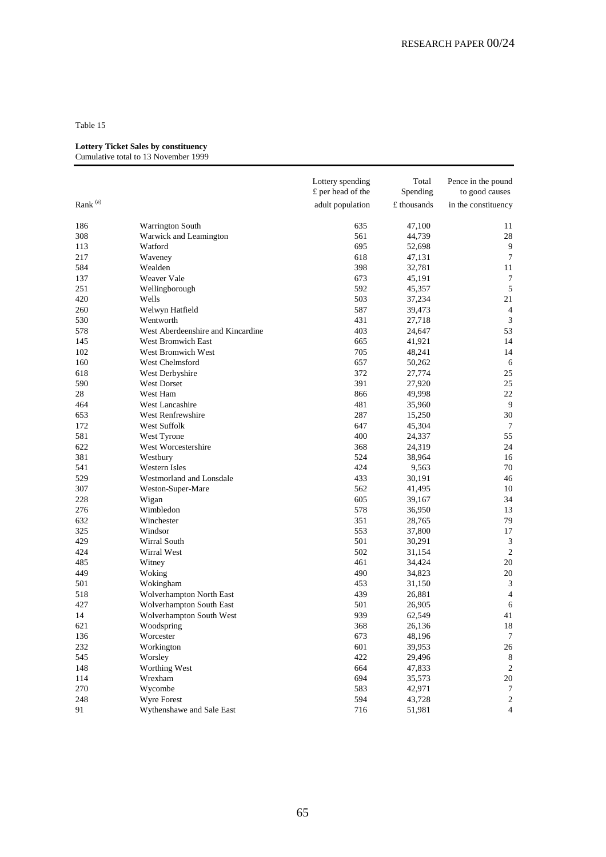#### **Lottery Ticket Sales by constituency**

| adult population<br>£ thousands<br>in the constituency<br>47,100<br>186<br>Warrington South<br>635<br>11<br>28<br>308<br>Warwick and Leamington<br>561<br>44,739<br>695<br>9<br>113<br>Watford<br>52,698<br>7<br>217<br>Waveney<br>618<br>47,131<br>Wealden<br>398<br>584<br>32,781<br>11<br>Weaver Vale<br>137<br>673<br>45,191<br>7<br>$\sqrt{5}$<br>251<br>592<br>Wellingborough<br>45,357<br>420<br>Wells<br>503<br>21<br>37,234<br>260<br>Welwyn Hatfield<br>587<br>39,473<br>4<br>530<br>3<br>Wentworth<br>431<br>27,718<br>West Aberdeenshire and Kincardine<br>403<br>24,647<br>53<br>578<br>14<br>145<br>West Bromwich East<br>665<br>41,921<br>102<br>West Bromwich West<br>705<br>48,241<br>14<br>160<br>West Chelmsford<br>657<br>6<br>50,262<br>25<br>618<br>West Derbyshire<br>372<br>27,774<br>590<br><b>West Dorset</b><br>391<br>27,920<br>25<br>28<br>West Ham<br>866<br>22<br>49,998<br>481<br>35,960<br>9<br>464<br>West Lancashire<br>653<br>West Renfrewshire<br>287<br>30<br>15,250<br>172<br>West Suffolk<br>647<br>45,304<br>7<br>55<br>581<br>400<br>West Tyrone<br>24,337<br>West Worcestershire<br>24<br>622<br>368<br>24,319<br>381<br>524<br>16<br>Westbury<br>38,964<br>Western Isles<br>541<br>424<br>9,563<br>70<br>529<br>Westmorland and Lonsdale<br>433<br>46<br>30,191<br>307<br>Weston-Super-Mare<br>562<br>41,495<br>10<br>228<br>605<br>34<br>Wigan<br>39,167<br>276<br>Wimbledon<br>578<br>36,950<br>13<br>632<br>351<br>28,765<br>79<br>Winchester<br>325<br>553<br>17<br>Windsor<br>37,800<br>429<br>Wirral South<br>501<br>3<br>30,291<br>$\overline{2}$<br>Wirral West<br>502<br>424<br>31,154<br>20<br>485<br>Witney<br>461<br>34,424<br>449<br>490<br>20<br>Woking<br>34,823<br>501<br>Wokingham<br>453<br>31,150<br>3<br>$\overline{4}$<br>518<br>Wolverhampton North East<br>439<br>26,881<br>427<br>26,905<br>Wolverhampton South East<br>501<br>6<br>939<br>62,549<br>41<br>14<br>Wolverhampton South West<br>621<br>368<br>18<br>Woodspring<br>26,136<br>Worcester<br>673<br>48,196<br>$\tau$<br>136<br>232<br>601<br>Workington<br>39,953<br>26<br>545<br>Worsley<br>422<br>29,496<br>8<br>148<br>Worthing West<br>664<br>47,833<br>2<br>694<br>Wrexham<br>35,573<br>20<br>114<br>270<br>Wycombe<br>583<br>42,971<br>7<br>248<br><b>Wyre Forest</b><br>594<br>43,728<br>2<br>91<br>Wythenshawe and Sale East<br>716<br>$\overline{4}$<br>51,981 |                     | Lottery spending<br>£ per head of the | Total<br>Spending | Pence in the pound<br>to good causes |
|------------------------------------------------------------------------------------------------------------------------------------------------------------------------------------------------------------------------------------------------------------------------------------------------------------------------------------------------------------------------------------------------------------------------------------------------------------------------------------------------------------------------------------------------------------------------------------------------------------------------------------------------------------------------------------------------------------------------------------------------------------------------------------------------------------------------------------------------------------------------------------------------------------------------------------------------------------------------------------------------------------------------------------------------------------------------------------------------------------------------------------------------------------------------------------------------------------------------------------------------------------------------------------------------------------------------------------------------------------------------------------------------------------------------------------------------------------------------------------------------------------------------------------------------------------------------------------------------------------------------------------------------------------------------------------------------------------------------------------------------------------------------------------------------------------------------------------------------------------------------------------------------------------------------------------------------------------------------------------------------------------------------------------------------------------------------------------------------------------------------------------------------------------------------------------------------------------------------------------------------------------------------------------------------------------------------------------------------------------------------------------------------------|---------------------|---------------------------------------|-------------------|--------------------------------------|
|                                                                                                                                                                                                                                                                                                                                                                                                                                                                                                                                                                                                                                                                                                                                                                                                                                                                                                                                                                                                                                                                                                                                                                                                                                                                                                                                                                                                                                                                                                                                                                                                                                                                                                                                                                                                                                                                                                                                                                                                                                                                                                                                                                                                                                                                                                                                                                                                      | Rank <sup>(a)</sup> |                                       |                   |                                      |
|                                                                                                                                                                                                                                                                                                                                                                                                                                                                                                                                                                                                                                                                                                                                                                                                                                                                                                                                                                                                                                                                                                                                                                                                                                                                                                                                                                                                                                                                                                                                                                                                                                                                                                                                                                                                                                                                                                                                                                                                                                                                                                                                                                                                                                                                                                                                                                                                      |                     |                                       |                   |                                      |
|                                                                                                                                                                                                                                                                                                                                                                                                                                                                                                                                                                                                                                                                                                                                                                                                                                                                                                                                                                                                                                                                                                                                                                                                                                                                                                                                                                                                                                                                                                                                                                                                                                                                                                                                                                                                                                                                                                                                                                                                                                                                                                                                                                                                                                                                                                                                                                                                      |                     |                                       |                   |                                      |
|                                                                                                                                                                                                                                                                                                                                                                                                                                                                                                                                                                                                                                                                                                                                                                                                                                                                                                                                                                                                                                                                                                                                                                                                                                                                                                                                                                                                                                                                                                                                                                                                                                                                                                                                                                                                                                                                                                                                                                                                                                                                                                                                                                                                                                                                                                                                                                                                      |                     |                                       |                   |                                      |
|                                                                                                                                                                                                                                                                                                                                                                                                                                                                                                                                                                                                                                                                                                                                                                                                                                                                                                                                                                                                                                                                                                                                                                                                                                                                                                                                                                                                                                                                                                                                                                                                                                                                                                                                                                                                                                                                                                                                                                                                                                                                                                                                                                                                                                                                                                                                                                                                      |                     |                                       |                   |                                      |
|                                                                                                                                                                                                                                                                                                                                                                                                                                                                                                                                                                                                                                                                                                                                                                                                                                                                                                                                                                                                                                                                                                                                                                                                                                                                                                                                                                                                                                                                                                                                                                                                                                                                                                                                                                                                                                                                                                                                                                                                                                                                                                                                                                                                                                                                                                                                                                                                      |                     |                                       |                   |                                      |
|                                                                                                                                                                                                                                                                                                                                                                                                                                                                                                                                                                                                                                                                                                                                                                                                                                                                                                                                                                                                                                                                                                                                                                                                                                                                                                                                                                                                                                                                                                                                                                                                                                                                                                                                                                                                                                                                                                                                                                                                                                                                                                                                                                                                                                                                                                                                                                                                      |                     |                                       |                   |                                      |
|                                                                                                                                                                                                                                                                                                                                                                                                                                                                                                                                                                                                                                                                                                                                                                                                                                                                                                                                                                                                                                                                                                                                                                                                                                                                                                                                                                                                                                                                                                                                                                                                                                                                                                                                                                                                                                                                                                                                                                                                                                                                                                                                                                                                                                                                                                                                                                                                      |                     |                                       |                   |                                      |
|                                                                                                                                                                                                                                                                                                                                                                                                                                                                                                                                                                                                                                                                                                                                                                                                                                                                                                                                                                                                                                                                                                                                                                                                                                                                                                                                                                                                                                                                                                                                                                                                                                                                                                                                                                                                                                                                                                                                                                                                                                                                                                                                                                                                                                                                                                                                                                                                      |                     |                                       |                   |                                      |
|                                                                                                                                                                                                                                                                                                                                                                                                                                                                                                                                                                                                                                                                                                                                                                                                                                                                                                                                                                                                                                                                                                                                                                                                                                                                                                                                                                                                                                                                                                                                                                                                                                                                                                                                                                                                                                                                                                                                                                                                                                                                                                                                                                                                                                                                                                                                                                                                      |                     |                                       |                   |                                      |
|                                                                                                                                                                                                                                                                                                                                                                                                                                                                                                                                                                                                                                                                                                                                                                                                                                                                                                                                                                                                                                                                                                                                                                                                                                                                                                                                                                                                                                                                                                                                                                                                                                                                                                                                                                                                                                                                                                                                                                                                                                                                                                                                                                                                                                                                                                                                                                                                      |                     |                                       |                   |                                      |
|                                                                                                                                                                                                                                                                                                                                                                                                                                                                                                                                                                                                                                                                                                                                                                                                                                                                                                                                                                                                                                                                                                                                                                                                                                                                                                                                                                                                                                                                                                                                                                                                                                                                                                                                                                                                                                                                                                                                                                                                                                                                                                                                                                                                                                                                                                                                                                                                      |                     |                                       |                   |                                      |
|                                                                                                                                                                                                                                                                                                                                                                                                                                                                                                                                                                                                                                                                                                                                                                                                                                                                                                                                                                                                                                                                                                                                                                                                                                                                                                                                                                                                                                                                                                                                                                                                                                                                                                                                                                                                                                                                                                                                                                                                                                                                                                                                                                                                                                                                                                                                                                                                      |                     |                                       |                   |                                      |
|                                                                                                                                                                                                                                                                                                                                                                                                                                                                                                                                                                                                                                                                                                                                                                                                                                                                                                                                                                                                                                                                                                                                                                                                                                                                                                                                                                                                                                                                                                                                                                                                                                                                                                                                                                                                                                                                                                                                                                                                                                                                                                                                                                                                                                                                                                                                                                                                      |                     |                                       |                   |                                      |
|                                                                                                                                                                                                                                                                                                                                                                                                                                                                                                                                                                                                                                                                                                                                                                                                                                                                                                                                                                                                                                                                                                                                                                                                                                                                                                                                                                                                                                                                                                                                                                                                                                                                                                                                                                                                                                                                                                                                                                                                                                                                                                                                                                                                                                                                                                                                                                                                      |                     |                                       |                   |                                      |
|                                                                                                                                                                                                                                                                                                                                                                                                                                                                                                                                                                                                                                                                                                                                                                                                                                                                                                                                                                                                                                                                                                                                                                                                                                                                                                                                                                                                                                                                                                                                                                                                                                                                                                                                                                                                                                                                                                                                                                                                                                                                                                                                                                                                                                                                                                                                                                                                      |                     |                                       |                   |                                      |
|                                                                                                                                                                                                                                                                                                                                                                                                                                                                                                                                                                                                                                                                                                                                                                                                                                                                                                                                                                                                                                                                                                                                                                                                                                                                                                                                                                                                                                                                                                                                                                                                                                                                                                                                                                                                                                                                                                                                                                                                                                                                                                                                                                                                                                                                                                                                                                                                      |                     |                                       |                   |                                      |
|                                                                                                                                                                                                                                                                                                                                                                                                                                                                                                                                                                                                                                                                                                                                                                                                                                                                                                                                                                                                                                                                                                                                                                                                                                                                                                                                                                                                                                                                                                                                                                                                                                                                                                                                                                                                                                                                                                                                                                                                                                                                                                                                                                                                                                                                                                                                                                                                      |                     |                                       |                   |                                      |
|                                                                                                                                                                                                                                                                                                                                                                                                                                                                                                                                                                                                                                                                                                                                                                                                                                                                                                                                                                                                                                                                                                                                                                                                                                                                                                                                                                                                                                                                                                                                                                                                                                                                                                                                                                                                                                                                                                                                                                                                                                                                                                                                                                                                                                                                                                                                                                                                      |                     |                                       |                   |                                      |
|                                                                                                                                                                                                                                                                                                                                                                                                                                                                                                                                                                                                                                                                                                                                                                                                                                                                                                                                                                                                                                                                                                                                                                                                                                                                                                                                                                                                                                                                                                                                                                                                                                                                                                                                                                                                                                                                                                                                                                                                                                                                                                                                                                                                                                                                                                                                                                                                      |                     |                                       |                   |                                      |
|                                                                                                                                                                                                                                                                                                                                                                                                                                                                                                                                                                                                                                                                                                                                                                                                                                                                                                                                                                                                                                                                                                                                                                                                                                                                                                                                                                                                                                                                                                                                                                                                                                                                                                                                                                                                                                                                                                                                                                                                                                                                                                                                                                                                                                                                                                                                                                                                      |                     |                                       |                   |                                      |
|                                                                                                                                                                                                                                                                                                                                                                                                                                                                                                                                                                                                                                                                                                                                                                                                                                                                                                                                                                                                                                                                                                                                                                                                                                                                                                                                                                                                                                                                                                                                                                                                                                                                                                                                                                                                                                                                                                                                                                                                                                                                                                                                                                                                                                                                                                                                                                                                      |                     |                                       |                   |                                      |
|                                                                                                                                                                                                                                                                                                                                                                                                                                                                                                                                                                                                                                                                                                                                                                                                                                                                                                                                                                                                                                                                                                                                                                                                                                                                                                                                                                                                                                                                                                                                                                                                                                                                                                                                                                                                                                                                                                                                                                                                                                                                                                                                                                                                                                                                                                                                                                                                      |                     |                                       |                   |                                      |
|                                                                                                                                                                                                                                                                                                                                                                                                                                                                                                                                                                                                                                                                                                                                                                                                                                                                                                                                                                                                                                                                                                                                                                                                                                                                                                                                                                                                                                                                                                                                                                                                                                                                                                                                                                                                                                                                                                                                                                                                                                                                                                                                                                                                                                                                                                                                                                                                      |                     |                                       |                   |                                      |
|                                                                                                                                                                                                                                                                                                                                                                                                                                                                                                                                                                                                                                                                                                                                                                                                                                                                                                                                                                                                                                                                                                                                                                                                                                                                                                                                                                                                                                                                                                                                                                                                                                                                                                                                                                                                                                                                                                                                                                                                                                                                                                                                                                                                                                                                                                                                                                                                      |                     |                                       |                   |                                      |
|                                                                                                                                                                                                                                                                                                                                                                                                                                                                                                                                                                                                                                                                                                                                                                                                                                                                                                                                                                                                                                                                                                                                                                                                                                                                                                                                                                                                                                                                                                                                                                                                                                                                                                                                                                                                                                                                                                                                                                                                                                                                                                                                                                                                                                                                                                                                                                                                      |                     |                                       |                   |                                      |
|                                                                                                                                                                                                                                                                                                                                                                                                                                                                                                                                                                                                                                                                                                                                                                                                                                                                                                                                                                                                                                                                                                                                                                                                                                                                                                                                                                                                                                                                                                                                                                                                                                                                                                                                                                                                                                                                                                                                                                                                                                                                                                                                                                                                                                                                                                                                                                                                      |                     |                                       |                   |                                      |
|                                                                                                                                                                                                                                                                                                                                                                                                                                                                                                                                                                                                                                                                                                                                                                                                                                                                                                                                                                                                                                                                                                                                                                                                                                                                                                                                                                                                                                                                                                                                                                                                                                                                                                                                                                                                                                                                                                                                                                                                                                                                                                                                                                                                                                                                                                                                                                                                      |                     |                                       |                   |                                      |
|                                                                                                                                                                                                                                                                                                                                                                                                                                                                                                                                                                                                                                                                                                                                                                                                                                                                                                                                                                                                                                                                                                                                                                                                                                                                                                                                                                                                                                                                                                                                                                                                                                                                                                                                                                                                                                                                                                                                                                                                                                                                                                                                                                                                                                                                                                                                                                                                      |                     |                                       |                   |                                      |
|                                                                                                                                                                                                                                                                                                                                                                                                                                                                                                                                                                                                                                                                                                                                                                                                                                                                                                                                                                                                                                                                                                                                                                                                                                                                                                                                                                                                                                                                                                                                                                                                                                                                                                                                                                                                                                                                                                                                                                                                                                                                                                                                                                                                                                                                                                                                                                                                      |                     |                                       |                   |                                      |
|                                                                                                                                                                                                                                                                                                                                                                                                                                                                                                                                                                                                                                                                                                                                                                                                                                                                                                                                                                                                                                                                                                                                                                                                                                                                                                                                                                                                                                                                                                                                                                                                                                                                                                                                                                                                                                                                                                                                                                                                                                                                                                                                                                                                                                                                                                                                                                                                      |                     |                                       |                   |                                      |
|                                                                                                                                                                                                                                                                                                                                                                                                                                                                                                                                                                                                                                                                                                                                                                                                                                                                                                                                                                                                                                                                                                                                                                                                                                                                                                                                                                                                                                                                                                                                                                                                                                                                                                                                                                                                                                                                                                                                                                                                                                                                                                                                                                                                                                                                                                                                                                                                      |                     |                                       |                   |                                      |
|                                                                                                                                                                                                                                                                                                                                                                                                                                                                                                                                                                                                                                                                                                                                                                                                                                                                                                                                                                                                                                                                                                                                                                                                                                                                                                                                                                                                                                                                                                                                                                                                                                                                                                                                                                                                                                                                                                                                                                                                                                                                                                                                                                                                                                                                                                                                                                                                      |                     |                                       |                   |                                      |
|                                                                                                                                                                                                                                                                                                                                                                                                                                                                                                                                                                                                                                                                                                                                                                                                                                                                                                                                                                                                                                                                                                                                                                                                                                                                                                                                                                                                                                                                                                                                                                                                                                                                                                                                                                                                                                                                                                                                                                                                                                                                                                                                                                                                                                                                                                                                                                                                      |                     |                                       |                   |                                      |
|                                                                                                                                                                                                                                                                                                                                                                                                                                                                                                                                                                                                                                                                                                                                                                                                                                                                                                                                                                                                                                                                                                                                                                                                                                                                                                                                                                                                                                                                                                                                                                                                                                                                                                                                                                                                                                                                                                                                                                                                                                                                                                                                                                                                                                                                                                                                                                                                      |                     |                                       |                   |                                      |
|                                                                                                                                                                                                                                                                                                                                                                                                                                                                                                                                                                                                                                                                                                                                                                                                                                                                                                                                                                                                                                                                                                                                                                                                                                                                                                                                                                                                                                                                                                                                                                                                                                                                                                                                                                                                                                                                                                                                                                                                                                                                                                                                                                                                                                                                                                                                                                                                      |                     |                                       |                   |                                      |
|                                                                                                                                                                                                                                                                                                                                                                                                                                                                                                                                                                                                                                                                                                                                                                                                                                                                                                                                                                                                                                                                                                                                                                                                                                                                                                                                                                                                                                                                                                                                                                                                                                                                                                                                                                                                                                                                                                                                                                                                                                                                                                                                                                                                                                                                                                                                                                                                      |                     |                                       |                   |                                      |
|                                                                                                                                                                                                                                                                                                                                                                                                                                                                                                                                                                                                                                                                                                                                                                                                                                                                                                                                                                                                                                                                                                                                                                                                                                                                                                                                                                                                                                                                                                                                                                                                                                                                                                                                                                                                                                                                                                                                                                                                                                                                                                                                                                                                                                                                                                                                                                                                      |                     |                                       |                   |                                      |
|                                                                                                                                                                                                                                                                                                                                                                                                                                                                                                                                                                                                                                                                                                                                                                                                                                                                                                                                                                                                                                                                                                                                                                                                                                                                                                                                                                                                                                                                                                                                                                                                                                                                                                                                                                                                                                                                                                                                                                                                                                                                                                                                                                                                                                                                                                                                                                                                      |                     |                                       |                   |                                      |
|                                                                                                                                                                                                                                                                                                                                                                                                                                                                                                                                                                                                                                                                                                                                                                                                                                                                                                                                                                                                                                                                                                                                                                                                                                                                                                                                                                                                                                                                                                                                                                                                                                                                                                                                                                                                                                                                                                                                                                                                                                                                                                                                                                                                                                                                                                                                                                                                      |                     |                                       |                   |                                      |
|                                                                                                                                                                                                                                                                                                                                                                                                                                                                                                                                                                                                                                                                                                                                                                                                                                                                                                                                                                                                                                                                                                                                                                                                                                                                                                                                                                                                                                                                                                                                                                                                                                                                                                                                                                                                                                                                                                                                                                                                                                                                                                                                                                                                                                                                                                                                                                                                      |                     |                                       |                   |                                      |
|                                                                                                                                                                                                                                                                                                                                                                                                                                                                                                                                                                                                                                                                                                                                                                                                                                                                                                                                                                                                                                                                                                                                                                                                                                                                                                                                                                                                                                                                                                                                                                                                                                                                                                                                                                                                                                                                                                                                                                                                                                                                                                                                                                                                                                                                                                                                                                                                      |                     |                                       |                   |                                      |
|                                                                                                                                                                                                                                                                                                                                                                                                                                                                                                                                                                                                                                                                                                                                                                                                                                                                                                                                                                                                                                                                                                                                                                                                                                                                                                                                                                                                                                                                                                                                                                                                                                                                                                                                                                                                                                                                                                                                                                                                                                                                                                                                                                                                                                                                                                                                                                                                      |                     |                                       |                   |                                      |
|                                                                                                                                                                                                                                                                                                                                                                                                                                                                                                                                                                                                                                                                                                                                                                                                                                                                                                                                                                                                                                                                                                                                                                                                                                                                                                                                                                                                                                                                                                                                                                                                                                                                                                                                                                                                                                                                                                                                                                                                                                                                                                                                                                                                                                                                                                                                                                                                      |                     |                                       |                   |                                      |
|                                                                                                                                                                                                                                                                                                                                                                                                                                                                                                                                                                                                                                                                                                                                                                                                                                                                                                                                                                                                                                                                                                                                                                                                                                                                                                                                                                                                                                                                                                                                                                                                                                                                                                                                                                                                                                                                                                                                                                                                                                                                                                                                                                                                                                                                                                                                                                                                      |                     |                                       |                   |                                      |
|                                                                                                                                                                                                                                                                                                                                                                                                                                                                                                                                                                                                                                                                                                                                                                                                                                                                                                                                                                                                                                                                                                                                                                                                                                                                                                                                                                                                                                                                                                                                                                                                                                                                                                                                                                                                                                                                                                                                                                                                                                                                                                                                                                                                                                                                                                                                                                                                      |                     |                                       |                   |                                      |
|                                                                                                                                                                                                                                                                                                                                                                                                                                                                                                                                                                                                                                                                                                                                                                                                                                                                                                                                                                                                                                                                                                                                                                                                                                                                                                                                                                                                                                                                                                                                                                                                                                                                                                                                                                                                                                                                                                                                                                                                                                                                                                                                                                                                                                                                                                                                                                                                      |                     |                                       |                   |                                      |
|                                                                                                                                                                                                                                                                                                                                                                                                                                                                                                                                                                                                                                                                                                                                                                                                                                                                                                                                                                                                                                                                                                                                                                                                                                                                                                                                                                                                                                                                                                                                                                                                                                                                                                                                                                                                                                                                                                                                                                                                                                                                                                                                                                                                                                                                                                                                                                                                      |                     |                                       |                   |                                      |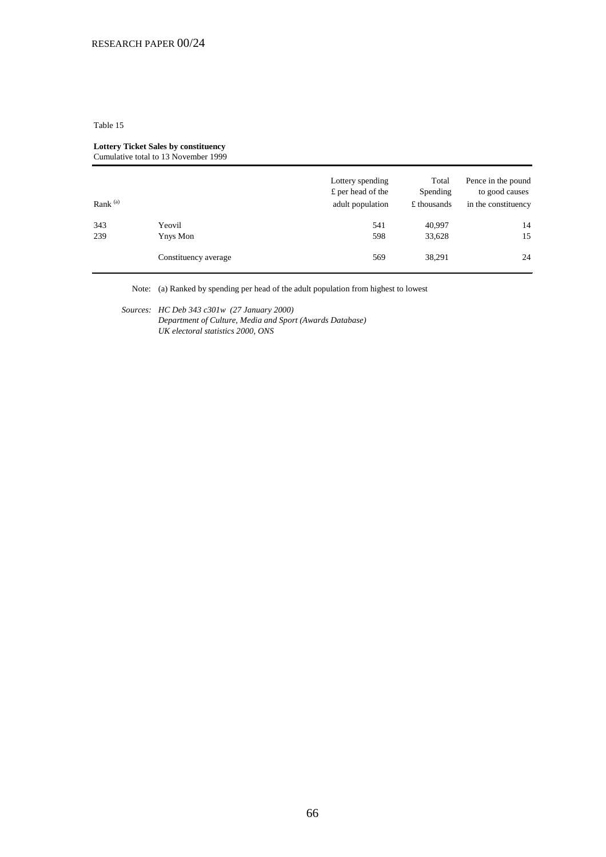#### **Lottery Ticket Sales by constituency** Cumulative total to 13 November 1999

| Rank $(a)$ |                      | Lottery spending<br>£ per head of the<br>adult population | Total<br>Spending<br>£ thousands | Pence in the pound<br>to good causes<br>in the constituency |
|------------|----------------------|-----------------------------------------------------------|----------------------------------|-------------------------------------------------------------|
| 343        | Yeovil               | 541                                                       | 40,997                           | 14                                                          |
| 239        | Ynys Mon             | 598                                                       | 33,628                           | 15                                                          |
|            | Constituency average | 569                                                       | 38,291                           | 24                                                          |

Note: (a) Ranked by spending per head of the adult population from highest to lowest

*Sources: HC Deb 343 c301w (27 January 2000)* 

*Department of Culture, Media and Sport (Awards Database) UK electoral statistics 2000, ONS*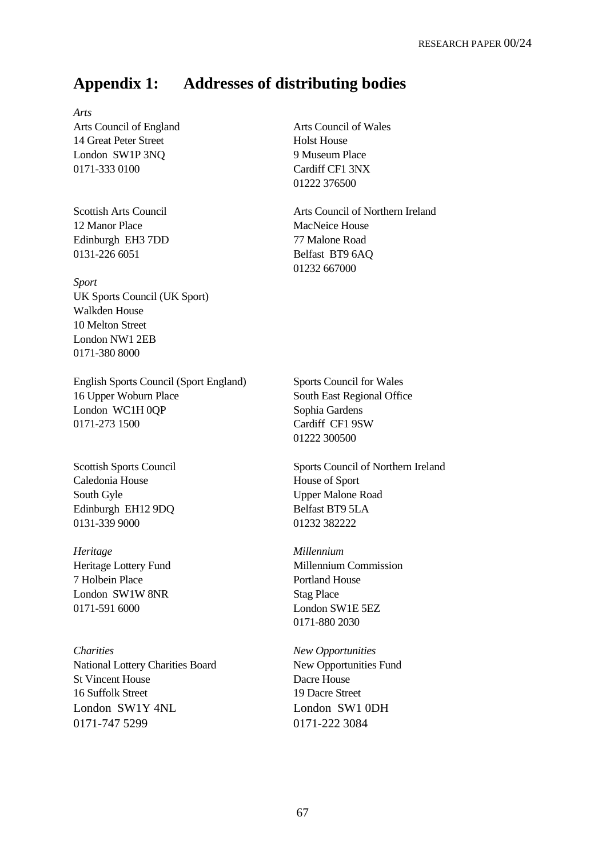# **Appendix 1: Addresses of distributing bodies**

*Arts* Arts Council of England Arts Council of Wales 14 Great Peter Street **Holst House** London SW1P 3NO 9 Museum Place 0171-333 0100 Cardiff CF1 3NX

12 Manor Place MacNeice House Edinburgh EH3 7DD 77 Malone Road 0131-226 6051 Belfast BT9 6AQ

*Sport* UK Sports Council (UK Sport) Walkden House 10 Melton Street London NW1 2EB 0171-380 8000

English Sports Council (Sport England) Sports Council for Wales 16 Upper Woburn Place South East Regional Office London WC1H 0QP Sophia Gardens 0171-273 1500 Cardiff CF1 9SW

Caledonia House **House** House of Sport South Gyle Upper Malone Road Edinburgh EH12 9DQ Belfast BT9 5LA 0131-339 9000 01232 382222

*Heritage Millennium* 7 Holbein Place Portland House London SW1W 8NR Stag Place 0171-591 6000 London SW1E 5EZ

*Charities New Opportunities* National Lottery Charities Board New Opportunities Fund St Vincent House Dacre House 16 Suffolk Street 19 Dacre Street London SW1Y 4NL London SW1 0DH 0171-747 5299 0171-222 3084

01222 376500

Scottish Arts Council **Arts Council** Arts Council of Northern Ireland 01232 667000

01222 300500

Scottish Sports Council Sports Council Sports Council of Northern Ireland

Heritage Lottery Fund Millennium Commission 0171-880 2030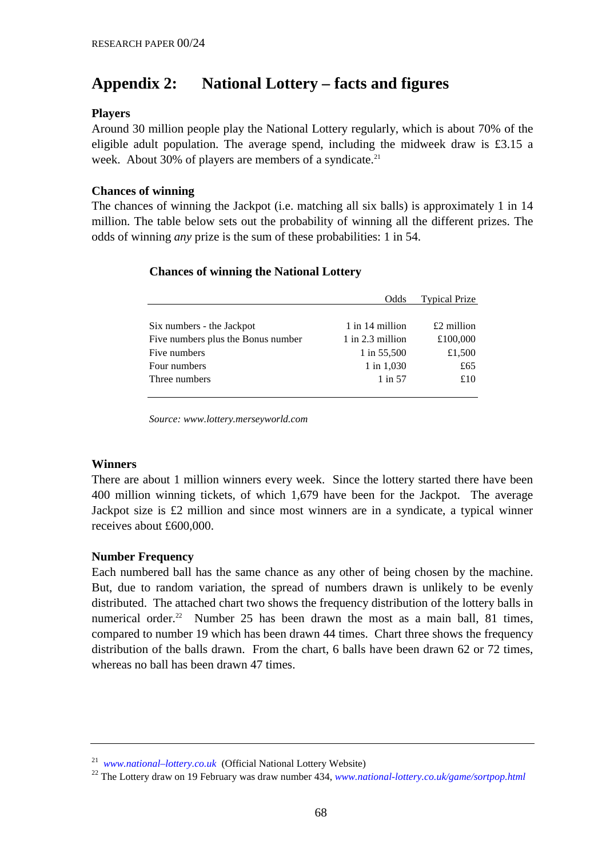# **Appendix 2: National Lottery – facts and figures**

## **Players**

Around 30 million people play the National Lottery regularly, which is about 70% of the eligible adult population. The average spend, including the midweek draw is £3.15 a week. About 30% of players are members of a syndicate. $21$ 

## **Chances of winning**

The chances of winning the Jackpot (i.e. matching all six balls) is approximately 1 in 14 million. The table below sets out the probability of winning all the different prizes. The odds of winning *any* prize is the sum of these probabilities: 1 in 54.

# **Chances of winning the National Lottery**

|                                    | Odds               | <b>Typical Prize</b> |
|------------------------------------|--------------------|----------------------|
|                                    |                    |                      |
| Six numbers - the Jackpot          | 1 in 14 million    | $£2$ million         |
| Five numbers plus the Bonus number | $1$ in 2.3 million | £100,000             |
| Five numbers                       | 1 in 55,500        | £1,500               |
| Four numbers                       | $1$ in $1,030$     | £65                  |
| Three numbers                      | $1$ in 57          | £10                  |
|                                    |                    |                      |

*Source: www.lottery.merseyworld.com*

# **Winners**

There are about 1 million winners every week. Since the lottery started there have been 400 million winning tickets, of which 1,679 have been for the Jackpot. The average Jackpot size is £2 million and since most winners are in a syndicate, a typical winner receives about £600,000.

# **Number Frequency**

Each numbered ball has the same chance as any other of being chosen by the machine. But, due to random variation, the spread of numbers drawn is unlikely to be evenly distributed. The attached chart two shows the frequency distribution of the lottery balls in numerical order.<sup>22</sup> Number 25 has been drawn the most as a main ball, 81 times, compared to number 19 which has been drawn 44 times. Chart three shows the frequency distribution of the balls drawn. From the chart, 6 balls have been drawn 62 or 72 times, whereas no ball has been drawn 47 times.

<sup>21</sup> *www.national–lottery.co.uk* (Official National Lottery Website)

<sup>22</sup> The Lottery draw on 19 February was draw number 434, *www.national-lottery.co.uk/game/sortpop.html*